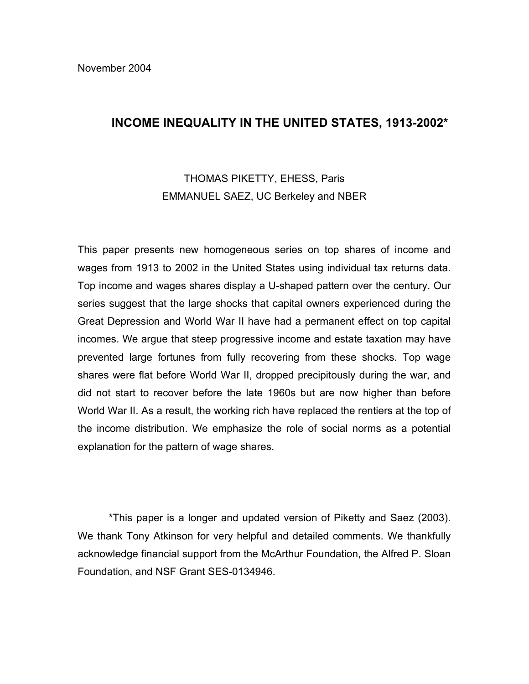# **INCOME INEQUALITY IN THE UNITED STATES, 1913-2002\***

# THOMAS PIKETTY, EHESS, Paris EMMANUEL SAEZ, UC Berkeley and NBER

This paper presents new homogeneous series on top shares of income and wages from 1913 to 2002 in the United States using individual tax returns data. Top income and wages shares display a U-shaped pattern over the century. Our series suggest that the large shocks that capital owners experienced during the Great Depression and World War II have had a permanent effect on top capital incomes. We argue that steep progressive income and estate taxation may have prevented large fortunes from fully recovering from these shocks. Top wage shares were flat before World War II, dropped precipitously during the war, and did not start to recover before the late 1960s but are now higher than before World War II. As a result, the working rich have replaced the rentiers at the top of the income distribution. We emphasize the role of social norms as a potential explanation for the pattern of wage shares.

\*This paper is a longer and updated version of Piketty and Saez (2003). We thank Tony Atkinson for very helpful and detailed comments. We thankfully acknowledge financial support from the McArthur Foundation, the Alfred P. Sloan Foundation, and NSF Grant SES-0134946.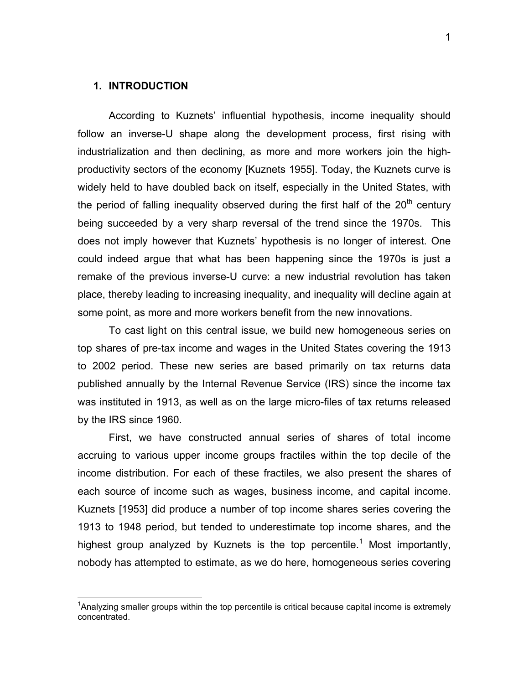# **1. INTRODUCTION**

 $\overline{a}$ 

According to Kuznets' influential hypothesis, income inequality should follow an inverse-U shape along the development process, first rising with industrialization and then declining, as more and more workers join the highproductivity sectors of the economy [Kuznets 1955]. Today, the Kuznets curve is widely held to have doubled back on itself, especially in the United States, with the period of falling inequality observed during the first half of the  $20<sup>th</sup>$  century being succeeded by a very sharp reversal of the trend since the 1970s. This does not imply however that Kuznets' hypothesis is no longer of interest. One could indeed argue that what has been happening since the 1970s is just a remake of the previous inverse-U curve: a new industrial revolution has taken place, thereby leading to increasing inequality, and inequality will decline again at some point, as more and more workers benefit from the new innovations.

To cast light on this central issue, we build new homogeneous series on top shares of pre-tax income and wages in the United States covering the 1913 to 2002 period. These new series are based primarily on tax returns data published annually by the Internal Revenue Service (IRS) since the income tax was instituted in 1913, as well as on the large micro-files of tax returns released by the IRS since 1960.

First, we have constructed annual series of shares of total income accruing to various upper income groups fractiles within the top decile of the income distribution. For each of these fractiles, we also present the shares of each source of income such as wages, business income, and capital income. Kuznets [1953] did produce a number of top income shares series covering the 1913 to 1948 period, but tended to underestimate top income shares, and the highest group analyzed by Kuznets is the top percentile.<sup>1</sup> Most importantly, nobody has attempted to estimate, as we do here, homogeneous series covering

<sup>&</sup>lt;sup>1</sup>Analyzing smaller groups within the top percentile is critical because capital income is extremely concentrated.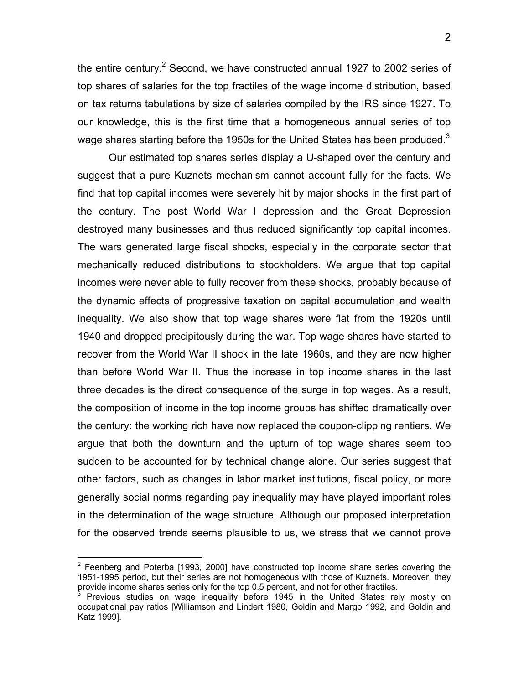the entire century.<sup>2</sup> Second, we have constructed annual 1927 to 2002 series of top shares of salaries for the top fractiles of the wage income distribution, based on tax returns tabulations by size of salaries compiled by the IRS since 1927. To our knowledge, this is the first time that a homogeneous annual series of top wage shares starting before the 1950s for the United States has been produced.<sup>3</sup>

Our estimated top shares series display a U-shaped over the century and suggest that a pure Kuznets mechanism cannot account fully for the facts. We find that top capital incomes were severely hit by major shocks in the first part of the century. The post World War I depression and the Great Depression destroyed many businesses and thus reduced significantly top capital incomes. The wars generated large fiscal shocks, especially in the corporate sector that mechanically reduced distributions to stockholders. We argue that top capital incomes were never able to fully recover from these shocks, probably because of the dynamic effects of progressive taxation on capital accumulation and wealth inequality. We also show that top wage shares were flat from the 1920s until 1940 and dropped precipitously during the war. Top wage shares have started to recover from the World War II shock in the late 1960s, and they are now higher than before World War II. Thus the increase in top income shares in the last three decades is the direct consequence of the surge in top wages. As a result, the composition of income in the top income groups has shifted dramatically over the century: the working rich have now replaced the coupon-clipping rentiers. We argue that both the downturn and the upturn of top wage shares seem too sudden to be accounted for by technical change alone. Our series suggest that other factors, such as changes in labor market institutions, fiscal policy, or more generally social norms regarding pay inequality may have played important roles in the determination of the wage structure. Although our proposed interpretation for the observed trends seems plausible to us, we stress that we cannot prove

1

 $2$  Feenberg and Poterba [1993, 2000] have constructed top income share series covering the 1951-1995 period, but their series are not homogeneous with those of Kuznets. Moreover, they provide income shares series only for the top 0.5 percent, and not for other fractiles.

Previous studies on wage inequality before 1945 in the United States rely mostly on occupational pay ratios [Williamson and Lindert 1980, Goldin and Margo 1992, and Goldin and Katz 1999].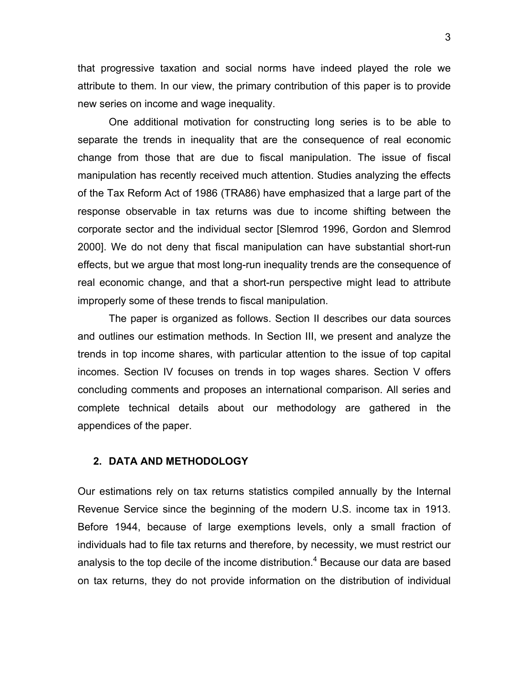that progressive taxation and social norms have indeed played the role we attribute to them. In our view, the primary contribution of this paper is to provide new series on income and wage inequality.

One additional motivation for constructing long series is to be able to separate the trends in inequality that are the consequence of real economic change from those that are due to fiscal manipulation. The issue of fiscal manipulation has recently received much attention. Studies analyzing the effects of the Tax Reform Act of 1986 (TRA86) have emphasized that a large part of the response observable in tax returns was due to income shifting between the corporate sector and the individual sector [Slemrod 1996, Gordon and Slemrod 2000]. We do not deny that fiscal manipulation can have substantial short-run effects, but we argue that most long-run inequality trends are the consequence of real economic change, and that a short-run perspective might lead to attribute improperly some of these trends to fiscal manipulation.

The paper is organized as follows. Section II describes our data sources and outlines our estimation methods. In Section III, we present and analyze the trends in top income shares, with particular attention to the issue of top capital incomes. Section IV focuses on trends in top wages shares. Section V offers concluding comments and proposes an international comparison. All series and complete technical details about our methodology are gathered in the appendices of the paper.

# **2. DATA AND METHODOLOGY**

Our estimations rely on tax returns statistics compiled annually by the Internal Revenue Service since the beginning of the modern U.S. income tax in 1913. Before 1944, because of large exemptions levels, only a small fraction of individuals had to file tax returns and therefore, by necessity, we must restrict our analysis to the top decile of the income distribution.<sup>4</sup> Because our data are based on tax returns, they do not provide information on the distribution of individual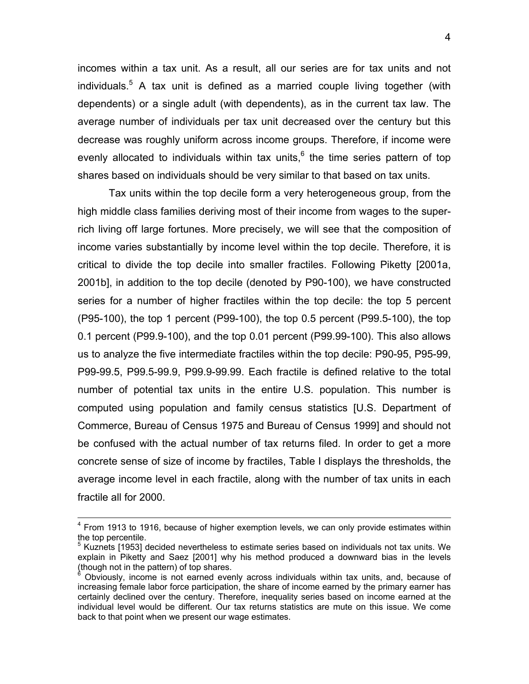incomes within a tax unit. As a result, all our series are for tax units and not individuals.<sup>5</sup> A tax unit is defined as a married couple living together (with dependents) or a single adult (with dependents), as in the current tax law. The average number of individuals per tax unit decreased over the century but this decrease was roughly uniform across income groups. Therefore, if income were evenly allocated to individuals within tax units, $6$  the time series pattern of top shares based on individuals should be very similar to that based on tax units.

Tax units within the top decile form a very heterogeneous group, from the high middle class families deriving most of their income from wages to the superrich living off large fortunes. More precisely, we will see that the composition of income varies substantially by income level within the top decile. Therefore, it is critical to divide the top decile into smaller fractiles. Following Piketty [2001a, 2001b], in addition to the top decile (denoted by P90-100), we have constructed series for a number of higher fractiles within the top decile: the top 5 percent (P95-100), the top 1 percent (P99-100), the top 0.5 percent (P99.5-100), the top 0.1 percent (P99.9-100), and the top 0.01 percent (P99.99-100). This also allows us to analyze the five intermediate fractiles within the top decile: P90-95, P95-99, P99-99.5, P99.5-99.9, P99.9-99.99. Each fractile is defined relative to the total number of potential tax units in the entire U.S. population. This number is computed using population and family census statistics [U.S. Department of Commerce, Bureau of Census 1975 and Bureau of Census 1999] and should not be confused with the actual number of tax returns filed. In order to get a more concrete sense of size of income by fractiles, Table I displays the thresholds, the average income level in each fractile, along with the number of tax units in each fractile all for 2000.

4 From 1913 to 1916, because of higher exemption levels, we can only provide estimates within the top percentile.

<sup>&</sup>lt;sup>5</sup> Kuznets [1953] decided nevertheless to estimate series based on individuals not tax units. We explain in Piketty and Saez [2001] why his method produced a downward bias in the levels (though not in the pattern) of top shares.

<sup>6</sup> Obviously, income is not earned evenly across individuals within tax units, and, because of increasing female labor force participation, the share of income earned by the primary earner has certainly declined over the century. Therefore, inequality series based on income earned at the individual level would be different. Our tax returns statistics are mute on this issue. We come back to that point when we present our wage estimates.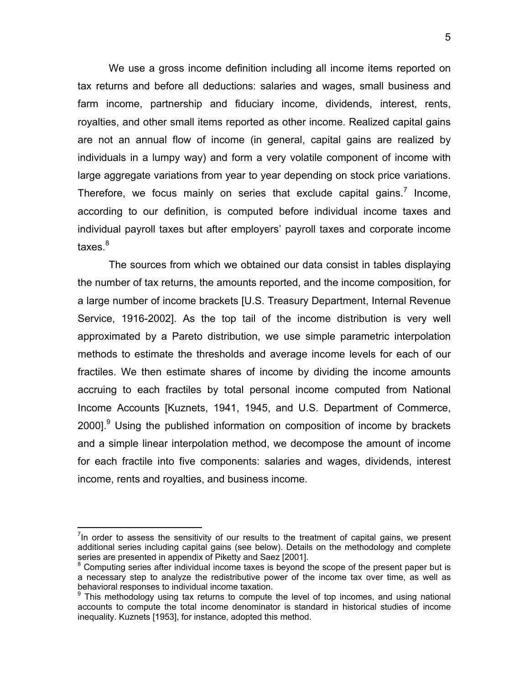We use a gross income definition including all income items reported on tax returns and before all deductions: salaries and wages, small business and farm income, partnership and fiduciary income, dividends, interest, rents, royalties, and other small items reported as other income. Realized capital gains are not an annual flow of income (in general, capital gains are realized by individuals in a lumpy way) and form a very volatile component of income with large aggregate variations from year to year depending on stock price variations. Therefore, we focus mainly on series that exclude capital gains.<sup>7</sup> Income, according to our definition, is computed before individual income taxes and individual payroll taxes but after employers' payroll taxes and corporate income taxes.<sup>8</sup>

 The sources from which we obtained our data consist in tables displaying the number of tax returns, the amounts reported, and the income composition, for a large number of income brackets [U.S. Treasury Department, Internal Revenue Service, 1916-2002]. As the top tail of the income distribution is very well approximated by a Pareto distribution, we use simple parametric interpolation methods to estimate the thresholds and average income levels for each of our fractiles. We then estimate shares of income by dividing the income amounts accruing to each fractiles by total personal income computed from National Income Accounts [Kuznets, 1941, 1945, and U.S. Department of Commerce, 2000].<sup>9</sup> Using the published information on composition of income by brackets and a simple linear interpolation method, we decompose the amount of income for each fractile into five components: salaries and wages, dividends, interest income, rents and royalties, and business income.

 $<sup>7</sup>$ In order to assess the sensitivity of our results to the treatment of capital gains, we present</sup> additional series including capital gains (see below). Details on the methodology and complete series are presented in appendix of Piketty and Saez [2001].

<sup>&</sup>lt;sup>8</sup> Computing series after individual income taxes is beyond the scope of the present paper but is a necessary step to analyze the redistributive power of the income tax over time, as well as behavioral responses to individual income taxation.

 $9$  This methodology using tax returns to compute the level of top incomes, and using national accounts to compute the total income denominator is standard in historical studies of income inequality. Kuznets [1953], for instance, adopted this method.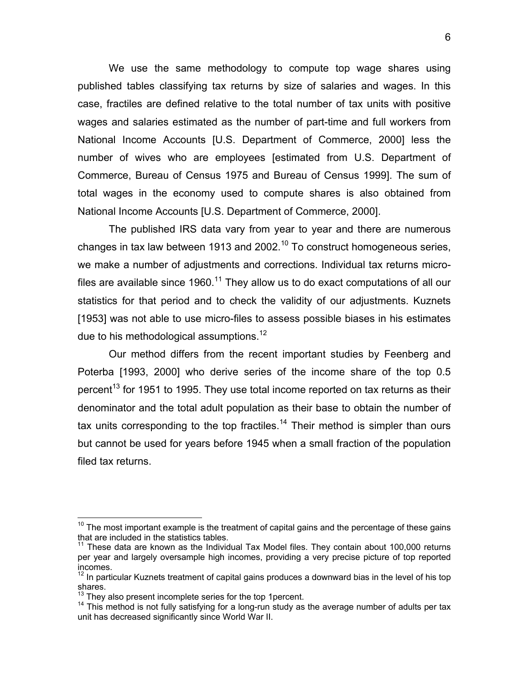We use the same methodology to compute top wage shares using published tables classifying tax returns by size of salaries and wages. In this case, fractiles are defined relative to the total number of tax units with positive wages and salaries estimated as the number of part-time and full workers from National Income Accounts [U.S. Department of Commerce, 2000] less the number of wives who are employees [estimated from U.S. Department of Commerce, Bureau of Census 1975 and Bureau of Census 1999]. The sum of total wages in the economy used to compute shares is also obtained from National Income Accounts [U.S. Department of Commerce, 2000].

 The published IRS data vary from year to year and there are numerous changes in tax law between 1913 and 2002.<sup>10</sup> To construct homogeneous series, we make a number of adjustments and corrections. Individual tax returns microfiles are available since 1960.<sup>11</sup> They allow us to do exact computations of all our statistics for that period and to check the validity of our adjustments. Kuznets [1953] was not able to use micro-files to assess possible biases in his estimates due to his methodological assumptions.<sup>12</sup>

Our method differs from the recent important studies by Feenberg and Poterba [1993, 2000] who derive series of the income share of the top 0.5 percent<sup>13</sup> for 1951 to 1995. They use total income reported on tax returns as their denominator and the total adult population as their base to obtain the number of tax units corresponding to the top fractiles.<sup>14</sup> Their method is simpler than ours but cannot be used for years before 1945 when a small fraction of the population filed tax returns.

 $10$  The most important example is the treatment of capital gains and the percentage of these gains that are included in the statistics tables.

 $11$  These data are known as the Individual Tax Model files. They contain about 100,000 returns per year and largely oversample high incomes, providing a very precise picture of top reported incomes.

 $12$  In particular Kuznets treatment of capital gains produces a downward bias in the level of his top shares.<br><sup>13</sup> They also present incomplete series for the top 1 percent.

 $14$  This method is not fully satisfying for a long-run study as the average number of adults per tax unit has decreased significantly since World War II.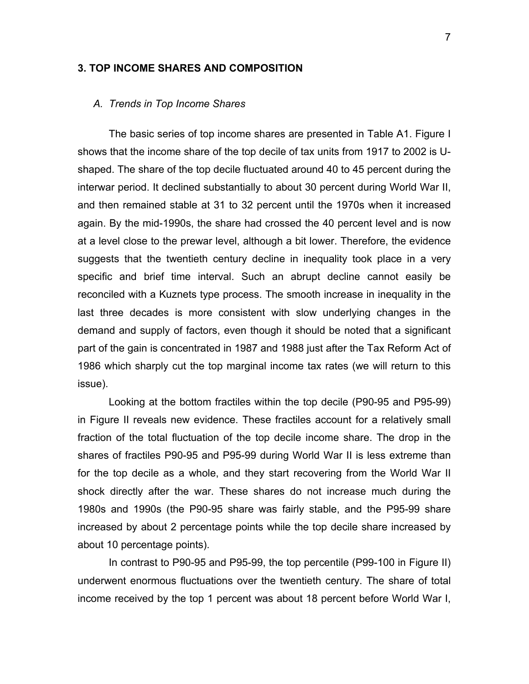# **3. TOP INCOME SHARES AND COMPOSITION**

## *A. Trends in Top Income Shares*

The basic series of top income shares are presented in Table A1. Figure I shows that the income share of the top decile of tax units from 1917 to 2002 is Ushaped. The share of the top decile fluctuated around 40 to 45 percent during the interwar period. It declined substantially to about 30 percent during World War II, and then remained stable at 31 to 32 percent until the 1970s when it increased again. By the mid-1990s, the share had crossed the 40 percent level and is now at a level close to the prewar level, although a bit lower. Therefore, the evidence suggests that the twentieth century decline in inequality took place in a very specific and brief time interval. Such an abrupt decline cannot easily be reconciled with a Kuznets type process. The smooth increase in inequality in the last three decades is more consistent with slow underlying changes in the demand and supply of factors, even though it should be noted that a significant part of the gain is concentrated in 1987 and 1988 just after the Tax Reform Act of 1986 which sharply cut the top marginal income tax rates (we will return to this issue).

 Looking at the bottom fractiles within the top decile (P90-95 and P95-99) in Figure II reveals new evidence. These fractiles account for a relatively small fraction of the total fluctuation of the top decile income share. The drop in the shares of fractiles P90-95 and P95-99 during World War II is less extreme than for the top decile as a whole, and they start recovering from the World War II shock directly after the war. These shares do not increase much during the 1980s and 1990s (the P90-95 share was fairly stable, and the P95-99 share increased by about 2 percentage points while the top decile share increased by about 10 percentage points).

 In contrast to P90-95 and P95-99, the top percentile (P99-100 in Figure II) underwent enormous fluctuations over the twentieth century. The share of total income received by the top 1 percent was about 18 percent before World War I,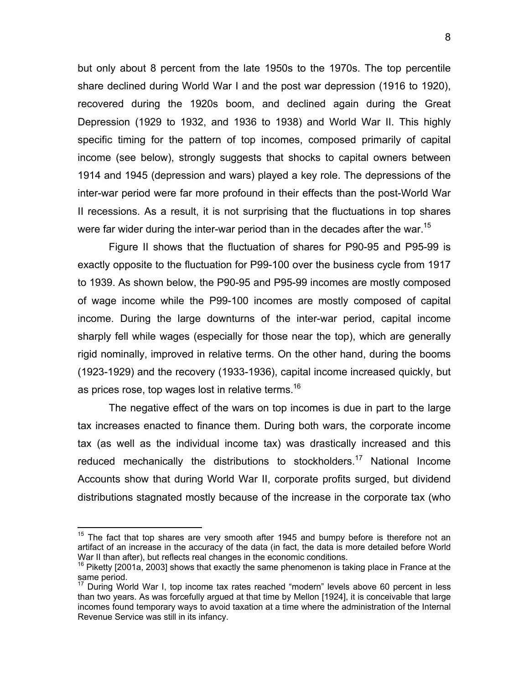but only about 8 percent from the late 1950s to the 1970s. The top percentile share declined during World War I and the post war depression (1916 to 1920), recovered during the 1920s boom, and declined again during the Great Depression (1929 to 1932, and 1936 to 1938) and World War II. This highly specific timing for the pattern of top incomes, composed primarily of capital income (see below), strongly suggests that shocks to capital owners between 1914 and 1945 (depression and wars) played a key role. The depressions of the inter-war period were far more profound in their effects than the post-World War II recessions. As a result, it is not surprising that the fluctuations in top shares were far wider during the inter-war period than in the decades after the war.<sup>15</sup>

Figure II shows that the fluctuation of shares for P90-95 and P95-99 is exactly opposite to the fluctuation for P99-100 over the business cycle from 1917 to 1939. As shown below, the P90-95 and P95-99 incomes are mostly composed of wage income while the P99-100 incomes are mostly composed of capital income. During the large downturns of the inter-war period, capital income sharply fell while wages (especially for those near the top), which are generally rigid nominally, improved in relative terms. On the other hand, during the booms (1923-1929) and the recovery (1933-1936), capital income increased quickly, but as prices rose, top wages lost in relative terms.<sup>16</sup>

The negative effect of the wars on top incomes is due in part to the large tax increases enacted to finance them. During both wars, the corporate income tax (as well as the individual income tax) was drastically increased and this reduced mechanically the distributions to stockholders.<sup>17</sup> National Income Accounts show that during World War II, corporate profits surged, but dividend distributions stagnated mostly because of the increase in the corporate tax (who

 $15$  The fact that top shares are very smooth after 1945 and bumpy before is therefore not an artifact of an increase in the accuracy of the data (in fact, the data is more detailed before World War II than after), but reflects real changes in the economic conditions.

 $16$  Piketty [2001a, 2003] shows that exactly the same phenomenon is taking place in France at the same period.

<sup>17</sup> During World War I, top income tax rates reached "modern" levels above 60 percent in less than two years. As was forcefully argued at that time by Mellon [1924], it is conceivable that large incomes found temporary ways to avoid taxation at a time where the administration of the Internal Revenue Service was still in its infancy.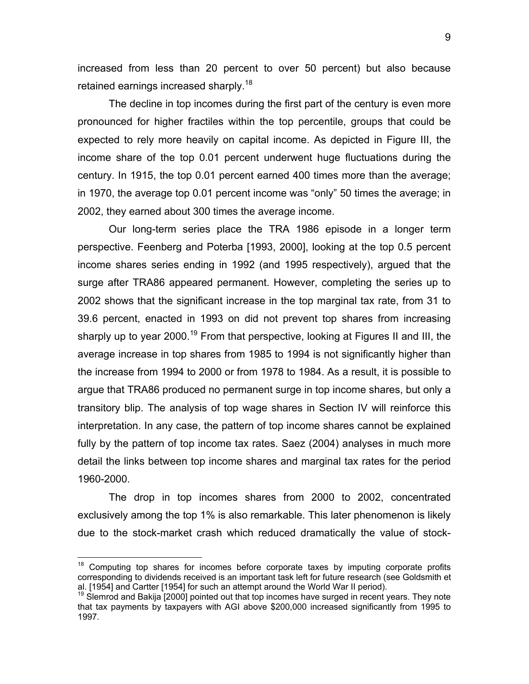increased from less than 20 percent to over 50 percent) but also because retained earnings increased sharply.<sup>18</sup>

The decline in top incomes during the first part of the century is even more pronounced for higher fractiles within the top percentile, groups that could be expected to rely more heavily on capital income. As depicted in Figure III, the income share of the top 0.01 percent underwent huge fluctuations during the century. In 1915, the top 0.01 percent earned 400 times more than the average; in 1970, the average top 0.01 percent income was "only" 50 times the average; in 2002, they earned about 300 times the average income.

 Our long-term series place the TRA 1986 episode in a longer term perspective. Feenberg and Poterba [1993, 2000], looking at the top 0.5 percent income shares series ending in 1992 (and 1995 respectively), argued that the surge after TRA86 appeared permanent. However, completing the series up to 2002 shows that the significant increase in the top marginal tax rate, from 31 to 39.6 percent, enacted in 1993 on did not prevent top shares from increasing sharply up to year 2000.<sup>19</sup> From that perspective, looking at Figures II and III, the average increase in top shares from 1985 to 1994 is not significantly higher than the increase from 1994 to 2000 or from 1978 to 1984. As a result, it is possible to argue that TRA86 produced no permanent surge in top income shares, but only a transitory blip. The analysis of top wage shares in Section IV will reinforce this interpretation. In any case, the pattern of top income shares cannot be explained fully by the pattern of top income tax rates. Saez (2004) analyses in much more detail the links between top income shares and marginal tax rates for the period 1960-2000.

 The drop in top incomes shares from 2000 to 2002, concentrated exclusively among the top 1% is also remarkable. This later phenomenon is likely due to the stock-market crash which reduced dramatically the value of stock-

 $18$  Computing top shares for incomes before corporate taxes by imputing corporate profits corresponding to dividends received is an important task left for future research (see Goldsmith et al. [1954] and Cartter [1954] for such an attempt around the World War II period).

 $19$  Slemrod and Bakija [2000] pointed out that top incomes have surged in recent years. They note that tax payments by taxpayers with AGI above \$200,000 increased significantly from 1995 to 1997.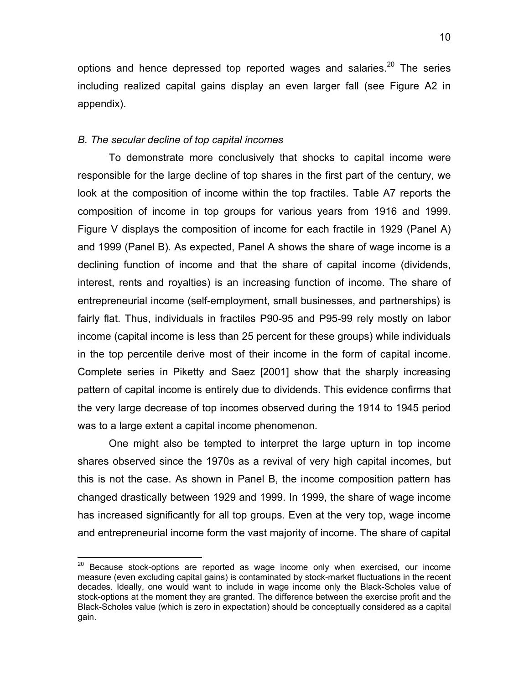options and hence depressed top reported wages and salaries. $20$  The series including realized capital gains display an even larger fall (see Figure A2 in appendix).

# *B. The secular decline of top capital incomes*

1

To demonstrate more conclusively that shocks to capital income were responsible for the large decline of top shares in the first part of the century, we look at the composition of income within the top fractiles. Table A7 reports the composition of income in top groups for various years from 1916 and 1999. Figure V displays the composition of income for each fractile in 1929 (Panel A) and 1999 (Panel B). As expected, Panel A shows the share of wage income is a declining function of income and that the share of capital income (dividends, interest, rents and royalties) is an increasing function of income. The share of entrepreneurial income (self-employment, small businesses, and partnerships) is fairly flat. Thus, individuals in fractiles P90-95 and P95-99 rely mostly on labor income (capital income is less than 25 percent for these groups) while individuals in the top percentile derive most of their income in the form of capital income. Complete series in Piketty and Saez [2001] show that the sharply increasing pattern of capital income is entirely due to dividends. This evidence confirms that the very large decrease of top incomes observed during the 1914 to 1945 period was to a large extent a capital income phenomenon.

One might also be tempted to interpret the large upturn in top income shares observed since the 1970s as a revival of very high capital incomes, but this is not the case. As shown in Panel B, the income composition pattern has changed drastically between 1929 and 1999. In 1999, the share of wage income has increased significantly for all top groups. Even at the very top, wage income and entrepreneurial income form the vast majority of income. The share of capital

 $20$  Because stock-options are reported as wage income only when exercised, our income measure (even excluding capital gains) is contaminated by stock-market fluctuations in the recent decades. Ideally, one would want to include in wage income only the Black-Scholes value of stock-options at the moment they are granted. The difference between the exercise profit and the Black-Scholes value (which is zero in expectation) should be conceptually considered as a capital gain.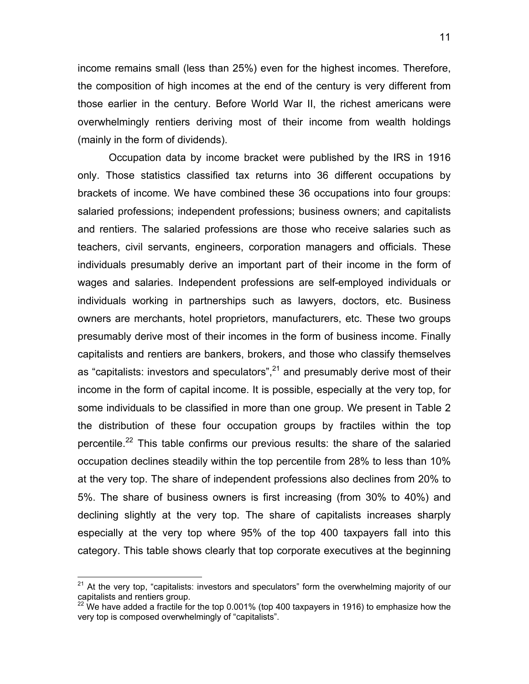income remains small (less than 25%) even for the highest incomes. Therefore, the composition of high incomes at the end of the century is very different from those earlier in the century. Before World War II, the richest americans were overwhelmingly rentiers deriving most of their income from wealth holdings (mainly in the form of dividends).

Occupation data by income bracket were published by the IRS in 1916 only. Those statistics classified tax returns into 36 different occupations by brackets of income. We have combined these 36 occupations into four groups: salaried professions; independent professions; business owners; and capitalists and rentiers. The salaried professions are those who receive salaries such as teachers, civil servants, engineers, corporation managers and officials. These individuals presumably derive an important part of their income in the form of wages and salaries. Independent professions are self-employed individuals or individuals working in partnerships such as lawyers, doctors, etc. Business owners are merchants, hotel proprietors, manufacturers, etc. These two groups presumably derive most of their incomes in the form of business income. Finally capitalists and rentiers are bankers, brokers, and those who classify themselves as "capitalists: investors and speculators", $^{21}$  and presumably derive most of their income in the form of capital income. It is possible, especially at the very top, for some individuals to be classified in more than one group. We present in Table 2 the distribution of these four occupation groups by fractiles within the top percentile.<sup>22</sup> This table confirms our previous results: the share of the salaried occupation declines steadily within the top percentile from 28% to less than 10% at the very top. The share of independent professions also declines from 20% to 5%. The share of business owners is first increasing (from 30% to 40%) and declining slightly at the very top. The share of capitalists increases sharply especially at the very top where 95% of the top 400 taxpayers fall into this category. This table shows clearly that top corporate executives at the beginning

 $21$  At the very top, "capitalists: investors and speculators" form the overwhelming majority of our capitalists and rentiers group.

<sup>&</sup>lt;sup>22</sup> We have added a fractile for the top 0.001% (top 400 taxpayers in 1916) to emphasize how the very top is composed overwhelmingly of "capitalists".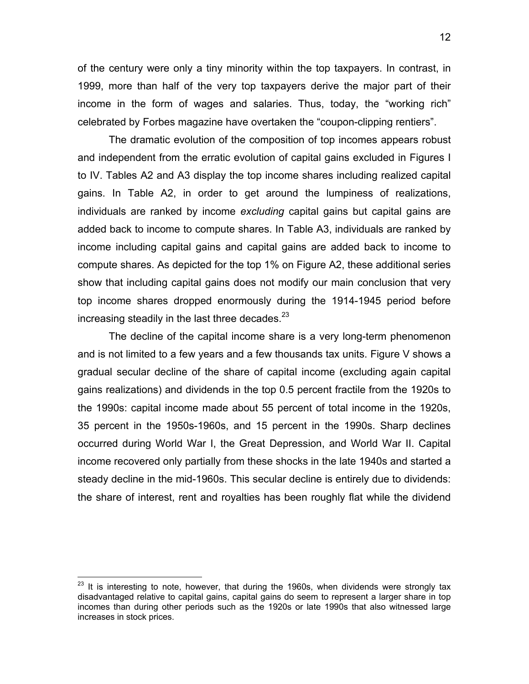of the century were only a tiny minority within the top taxpayers. In contrast, in 1999, more than half of the very top taxpayers derive the major part of their income in the form of wages and salaries. Thus, today, the "working rich" celebrated by Forbes magazine have overtaken the "coupon-clipping rentiers".

The dramatic evolution of the composition of top incomes appears robust and independent from the erratic evolution of capital gains excluded in Figures I to IV. Tables A2 and A3 display the top income shares including realized capital gains. In Table A2, in order to get around the lumpiness of realizations, individuals are ranked by income *excluding* capital gains but capital gains are added back to income to compute shares. In Table A3, individuals are ranked by income including capital gains and capital gains are added back to income to compute shares. As depicted for the top 1% on Figure A2, these additional series show that including capital gains does not modify our main conclusion that very top income shares dropped enormously during the 1914-1945 period before increasing steadily in the last three decades. $^{23}$ 

The decline of the capital income share is a very long-term phenomenon and is not limited to a few years and a few thousands tax units. Figure V shows a gradual secular decline of the share of capital income (excluding again capital gains realizations) and dividends in the top 0.5 percent fractile from the 1920s to the 1990s: capital income made about 55 percent of total income in the 1920s, 35 percent in the 1950s-1960s, and 15 percent in the 1990s. Sharp declines occurred during World War I, the Great Depression, and World War II. Capital income recovered only partially from these shocks in the late 1940s and started a steady decline in the mid-1960s. This secular decline is entirely due to dividends: the share of interest, rent and royalties has been roughly flat while the dividend

<u>.</u>

 $^{23}$  It is interesting to note, however, that during the 1960s, when dividends were strongly tax disadvantaged relative to capital gains, capital gains do seem to represent a larger share in top incomes than during other periods such as the 1920s or late 1990s that also witnessed large increases in stock prices.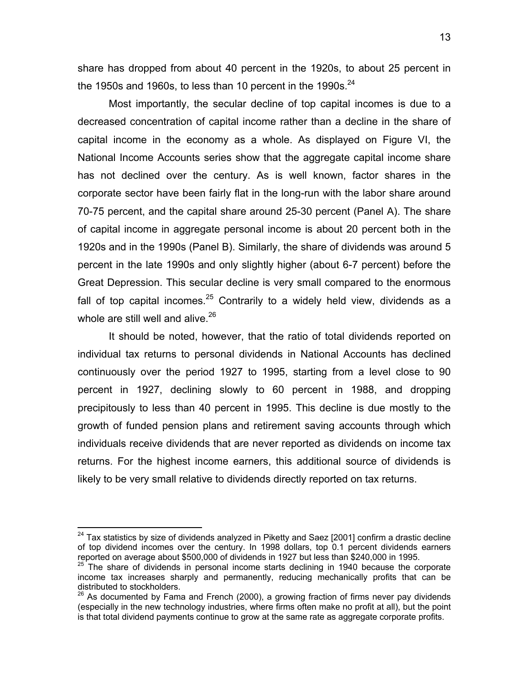share has dropped from about 40 percent in the 1920s, to about 25 percent in the 1950s and 1960s, to less than 10 percent in the 1990s.  $24$ 

Most importantly, the secular decline of top capital incomes is due to a decreased concentration of capital income rather than a decline in the share of capital income in the economy as a whole. As displayed on Figure VI, the National Income Accounts series show that the aggregate capital income share has not declined over the century. As is well known, factor shares in the corporate sector have been fairly flat in the long-run with the labor share around 70-75 percent, and the capital share around 25-30 percent (Panel A). The share of capital income in aggregate personal income is about 20 percent both in the 1920s and in the 1990s (Panel B). Similarly, the share of dividends was around 5 percent in the late 1990s and only slightly higher (about 6-7 percent) before the Great Depression. This secular decline is very small compared to the enormous fall of top capital incomes. $25$  Contrarily to a widely held view, dividends as a whole are still well and alive.<sup>26</sup>

It should be noted, however, that the ratio of total dividends reported on individual tax returns to personal dividends in National Accounts has declined continuously over the period 1927 to 1995, starting from a level close to 90 percent in 1927, declining slowly to 60 percent in 1988, and dropping precipitously to less than 40 percent in 1995. This decline is due mostly to the growth of funded pension plans and retirement saving accounts through which individuals receive dividends that are never reported as dividends on income tax returns. For the highest income earners, this additional source of dividends is likely to be very small relative to dividends directly reported on tax returns.

1

 $24$  Tax statistics by size of dividends analyzed in Piketty and Saez [2001] confirm a drastic decline of top dividend incomes over the century. In 1998 dollars, top 0.1 percent dividends earners reported on average about \$500,000 of dividends in 1927 but less than \$240,000 in 1995.

 $25$  The share of dividends in personal income starts declining in 1940 because the corporate income tax increases sharply and permanently, reducing mechanically profits that can be distributed to stockholders.

 $26$  As documented by Fama and French (2000), a growing fraction of firms never pay dividends (especially in the new technology industries, where firms often make no profit at all), but the point is that total dividend payments continue to grow at the same rate as aggregate corporate profits.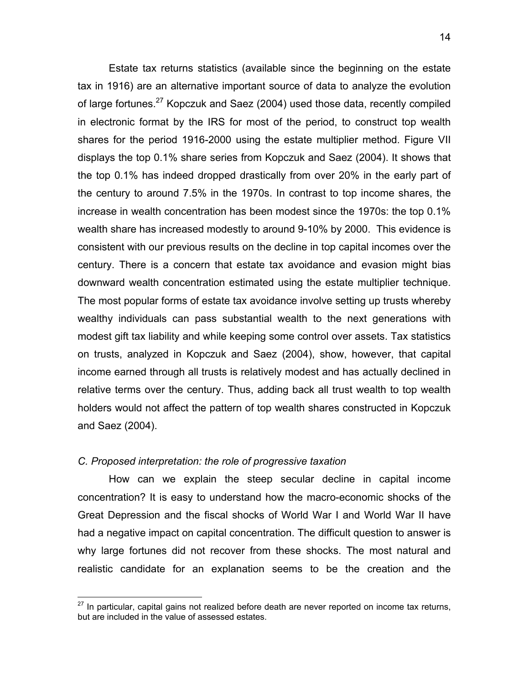Estate tax returns statistics (available since the beginning on the estate tax in 1916) are an alternative important source of data to analyze the evolution of large fortunes.<sup>27</sup> Kopczuk and Saez (2004) used those data, recently compiled in electronic format by the IRS for most of the period, to construct top wealth shares for the period 1916-2000 using the estate multiplier method. Figure VII displays the top 0.1% share series from Kopczuk and Saez (2004). It shows that the top 0.1% has indeed dropped drastically from over 20% in the early part of the century to around 7.5% in the 1970s. In contrast to top income shares, the increase in wealth concentration has been modest since the 1970s: the top 0.1% wealth share has increased modestly to around 9-10% by 2000. This evidence is consistent with our previous results on the decline in top capital incomes over the century. There is a concern that estate tax avoidance and evasion might bias downward wealth concentration estimated using the estate multiplier technique. The most popular forms of estate tax avoidance involve setting up trusts whereby wealthy individuals can pass substantial wealth to the next generations with modest gift tax liability and while keeping some control over assets. Tax statistics on trusts, analyzed in Kopczuk and Saez (2004), show, however, that capital income earned through all trusts is relatively modest and has actually declined in relative terms over the century. Thus, adding back all trust wealth to top wealth holders would not affect the pattern of top wealth shares constructed in Kopczuk and Saez (2004).

# *C. Proposed interpretation: the role of progressive taxation*

How can we explain the steep secular decline in capital income concentration? It is easy to understand how the macro-economic shocks of the Great Depression and the fiscal shocks of World War I and World War II have had a negative impact on capital concentration. The difficult question to answer is why large fortunes did not recover from these shocks. The most natural and realistic candidate for an explanation seems to be the creation and the

<sup>27</sup> In particular, capital gains not realized before death are never reported on income tax returns, but are included in the value of assessed estates.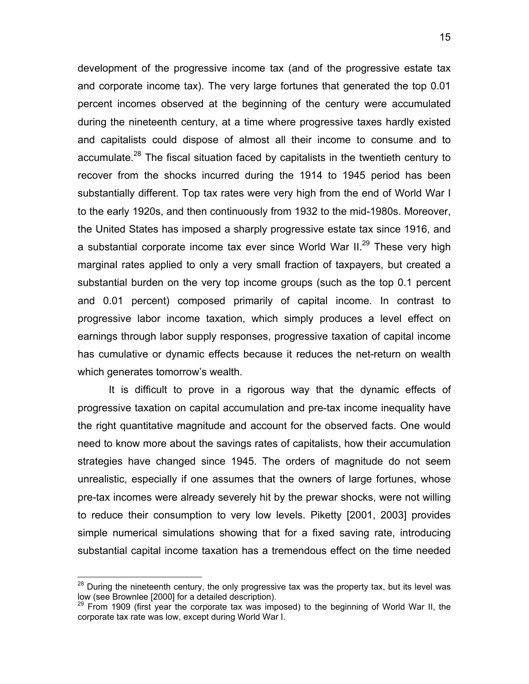development of the progressive income tax (and of the progressive estate tax and corporate income tax). The very large fortunes that generated the top 0.01 percent incomes observed at the beginning of the century were accumulated during the nineteenth century, at a time where progressive taxes hardly existed and capitalists could dispose of almost all their income to consume and to accumulate.<sup>28</sup> The fiscal situation faced by capitalists in the twentieth century to recover from the shocks incurred during the 1914 to 1945 period has been substantially different. Top tax rates were very high from the end of World War I to the early 1920s, and then continuously from 1932 to the mid-1980s. Moreover, the United States has imposed a sharply progressive estate tax since 1916, and a substantial corporate income tax ever since World War  $II.^{29}$  These very high marginal rates applied to only a very small fraction of taxpayers, but created a substantial burden on the very top income groups (such as the top 0.1 percent and 0.01 percent) composed primarily of capital income. In contrast to progressive labor income taxation, which simply produces a level effect on earnings through labor supply responses, progressive taxation of capital income has cumulative or dynamic effects because it reduces the net-return on wealth which generates tomorrow's wealth.

It is difficult to prove in a rigorous way that the dynamic effects of progressive taxation on capital accumulation and pre-tax income inequality have the right quantitative magnitude and account for the observed facts. One would need to know more about the savings rates of capitalists, how their accumulation strategies have changed since 1945. The orders of magnitude do not seem unrealistic, especially if one assumes that the owners of large fortunes, whose pre-tax incomes were already severely hit by the prewar shocks, were not willing to reduce their consumption to very low levels. Piketty [2001, 2003] provides simple numerical simulations showing that for a fixed saving rate, introducing substantial capital income taxation has a tremendous effect on the time needed

 $^{28}$  During the nineteenth century, the only progressive tax was the property tax, but its level was low (see Brownlee [2000] for a detailed description).

<sup>&</sup>lt;sup>29</sup> From 1909 (first year the corporate tax was imposed) to the beginning of World War II, the corporate tax rate was low, except during World War I.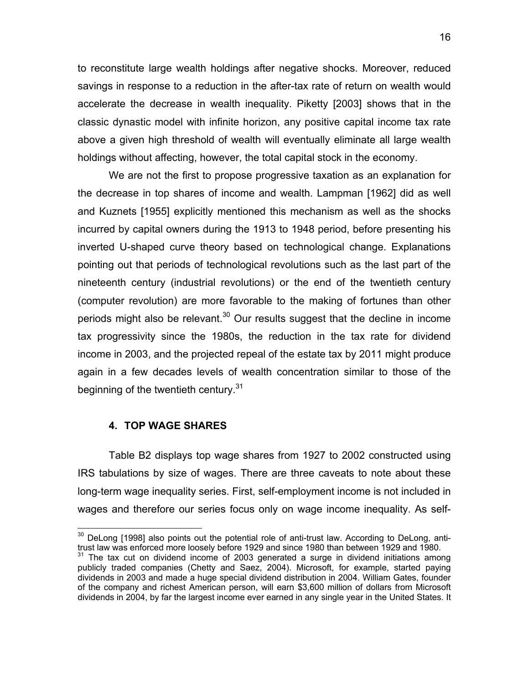to reconstitute large wealth holdings after negative shocks. Moreover, reduced savings in response to a reduction in the after-tax rate of return on wealth would accelerate the decrease in wealth inequality. Piketty [2003] shows that in the classic dynastic model with infinite horizon, any positive capital income tax rate above a given high threshold of wealth will eventually eliminate all large wealth holdings without affecting, however, the total capital stock in the economy.

We are not the first to propose progressive taxation as an explanation for the decrease in top shares of income and wealth. Lampman [1962] did as well and Kuznets [1955] explicitly mentioned this mechanism as well as the shocks incurred by capital owners during the 1913 to 1948 period, before presenting his inverted U-shaped curve theory based on technological change. Explanations pointing out that periods of technological revolutions such as the last part of the nineteenth century (industrial revolutions) or the end of the twentieth century (computer revolution) are more favorable to the making of fortunes than other periods might also be relevant.<sup>30</sup> Our results suggest that the decline in income tax progressivity since the 1980s, the reduction in the tax rate for dividend income in 2003, and the projected repeal of the estate tax by 2011 might produce again in a few decades levels of wealth concentration similar to those of the beginning of the twentieth century.<sup>31</sup>

# **4. TOP WAGE SHARES**

 $\overline{a}$ 

Table B2 displays top wage shares from 1927 to 2002 constructed using IRS tabulations by size of wages. There are three caveats to note about these long-term wage inequality series. First, self-employment income is not included in wages and therefore our series focus only on wage income inequality. As self-

 $30$  DeLong [1998] also points out the potential role of anti-trust law. According to DeLong, antitrust law was enforced more loosely before 1929 and since 1980 than between 1929 and 1980.

 $31$  The tax cut on dividend income of 2003 generated a surge in dividend initiations among publicly traded companies (Chetty and Saez, 2004). Microsoft, for example, started paying dividends in 2003 and made a huge special dividend distribution in 2004. William Gates, founder of the company and richest American person, will earn \$3,600 million of dollars from Microsoft dividends in 2004, by far the largest income ever earned in any single year in the United States. It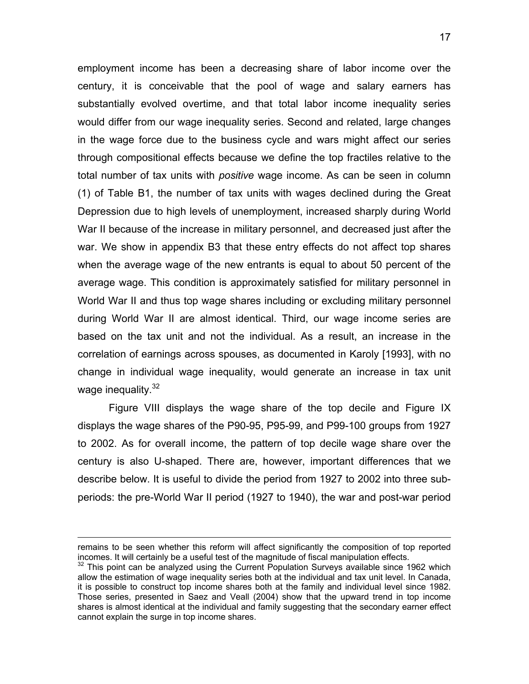employment income has been a decreasing share of labor income over the century, it is conceivable that the pool of wage and salary earners has substantially evolved overtime, and that total labor income inequality series would differ from our wage inequality series. Second and related, large changes in the wage force due to the business cycle and wars might affect our series through compositional effects because we define the top fractiles relative to the total number of tax units with *positive* wage income. As can be seen in column (1) of Table B1, the number of tax units with wages declined during the Great Depression due to high levels of unemployment, increased sharply during World War II because of the increase in military personnel, and decreased just after the war. We show in appendix B3 that these entry effects do not affect top shares when the average wage of the new entrants is equal to about 50 percent of the average wage. This condition is approximately satisfied for military personnel in World War II and thus top wage shares including or excluding military personnel during World War II are almost identical. Third, our wage income series are based on the tax unit and not the individual. As a result, an increase in the correlation of earnings across spouses, as documented in Karoly [1993], with no change in individual wage inequality, would generate an increase in tax unit wage inequality.<sup>32</sup>

Figure VIII displays the wage share of the top decile and Figure IX displays the wage shares of the P90-95, P95-99, and P99-100 groups from 1927 to 2002. As for overall income, the pattern of top decile wage share over the century is also U-shaped. There are, however, important differences that we describe below. It is useful to divide the period from 1927 to 2002 into three subperiods: the pre-World War II period (1927 to 1940), the war and post-war period

1

remains to be seen whether this reform will affect significantly the composition of top reported incomes. It will certainly be a useful test of the magnitude of fiscal manipulation effects.

 $32$  This point can be analyzed using the Current Population Surveys available since 1962 which allow the estimation of wage inequality series both at the individual and tax unit level. In Canada, it is possible to construct top income shares both at the family and individual level since 1982. Those series, presented in Saez and Veall (2004) show that the upward trend in top income shares is almost identical at the individual and family suggesting that the secondary earner effect cannot explain the surge in top income shares.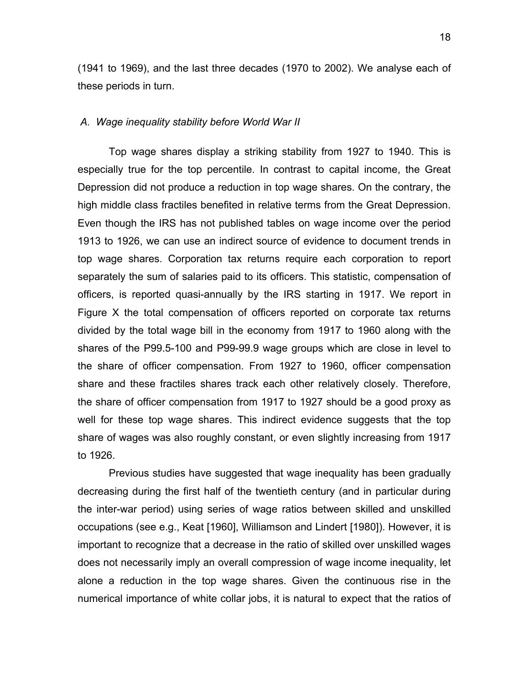(1941 to 1969), and the last three decades (1970 to 2002). We analyse each of these periods in turn.

#### *A. Wage inequality stability before World War II*

Top wage shares display a striking stability from 1927 to 1940. This is especially true for the top percentile. In contrast to capital income, the Great Depression did not produce a reduction in top wage shares. On the contrary, the high middle class fractiles benefited in relative terms from the Great Depression. Even though the IRS has not published tables on wage income over the period 1913 to 1926, we can use an indirect source of evidence to document trends in top wage shares. Corporation tax returns require each corporation to report separately the sum of salaries paid to its officers. This statistic, compensation of officers, is reported quasi-annually by the IRS starting in 1917. We report in Figure X the total compensation of officers reported on corporate tax returns divided by the total wage bill in the economy from 1917 to 1960 along with the shares of the P99.5-100 and P99-99.9 wage groups which are close in level to the share of officer compensation. From 1927 to 1960, officer compensation share and these fractiles shares track each other relatively closely. Therefore, the share of officer compensation from 1917 to 1927 should be a good proxy as well for these top wage shares. This indirect evidence suggests that the top share of wages was also roughly constant, or even slightly increasing from 1917 to 1926.

Previous studies have suggested that wage inequality has been gradually decreasing during the first half of the twentieth century (and in particular during the inter-war period) using series of wage ratios between skilled and unskilled occupations (see e.g., Keat [1960], Williamson and Lindert [1980]). However, it is important to recognize that a decrease in the ratio of skilled over unskilled wages does not necessarily imply an overall compression of wage income inequality, let alone a reduction in the top wage shares. Given the continuous rise in the numerical importance of white collar jobs, it is natural to expect that the ratios of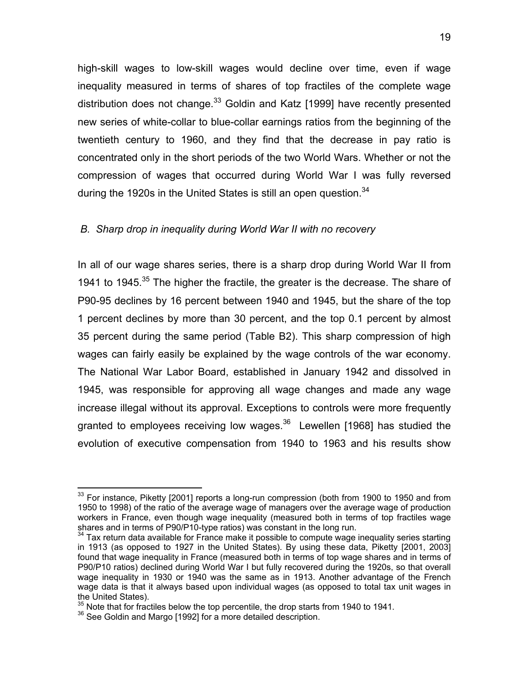high-skill wages to low-skill wages would decline over time, even if wage inequality measured in terms of shares of top fractiles of the complete wage distribution does not change.<sup>33</sup> Goldin and Katz [1999] have recently presented new series of white-collar to blue-collar earnings ratios from the beginning of the twentieth century to 1960, and they find that the decrease in pay ratio is concentrated only in the short periods of the two World Wars. Whether or not the compression of wages that occurred during World War I was fully reversed during the 1920s in the United States is still an open question.  $34$ 

# *B. Sharp drop in inequality during World War II with no recovery*

In all of our wage shares series, there is a sharp drop during World War II from 1941 to 1945.<sup>35</sup> The higher the fractile, the greater is the decrease. The share of P90-95 declines by 16 percent between 1940 and 1945, but the share of the top 1 percent declines by more than 30 percent, and the top 0.1 percent by almost 35 percent during the same period (Table B2). This sharp compression of high wages can fairly easily be explained by the wage controls of the war economy. The National War Labor Board, established in January 1942 and dissolved in 1945, was responsible for approving all wage changes and made any wage increase illegal without its approval. Exceptions to controls were more frequently granted to employees receiving low wages. $36$  Lewellen [1968] has studied the evolution of executive compensation from 1940 to 1963 and his results show

 $33$  For instance, Piketty [2001] reports a long-run compression (both from 1900 to 1950 and from 1950 to 1998) of the ratio of the average wage of managers over the average wage of production workers in France, even though wage inequality (measured both in terms of top fractiles wage shares and in terms of P90/P10-type ratios) was constant in the long run.

 $34$  Tax return data available for France make it possible to compute wage inequality series starting in 1913 (as opposed to 1927 in the United States). By using these data, Piketty [2001, 2003] found that wage inequality in France (measured both in terms of top wage shares and in terms of P90/P10 ratios) declined during World War I but fully recovered during the 1920s, so that overall wage inequality in 1930 or 1940 was the same as in 1913. Another advantage of the French wage data is that it always based upon individual wages (as opposed to total tax unit wages in the United States).

 $35$  Note that for fractiles below the top percentile, the drop starts from 1940 to 1941.<br> $36$  See Goldin and Margo [1992] for a more detailed description.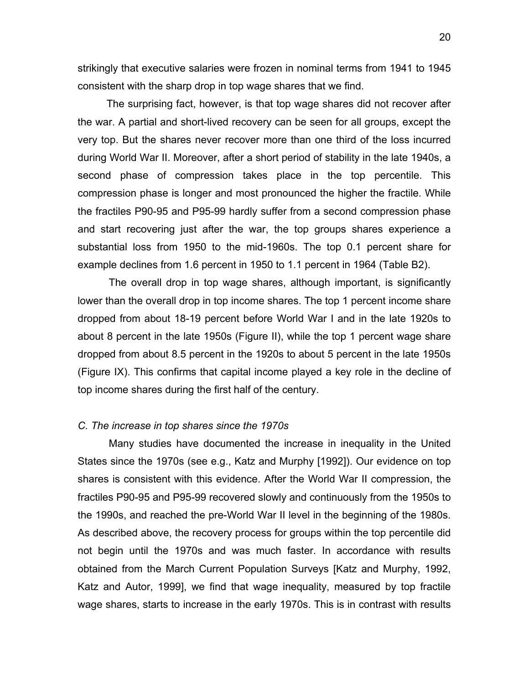strikingly that executive salaries were frozen in nominal terms from 1941 to 1945 consistent with the sharp drop in top wage shares that we find.

 The surprising fact, however, is that top wage shares did not recover after the war. A partial and short-lived recovery can be seen for all groups, except the very top. But the shares never recover more than one third of the loss incurred during World War II. Moreover, after a short period of stability in the late 1940s, a second phase of compression takes place in the top percentile. This compression phase is longer and most pronounced the higher the fractile. While the fractiles P90-95 and P95-99 hardly suffer from a second compression phase and start recovering just after the war, the top groups shares experience a substantial loss from 1950 to the mid-1960s. The top 0.1 percent share for example declines from 1.6 percent in 1950 to 1.1 percent in 1964 (Table B2).

The overall drop in top wage shares, although important, is significantly lower than the overall drop in top income shares. The top 1 percent income share dropped from about 18-19 percent before World War I and in the late 1920s to about 8 percent in the late 1950s (Figure II), while the top 1 percent wage share dropped from about 8.5 percent in the 1920s to about 5 percent in the late 1950s (Figure IX). This confirms that capital income played a key role in the decline of top income shares during the first half of the century.

#### *C. The increase in top shares since the 1970s*

Many studies have documented the increase in inequality in the United States since the 1970s (see e.g., Katz and Murphy [1992]). Our evidence on top shares is consistent with this evidence. After the World War II compression, the fractiles P90-95 and P95-99 recovered slowly and continuously from the 1950s to the 1990s, and reached the pre-World War II level in the beginning of the 1980s. As described above, the recovery process for groups within the top percentile did not begin until the 1970s and was much faster. In accordance with results obtained from the March Current Population Surveys [Katz and Murphy, 1992, Katz and Autor, 1999], we find that wage inequality, measured by top fractile wage shares, starts to increase in the early 1970s. This is in contrast with results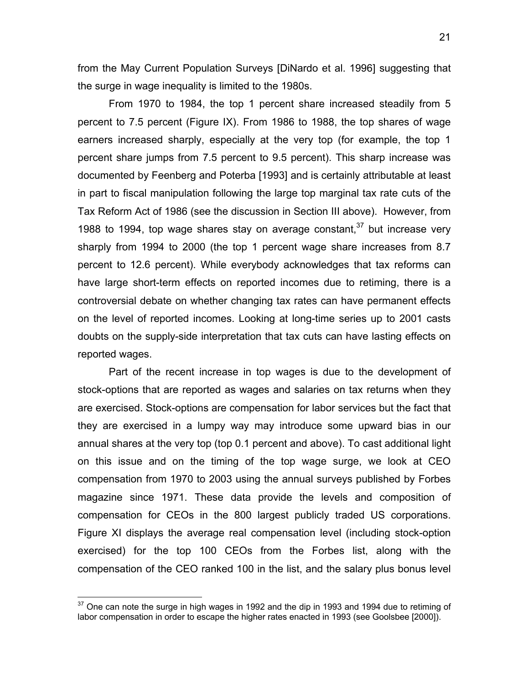from the May Current Population Surveys [DiNardo et al. 1996] suggesting that the surge in wage inequality is limited to the 1980s.

From 1970 to 1984, the top 1 percent share increased steadily from 5 percent to 7.5 percent (Figure IX). From 1986 to 1988, the top shares of wage earners increased sharply, especially at the very top (for example, the top 1 percent share jumps from 7.5 percent to 9.5 percent). This sharp increase was documented by Feenberg and Poterba [1993] and is certainly attributable at least in part to fiscal manipulation following the large top marginal tax rate cuts of the Tax Reform Act of 1986 (see the discussion in Section III above). However, from 1988 to 1994, top wage shares stay on average constant,  $37$  but increase very sharply from 1994 to 2000 (the top 1 percent wage share increases from 8.7 percent to 12.6 percent). While everybody acknowledges that tax reforms can have large short-term effects on reported incomes due to retiming, there is a controversial debate on whether changing tax rates can have permanent effects on the level of reported incomes. Looking at long-time series up to 2001 casts doubts on the supply-side interpretation that tax cuts can have lasting effects on reported wages.

Part of the recent increase in top wages is due to the development of stock-options that are reported as wages and salaries on tax returns when they are exercised. Stock-options are compensation for labor services but the fact that they are exercised in a lumpy way may introduce some upward bias in our annual shares at the very top (top 0.1 percent and above). To cast additional light on this issue and on the timing of the top wage surge, we look at CEO compensation from 1970 to 2003 using the annual surveys published by Forbes magazine since 1971. These data provide the levels and composition of compensation for CEOs in the 800 largest publicly traded US corporations. Figure XI displays the average real compensation level (including stock-option exercised) for the top 100 CEOs from the Forbes list, along with the compensation of the CEO ranked 100 in the list, and the salary plus bonus level

 $37$  One can note the surge in high wages in 1992 and the dip in 1993 and 1994 due to retiming of labor compensation in order to escape the higher rates enacted in 1993 (see Goolsbee [2000]).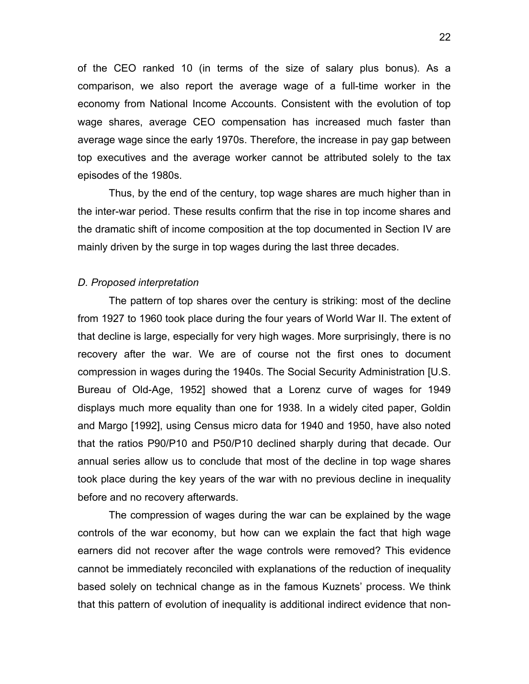of the CEO ranked 10 (in terms of the size of salary plus bonus). As a comparison, we also report the average wage of a full-time worker in the economy from National Income Accounts. Consistent with the evolution of top wage shares, average CEO compensation has increased much faster than average wage since the early 1970s. Therefore, the increase in pay gap between top executives and the average worker cannot be attributed solely to the tax episodes of the 1980s.

 Thus, by the end of the century, top wage shares are much higher than in the inter-war period. These results confirm that the rise in top income shares and the dramatic shift of income composition at the top documented in Section IV are mainly driven by the surge in top wages during the last three decades.

#### *D. Proposed interpretation*

The pattern of top shares over the century is striking: most of the decline from 1927 to 1960 took place during the four years of World War II. The extent of that decline is large, especially for very high wages. More surprisingly, there is no recovery after the war. We are of course not the first ones to document compression in wages during the 1940s. The Social Security Administration [U.S. Bureau of Old-Age, 1952] showed that a Lorenz curve of wages for 1949 displays much more equality than one for 1938. In a widely cited paper, Goldin and Margo [1992], using Census micro data for 1940 and 1950, have also noted that the ratios P90/P10 and P50/P10 declined sharply during that decade. Our annual series allow us to conclude that most of the decline in top wage shares took place during the key years of the war with no previous decline in inequality before and no recovery afterwards.

The compression of wages during the war can be explained by the wage controls of the war economy, but how can we explain the fact that high wage earners did not recover after the wage controls were removed? This evidence cannot be immediately reconciled with explanations of the reduction of inequality based solely on technical change as in the famous Kuznets' process. We think that this pattern of evolution of inequality is additional indirect evidence that non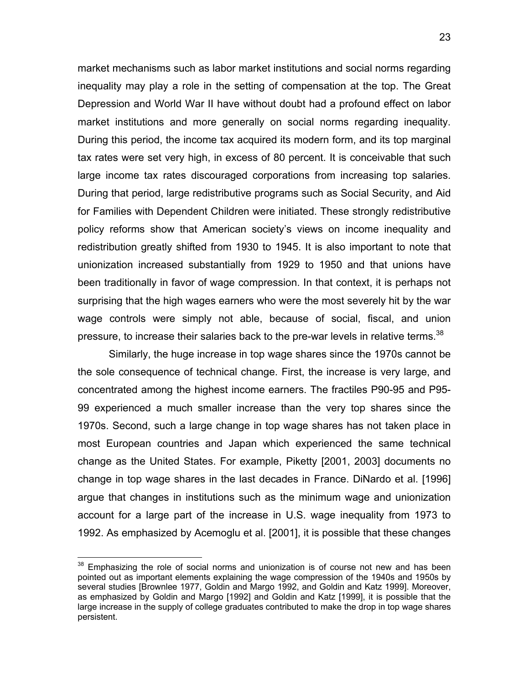market mechanisms such as labor market institutions and social norms regarding inequality may play a role in the setting of compensation at the top. The Great Depression and World War II have without doubt had a profound effect on labor market institutions and more generally on social norms regarding inequality. During this period, the income tax acquired its modern form, and its top marginal tax rates were set very high, in excess of 80 percent. It is conceivable that such large income tax rates discouraged corporations from increasing top salaries. During that period, large redistributive programs such as Social Security, and Aid for Families with Dependent Children were initiated. These strongly redistributive policy reforms show that American society's views on income inequality and redistribution greatly shifted from 1930 to 1945. It is also important to note that unionization increased substantially from 1929 to 1950 and that unions have been traditionally in favor of wage compression. In that context, it is perhaps not surprising that the high wages earners who were the most severely hit by the war wage controls were simply not able, because of social, fiscal, and union pressure, to increase their salaries back to the pre-war levels in relative terms.<sup>38</sup>

Similarly, the huge increase in top wage shares since the 1970s cannot be the sole consequence of technical change. First, the increase is very large, and concentrated among the highest income earners. The fractiles P90-95 and P95- 99 experienced a much smaller increase than the very top shares since the 1970s. Second, such a large change in top wage shares has not taken place in most European countries and Japan which experienced the same technical change as the United States. For example, Piketty [2001, 2003] documents no change in top wage shares in the last decades in France. DiNardo et al. [1996] argue that changes in institutions such as the minimum wage and unionization account for a large part of the increase in U.S. wage inequality from 1973 to 1992. As emphasized by Acemoglu et al. [2001], it is possible that these changes

 $38$  Emphasizing the role of social norms and unionization is of course not new and has been pointed out as important elements explaining the wage compression of the 1940s and 1950s by several studies [Brownlee 1977, Goldin and Margo 1992, and Goldin and Katz 1999]. Moreover, as emphasized by Goldin and Margo [1992] and Goldin and Katz [1999], it is possible that the large increase in the supply of college graduates contributed to make the drop in top wage shares persistent.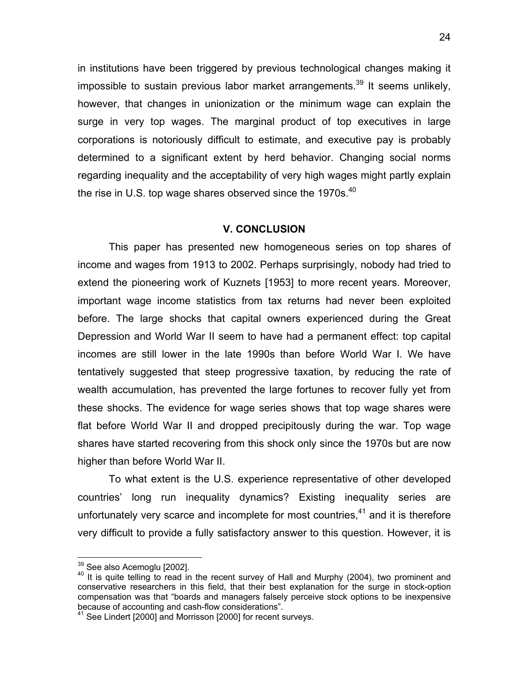in institutions have been triggered by previous technological changes making it impossible to sustain previous labor market arrangements.<sup>39</sup> It seems unlikely, however, that changes in unionization or the minimum wage can explain the surge in very top wages. The marginal product of top executives in large corporations is notoriously difficult to estimate, and executive pay is probably determined to a significant extent by herd behavior. Changing social norms regarding inequality and the acceptability of very high wages might partly explain the rise in U.S. top wage shares observed since the 1970s.<sup>40</sup>

# **V. CONCLUSION**

This paper has presented new homogeneous series on top shares of income and wages from 1913 to 2002. Perhaps surprisingly, nobody had tried to extend the pioneering work of Kuznets [1953] to more recent years. Moreover, important wage income statistics from tax returns had never been exploited before. The large shocks that capital owners experienced during the Great Depression and World War II seem to have had a permanent effect: top capital incomes are still lower in the late 1990s than before World War I. We have tentatively suggested that steep progressive taxation, by reducing the rate of wealth accumulation, has prevented the large fortunes to recover fully yet from these shocks. The evidence for wage series shows that top wage shares were flat before World War II and dropped precipitously during the war. Top wage shares have started recovering from this shock only since the 1970s but are now higher than before World War II.

To what extent is the U.S. experience representative of other developed countries' long run inequality dynamics? Existing inequality series are unfortunately very scarce and incomplete for most countries, $41$  and it is therefore very difficult to provide a fully satisfactory answer to this question. However, it is

<sup>&</sup>lt;sup>39</sup> See also Acemoglu [2002].

 $40$  It is quite telling to read in the recent survey of Hall and Murphy (2004), two prominent and conservative researchers in this field, that their best explanation for the surge in stock-option compensation was that "boards and managers falsely perceive stock options to be inexpensive because of accounting and cash-flow considerations".

 $41$  See Lindert [2000] and Morrisson [2000] for recent surveys.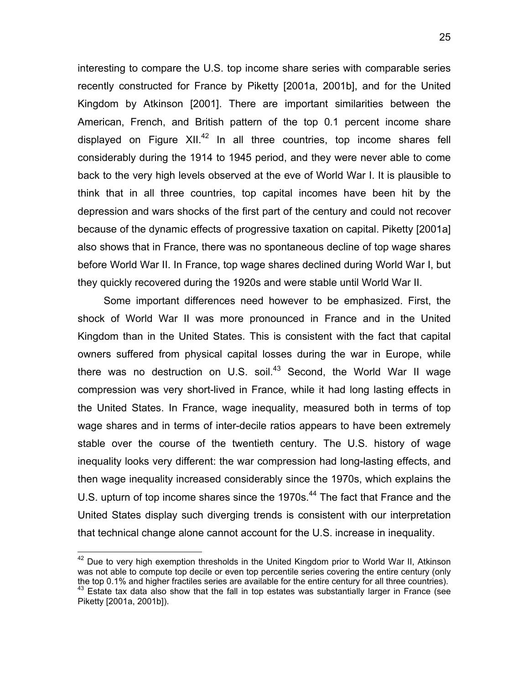interesting to compare the U.S. top income share series with comparable series recently constructed for France by Piketty [2001a, 2001b], and for the United Kingdom by Atkinson [2001]. There are important similarities between the American, French, and British pattern of the top 0.1 percent income share displayed on Figure XII.<sup>42</sup> In all three countries, top income shares fell considerably during the 1914 to 1945 period, and they were never able to come back to the very high levels observed at the eve of World War I. It is plausible to think that in all three countries, top capital incomes have been hit by the depression and wars shocks of the first part of the century and could not recover because of the dynamic effects of progressive taxation on capital. Piketty [2001a] also shows that in France, there was no spontaneous decline of top wage shares before World War II. In France, top wage shares declined during World War I, but they quickly recovered during the 1920s and were stable until World War II.

 Some important differences need however to be emphasized. First, the shock of World War II was more pronounced in France and in the United Kingdom than in the United States. This is consistent with the fact that capital owners suffered from physical capital losses during the war in Europe, while there was no destruction on U.S. soil.<sup>43</sup> Second, the World War II wage compression was very short-lived in France, while it had long lasting effects in the United States. In France, wage inequality, measured both in terms of top wage shares and in terms of inter-decile ratios appears to have been extremely stable over the course of the twentieth century. The U.S. history of wage inequality looks very different: the war compression had long-lasting effects, and then wage inequality increased considerably since the 1970s, which explains the U.S. upturn of top income shares since the 1970s.<sup>44</sup> The fact that France and the United States display such diverging trends is consistent with our interpretation that technical change alone cannot account for the U.S. increase in inequality.

 $42$  Due to very high exemption thresholds in the United Kingdom prior to World War II, Atkinson was not able to compute top decile or even top percentile series covering the entire century (only the top 0.1% and higher fractiles series are available for the entire century for all three countries). the top 0.1% and higher fractiles series are are all three countries.<br><sup>43</sup> Estate tax data also show that the fall in top estates was substantially larger in France (see Piketty [2001a, 2001b]).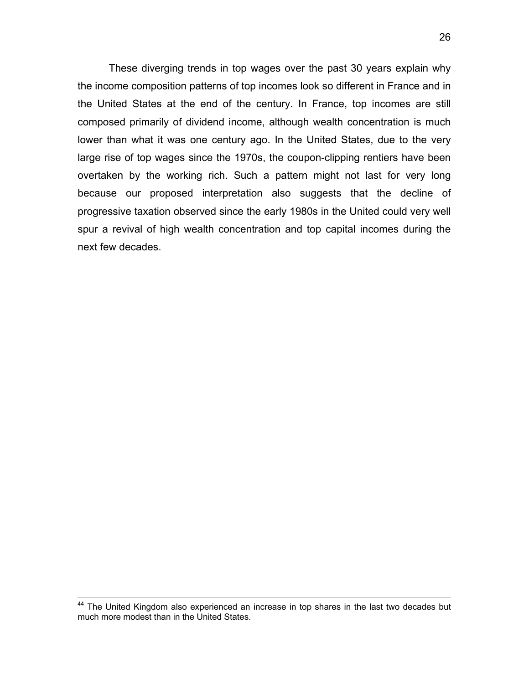These diverging trends in top wages over the past 30 years explain why the income composition patterns of top incomes look so different in France and in the United States at the end of the century. In France, top incomes are still composed primarily of dividend income, although wealth concentration is much lower than what it was one century ago. In the United States, due to the very large rise of top wages since the 1970s, the coupon-clipping rentiers have been overtaken by the working rich. Such a pattern might not last for very long because our proposed interpretation also suggests that the decline of progressive taxation observed since the early 1980s in the United could very well spur a revival of high wealth concentration and top capital incomes during the next few decades.

<sup>&</sup>lt;sup>44</sup> The United Kingdom also experienced an increase in top shares in the last two decades but much more modest than in the United States.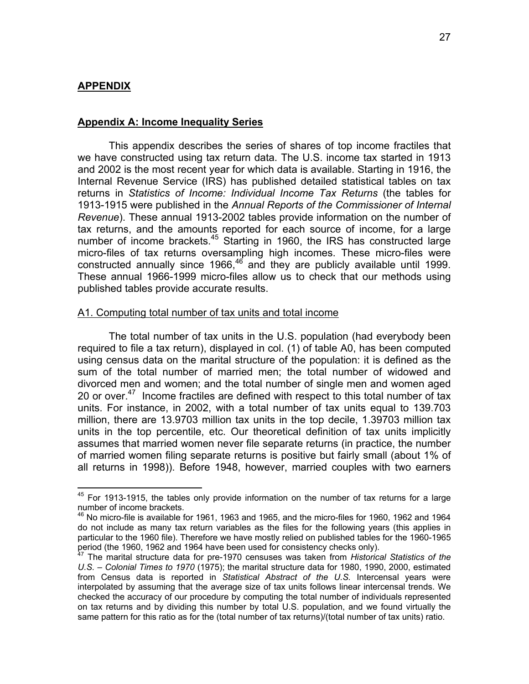# **APPENDIX**

 $\overline{a}$ 

#### **Appendix A: Income Inequality Series**

This appendix describes the series of shares of top income fractiles that we have constructed using tax return data. The U.S. income tax started in 1913 and 2002 is the most recent year for which data is available. Starting in 1916, the Internal Revenue Service (IRS) has published detailed statistical tables on tax returns in *Statistics of Income: Individual Income Tax Returns* (the tables for 1913-1915 were published in the *Annual Reports of the Commissioner of Internal Revenue*). These annual 1913-2002 tables provide information on the number of tax returns, and the amounts reported for each source of income, for a large number of income brackets.<sup>45</sup> Starting in 1960, the IRS has constructed large micro-files of tax returns oversampling high incomes. These micro-files were constructed annually since  $1966$ <sup>46</sup> and they are publicly available until 1999. These annual 1966-1999 micro-files allow us to check that our methods using published tables provide accurate results.

#### A1. Computing total number of tax units and total income

The total number of tax units in the U.S. population (had everybody been required to file a tax return), displayed in col. (1) of table A0, has been computed using census data on the marital structure of the population: it is defined as the sum of the total number of married men; the total number of widowed and divorced men and women; and the total number of single men and women aged 20 or over.<sup>47</sup> Income fractiles are defined with respect to this total number of tax units. For instance, in 2002, with a total number of tax units equal to 139.703 million, there are 13.9703 million tax units in the top decile, 1.39703 million tax units in the top percentile, etc. Our theoretical definition of tax units implicitly assumes that married women never file separate returns (in practice, the number of married women filing separate returns is positive but fairly small (about 1% of all returns in 1998)). Before 1948, however, married couples with two earners

 $45$  For 1913-1915, the tables only provide information on the number of tax returns for a large number of income brackets.

 $46$  No micro-file is available for 1961, 1963 and 1965, and the micro-files for 1960, 1962 and 1964 do not include as many tax return variables as the files for the following years (this applies in particular to the 1960 file). Therefore we have mostly relied on published tables for the 1960-1965 period (the 1960, 1962 and 1964 have been used for consistency checks only).

<sup>47</sup> The marital structure data for pre-1970 censuses was taken from *Historical Statistics of the U.S. – Colonial Times to 1970* (1975); the marital structure data for 1980, 1990, 2000, estimated from Census data is reported in *Statistical Abstract of the U.S.* Intercensal years were interpolated by assuming that the average size of tax units follows linear intercensal trends. We checked the accuracy of our procedure by computing the total number of individuals represented on tax returns and by dividing this number by total U.S. population, and we found virtually the same pattern for this ratio as for the (total number of tax returns)/(total number of tax units) ratio.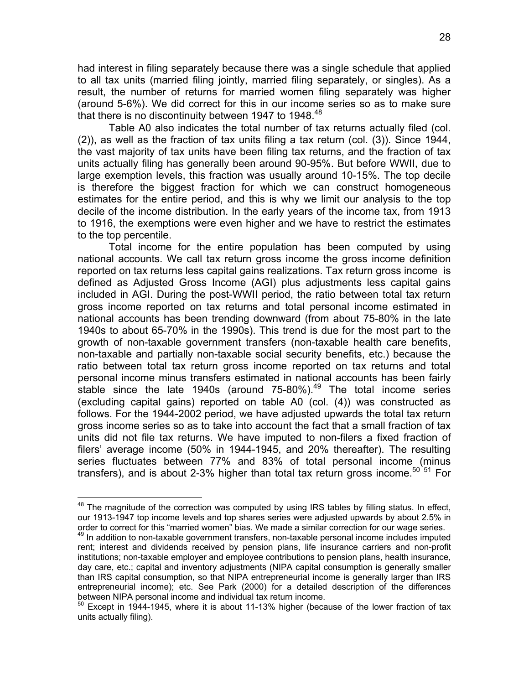had interest in filing separately because there was a single schedule that applied to all tax units (married filing jointly, married filing separately, or singles). As a result, the number of returns for married women filing separately was higher (around 5-6%). We did correct for this in our income series so as to make sure that there is no discontinuity between 1947 to 1948.<sup>48</sup>

Table A0 also indicates the total number of tax returns actually filed (col. (2)), as well as the fraction of tax units filing a tax return (col. (3)). Since 1944, the vast majority of tax units have been filing tax returns, and the fraction of tax units actually filing has generally been around 90-95%. But before WWII, due to large exemption levels, this fraction was usually around 10-15%. The top decile is therefore the biggest fraction for which we can construct homogeneous estimates for the entire period, and this is why we limit our analysis to the top decile of the income distribution. In the early years of the income tax, from 1913 to 1916, the exemptions were even higher and we have to restrict the estimates to the top percentile.

Total income for the entire population has been computed by using national accounts. We call tax return gross income the gross income definition reported on tax returns less capital gains realizations. Tax return gross income is defined as Adjusted Gross Income (AGI) plus adjustments less capital gains included in AGI. During the post-WWII period, the ratio between total tax return gross income reported on tax returns and total personal income estimated in national accounts has been trending downward (from about 75-80% in the late 1940s to about 65-70% in the 1990s). This trend is due for the most part to the growth of non-taxable government transfers (non-taxable health care benefits, non-taxable and partially non-taxable social security benefits, etc.) because the ratio between total tax return gross income reported on tax returns and total personal income minus transfers estimated in national accounts has been fairly stable since the late 1940s (around 75-80%).<sup>49</sup> The total income series (excluding capital gains) reported on table A0 (col. (4)) was constructed as follows. For the 1944-2002 period, we have adjusted upwards the total tax return gross income series so as to take into account the fact that a small fraction of tax units did not file tax returns. We have imputed to non-filers a fixed fraction of filers' average income (50% in 1944-1945, and 20% thereafter). The resulting series fluctuates between 77% and 83% of total personal income (minus transfers), and is about 2-3% higher than total tax return gross income.<sup>50 51</sup> For

1

<sup>&</sup>lt;sup>48</sup> The magnitude of the correction was computed by using IRS tables by filling status. In effect, our 1913-1947 top income levels and top shares series were adjusted upwards by about 2.5% in order to correct for this "married women" bias. We made a similar correction for our wage series.

<sup>&</sup>lt;sup>49</sup> In addition to non-taxable government transfers, non-taxable personal income includes imputed rent; interest and dividends received by pension plans, life insurance carriers and non-profit institutions; non-taxable employer and employee contributions to pension plans, health insurance, day care, etc.; capital and inventory adjustments (NIPA capital consumption is generally smaller than IRS capital consumption, so that NIPA entrepreneurial income is generally larger than IRS entrepreneurial income); etc. See Park (2000) for a detailed description of the differences between NIPA personal income and individual tax return income.

<sup>50</sup> Except in 1944-1945, where it is about 11-13% higher (because of the lower fraction of tax units actually filing).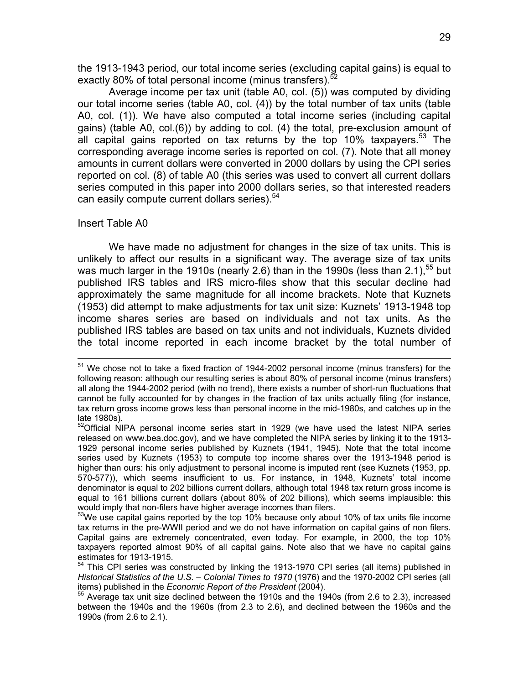the 1913-1943 period, our total income series (excluding capital gains) is equal to exactly 80% of total personal income (minus transfers).<sup>52</sup>

Average income per tax unit (table A0, col. (5)) was computed by dividing our total income series (table A0, col. (4)) by the total number of tax units (table A0, col. (1)). We have also computed a total income series (including capital gains) (table A0, col.(6)) by adding to col. (4) the total, pre-exclusion amount of all capital gains reported on tax returns by the top 10% taxpayers.<sup>53</sup> The corresponding average income series is reported on col. (7). Note that all money amounts in current dollars were converted in 2000 dollars by using the CPI series reported on col. (8) of table A0 (this series was used to convert all current dollars series computed in this paper into 2000 dollars series, so that interested readers can easily compute current dollars series).<sup>54</sup>

#### Insert Table A0

We have made no adjustment for changes in the size of tax units. This is unlikely to affect our results in a significant way. The average size of tax units was much larger in the 1910s (nearly 2.6) than in the 1990s (less than 2.1),<sup>55</sup> but published IRS tables and IRS micro-files show that this secular decline had approximately the same magnitude for all income brackets. Note that Kuznets (1953) did attempt to make adjustments for tax unit size: Kuznets' 1913-1948 top income shares series are based on individuals and not tax units. As the published IRS tables are based on tax units and not individuals, Kuznets divided the total income reported in each income bracket by the total number of

<sup>&</sup>lt;sup>51</sup> We chose not to take a fixed fraction of 1944-2002 personal income (minus transfers) for the following reason: although our resulting series is about 80% of personal income (minus transfers) all along the 1944-2002 period (with no trend), there exists a number of short-run fluctuations that cannot be fully accounted for by changes in the fraction of tax units actually filing (for instance, tax return gross income grows less than personal income in the mid-1980s, and catches up in the late 1980s).

 $52$ Official NIPA personal income series start in 1929 (we have used the latest NIPA series released on www.bea.doc.gov), and we have completed the NIPA series by linking it to the 1913- 1929 personal income series published by Kuznets (1941, 1945). Note that the total income series used by Kuznets (1953) to compute top income shares over the 1913-1948 period is higher than ours: his only adjustment to personal income is imputed rent (see Kuznets (1953, pp. 570-577)), which seems insufficient to us. For instance, in 1948, Kuznets' total income denominator is equal to 202 billions current dollars, although total 1948 tax return gross income is equal to 161 billions current dollars (about 80% of 202 billions), which seems implausible: this would imply that non-filers have higher average incomes than filers.

 $53$ We use capital gains reported by the top 10% because only about 10% of tax units file income tax returns in the pre-WWII period and we do not have information on capital gains of non filers. Capital gains are extremely concentrated, even today. For example, in 2000, the top 10% taxpayers reported almost 90% of all capital gains. Note also that we have no capital gains estimates for 1913-1915.

<sup>&</sup>lt;sup>54</sup> This CPI series was constructed by linking the 1913-1970 CPI series (all items) published in *Historical Statistics of the U.S. – Colonial Times to 1970* (1976) and the 1970-2002 CPI series (all items) published in the *Economic Report of the President* (2004).<br><sup>55</sup> Average tax unit size declined between the 1910s and the 1940s (from 2.6 to 2.3), increased

between the 1940s and the 1960s (from 2.3 to 2.6), and declined between the 1960s and the 1990s (from 2.6 to 2.1).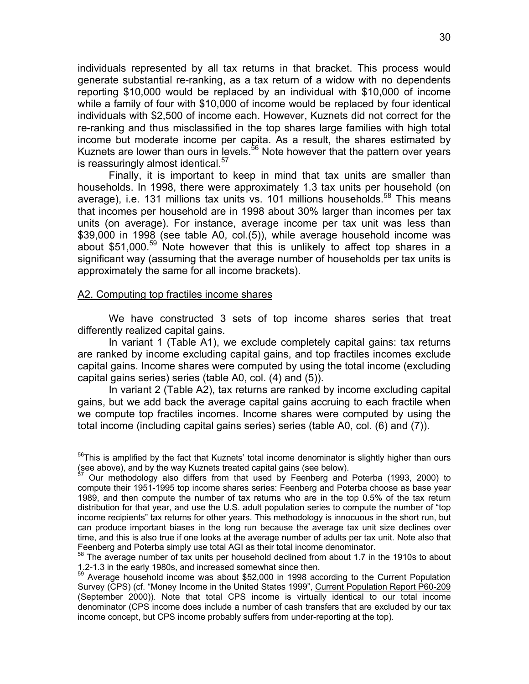individuals represented by all tax returns in that bracket. This process would generate substantial re-ranking, as a tax return of a widow with no dependents reporting \$10,000 would be replaced by an individual with \$10,000 of income while a family of four with \$10,000 of income would be replaced by four identical individuals with \$2,500 of income each. However, Kuznets did not correct for the re-ranking and thus misclassified in the top shares large families with high total income but moderate income per capita. As a result, the shares estimated by Kuznets are lower than ours in levels.<sup>56</sup> Note however that the pattern over years is reassuringly almost identical.<sup>57</sup>

Finally, it is important to keep in mind that tax units are smaller than households. In 1998, there were approximately 1.3 tax units per household (on average), i.e. 131 millions tax units vs. 101 millions households.<sup>58</sup> This means that incomes per household are in 1998 about 30% larger than incomes per tax units (on average). For instance, average income per tax unit was less than \$39,000 in 1998 (see table A0, col.(5)), while average household income was about \$51,000.<sup>59</sup> Note however that this is unlikely to affect top shares in a significant way (assuming that the average number of households per tax units is approximately the same for all income brackets).

#### A2. Computing top fractiles income shares

1

We have constructed 3 sets of top income shares series that treat differently realized capital gains.

In variant 1 (Table A1), we exclude completely capital gains: tax returns are ranked by income excluding capital gains, and top fractiles incomes exclude capital gains. Income shares were computed by using the total income (excluding capital gains series) series (table A0, col. (4) and (5)).

In variant 2 (Table A2), tax returns are ranked by income excluding capital gains, but we add back the average capital gains accruing to each fractile when we compute top fractiles incomes. Income shares were computed by using the total income (including capital gains series) series (table A0, col. (6) and (7)).

 $56$ This is amplified by the fact that Kuznets' total income denominator is slightly higher than ours (see above), and by the way Kuznets treated capital gains (see below). 57 Our methodology also differs from that used by Feenberg and Poterba (1993, 2000) to

compute their 1951-1995 top income shares series: Feenberg and Poterba choose as base year 1989, and then compute the number of tax returns who are in the top 0.5% of the tax return distribution for that year, and use the U.S. adult population series to compute the number of "top income recipients" tax returns for other years. This methodology is innocuous in the short run, but can produce important biases in the long run because the average tax unit size declines over time, and this is also true if one looks at the average number of adults per tax unit. Note also that Feenberg and Poterba simply use total AGI as their total income denominator.

<sup>&</sup>lt;sup>58</sup> The average number of tax units per household declined from about 1.7 in the 1910s to about 1.2-1.3 in the early 1980s, and increased somewhat since then.

<sup>&</sup>lt;sup>59</sup> Average household income was about \$52,000 in 1998 according to the Current Population Survey (CPS) (cf. "Money Income in the United States 1999", Current Population Report P60-209 (September 2000)). Note that total CPS income is virtually identical to our total income denominator (CPS income does include a number of cash transfers that are excluded by our tax income concept, but CPS income probably suffers from under-reporting at the top).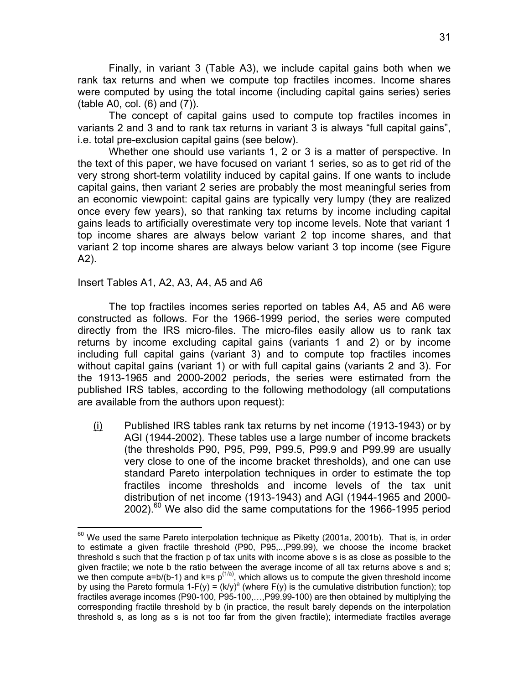Finally, in variant 3 (Table A3), we include capital gains both when we rank tax returns and when we compute top fractiles incomes. Income shares were computed by using the total income (including capital gains series) series (table A0, col. (6) and (7)).

The concept of capital gains used to compute top fractiles incomes in variants 2 and 3 and to rank tax returns in variant 3 is always "full capital gains", i.e. total pre-exclusion capital gains (see below).

Whether one should use variants 1, 2 or 3 is a matter of perspective. In the text of this paper, we have focused on variant 1 series, so as to get rid of the very strong short-term volatility induced by capital gains. If one wants to include capital gains, then variant 2 series are probably the most meaningful series from an economic viewpoint: capital gains are typically very lumpy (they are realized once every few years), so that ranking tax returns by income including capital gains leads to artificially overestimate very top income levels. Note that variant 1 top income shares are always below variant 2 top income shares, and that variant 2 top income shares are always below variant 3 top income (see Figure A2).

# Insert Tables A1, A2, A3, A4, A5 and A6

1

The top fractiles incomes series reported on tables A4, A5 and A6 were constructed as follows. For the 1966-1999 period, the series were computed directly from the IRS micro-files. The micro-files easily allow us to rank tax returns by income excluding capital gains (variants 1 and 2) or by income including full capital gains (variant 3) and to compute top fractiles incomes without capital gains (variant 1) or with full capital gains (variants 2 and 3). For the 1913-1965 and 2000-2002 periods, the series were estimated from the published IRS tables, according to the following methodology (all computations are available from the authors upon request):

 $(i)$  Published IRS tables rank tax returns by net income (1913-1943) or by AGI (1944-2002). These tables use a large number of income brackets (the thresholds P90, P95, P99, P99.5, P99.9 and P99.99 are usually very close to one of the income bracket thresholds), and one can use standard Pareto interpolation techniques in order to estimate the top fractiles income thresholds and income levels of the tax unit distribution of net income (1913-1943) and AGI (1944-1965 and 2000-  $2002$ ).<sup>60</sup> We also did the same computations for the 1966-1995 period

 $60$  We used the same Pareto interpolation technique as Piketty (2001a, 2001b). That is, in order to estimate a given fractile threshold (P90, P95,..,P99.99), we choose the income bracket threshold s such that the fraction p of tax units with income above s is as close as possible to the given fractile; we note b the ratio between the average income of all tax returns above s and s; we then compute a=b/(b-1) and k=s  $p^{(1/a)}$ , which allows us to compute the given threshold income by using the Pareto formula 1-F(y) =  $(k/y)^{a}$  (where F(y) is the cumulative distribution function); top fractiles average incomes (P90-100, P95-100,…,P99.99-100) are then obtained by multiplying the corresponding fractile threshold by b (in practice, the result barely depends on the interpolation threshold s, as long as s is not too far from the given fractile); intermediate fractiles average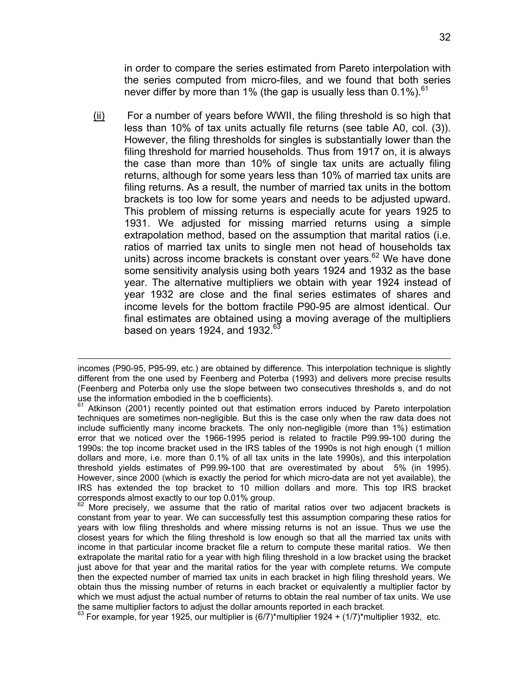in order to compare the series estimated from Pareto interpolation with the series computed from micro-files, and we found that both series never differ by more than 1% (the gap is usually less than  $0.1\%$ ).<sup>61</sup>

(ii) For a number of years before WWII, the filing threshold is so high that less than 10% of tax units actually file returns (see table A0, col. (3)). However, the filing thresholds for singles is substantially lower than the filing threshold for married households. Thus from 1917 on, it is always the case than more than 10% of single tax units are actually filing returns, although for some years less than 10% of married tax units are filing returns. As a result, the number of married tax units in the bottom brackets is too low for some years and needs to be adjusted upward. This problem of missing returns is especially acute for years 1925 to 1931. We adjusted for missing married returns using a simple extrapolation method, based on the assumption that marital ratios (i.e. ratios of married tax units to single men not head of households tax units) across income brackets is constant over years.<sup>62</sup> We have done some sensitivity analysis using both years 1924 and 1932 as the base year. The alternative multipliers we obtain with year 1924 instead of year 1932 are close and the final series estimates of shares and income levels for the bottom fractile P90-95 are almost identical. Our final estimates are obtained using a moving average of the multipliers based on years 1924, and 1932. $^{63}$ 

incomes (P90-95, P95-99, etc.) are obtained by difference. This interpolation technique is slightly different from the one used by Feenberg and Poterba (1993) and delivers more precise results (Feenberg and Poterba only use the slope between two consecutives thresholds s, and do not use the information embodied in the b coefficients).<br> $61$  Atkinson (2004) as so in

Atkinson (2001) recently pointed out that estimation errors induced by Pareto interpolation techniques are sometimes non-negligible. But this is the case only when the raw data does not include sufficiently many income brackets. The only non-negligible (more than 1%) estimation error that we noticed over the 1966-1995 period is related to fractile P99.99-100 during the 1990s: the top income bracket used in the IRS tables of the 1990s is not high enough (1 million dollars and more, i.e. more than 0.1% of all tax units in the late 1990s), and this interpolation threshold yields estimates of P99.99-100 that are overestimated by about 5% (in 1995). However, since 2000 (which is exactly the period for which micro-data are not yet available), the IRS has extended the top bracket to 10 million dollars and more. This top IRS bracket corresponds almost exactly to our top 0.01% group.

 $62$  More precisely, we assume that the ratio of marital ratios over two adjacent brackets is constant from year to year. We can successfully test this assumption comparing these ratios for years with low filing thresholds and where missing returns is not an issue. Thus we use the closest years for which the filing threshold is low enough so that all the married tax units with income in that particular income bracket file a return to compute these marital ratios. We then extrapolate the marital ratio for a year with high filing threshold in a low bracket using the bracket just above for that year and the marital ratios for the year with complete returns. We compute then the expected number of married tax units in each bracket in high filing threshold years. We obtain thus the missing number of returns in each bracket or equivalently a multiplier factor by which we must adjust the actual number of returns to obtain the real number of tax units. We use the same multiplier factors to adjust the dollar amounts reported in each bracket.

 $^{63}$  For example, for year 1925, our multiplier is (6/7)\*multiplier 1924 + (1/7)\*multiplier 1932, etc.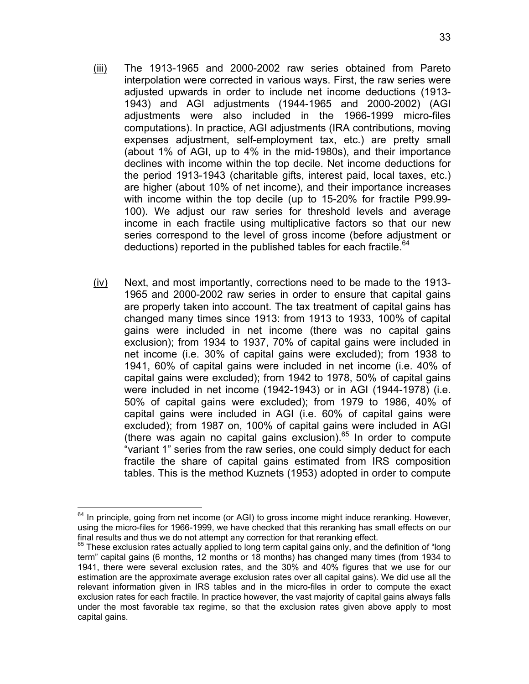- (iii) The 1913-1965 and 2000-2002 raw series obtained from Pareto interpolation were corrected in various ways. First, the raw series were adjusted upwards in order to include net income deductions (1913- 1943) and AGI adjustments (1944-1965 and 2000-2002) (AGI adjustments were also included in the 1966-1999 micro-files computations). In practice, AGI adjustments (IRA contributions, moving expenses adjustment, self-employment tax, etc.) are pretty small (about 1% of AGI, up to 4% in the mid-1980s), and their importance declines with income within the top decile. Net income deductions for the period 1913-1943 (charitable gifts, interest paid, local taxes, etc.) are higher (about 10% of net income), and their importance increases with income within the top decile (up to 15-20% for fractile P99.99- 100). We adjust our raw series for threshold levels and average income in each fractile using multiplicative factors so that our new series correspond to the level of gross income (before adjustment or deductions) reported in the published tables for each fractile.<sup>64</sup>
- (iv) Next, and most importantly, corrections need to be made to the 1913- 1965 and 2000-2002 raw series in order to ensure that capital gains are properly taken into account. The tax treatment of capital gains has changed many times since 1913: from 1913 to 1933, 100% of capital gains were included in net income (there was no capital gains exclusion); from 1934 to 1937, 70% of capital gains were included in net income (i.e. 30% of capital gains were excluded); from 1938 to 1941, 60% of capital gains were included in net income (i.e. 40% of capital gains were excluded); from 1942 to 1978, 50% of capital gains were included in net income (1942-1943) or in AGI (1944-1978) (i.e. 50% of capital gains were excluded); from 1979 to 1986, 40% of capital gains were included in AGI (i.e. 60% of capital gains were excluded); from 1987 on, 100% of capital gains were included in AGI (there was again no capital gains exclusion). $65$  In order to compute "variant 1" series from the raw series, one could simply deduct for each fractile the share of capital gains estimated from IRS composition tables. This is the method Kuznets (1953) adopted in order to compute

 $64$  In principle, going from net income (or AGI) to gross income might induce reranking. However, using the micro-files for 1966-1999, we have checked that this reranking has small effects on our<br>final results and thus we do not attempt any correction for that reranking effect.

 $65$  These exclusion rates actually applied to long term capital gains only, and the definition of "long term" capital gains (6 months, 12 months or 18 months) has changed many times (from 1934 to 1941, there were several exclusion rates, and the 30% and 40% figures that we use for our estimation are the approximate average exclusion rates over all capital gains). We did use all the relevant information given in IRS tables and in the micro-files in order to compute the exact exclusion rates for each fractile. In practice however, the vast majority of capital gains always falls under the most favorable tax regime, so that the exclusion rates given above apply to most capital gains.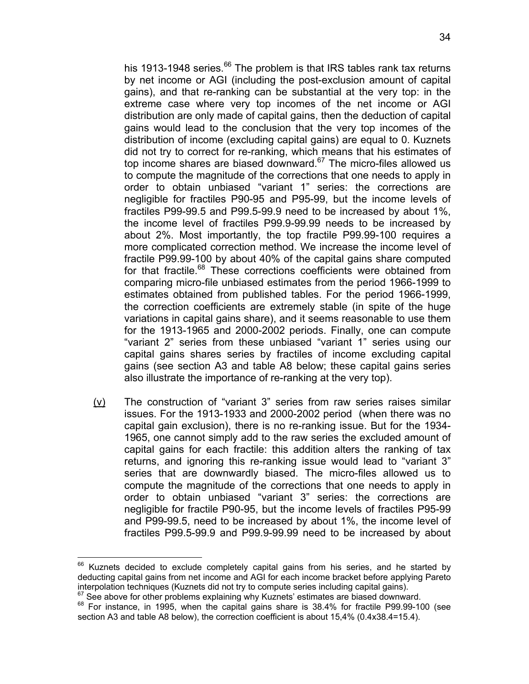his 1913-1948 series.<sup>66</sup> The problem is that IRS tables rank tax returns by net income or AGI (including the post-exclusion amount of capital gains), and that re-ranking can be substantial at the very top: in the extreme case where very top incomes of the net income or AGI distribution are only made of capital gains, then the deduction of capital gains would lead to the conclusion that the very top incomes of the distribution of income (excluding capital gains) are equal to 0. Kuznets did not try to correct for re-ranking, which means that his estimates of top income shares are biased downward. $67$  The micro-files allowed us to compute the magnitude of the corrections that one needs to apply in order to obtain unbiased "variant 1" series: the corrections are negligible for fractiles P90-95 and P95-99, but the income levels of fractiles P99-99.5 and P99.5-99.9 need to be increased by about 1%, the income level of fractiles P99.9-99.99 needs to be increased by about 2%. Most importantly, the top fractile P99.99-100 requires a more complicated correction method. We increase the income level of fractile P99.99-100 by about 40% of the capital gains share computed for that fractile.<sup>68</sup> These corrections coefficients were obtained from comparing micro-file unbiased estimates from the period 1966-1999 to estimates obtained from published tables. For the period 1966-1999, the correction coefficients are extremely stable (in spite of the huge variations in capital gains share), and it seems reasonable to use them for the 1913-1965 and 2000-2002 periods. Finally, one can compute "variant 2" series from these unbiased "variant 1" series using our capital gains shares series by fractiles of income excluding capital gains (see section A3 and table A8 below; these capital gains series also illustrate the importance of re-ranking at the very top).

(v) The construction of "variant 3" series from raw series raises similar issues. For the 1913-1933 and 2000-2002 period (when there was no capital gain exclusion), there is no re-ranking issue. But for the 1934- 1965, one cannot simply add to the raw series the excluded amount of capital gains for each fractile: this addition alters the ranking of tax returns, and ignoring this re-ranking issue would lead to "variant 3" series that are downwardly biased. The micro-files allowed us to compute the magnitude of the corrections that one needs to apply in order to obtain unbiased "variant 3" series: the corrections are negligible for fractile P90-95, but the income levels of fractiles P95-99 and P99-99.5, need to be increased by about 1%, the income level of fractiles P99.5-99.9 and P99.9-99.99 need to be increased by about

 $66$  Kuznets decided to exclude completely capital gains from his series, and he started by deducting capital gains from net income and AGI for each income bracket before applying Pareto interpolation techniques (Kuznets did not try to compute series including capital gains).<br>
<sup>67</sup> See above for other problems explaining why Kuznets' estimates are biased downward.<br>
<sup>68</sup> For instance, in 1995, when the capi

section A3 and table A8 below), the correction coefficient is about 15,4% (0.4x38.4=15.4).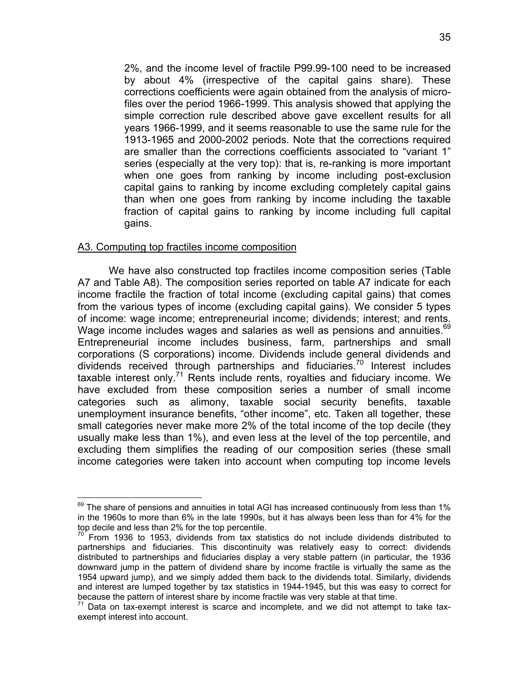2%, and the income level of fractile P99.99-100 need to be increased by about 4% (irrespective of the capital gains share). These corrections coefficients were again obtained from the analysis of microfiles over the period 1966-1999. This analysis showed that applying the simple correction rule described above gave excellent results for all years 1966-1999, and it seems reasonable to use the same rule for the 1913-1965 and 2000-2002 periods. Note that the corrections required are smaller than the corrections coefficients associated to "variant 1" series (especially at the very top): that is, re-ranking is more important when one goes from ranking by income including post-exclusion capital gains to ranking by income excluding completely capital gains than when one goes from ranking by income including the taxable fraction of capital gains to ranking by income including full capital gains.

# A3. Computing top fractiles income composition

1

We have also constructed top fractiles income composition series (Table A7 and Table A8). The composition series reported on table A7 indicate for each income fractile the fraction of total income (excluding capital gains) that comes from the various types of income (excluding capital gains). We consider 5 types of income: wage income; entrepreneurial income; dividends; interest; and rents. Wage income includes wages and salaries as well as pensions and annuities.<sup>69</sup> Entrepreneurial income includes business, farm, partnerships and small corporations (S corporations) income. Dividends include general dividends and dividends received through partnerships and fiduciaries.<sup>70</sup> Interest includes taxable interest only.<sup>71</sup> Rents include rents, royalties and fiduciary income. We have excluded from these composition series a number of small income categories such as alimony, taxable social security benefits, taxable unemployment insurance benefits, "other income", etc. Taken all together, these small categories never make more 2% of the total income of the top decile (they usually make less than 1%), and even less at the level of the top percentile, and excluding them simplifies the reading of our composition series (these small income categories were taken into account when computing top income levels

 $69$  The share of pensions and annuities in total AGI has increased continuously from less than 1% in the 1960s to more than 6% in the late 1990s, but it has always been less than for 4% for the top decile and less than 2% for the top percentile.

 $70$  From 1936 to 1953, dividends from tax statistics do not include dividends distributed to partnerships and fiduciaries. This discontinuity was relatively easy to correct: dividends distributed to partnerships and fiduciaries display a very stable pattern (in particular, the 1936 downward jump in the pattern of dividend share by income fractile is virtually the same as the 1954 upward jump), and we simply added them back to the dividends total. Similarly, dividends and interest are lumped together by tax statistics in 1944-1945, but this was easy to correct for because the pattern of interest share by income fractile was very stable at that time.

because the pattern of interest share by income fractile was very stable at that time. 71 Data on tax-exempt interest is scarce and incomplete, and we did not attempt to take taxexempt interest into account.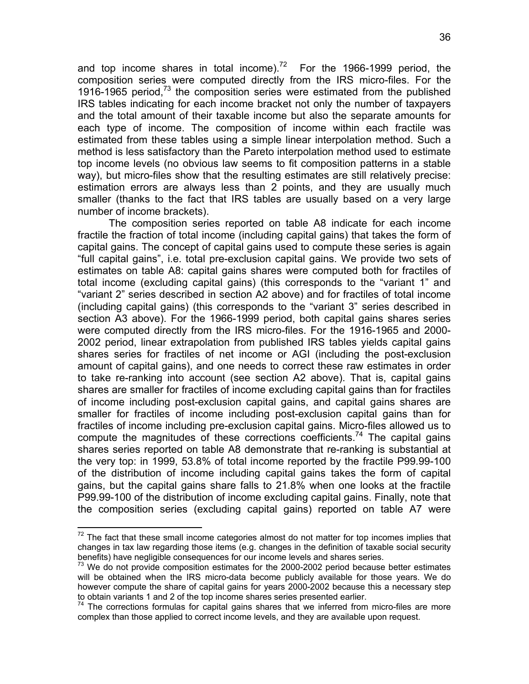and top income shares in total income).<sup>72</sup> For the 1966-1999 period, the composition series were computed directly from the IRS micro-files. For the 1916-1965 period, $73$  the composition series were estimated from the published IRS tables indicating for each income bracket not only the number of taxpayers and the total amount of their taxable income but also the separate amounts for each type of income. The composition of income within each fractile was estimated from these tables using a simple linear interpolation method. Such a method is less satisfactory than the Pareto interpolation method used to estimate top income levels (no obvious law seems to fit composition patterns in a stable way), but micro-files show that the resulting estimates are still relatively precise: estimation errors are always less than 2 points, and they are usually much smaller (thanks to the fact that IRS tables are usually based on a very large number of income brackets).

The composition series reported on table A8 indicate for each income fractile the fraction of total income (including capital gains) that takes the form of capital gains. The concept of capital gains used to compute these series is again "full capital gains", i.e. total pre-exclusion capital gains. We provide two sets of estimates on table A8: capital gains shares were computed both for fractiles of total income (excluding capital gains) (this corresponds to the "variant 1" and "variant 2" series described in section A2 above) and for fractiles of total income (including capital gains) (this corresponds to the "variant 3" series described in section A3 above). For the 1966-1999 period, both capital gains shares series were computed directly from the IRS micro-files. For the 1916-1965 and 2000- 2002 period, linear extrapolation from published IRS tables yields capital gains shares series for fractiles of net income or AGI (including the post-exclusion amount of capital gains), and one needs to correct these raw estimates in order to take re-ranking into account (see section A2 above). That is, capital gains shares are smaller for fractiles of income excluding capital gains than for fractiles of income including post-exclusion capital gains, and capital gains shares are smaller for fractiles of income including post-exclusion capital gains than for fractiles of income including pre-exclusion capital gains. Micro-files allowed us to compute the magnitudes of these corrections coefficients.<sup>74</sup> The capital gains shares series reported on table A8 demonstrate that re-ranking is substantial at the very top: in 1999, 53.8% of total income reported by the fractile P99.99-100 of the distribution of income including capital gains takes the form of capital gains, but the capital gains share falls to 21.8% when one looks at the fractile P99.99-100 of the distribution of income excluding capital gains. Finally, note that the composition series (excluding capital gains) reported on table A7 were

 $\overline{a}$ 

 $72$  The fact that these small income categories almost do not matter for top incomes implies that changes in tax law regarding those items (e.g. changes in the definition of taxable social security benefits) have negligible consequences for our income levels and shares series.

 $73$  We do not provide composition estimates for the 2000-2002 period because better estimates will be obtained when the IRS micro-data become publicly available for those years. We do however compute the share of capital gains for years 2000-2002 because this a necessary step to obtain variants 1 and 2 of the top income shares series presented earlier.

The corrections formulas for capital gains shares that we inferred from micro-files are more complex than those applied to correct income levels, and they are available upon request.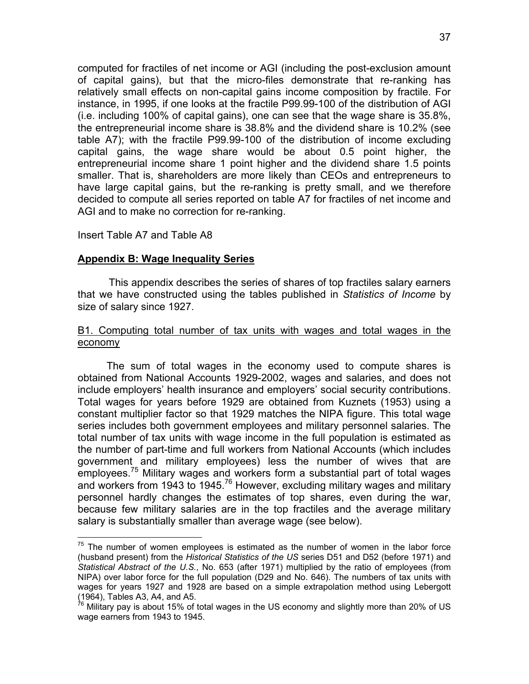computed for fractiles of net income or AGI (including the post-exclusion amount of capital gains), but that the micro-files demonstrate that re-ranking has relatively small effects on non-capital gains income composition by fractile. For instance, in 1995, if one looks at the fractile P99.99-100 of the distribution of AGI (i.e. including 100% of capital gains), one can see that the wage share is 35.8%, the entrepreneurial income share is 38.8% and the dividend share is 10.2% (see table A7); with the fractile P99.99-100 of the distribution of income excluding capital gains, the wage share would be about 0.5 point higher, the entrepreneurial income share 1 point higher and the dividend share 1.5 points smaller. That is, shareholders are more likely than CEOs and entrepreneurs to have large capital gains, but the re-ranking is pretty small, and we therefore decided to compute all series reported on table A7 for fractiles of net income and AGI and to make no correction for re-ranking.

## Insert Table A7 and Table A8

 $\overline{a}$ 

# **Appendix B: Wage Inequality Series**

This appendix describes the series of shares of top fractiles salary earners that we have constructed using the tables published in *Statistics of Income* by size of salary since 1927.

# B1. Computing total number of tax units with wages and total wages in the economy

 The sum of total wages in the economy used to compute shares is obtained from National Accounts 1929-2002, wages and salaries, and does not include employers' health insurance and employers' social security contributions. Total wages for years before 1929 are obtained from Kuznets (1953) using a constant multiplier factor so that 1929 matches the NIPA figure. This total wage series includes both government employees and military personnel salaries. The total number of tax units with wage income in the full population is estimated as the number of part-time and full workers from National Accounts (which includes government and military employees) less the number of wives that are employees.<sup>75</sup> Military wages and workers form a substantial part of total wages and workers from 1943 to 1945.<sup>76</sup> However, excluding military wages and military personnel hardly changes the estimates of top shares, even during the war, because few military salaries are in the top fractiles and the average military salary is substantially smaller than average wage (see below).

 $75$  The number of women employees is estimated as the number of women in the labor force (husband present) from the *Historical Statistics of the US* series D51 and D52 (before 1971) and *Statistical Abstract of the U.S.*, No. 653 (after 1971) multiplied by the ratio of employees (from NIPA) over labor force for the full population (D29 and No. 646). The numbers of tax units with wages for years 1927 and 1928 are based on a simple extrapolation method using Lebergott (1964), Tables A3, A4, and A5.

 $76$  Military pay is about 15% of total wages in the US economy and slightly more than 20% of US wage earners from 1943 to 1945.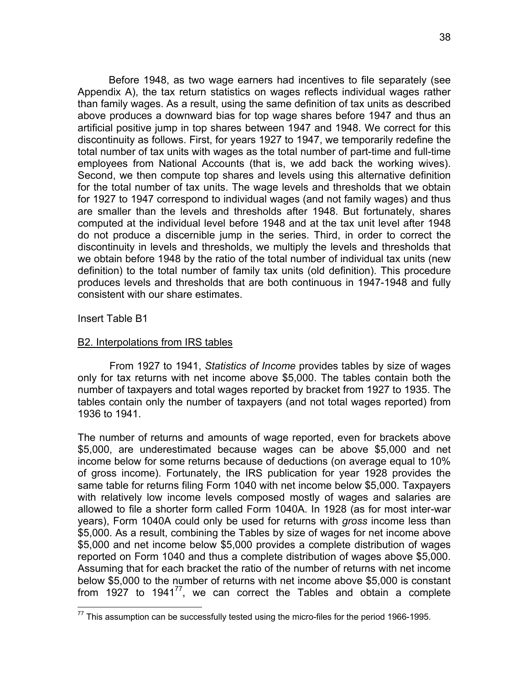Before 1948, as two wage earners had incentives to file separately (see Appendix A), the tax return statistics on wages reflects individual wages rather than family wages. As a result, using the same definition of tax units as described above produces a downward bias for top wage shares before 1947 and thus an artificial positive jump in top shares between 1947 and 1948. We correct for this discontinuity as follows. First, for years 1927 to 1947, we temporarily redefine the total number of tax units with wages as the total number of part-time and full-time employees from National Accounts (that is, we add back the working wives). Second, we then compute top shares and levels using this alternative definition for the total number of tax units. The wage levels and thresholds that we obtain for 1927 to 1947 correspond to individual wages (and not family wages) and thus are smaller than the levels and thresholds after 1948. But fortunately, shares computed at the individual level before 1948 and at the tax unit level after 1948 do not produce a discernible jump in the series. Third, in order to correct the discontinuity in levels and thresholds, we multiply the levels and thresholds that we obtain before 1948 by the ratio of the total number of individual tax units (new definition) to the total number of family tax units (old definition). This procedure produces levels and thresholds that are both continuous in 1947-1948 and fully consistent with our share estimates.

## Insert Table B1

 $\overline{a}$ 

### B2. Interpolations from IRS tables

 From 1927 to 1941, *Statistics of Income* provides tables by size of wages only for tax returns with net income above \$5,000. The tables contain both the number of taxpayers and total wages reported by bracket from 1927 to 1935. The tables contain only the number of taxpayers (and not total wages reported) from 1936 to 1941.

The number of returns and amounts of wage reported, even for brackets above \$5,000, are underestimated because wages can be above \$5,000 and net income below for some returns because of deductions (on average equal to 10% of gross income). Fortunately, the IRS publication for year 1928 provides the same table for returns filing Form 1040 with net income below \$5,000. Taxpayers with relatively low income levels composed mostly of wages and salaries are allowed to file a shorter form called Form 1040A. In 1928 (as for most inter-war years), Form 1040A could only be used for returns with *gross* income less than \$5,000. As a result, combining the Tables by size of wages for net income above \$5,000 and net income below \$5,000 provides a complete distribution of wages reported on Form 1040 and thus a complete distribution of wages above \$5,000. Assuming that for each bracket the ratio of the number of returns with net income below \$5,000 to the number of returns with net income above \$5,000 is constant from 1927 to 1941 $^{77}$ , we can correct the Tables and obtain a complete

 $77$  This assumption can be successfully tested using the micro-files for the period 1966-1995.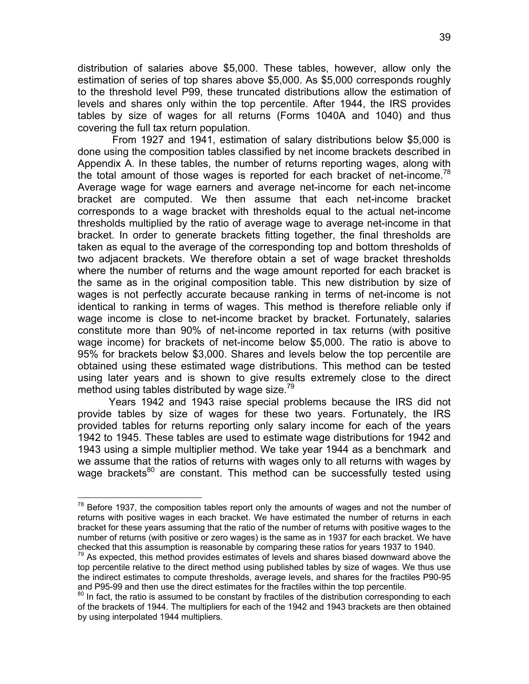distribution of salaries above \$5,000. These tables, however, allow only the estimation of series of top shares above \$5,000. As \$5,000 corresponds roughly to the threshold level P99, these truncated distributions allow the estimation of levels and shares only within the top percentile. After 1944, the IRS provides tables by size of wages for all returns (Forms 1040A and 1040) and thus covering the full tax return population.

 From 1927 and 1941, estimation of salary distributions below \$5,000 is done using the composition tables classified by net income brackets described in Appendix A. In these tables, the number of returns reporting wages, along with the total amount of those wages is reported for each bracket of net-income.<sup>78</sup> Average wage for wage earners and average net-income for each net-income bracket are computed. We then assume that each net-income bracket corresponds to a wage bracket with thresholds equal to the actual net-income thresholds multiplied by the ratio of average wage to average net-income in that bracket. In order to generate brackets fitting together, the final thresholds are taken as equal to the average of the corresponding top and bottom thresholds of two adjacent brackets. We therefore obtain a set of wage bracket thresholds where the number of returns and the wage amount reported for each bracket is the same as in the original composition table. This new distribution by size of wages is not perfectly accurate because ranking in terms of net-income is not identical to ranking in terms of wages. This method is therefore reliable only if wage income is close to net-income bracket by bracket. Fortunately, salaries constitute more than 90% of net-income reported in tax returns (with positive wage income) for brackets of net-income below \$5,000. The ratio is above to 95% for brackets below \$3,000. Shares and levels below the top percentile are obtained using these estimated wage distributions. This method can be tested using later years and is shown to give results extremely close to the direct method using tables distributed by wage size.<sup>79</sup>

Years 1942 and 1943 raise special problems because the IRS did not provide tables by size of wages for these two years. Fortunately, the IRS provided tables for returns reporting only salary income for each of the years 1942 to 1945. These tables are used to estimate wage distributions for 1942 and 1943 using a simple multiplier method. We take year 1944 as a benchmark and we assume that the ratios of returns with wages only to all returns with wages by wage brackets<sup>80</sup> are constant. This method can be successfully tested using

 $\overline{a}$ 

 $78$  Before 1937, the composition tables report only the amounts of wages and not the number of returns with positive wages in each bracket. We have estimated the number of returns in each bracket for these years assuming that the ratio of the number of returns with positive wages to the number of returns (with positive or zero wages) is the same as in 1937 for each bracket. We have checked that this assumption is reasonable by comparing these ratios for years 1937 to 1940.  $79$  As expected, this method provides estimates of levels and shares biased downward above the

top percentile relative to the direct method using published tables by size of wages. We thus use the indirect estimates to compute thresholds, average levels, and shares for the fractiles P90-95 and P95-99 and then use the direct estimates for the fractiles within the top percentile.

 $80$  In fact, the ratio is assumed to be constant by fractiles of the distribution corresponding to each of the brackets of 1944. The multipliers for each of the 1942 and 1943 brackets are then obtained by using interpolated 1944 multipliers.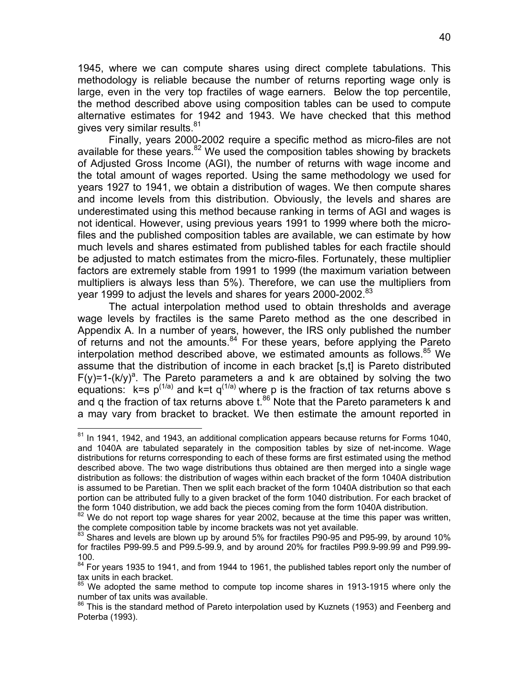1945, where we can compute shares using direct complete tabulations. This methodology is reliable because the number of returns reporting wage only is large, even in the very top fractiles of wage earners. Below the top percentile, the method described above using composition tables can be used to compute alternative estimates for 1942 and 1943. We have checked that this method gives very similar results.<sup>81</sup>

 Finally, years 2000-2002 require a specific method as micro-files are not available for these years. $82$  We used the composition tables showing by brackets of Adjusted Gross Income (AGI), the number of returns with wage income and the total amount of wages reported. Using the same methodology we used for years 1927 to 1941, we obtain a distribution of wages. We then compute shares and income levels from this distribution. Obviously, the levels and shares are underestimated using this method because ranking in terms of AGI and wages is not identical. However, using previous years 1991 to 1999 where both the microfiles and the published composition tables are available, we can estimate by how much levels and shares estimated from published tables for each fractile should be adjusted to match estimates from the micro-files. Fortunately, these multiplier factors are extremely stable from 1991 to 1999 (the maximum variation between multipliers is always less than 5%). Therefore, we can use the multipliers from year 1999 to adjust the levels and shares for years 2000-2002.<sup>83</sup>

 The actual interpolation method used to obtain thresholds and average wage levels by fractiles is the same Pareto method as the one described in Appendix A. In a number of years, however, the IRS only published the number of returns and not the amounts. $84$  For these years, before applying the Pareto interpolation method described above, we estimated amounts as follows.<sup>85</sup> We assume that the distribution of income in each bracket [s,t] is Pareto distributed  $F(y)=1-(k/y)^a$ . The Pareto parameters a and k are obtained by solving the two equations:  $k=$ s  $p^{(1/a)}$  and  $k=$ t q<sup>(1/a)</sup> where p is the fraction of tax returns above s and q the fraction of tax returns above  $t^{86}$  Note that the Pareto parameters k and a may vary from bracket to bracket. We then estimate the amount reported in

 $\overline{a}$ 

 $81$  In 1941, 1942, and 1943, an additional complication appears because returns for Forms 1040, and 1040A are tabulated separately in the composition tables by size of net-income. Wage distributions for returns corresponding to each of these forms are first estimated using the method described above. The two wage distributions thus obtained are then merged into a single wage distribution as follows: the distribution of wages within each bracket of the form 1040A distribution is assumed to be Paretian. Then we split each bracket of the form 1040A distribution so that each portion can be attributed fully to a given bracket of the form 1040 distribution. For each bracket of the form 1040 distribution, we add back the pieces coming from the form 1040A distribution.

 $82$  We do not report top wage shares for year 2002, because at the time this paper was written, the complete composition table by income brackets was not yet available.

 $83$  Shares and levels are blown up by around 5% for fractiles P90-95 and P95-99, by around 10% for fractiles P99-99.5 and P99.5-99.9, and by around 20% for fractiles P99.9-99.99 and P99.99- 100.

 $84$  For years 1935 to 1941, and from 1944 to 1961, the published tables report only the number of tax units in each bracket.<br><sup>85</sup> M/c additional tax

We adopted the same method to compute top income shares in 1913-1915 where only the number of tax units was available.

<sup>&</sup>lt;sup>86</sup> This is the standard method of Pareto interpolation used by Kuznets (1953) and Feenberg and Poterba (1993).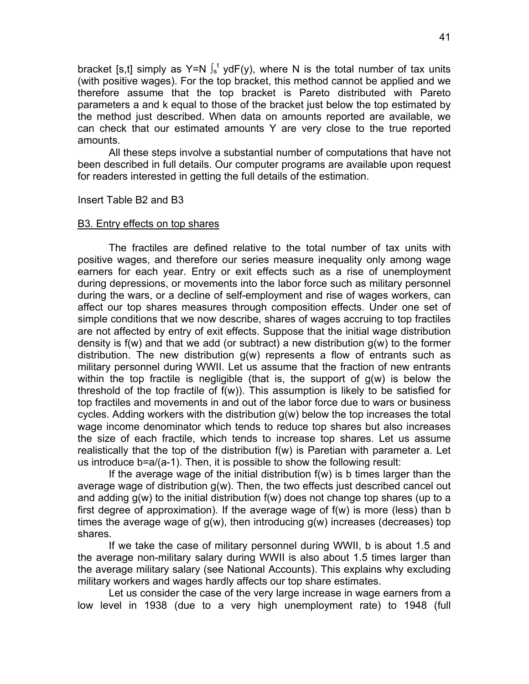bracket [s,t] simply as Y=N  $\int_s^t y dF(y)$ , where N is the total number of tax units (with positive wages). For the top bracket, this method cannot be applied and we therefore assume that the top bracket is Pareto distributed with Pareto parameters a and k equal to those of the bracket just below the top estimated by the method just described. When data on amounts reported are available, we can check that our estimated amounts Y are very close to the true reported amounts.

All these steps involve a substantial number of computations that have not been described in full details. Our computer programs are available upon request for readers interested in getting the full details of the estimation.

Insert Table B2 and B3

#### B3. Entry effects on top shares

The fractiles are defined relative to the total number of tax units with positive wages, and therefore our series measure inequality only among wage earners for each year. Entry or exit effects such as a rise of unemployment during depressions, or movements into the labor force such as military personnel during the wars, or a decline of self-employment and rise of wages workers, can affect our top shares measures through composition effects. Under one set of simple conditions that we now describe, shares of wages accruing to top fractiles are not affected by entry of exit effects. Suppose that the initial wage distribution density is f(w) and that we add (or subtract) a new distribution g(w) to the former distribution. The new distribution  $g(w)$  represents a flow of entrants such as military personnel during WWII. Let us assume that the fraction of new entrants within the top fractile is negligible (that is, the support of  $g(w)$  is below the threshold of the top fractile of f(w)). This assumption is likely to be satisfied for top fractiles and movements in and out of the labor force due to wars or business cycles. Adding workers with the distribution g(w) below the top increases the total wage income denominator which tends to reduce top shares but also increases the size of each fractile, which tends to increase top shares. Let us assume realistically that the top of the distribution f(w) is Paretian with parameter a. Let us introduce b=a/(a-1). Then, it is possible to show the following result:

If the average wage of the initial distribution f(w) is b times larger than the average wage of distribution g(w). Then, the two effects just described cancel out and adding  $g(w)$  to the initial distribution  $f(w)$  does not change top shares (up to a first degree of approximation). If the average wage of f(w) is more (less) than b times the average wage of  $g(w)$ , then introducing  $g(w)$  increases (decreases) top shares.

If we take the case of military personnel during WWII, b is about 1.5 and the average non-military salary during WWII is also about 1.5 times larger than the average military salary (see National Accounts). This explains why excluding military workers and wages hardly affects our top share estimates.

Let us consider the case of the very large increase in wage earners from a low level in 1938 (due to a very high unemployment rate) to 1948 (full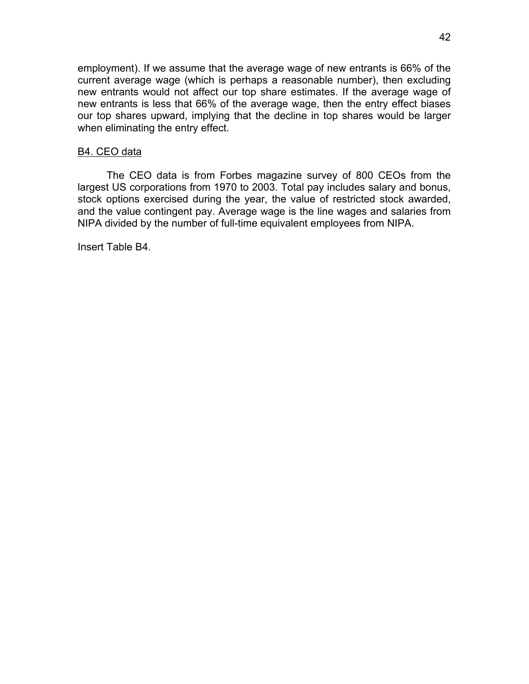employment). If we assume that the average wage of new entrants is 66% of the current average wage (which is perhaps a reasonable number), then excluding new entrants would not affect our top share estimates. If the average wage of new entrants is less that 66% of the average wage, then the entry effect biases our top shares upward, implying that the decline in top shares would be larger when eliminating the entry effect.

# B4. CEO data

 The CEO data is from Forbes magazine survey of 800 CEOs from the largest US corporations from 1970 to 2003. Total pay includes salary and bonus, stock options exercised during the year, the value of restricted stock awarded, and the value contingent pay. Average wage is the line wages and salaries from NIPA divided by the number of full-time equivalent employees from NIPA.

Insert Table B4.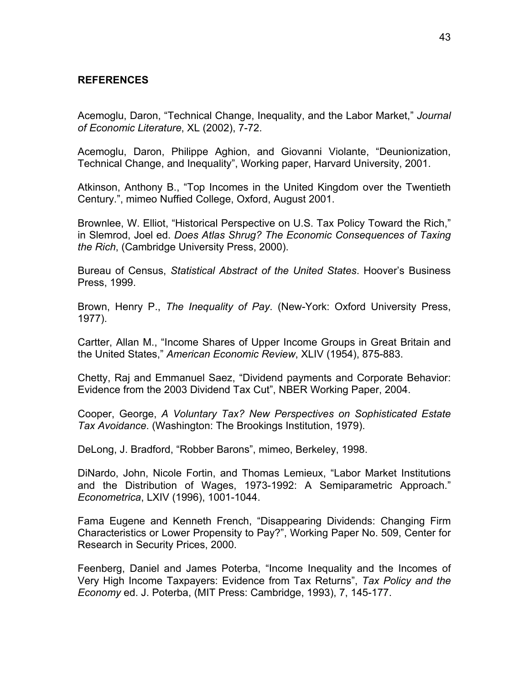# **REFERENCES**

Acemoglu, Daron, "Technical Change, Inequality, and the Labor Market," *Journal of Economic Literature*, XL (2002), 7-72.

Acemoglu, Daron, Philippe Aghion, and Giovanni Violante, "Deunionization, Technical Change, and Inequality", Working paper, Harvard University, 2001.

Atkinson, Anthony B., "Top Incomes in the United Kingdom over the Twentieth Century.", mimeo Nuffied College, Oxford, August 2001.

Brownlee, W. Elliot, "Historical Perspective on U.S. Tax Policy Toward the Rich," in Slemrod, Joel ed. *Does Atlas Shrug? The Economic Consequences of Taxing the Rich*, (Cambridge University Press, 2000).

Bureau of Census, *Statistical Abstract of the United States*. Hoover's Business Press, 1999.

Brown, Henry P., *The Inequality of Pay*. (New-York: Oxford University Press, 1977).

Cartter, Allan M., "Income Shares of Upper Income Groups in Great Britain and the United States," *American Economic Review*, XLIV (1954), 875-883.

Chetty, Raj and Emmanuel Saez, "Dividend payments and Corporate Behavior: Evidence from the 2003 Dividend Tax Cut", NBER Working Paper, 2004.

Cooper, George, *A Voluntary Tax? New Perspectives on Sophisticated Estate Tax Avoidance*. (Washington: The Brookings Institution, 1979).

DeLong, J. Bradford, "Robber Barons", mimeo, Berkeley, 1998.

DiNardo, John, Nicole Fortin, and Thomas Lemieux, "Labor Market Institutions and the Distribution of Wages, 1973-1992: A Semiparametric Approach." *Econometrica*, LXIV (1996), 1001-1044.

Fama Eugene and Kenneth French, "Disappearing Dividends: Changing Firm Characteristics or Lower Propensity to Pay?", Working Paper No. 509, Center for Research in Security Prices, 2000.

Feenberg, Daniel and James Poterba, "Income Inequality and the Incomes of Very High Income Taxpayers: Evidence from Tax Returns", *Tax Policy and the Economy* ed. J. Poterba, (MIT Press: Cambridge, 1993), 7, 145-177.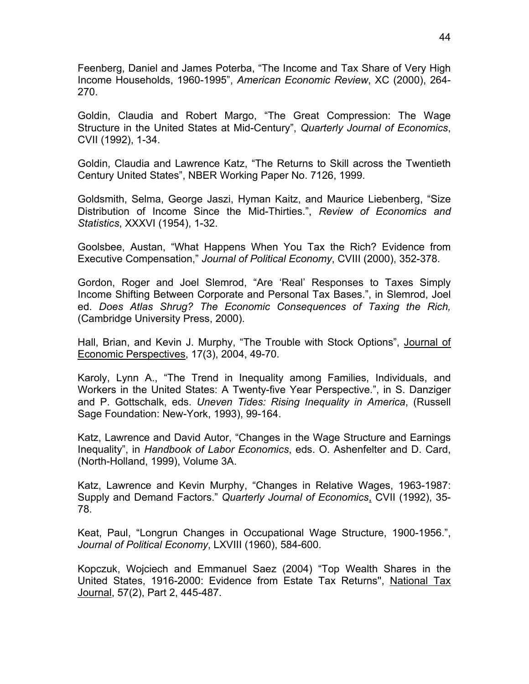Feenberg, Daniel and James Poterba, "The Income and Tax Share of Very High Income Households, 1960-1995", *American Economic Review*, XC (2000), 264- 270.

Goldin, Claudia and Robert Margo, "The Great Compression: The Wage Structure in the United States at Mid-Century", *Quarterly Journal of Economics*, CVII (1992), 1-34.

Goldin, Claudia and Lawrence Katz, "The Returns to Skill across the Twentieth Century United States", NBER Working Paper No. 7126, 1999.

Goldsmith, Selma, George Jaszi, Hyman Kaitz, and Maurice Liebenberg, "Size Distribution of Income Since the Mid-Thirties.", *Review of Economics and Statistics*, XXXVI (1954), 1-32.

Goolsbee, Austan, "What Happens When You Tax the Rich? Evidence from Executive Compensation," *Journal of Political Economy*, CVIII (2000), 352-378.

Gordon, Roger and Joel Slemrod, "Are 'Real' Responses to Taxes Simply Income Shifting Between Corporate and Personal Tax Bases.", in Slemrod, Joel ed. *Does Atlas Shrug? The Economic Consequences of Taxing the Rich,* (Cambridge University Press, 2000).

Hall, Brian, and Kevin J. Murphy, "The Trouble with Stock Options", Journal of Economic Perspectives, 17(3), 2004, 49-70.

Karoly, Lynn A., "The Trend in Inequality among Families, Individuals, and Workers in the United States: A Twenty-five Year Perspective.", in S. Danziger and P. Gottschalk, eds. *Uneven Tides: Rising Inequality in America*, (Russell Sage Foundation: New-York, 1993), 99-164.

Katz, Lawrence and David Autor, "Changes in the Wage Structure and Earnings Inequality", in *Handbook of Labor Economics*, eds. O. Ashenfelter and D. Card, (North-Holland, 1999), Volume 3A.

Katz, Lawrence and Kevin Murphy, "Changes in Relative Wages, 1963-1987: Supply and Demand Factors." *Quarterly Journal of Economics*, CVII (1992), 35- 78.

Keat, Paul, "Longrun Changes in Occupational Wage Structure, 1900-1956.", *Journal of Political Economy*, LXVIII (1960), 584-600.

Kopczuk, Wojciech and Emmanuel Saez (2004) "Top Wealth Shares in the United States, 1916-2000: Evidence from Estate Tax Returns'', National Tax Journal, 57(2), Part 2, 445-487.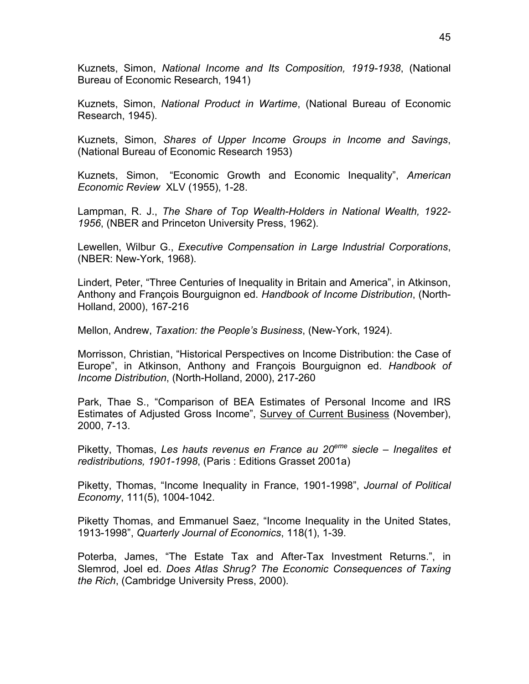Kuznets, Simon, *National Income and Its Composition, 1919-1938*, (National Bureau of Economic Research, 1941)

Kuznets, Simon, *National Product in Wartime*, (National Bureau of Economic Research, 1945).

Kuznets, Simon, *Shares of Upper Income Groups in Income and Savings*, (National Bureau of Economic Research 1953)

Kuznets, Simon, "Economic Growth and Economic Inequality", *American Economic Review* XLV (1955), 1-28.

Lampman, R. J., *The Share of Top Wealth-Holders in National Wealth, 1922- 1956*, (NBER and Princeton University Press, 1962).

Lewellen, Wilbur G., *Executive Compensation in Large Industrial Corporations*, (NBER: New-York, 1968).

Lindert, Peter, "Three Centuries of Inequality in Britain and America", in Atkinson, Anthony and François Bourguignon ed. *Handbook of Income Distribution*, (North-Holland, 2000), 167-216

Mellon, Andrew, *Taxation: the People's Business*, (New-York, 1924).

Morrisson, Christian, "Historical Perspectives on Income Distribution: the Case of Europe", in Atkinson, Anthony and François Bourguignon ed. *Handbook of Income Distribution*, (North-Holland, 2000), 217-260

Park, Thae S., "Comparison of BEA Estimates of Personal Income and IRS Estimates of Adjusted Gross Income", Survey of Current Business (November), 2000, 7-13.

Piketty, Thomas, *Les hauts revenus en France au 20eme siecle – Inegalites et redistributions, 1901-1998*, (Paris : Editions Grasset 2001a)

Piketty, Thomas, "Income Inequality in France, 1901-1998", *Journal of Political Economy*, 111(5), 1004-1042.

Piketty Thomas, and Emmanuel Saez, "Income Inequality in the United States, 1913-1998", *Quarterly Journal of Economics*, 118(1), 1-39.

Poterba, James, "The Estate Tax and After-Tax Investment Returns.", in Slemrod, Joel ed. *Does Atlas Shrug? The Economic Consequences of Taxing the Rich*, (Cambridge University Press, 2000).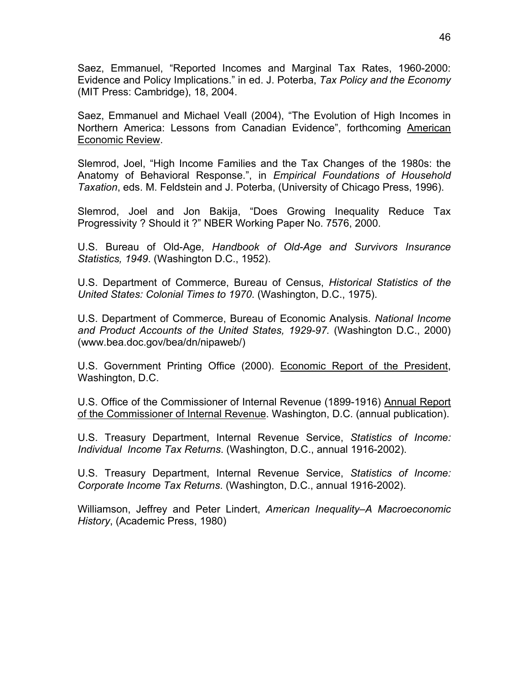Saez, Emmanuel, "Reported Incomes and Marginal Tax Rates, 1960-2000: Evidence and Policy Implications." in ed. J. Poterba, *Tax Policy and the Economy* (MIT Press: Cambridge), 18, 2004.

Saez, Emmanuel and Michael Veall (2004), "The Evolution of High Incomes in Northern America: Lessons from Canadian Evidence", forthcoming American Economic Review.

Slemrod, Joel, "High Income Families and the Tax Changes of the 1980s: the Anatomy of Behavioral Response.", in *Empirical Foundations of Household Taxation*, eds. M. Feldstein and J. Poterba, (University of Chicago Press, 1996).

Slemrod, Joel and Jon Bakija, "Does Growing Inequality Reduce Tax Progressivity ? Should it ?" NBER Working Paper No. 7576, 2000.

U.S. Bureau of Old-Age, *Handbook of Old-Age and Survivors Insurance Statistics, 1949*. (Washington D.C., 1952).

U.S. Department of Commerce, Bureau of Census, *Historical Statistics of the United States: Colonial Times to 1970*. (Washington, D.C., 1975).

U.S. Department of Commerce, Bureau of Economic Analysis. *National Income and Product Accounts of the United States, 1929-97.* (Washington D.C., 2000) (www.bea.doc.gov/bea/dn/nipaweb/)

U.S. Government Printing Office (2000). Economic Report of the President, Washington, D.C.

U.S. Office of the Commissioner of Internal Revenue (1899-1916) Annual Report of the Commissioner of Internal Revenue. Washington, D.C. (annual publication).

U.S. Treasury Department, Internal Revenue Service, *Statistics of Income: Individual Income Tax Returns*. (Washington, D.C., annual 1916-2002).

U.S. Treasury Department, Internal Revenue Service, *Statistics of Income: Corporate Income Tax Returns*. (Washington, D.C., annual 1916-2002).

Williamson, Jeffrey and Peter Lindert, *American Inequality–A Macroeconomic History*, (Academic Press, 1980)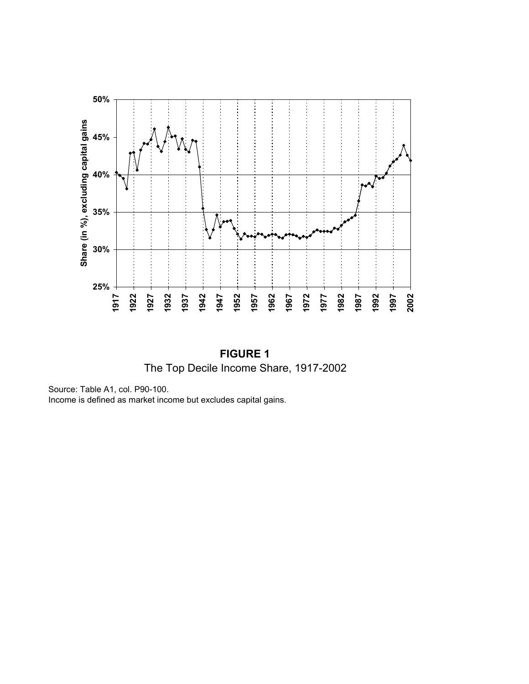

**FIGURE 1** The Top Decile Income Share, 1917-2002

Source: Table A1, col. P90-100. Income is defined as market income but excludes capital gains.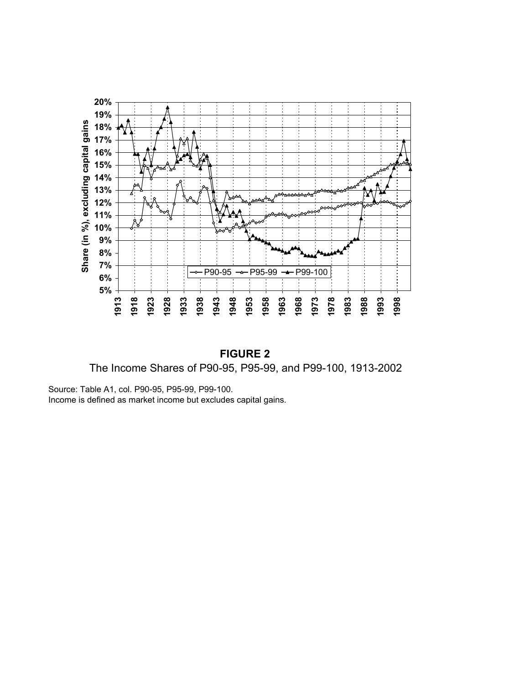

**FIGURE 2** The Income Shares of P90-95, P95-99, and P99-100, 1913-2002

Source: Table A1, col. P90-95, P95-99, P99-100. Income is defined as market income but excludes capital gains.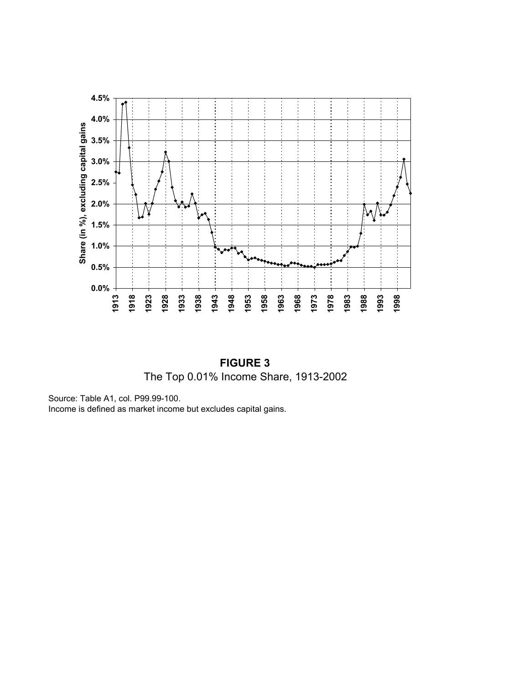

**FIGURE 3** The Top 0.01% Income Share, 1913-2002

Source: Table A1, col. P99.99-100.

Income is defined as market income but excludes capital gains.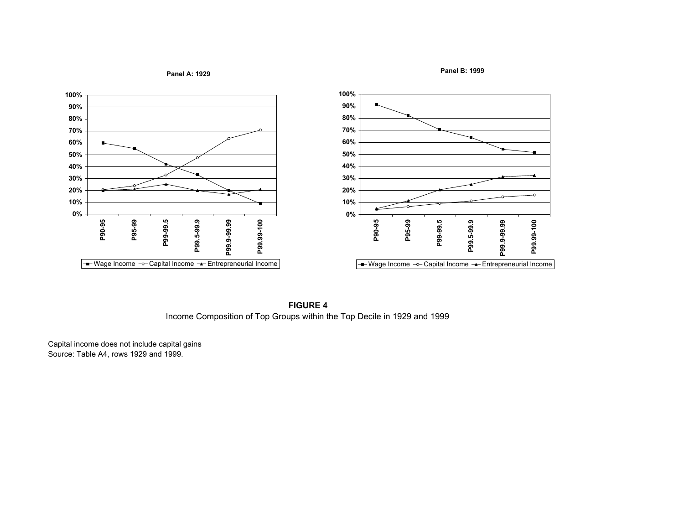**Panel A: 1929**

**Panel B: 1999**



**FIGURE 4**Income Composition of Top Groups within the Top Decile in 1929 and 1999

Capital income does not include capital gains Source: Table A4, rows 1929 and 1999.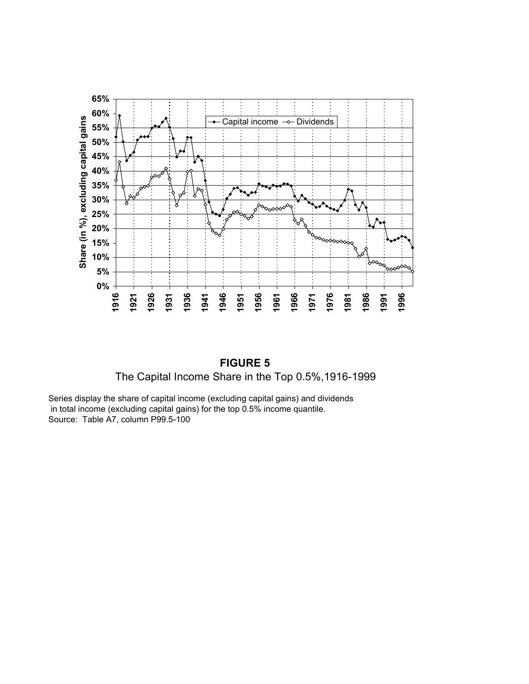

**FIGURE 5** The Capital Income Share in the Top 0.5%,1916-1999

Series display the share of capital income (excluding capital gains) and dividends in total income (excluding capital gains) for the top 0.5% income quantile. Source: Table A7, column P99.5-100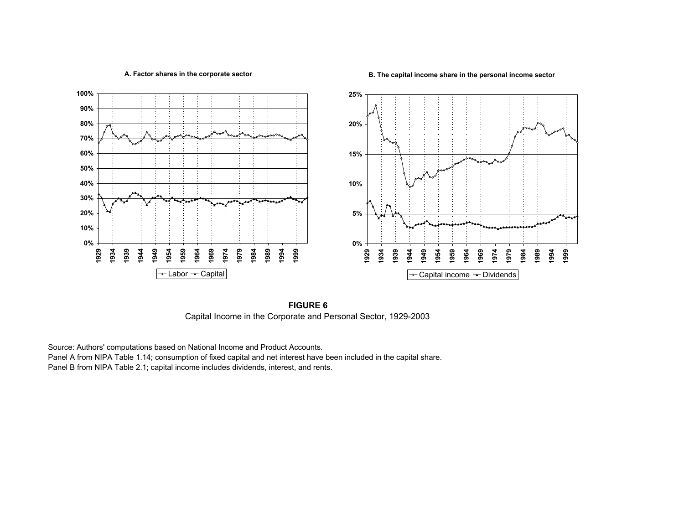**A. Factor shares in the corporate sector**

**B. The capital income share in the personal income sector**



**FIGURE 6**Capital Income in the Corporate and Personal Sector, 1929-2003

Source: Authors' computations based on National Income and Product Accounts.

Panel A from NIPA Table 1.14; consumption of fixed capital and net interest have been included in the capital share. Panel B from NIPA Table 2.1; capital income includes dividends, interest, and rents.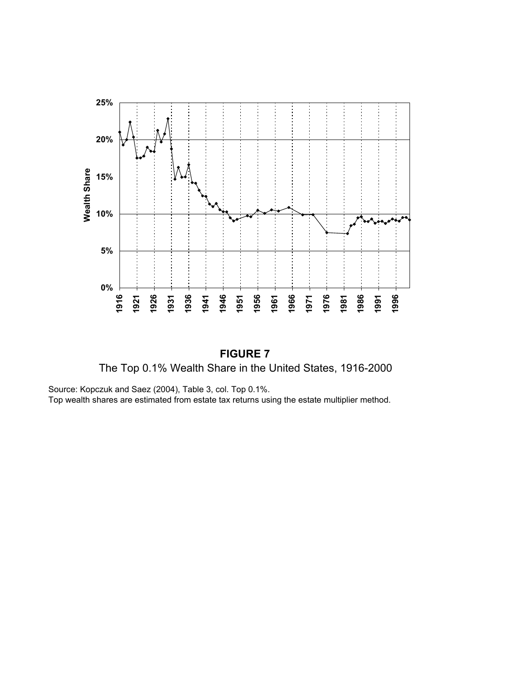

**FIGURE 7** The Top 0.1% Wealth Share in the United States, 1916-2000

Source: Kopczuk and Saez (2004), Table 3, col. Top 0.1%. Top wealth shares are estimated from estate tax returns using the estate multiplier method.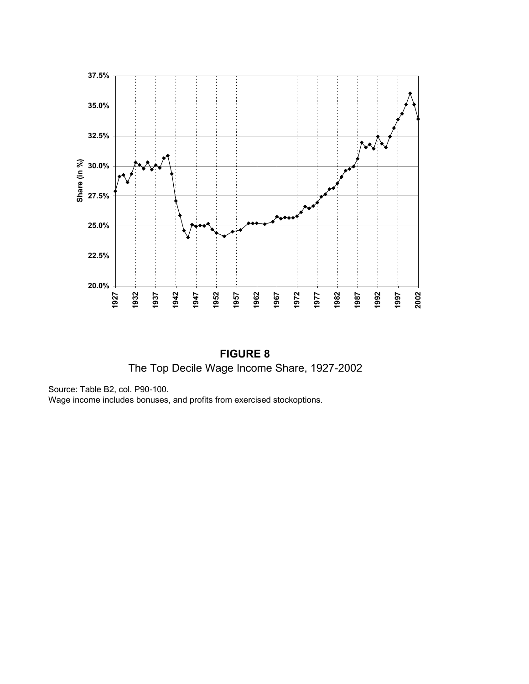

**FIGURE 8** The Top Decile Wage Income Share, 1927-2002

Source: Table B2, col. P90-100.

Wage income includes bonuses, and profits from exercised stockoptions.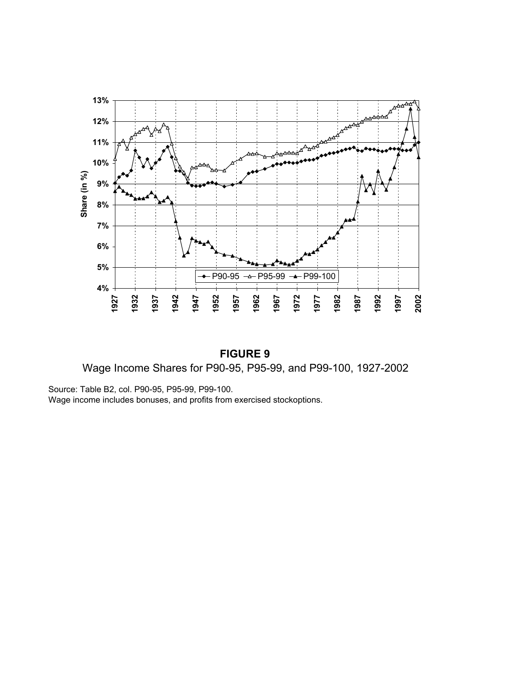

**FIGURE 9** Wage Income Shares for P90-95, P95-99, and P99-100, 1927-2002

Source: Table B2, col. P90-95, P95-99, P99-100. Wage income includes bonuses, and profits from exercised stockoptions.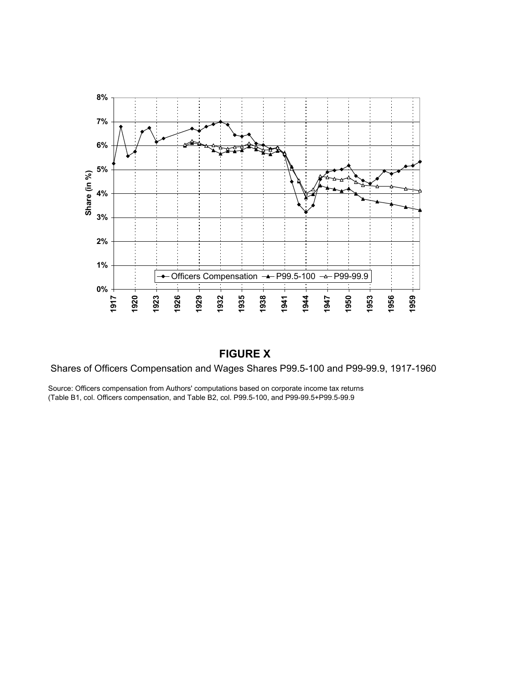

# **FIGURE X**

Shares of Officers Compensation and Wages Shares P99.5-100 and P99-99.9, 1917-1960

Source: Officers compensation from Authors' computations based on corporate income tax returns (Table B1, col. Officers compensation, and Table B2, col. P99.5-100, and P99-99.5+P99.5-99.9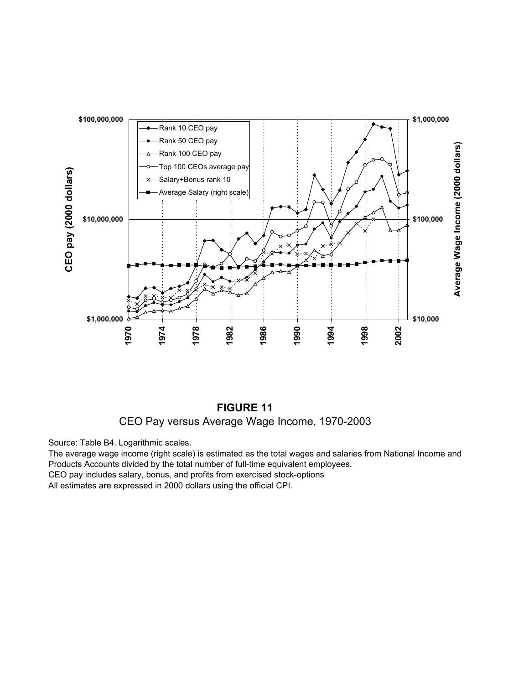



Source: Table B4. Logarithmic scales.

The average wage income (right scale) is estimated as the total wages and salaries from National Income and Products Accounts divided by the total number of full-time equivalent employees.

CEO pay includes salary, bonus, and profits from exercised stock-options

All estimates are expressed in 2000 dollars using the official CPI.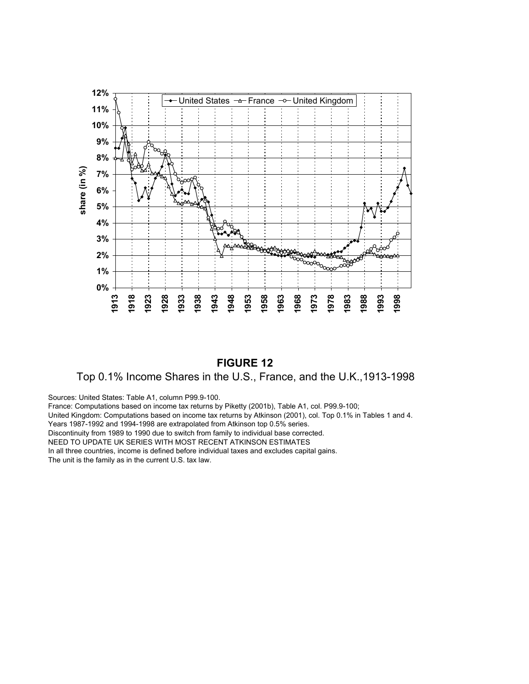

# **FIGURE 12**

# Top 0.1% Income Shares in the U.S., France, and the U.K.,1913-1998

Sources: United States: Table A1, column P99.9-100.

France: Computations based on income tax returns by Piketty (2001b), Table A1, col. P99.9-100;

United Kingdom: Computations based on income tax returns by Atkinson (2001), col. Top 0.1% in Tables 1 and 4.

Years 1987-1992 and 1994-1998 are extrapolated from Atkinson top 0.5% series.

Discontinuity from 1989 to 1990 due to switch from family to individual base corrected.

NEED TO UPDATE UK SERIES WITH MOST RECENT ATKINSON ESTIMATES

In all three countries, income is defined before individual taxes and excludes capital gains. The unit is the family as in the current U.S. tax law.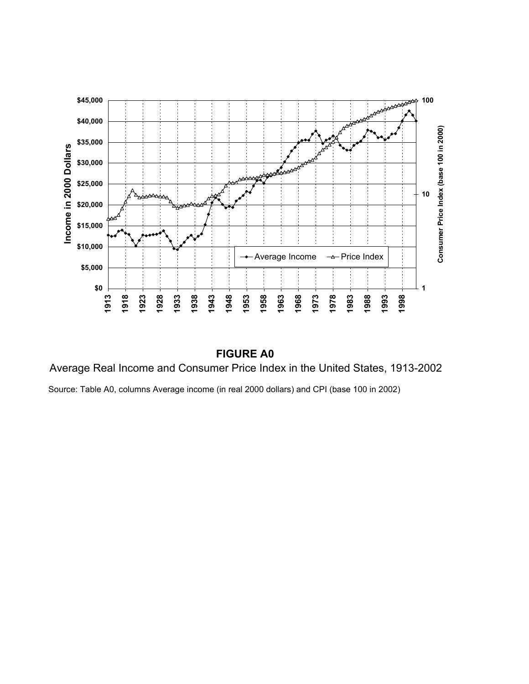

# **FIGURE A0**

Average Real Income and Consumer Price Index in the United States, 1913-2002

Source: Table A0, columns Average income (in real 2000 dollars) and CPI (base 100 in 2002)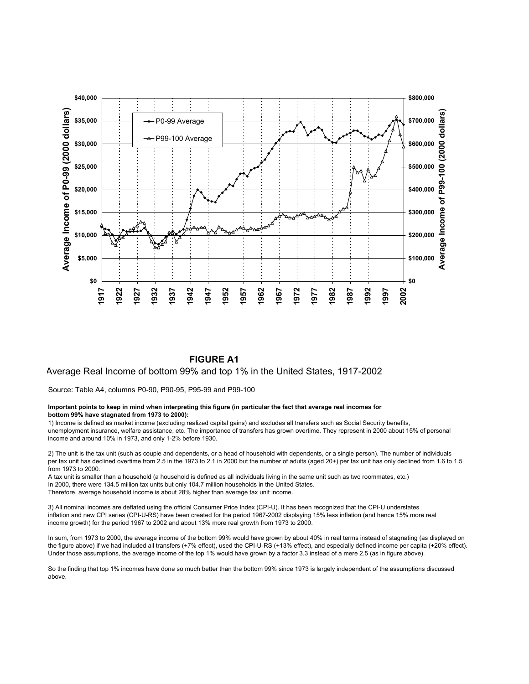

#### **FIGURE A1**

#### Average Real Income of bottom 99% and top 1% in the United States, 1917-2002

Source: Table A4, columns P0-90, P90-95, P95-99 and P99-100

#### **Important points to keep in mind when interpreting this figure (in particular the fact that average real incomes for bottom 99% have stagnated from 1973 to 2000):**

1) Income is defined as market income (excluding realized capital gains) and excludes all transfers such as Social Security benefits, unemployment insurance, welfare assistance, etc. The importance of transfers has grown overtime. They represent in 2000 about 15% of personal income and around 10% in 1973, and only 1-2% before 1930.

2) The unit is the tax unit (such as couple and dependents, or a head of household with dependents, or a single person). The number of individuals per tax unit has declined overtime from 2.5 in the 1973 to 2.1 in 2000 but the number of adults (aged 20+) per tax unit has only declined from 1.6 to 1.5 from 1973 to 2000.

A tax unit is smaller than a household (a household is defined as all individuals living in the same unit such as two roommates, etc.) In 2000, there were 134.5 million tax units but only 104.7 million households in the United States. Therefore, average household income is about 28% higher than average tax unit income.

3) All nominal incomes are deflated using the official Consumer Price Index (CPI-U). It has been recognized that the CPI-U understates inflation and new CPI series (CPI-U-RS) have been created for the period 1967-2002 displaying 15% less inflation (and hence 15% more real income growth) for the period 1967 to 2002 and about 13% more real growth from 1973 to 2000.

In sum, from 1973 to 2000, the average income of the bottom 99% would have grown by about 40% in real terms instead of stagnating (as displayed on the figure above) if we had included all transfers (+7% effect), used the CPI-U-RS (+13% effect), and especially defined income per capita (+20% effect). Under those assumptions, the average income of the top 1% would have grown by a factor 3.3 instead of a mere 2.5 (as in figure above).

So the finding that top 1% incomes have done so much better than the bottom 99% since 1973 is largely independent of the assumptions discussed above.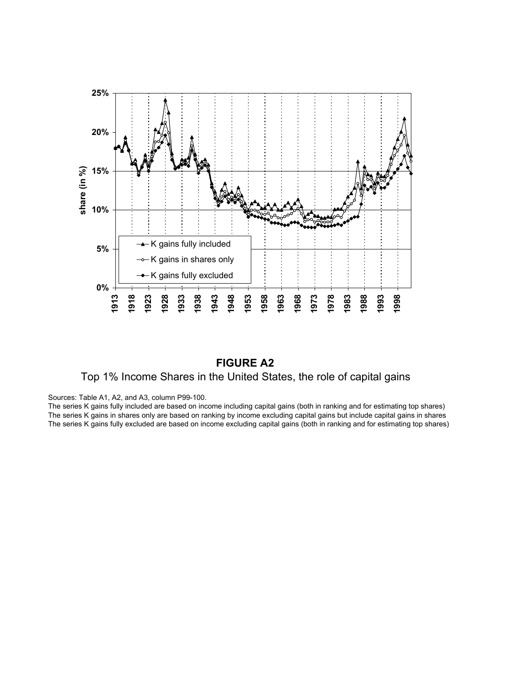

# **FIGURE A2** Top 1% Income Shares in the United States, the role of capital gains

Sources: Table A1, A2, and A3, column P99-100.

The series K gains fully included are based on income including capital gains (both in ranking and for estimating top shares) The series K gains in shares only are based on ranking by income excluding capital gains but include capital gains in shares The series K gains fully excluded are based on income excluding capital gains (both in ranking and for estimating top shares)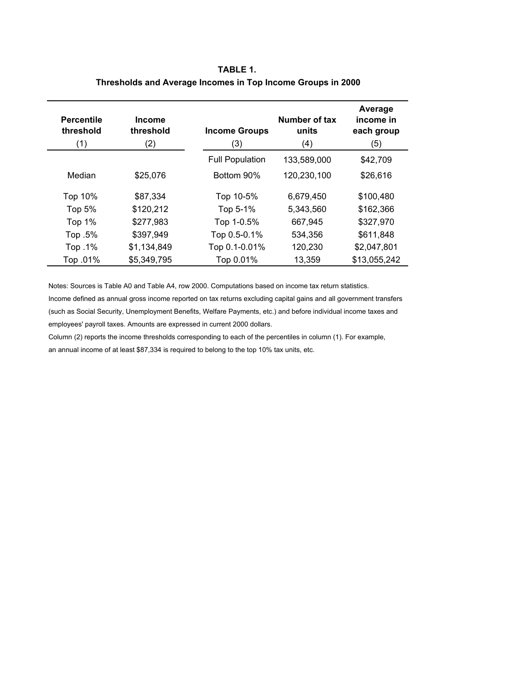| TABLE 1.                                                    |
|-------------------------------------------------------------|
| Thresholds and Average Incomes in Top Income Groups in 2000 |

| <b>Percentile</b><br>threshold<br>(1) | <b>Income</b><br>threshold<br>(2) | <b>Income Groups</b><br>(3) | Number of tax<br>units<br>(4) | Average<br>income in<br>each group<br>(5) |
|---------------------------------------|-----------------------------------|-----------------------------|-------------------------------|-------------------------------------------|
|                                       |                                   | <b>Full Population</b>      | 133,589,000                   | \$42,709                                  |
| Median                                | \$25,076                          | Bottom 90%                  | 120,230,100                   | \$26,616                                  |
| Top 10%                               | \$87,334                          | Top 10-5%                   | 6,679,450                     | \$100,480                                 |
| Top 5%                                | \$120,212                         | Top 5-1%                    | 5,343,560                     | \$162,366                                 |
| Top 1%                                | \$277,983                         | Top 1-0.5%                  | 667,945                       | \$327,970                                 |
| Top .5%                               | \$397,949                         | Top 0.5-0.1%                | 534,356                       | \$611,848                                 |
| Top .1%                               | \$1,134,849                       | Top 0.1-0.01%               | 120,230                       | \$2,047,801                               |
| Top .01%                              | \$5,349,795                       | Top 0.01%                   | 13,359                        | \$13,055,242                              |

Notes: Sources is Table A0 and Table A4, row 2000. Computations based on income tax return statistics.

Income defined as annual gross income reported on tax returns excluding capital gains and all government transfers (such as Social Security, Unemployment Benefits, Welfare Payments, etc.) and before individual income taxes and employees' payroll taxes. Amounts are expressed in current 2000 dollars.

Column (2) reports the income thresholds corresponding to each of the percentiles in column (1). For example, an annual income of at least \$87,334 is required to belong to the top 10% tax units, etc.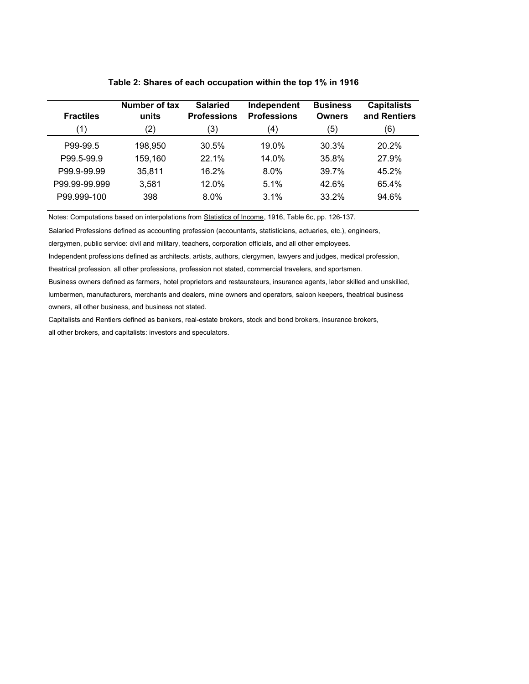| <b>Fractiles</b> | Number of tax<br>units | <b>Salaried</b><br><b>Professions</b> | Independent<br><b>Professions</b> | <b>Business</b><br><b>Owners</b> | <b>Capitalists</b><br>and Rentiers |
|------------------|------------------------|---------------------------------------|-----------------------------------|----------------------------------|------------------------------------|
| (1)              | (2)                    | (3)                                   | (4)                               | (5)                              | (6)                                |
| P99-99.5         | 198,950                | 30.5%                                 | 19.0%                             | 30.3%                            | 20.2%                              |
| P99.5-99.9       | 159,160                | 22.1%                                 | 14.0%                             | 35.8%                            | 27.9%                              |
| P99.9-99.99      | 35,811                 | 16.2%                                 | $8.0\%$                           | 39.7%                            | 45.2%                              |
| P99.99-99.999    | 3,581                  | 12.0%                                 | 5.1%                              | 42.6%                            | 65.4%                              |
| P99.999-100      | 398                    | $8.0\%$                               | 3.1%                              | 33.2%                            | 94.6%                              |

#### **Table 2: Shares of each occupation within the top 1% in 1916**

Notes: Computations based on interpolations from Statistics of Income, 1916, Table 6c, pp. 126-137.

Salaried Professions defined as accounting profession (accountants, statisticians, actuaries, etc.), engineers,

clergymen, public service: civil and military, teachers, corporation officials, and all other employees.

Independent professions defined as architects, artists, authors, clergymen, lawyers and judges, medical profession,

theatrical profession, all other professions, profession not stated, commercial travelers, and sportsmen.

Business owners defined as farmers, hotel proprietors and restaurateurs, insurance agents, labor skilled and unskilled, lumbermen, manufacturers, merchants and dealers, mine owners and operators, saloon keepers, theatrical business owners, all other business, and business not stated.

Capitalists and Rentiers defined as bankers, real-estate brokers, stock and bond brokers, insurance brokers, all other brokers, and capitalists: investors and speculators.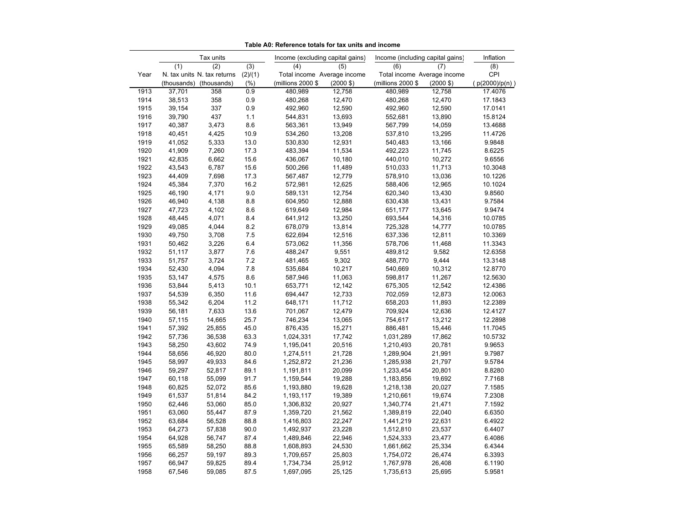|      |        | Tax units                   |         | Income (excluding capital gains) |                     | Income (including capital gains) |                     | Inflation        |
|------|--------|-----------------------------|---------|----------------------------------|---------------------|----------------------------------|---------------------|------------------|
|      | (1)    | (2)                         | (3)     | (4)                              | (5)                 | (6)                              | (7)                 | $\overline{(8)}$ |
| Year |        | N. tax units N. tax returns | (2)/(1) | Total income Average income      |                     | Total income Average income      |                     | CPI              |
|      |        | (thousands) (thousands)     | (%)     | (millions 2000 \$                | $(2000 \text{ } $)$ | (millions 2000 \$                | $(2000 \text{ } $)$ | (p(2000)/p(n))   |
| 1913 | 37,701 | 358                         | 0.9     | 480.989                          | 12,758              | 480,989                          | 12,758              | 17.4076          |
| 1914 | 38,513 | 358                         | 0.9     | 480,268                          | 12,470              | 480,268                          | 12,470              | 17.1843          |
| 1915 | 39,154 | 337                         | 0.9     | 492,960                          | 12,590              | 492,960                          | 12,590              | 17.0141          |
| 1916 | 39,790 | 437                         | 1.1     | 544,831                          | 13,693              | 552,681                          | 13,890              | 15.8124          |
| 1917 | 40,387 | 3,473                       | 8.6     | 563,361                          | 13,949              | 567,799                          | 14,059              | 13.4688          |
| 1918 | 40,451 | 4,425                       | 10.9    | 534,260                          | 13,208              | 537,810                          | 13,295              | 11.4726          |
| 1919 | 41,052 | 5,333                       | 13.0    | 530,830                          | 12,931              | 540,483                          | 13,166              | 9.9848           |
| 1920 | 41,909 | 7,260                       | 17.3    | 483,394                          | 11,534              | 492,223                          | 11,745              | 8.6225           |
| 1921 | 42,835 | 6,662                       | 15.6    | 436,067                          | 10,180              | 440,010                          | 10,272              | 9.6556           |
| 1922 | 43,543 | 6,787                       | 15.6    | 500,266                          | 11,489              | 510,033                          | 11,713              | 10.3048          |
| 1923 | 44,409 | 7,698                       | 17.3    | 567,487                          | 12,779              | 578,910                          | 13,036              | 10.1226          |
| 1924 | 45,384 | 7,370                       | 16.2    | 572,981                          | 12,625              | 588,406                          | 12,965              | 10.1024          |
| 1925 | 46,190 | 4,171                       | 9.0     | 589,131                          | 12,754              | 620,340                          | 13,430              | 9.8560           |
| 1926 | 46,940 | 4,138                       | 8.8     | 604,950                          | 12,888              | 630,438                          | 13,431              | 9.7584           |
| 1927 | 47,723 | 4,102                       | 8.6     | 619,649                          | 12,984              | 651,177                          | 13,645              | 9.9474           |
| 1928 | 48,445 | 4,071                       | 8.4     | 641,912                          | 13,250              | 693,544                          | 14,316              | 10.0785          |
| 1929 | 49,085 | 4,044                       | 8.2     | 678,079                          | 13,814              | 725,328                          | 14,777              | 10.0785          |
| 1930 | 49,750 | 3,708                       | 7.5     | 622,694                          | 12,516              | 637,336                          | 12,811              | 10.3369          |
| 1931 | 50,462 | 3,226                       | $6.4\,$ | 573,062                          | 11,356              | 578,706                          | 11,468              | 11.3343          |
| 1932 | 51,117 | 3,877                       | 7.6     | 488,247                          | 9,551               | 489,812                          | 9,582               | 12.6358          |
| 1933 | 51,757 | 3,724                       | $7.2\,$ | 481,465                          | 9,302               | 488,770                          | 9,444               | 13.3148          |
| 1934 | 52,430 | 4,094                       | 7.8     | 535,684                          | 10,217              | 540,669                          | 10,312              | 12.8770          |
| 1935 | 53,147 | 4,575                       | 8.6     | 587,946                          | 11,063              | 598,817                          | 11,267              | 12.5630          |
| 1936 | 53,844 | 5,413                       | 10.1    | 653,771                          | 12,142              | 675,305                          | 12,542              | 12.4386          |
| 1937 | 54,539 | 6,350                       | 11.6    | 694,447                          | 12,733              | 702,059                          | 12,873              | 12.0063          |
| 1938 | 55,342 | 6,204                       | 11.2    | 648,171                          | 11,712              | 658,203                          | 11,893              | 12.2389          |
| 1939 | 56,181 | 7,633                       | 13.6    | 701,067                          | 12,479              | 709,924                          | 12,636              | 12.4127          |
| 1940 | 57,115 | 14,665                      | 25.7    | 746,234                          | 13,065              | 754,617                          | 13,212              | 12.2898          |
| 1941 | 57,392 | 25,855                      | 45.0    | 876,435                          | 15,271              | 886,481                          | 15,446              | 11.7045          |
| 1942 | 57,736 | 36,538                      | 63.3    | 1,024,331                        | 17,742              | 1,031,289                        | 17,862              | 10.5732          |
| 1943 | 58,250 | 43,602                      | 74.9    | 1,195,041                        | 20,516              | 1,210,493                        | 20,781              | 9.9653           |
| 1944 | 58,656 | 46,920                      | 80.0    | 1,274,511                        | 21,728              | 1,289,904                        | 21,991              | 9.7987           |
| 1945 | 58,997 | 49,933                      | 84.6    | 1,252,872                        | 21,236              | 1,285,938                        | 21,797              | 9.5784           |
| 1946 | 59,297 | 52,817                      | 89.1    | 1,191,811                        | 20,099              | 1,233,454                        | 20,801              | 8.8280           |
| 1947 | 60,118 | 55,099                      | 91.7    | 1,159,544                        | 19,288              | 1,183,856                        | 19,692              | 7.7168           |
| 1948 | 60,825 | 52,072                      | 85.6    | 1,193,880                        | 19,628              | 1,218,138                        | 20,027              | 7.1585           |
| 1949 | 61,537 | 51,814                      | 84.2    | 1,193,117                        | 19,389              | 1,210,661                        | 19,674              | 7.2308           |
| 1950 | 62,446 | 53,060                      | 85.0    | 1,306,832                        | 20,927              | 1,340,774                        | 21,471              | 7.1592           |
| 1951 | 63,060 | 55,447                      | 87.9    | 1,359,720                        | 21,562              | 1,389,819                        | 22,040              | 6.6350           |
| 1952 | 63,684 | 56,528                      | 88.8    | 1,416,803                        | 22,247              | 1,441,219                        | 22,631              | 6.4922           |
| 1953 | 64,273 | 57,838                      | 90.0    | 1,492,937                        | 23,228              | 1,512,810                        | 23,537              | 6.4407           |
| 1954 | 64,928 | 56,747                      | 87.4    | 1,489,846                        | 22,946              | 1,524,333                        | 23,477              | 6.4086           |
| 1955 | 65,589 | 58,250                      | 88.8    | 1,608,893                        | 24,530              | 1,661,662                        | 25,334              | 6.4344           |
| 1956 | 66,257 | 59,197                      | 89.3    | 1,709,657                        | 25,803              | 1,754,072                        | 26,474              | 6.3393           |
| 1957 | 66,947 | 59,825                      | 89.4    | 1,734,734                        | 25,912              | 1,767,978                        | 26,408              | 6.1190           |
| 1958 | 67,546 | 59,085                      | 87.5    | 1,697,095                        | 25,125              | 1,735,613                        | 25,695              | 5.9581           |
|      |        |                             |         |                                  |                     |                                  |                     |                  |

**Table A0: Reference totals for tax units and income**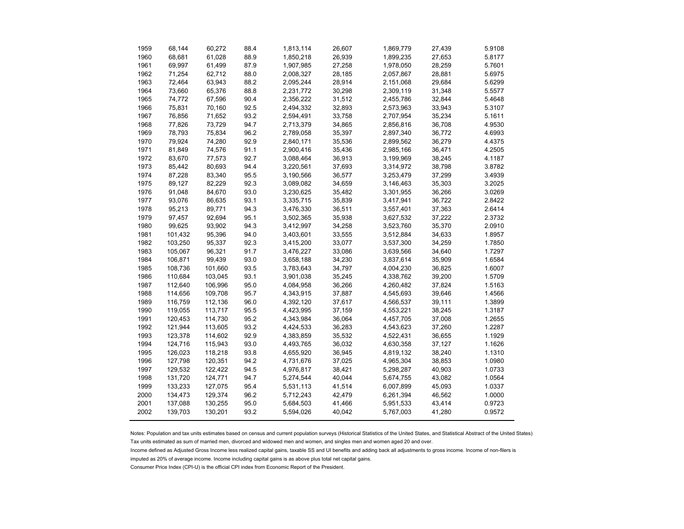| 1959 | 68,144  | 60,272  | 88.4 | 1,813,114 | 26,607 | 1,869,779 | 27,439 | 5.9108 |
|------|---------|---------|------|-----------|--------|-----------|--------|--------|
| 1960 | 68,681  | 61,028  | 88.9 | 1,850,218 | 26,939 | 1,899,235 | 27,653 | 5.8177 |
| 1961 | 69,997  | 61,499  | 87.9 | 1,907,985 | 27,258 | 1,978,050 | 28,259 | 5.7601 |
| 1962 | 71,254  | 62,712  | 88.0 | 2,008,327 | 28,185 | 2,057,867 | 28,881 | 5.6975 |
| 1963 | 72,464  | 63,943  | 88.2 | 2,095,244 | 28,914 | 2,151,068 | 29,684 | 5.6299 |
| 1964 | 73,660  | 65,376  | 88.8 | 2,231,772 | 30,298 | 2,309,119 | 31,348 | 5.5577 |
| 1965 | 74,772  | 67,596  | 90.4 | 2,356,222 | 31,512 | 2,455,786 | 32,844 | 5.4648 |
| 1966 | 75,831  | 70,160  | 92.5 | 2,494,332 | 32,893 | 2,573,963 | 33,943 | 5.3107 |
| 1967 | 76,856  | 71,652  | 93.2 | 2,594,491 | 33,758 | 2,707,954 | 35,234 | 5.1611 |
| 1968 | 77,826  | 73,729  | 94.7 | 2,713,379 | 34,865 | 2,856,816 | 36,708 | 4.9530 |
| 1969 | 78,793  | 75,834  | 96.2 | 2,789,058 | 35,397 | 2,897,340 | 36,772 | 4.6993 |
| 1970 | 79,924  | 74,280  | 92.9 | 2,840,171 | 35,536 | 2,899,562 | 36,279 | 4.4375 |
| 1971 | 81,849  | 74,576  | 91.1 | 2,900,416 | 35,436 | 2,985,166 | 36,471 | 4.2505 |
| 1972 | 83,670  | 77,573  | 92.7 | 3,088,464 | 36,913 | 3,199,969 | 38,245 | 4.1187 |
| 1973 | 85,442  | 80,693  | 94.4 | 3,220,561 | 37,693 | 3,314,972 | 38,798 | 3.8782 |
| 1974 | 87,228  | 83,340  | 95.5 | 3,190,566 | 36,577 | 3,253,479 | 37,299 | 3.4939 |
| 1975 | 89,127  | 82,229  | 92.3 | 3,089,082 | 34,659 | 3,146,463 | 35,303 | 3.2025 |
| 1976 | 91,048  | 84,670  | 93.0 | 3,230,625 | 35,482 | 3,301,955 | 36,266 | 3.0269 |
| 1977 | 93,076  | 86,635  | 93.1 | 3,335,715 | 35,839 | 3,417,941 | 36,722 | 2.8422 |
| 1978 | 95,213  | 89,771  | 94.3 | 3,476,330 | 36,511 | 3,557,401 | 37,363 | 2.6414 |
| 1979 | 97,457  | 92,694  | 95.1 | 3,502,365 | 35,938 | 3,627,532 | 37,222 | 2.3732 |
| 1980 | 99,625  | 93,902  | 94.3 | 3,412,997 | 34,258 | 3,523,760 | 35,370 | 2.0910 |
| 1981 | 101,432 | 95,396  | 94.0 | 3,403,601 | 33,555 | 3,512,884 | 34,633 | 1.8957 |
| 1982 | 103,250 | 95,337  | 92.3 | 3,415,200 | 33,077 | 3,537,300 | 34,259 | 1.7850 |
| 1983 | 105,067 | 96,321  | 91.7 | 3,476,227 | 33,086 | 3,639,566 | 34,640 | 1.7297 |
| 1984 | 106,871 | 99,439  | 93.0 | 3,658,188 | 34,230 | 3,837,614 | 35,909 | 1.6584 |
| 1985 | 108,736 | 101,660 | 93.5 | 3,783,643 | 34,797 | 4,004,230 | 36,825 | 1.6007 |
| 1986 | 110,684 | 103,045 | 93.1 | 3,901,038 | 35,245 | 4,338,762 | 39,200 | 1.5709 |
| 1987 | 112,640 | 106,996 | 95.0 | 4,084,958 | 36,266 | 4,260,482 | 37,824 | 1.5163 |
| 1988 | 114,656 | 109,708 | 95.7 | 4,343,915 | 37,887 | 4,545,693 | 39,646 | 1.4566 |
| 1989 | 116,759 | 112,136 | 96.0 | 4,392,120 | 37,617 | 4,566,537 | 39,111 | 1.3899 |
| 1990 | 119,055 | 113,717 | 95.5 | 4,423,995 | 37,159 | 4,553,221 | 38,245 | 1.3187 |
| 1991 | 120,453 | 114,730 | 95.2 | 4,343,984 | 36,064 | 4,457,705 | 37,008 | 1.2655 |
| 1992 | 121,944 | 113,605 | 93.2 | 4,424,533 | 36,283 | 4,543,623 | 37,260 | 1.2287 |
| 1993 | 123,378 | 114,602 | 92.9 | 4,383,859 | 35,532 | 4,522,431 | 36,655 | 1.1929 |
| 1994 | 124,716 | 115,943 | 93.0 | 4,493,765 | 36,032 | 4,630,358 | 37,127 | 1.1626 |
| 1995 | 126,023 | 118,218 | 93.8 | 4,655,920 | 36,945 | 4,819,132 | 38,240 | 1.1310 |
| 1996 | 127,798 | 120,351 | 94.2 | 4,731,676 | 37,025 | 4,965,304 | 38,853 | 1.0980 |
| 1997 | 129,532 | 122,422 | 94.5 | 4,976,817 | 38,421 | 5,298,287 | 40,903 | 1.0733 |
| 1998 | 131,720 | 124,771 | 94.7 | 5,274,544 | 40,044 | 5,674,755 | 43,082 | 1.0564 |
| 1999 | 133,233 | 127,075 | 95.4 | 5,531,113 | 41,514 | 6,007,899 | 45,093 | 1.0337 |
| 2000 | 134,473 | 129,374 | 96.2 | 5,712,243 | 42,479 | 6,261,394 | 46,562 | 1.0000 |
| 2001 | 137,088 | 130,255 | 95.0 | 5,684,503 | 41,466 | 5,951,533 | 43,414 | 0.9723 |
| 2002 | 139,703 | 130,201 | 93.2 | 5,594,026 | 40,042 | 5,767,003 | 41,280 | 0.9572 |

Notes: Population and tax units estimates based on census and current population surveys (Historical Statistics of the United States, and Statistical Abstract of the United States) Tax units estimated as sum of married men, divorced and widowed men and women, and singles men and women aged 20 and over.

Income defined as Adjusted Gross Income less realized capital gains, taxable SS and UI benefits and adding back all adjustments to gross income. Income of non-filers is

imputed as 20% of average income. Income including capital gains is as above plus total net capital gains.

Consumer Price Index (CPI-U) is the official CPI index from Economic Report of the President.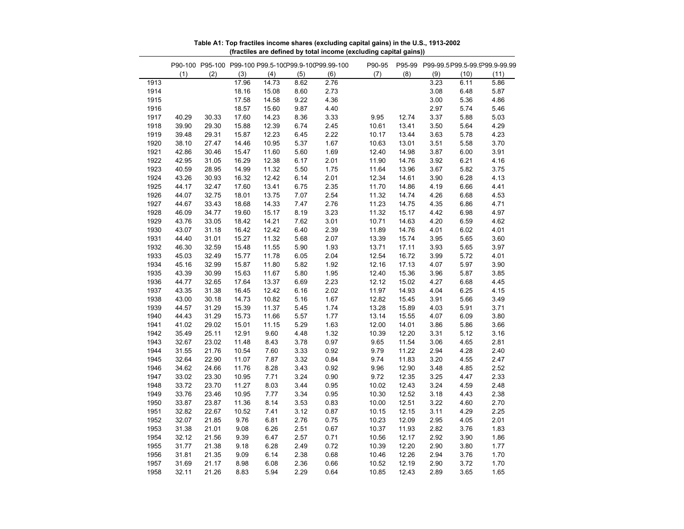|      |       |       |       |       |      | P90-100 P95-100 P99-100 P99.5-100P99.9-100P99.99-100 | P90-95 |       |      |      | P95-99 P99-99.5 P99.5-99.9 99.9-99.99 |
|------|-------|-------|-------|-------|------|------------------------------------------------------|--------|-------|------|------|---------------------------------------|
|      | (1)   | (2)   | (3)   | (4)   | (5)  | (6)                                                  | (7)    | (8)   | (9)  | (10) | (11)                                  |
| 1913 |       |       | 17.96 | 14.73 | 8.62 | 2.76                                                 |        |       | 3.23 | 6.11 | 5.86                                  |
| 1914 |       |       | 18.16 | 15.08 | 8.60 | 2.73                                                 |        |       | 3.08 | 6.48 | 5.87                                  |
| 1915 |       |       | 17.58 | 14.58 | 9.22 | 4.36                                                 |        |       | 3.00 | 5.36 | 4.86                                  |
| 1916 |       |       | 18.57 | 15.60 | 9.87 | 4.40                                                 |        |       | 2.97 | 5.74 | 5.46                                  |
| 1917 | 40.29 | 30.33 | 17.60 | 14.23 | 8.36 | 3.33                                                 | 9.95   | 12.74 | 3.37 | 5.88 | 5.03                                  |
| 1918 | 39.90 | 29.30 | 15.88 | 12.39 | 6.74 | 2.45                                                 | 10.61  | 13.41 | 3.50 | 5.64 | 4.29                                  |
| 1919 | 39.48 | 29.31 | 15.87 | 12.23 | 6.45 | 2.22                                                 | 10.17  | 13.44 | 3.63 | 5.78 | 4.23                                  |
| 1920 | 38.10 | 27.47 | 14.46 | 10.95 | 5.37 | 1.67                                                 | 10.63  | 13.01 | 3.51 | 5.58 | 3.70                                  |
| 1921 | 42.86 | 30.46 | 15.47 | 11.60 | 5.60 | 1.69                                                 | 12.40  | 14.98 | 3.87 | 6.00 | 3.91                                  |
| 1922 | 42.95 | 31.05 | 16.29 | 12.38 | 6.17 | 2.01                                                 | 11.90  | 14.76 | 3.92 | 6.21 | 4.16                                  |
| 1923 | 40.59 | 28.95 | 14.99 | 11.32 | 5.50 | 1.75                                                 | 11.64  | 13.96 | 3.67 | 5.82 | 3.75                                  |
| 1924 | 43.26 | 30.93 | 16.32 | 12.42 | 6.14 | 2.01                                                 | 12.34  | 14.61 | 3.90 | 6.28 | 4.13                                  |
| 1925 | 44.17 | 32.47 | 17.60 | 13.41 | 6.75 | 2.35                                                 | 11.70  | 14.86 | 4.19 | 6.66 | 4.41                                  |
| 1926 | 44.07 | 32.75 | 18.01 | 13.75 | 7.07 | 2.54                                                 | 11.32  | 14.74 | 4.26 | 6.68 | 4.53                                  |
| 1927 | 44.67 | 33.43 | 18.68 | 14.33 | 7.47 | 2.76                                                 | 11.23  | 14.75 | 4.35 | 6.86 | 4.71                                  |
| 1928 | 46.09 | 34.77 | 19.60 | 15.17 | 8.19 | 3.23                                                 | 11.32  | 15.17 | 4.42 | 6.98 | 4.97                                  |
| 1929 | 43.76 | 33.05 | 18.42 | 14.21 | 7.62 | 3.01                                                 | 10.71  | 14.63 | 4.20 | 6.59 | 4.62                                  |
| 1930 | 43.07 | 31.18 | 16.42 | 12.42 | 6.40 | 2.39                                                 | 11.89  | 14.76 | 4.01 | 6.02 | 4.01                                  |
| 1931 | 44.40 | 31.01 | 15.27 | 11.32 | 5.68 | 2.07                                                 | 13.39  | 15.74 | 3.95 | 5.65 | 3.60                                  |
| 1932 | 46.30 | 32.59 | 15.48 | 11.55 | 5.90 | 1.93                                                 | 13.71  | 17.11 | 3.93 | 5.65 | 3.97                                  |
| 1933 | 45.03 | 32.49 | 15.77 | 11.78 | 6.05 | 2.04                                                 | 12.54  | 16.72 | 3.99 | 5.72 | 4.01                                  |
| 1934 | 45.16 | 32.99 | 15.87 | 11.80 | 5.82 | 1.92                                                 | 12.16  | 17.13 | 4.07 | 5.97 | 3.90                                  |
| 1935 | 43.39 | 30.99 | 15.63 | 11.67 | 5.80 | 1.95                                                 | 12.40  | 15.36 | 3.96 | 5.87 | 3.85                                  |
| 1936 | 44.77 | 32.65 | 17.64 | 13.37 | 6.69 | 2.23                                                 | 12.12  | 15.02 | 4.27 | 6.68 | 4.45                                  |
| 1937 | 43.35 | 31.38 | 16.45 | 12.42 | 6.16 | 2.02                                                 | 11.97  | 14.93 | 4.04 | 6.25 | 4.15                                  |
| 1938 | 43.00 | 30.18 | 14.73 | 10.82 | 5.16 | 1.67                                                 | 12.82  | 15.45 | 3.91 | 5.66 | 3.49                                  |
| 1939 | 44.57 | 31.29 | 15.39 | 11.37 | 5.45 | 1.74                                                 | 13.28  | 15.89 | 4.03 | 5.91 | 3.71                                  |
| 1940 | 44.43 | 31.29 | 15.73 | 11.66 | 5.57 | 1.77                                                 | 13.14  | 15.55 | 4.07 | 6.09 | 3.80                                  |
| 1941 | 41.02 | 29.02 | 15.01 | 11.15 | 5.29 | 1.63                                                 | 12.00  | 14.01 | 3.86 | 5.86 | 3.66                                  |
| 1942 | 35.49 | 25.11 | 12.91 | 9.60  | 4.48 | 1.32                                                 | 10.39  | 12.20 | 3.31 | 5.12 | 3.16                                  |
| 1943 | 32.67 | 23.02 | 11.48 | 8.43  | 3.78 | 0.97                                                 | 9.65   | 11.54 | 3.06 | 4.65 | 2.81                                  |
| 1944 | 31.55 | 21.76 | 10.54 | 7.60  | 3.33 | 0.92                                                 | 9.79   | 11.22 | 2.94 | 4.28 | 2.40                                  |
| 1945 | 32.64 | 22.90 | 11.07 | 7.87  | 3.32 | 0.84                                                 | 9.74   | 11.83 | 3.20 | 4.55 | 2.47                                  |
| 1946 | 34.62 | 24.66 | 11.76 | 8.28  | 3.43 | 0.92                                                 | 9.96   | 12.90 | 3.48 | 4.85 | 2.52                                  |
| 1947 | 33.02 | 23.30 | 10.95 | 7.71  | 3.24 | 0.90                                                 | 9.72   | 12.35 | 3.25 | 4.47 | 2.33                                  |
| 1948 | 33.72 | 23.70 | 11.27 | 8.03  | 3.44 | 0.95                                                 | 10.02  | 12.43 | 3.24 | 4.59 | 2.48                                  |
| 1949 | 33.76 | 23.46 | 10.95 | 7.77  | 3.34 | 0.95                                                 | 10.30  | 12.52 | 3.18 | 4.43 | 2.38                                  |
| 1950 | 33.87 | 23.87 | 11.36 | 8.14  | 3.53 | 0.83                                                 | 10.00  | 12.51 | 3.22 | 4.60 | 2.70                                  |
| 1951 | 32.82 | 22.67 | 10.52 | 7.41  | 3.12 | 0.87                                                 | 10.15  | 12.15 | 3.11 | 4.29 | 2.25                                  |
| 1952 | 32.07 | 21.85 | 9.76  | 6.81  | 2.76 | 0.75                                                 | 10.23  | 12.09 | 2.95 | 4.05 | 2.01                                  |
| 1953 | 31.38 | 21.01 | 9.08  | 6.26  | 2.51 | 0.67                                                 | 10.37  | 11.93 | 2.82 | 3.76 | 1.83                                  |
| 1954 | 32.12 | 21.56 | 9.39  | 6.47  | 2.57 | 0.71                                                 | 10.56  | 12.17 | 2.92 | 3.90 | 1.86                                  |
| 1955 | 31.77 | 21.38 | 9.18  | 6.28  | 2.49 | 0.72                                                 | 10.39  | 12.20 | 2.90 | 3.80 | 1.77                                  |
| 1956 | 31.81 | 21.35 | 9.09  | 6.14  | 2.38 | 0.68                                                 | 10.46  | 12.26 | 2.94 | 3.76 | 1.70                                  |
| 1957 | 31.69 | 21.17 | 8.98  | 6.08  | 2.36 | 0.66                                                 | 10.52  | 12.19 | 2.90 | 3.72 | 1.70                                  |
| 1958 | 32.11 | 21.26 | 8.83  | 5.94  | 2.29 | 0.64                                                 | 10.85  | 12.43 | 2.89 | 3.65 | 1.65                                  |

**Table A1: Top fractiles income shares (excluding capital gains) in the U.S., 1913-2002 (fractiles are defined by total income (excluding capital gains))**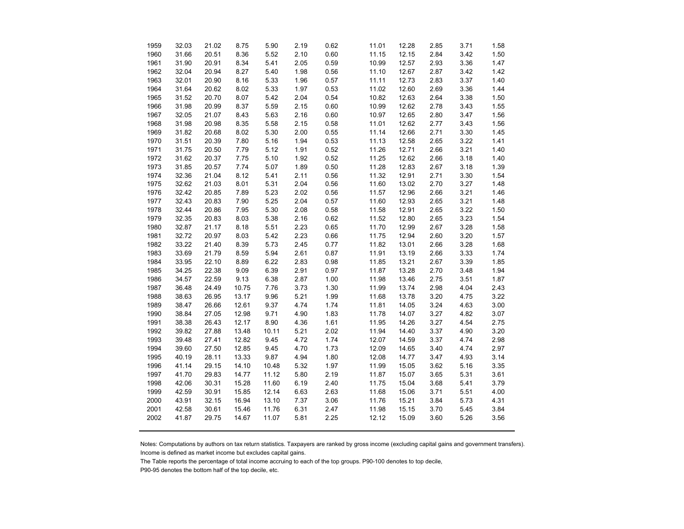| 1959 | 32.03 | 21.02 | 8.75  | 5.90  | 2.19 | 0.62 | 11.01 | 12.28 | 2.85 | 3.71 | 1.58 |
|------|-------|-------|-------|-------|------|------|-------|-------|------|------|------|
| 1960 | 31.66 | 20.51 | 8.36  | 5.52  | 2.10 | 0.60 | 11.15 | 12.15 | 2.84 | 3.42 | 1.50 |
| 1961 | 31.90 | 20.91 | 8.34  | 5.41  | 2.05 | 0.59 | 10.99 | 12.57 | 2.93 | 3.36 | 1.47 |
| 1962 | 32.04 | 20.94 | 8.27  | 5.40  | 1.98 | 0.56 | 11.10 | 12.67 | 2.87 | 3.42 | 1.42 |
| 1963 | 32.01 | 20.90 | 8.16  | 5.33  | 1.96 | 0.57 | 11.11 | 12.73 | 2.83 | 3.37 | 1.40 |
| 1964 | 31.64 | 20.62 | 8.02  | 5.33  | 1.97 | 0.53 | 11.02 | 12.60 | 2.69 | 3.36 | 1.44 |
| 1965 | 31.52 | 20.70 | 8.07  | 5.42  | 2.04 | 0.54 | 10.82 | 12.63 | 2.64 | 3.38 | 1.50 |
| 1966 | 31.98 | 20.99 | 8.37  | 5.59  | 2.15 | 0.60 | 10.99 | 12.62 | 2.78 | 3.43 | 1.55 |
| 1967 | 32.05 | 21.07 | 8.43  | 5.63  | 2.16 | 0.60 | 10.97 | 12.65 | 2.80 | 3.47 | 1.56 |
| 1968 | 31.98 | 20.98 | 8.35  | 5.58  | 2.15 | 0.58 | 11.01 | 12.62 | 2.77 | 3.43 | 1.56 |
| 1969 | 31.82 | 20.68 | 8.02  | 5.30  | 2.00 | 0.55 | 11.14 | 12.66 | 2.71 | 3.30 | 1.45 |
| 1970 | 31.51 | 20.39 | 7.80  | 5.16  | 1.94 | 0.53 | 11.13 | 12.58 | 2.65 | 3.22 | 1.41 |
| 1971 | 31.75 | 20.50 | 7.79  | 5.12  | 1.91 | 0.52 | 11.26 | 12.71 | 2.66 | 3.21 | 1.40 |
| 1972 | 31.62 | 20.37 | 7.75  | 5.10  | 1.92 | 0.52 | 11.25 | 12.62 | 2.66 | 3.18 | 1.40 |
| 1973 | 31.85 | 20.57 | 7.74  | 5.07  | 1.89 | 0.50 | 11.28 | 12.83 | 2.67 | 3.18 | 1.39 |
| 1974 | 32.36 | 21.04 | 8.12  | 5.41  | 2.11 | 0.56 | 11.32 | 12.91 | 2.71 | 3.30 | 1.54 |
| 1975 | 32.62 | 21.03 | 8.01  | 5.31  | 2.04 | 0.56 | 11.60 | 13.02 | 2.70 | 3.27 | 1.48 |
| 1976 | 32.42 | 20.85 | 7.89  | 5.23  | 2.02 | 0.56 | 11.57 | 12.96 | 2.66 | 3.21 | 1.46 |
| 1977 | 32.43 | 20.83 | 7.90  | 5.25  | 2.04 | 0.57 | 11.60 | 12.93 | 2.65 | 3.21 | 1.48 |
| 1978 | 32.44 | 20.86 | 7.95  | 5.30  | 2.08 | 0.58 | 11.58 | 12.91 | 2.65 | 3.22 | 1.50 |
| 1979 | 32.35 | 20.83 | 8.03  | 5.38  | 2.16 | 0.62 | 11.52 | 12.80 | 2.65 | 3.23 | 1.54 |
| 1980 | 32.87 | 21.17 | 8.18  | 5.51  | 2.23 | 0.65 | 11.70 | 12.99 | 2.67 | 3.28 | 1.58 |
| 1981 | 32.72 | 20.97 | 8.03  | 5.42  | 2.23 | 0.66 | 11.75 | 12.94 | 2.60 | 3.20 | 1.57 |
| 1982 | 33.22 | 21.40 | 8.39  | 5.73  | 2.45 | 0.77 | 11.82 | 13.01 | 2.66 | 3.28 | 1.68 |
| 1983 | 33.69 | 21.79 | 8.59  | 5.94  | 2.61 | 0.87 | 11.91 | 13.19 | 2.66 | 3.33 | 1.74 |
| 1984 | 33.95 | 22.10 | 8.89  | 6.22  | 2.83 | 0.98 | 11.85 | 13.21 | 2.67 | 3.39 | 1.85 |
| 1985 | 34.25 | 22.38 | 9.09  | 6.39  | 2.91 | 0.97 | 11.87 | 13.28 | 2.70 | 3.48 | 1.94 |
| 1986 | 34.57 | 22.59 | 9.13  | 6.38  | 2.87 | 1.00 | 11.98 | 13.46 | 2.75 | 3.51 | 1.87 |
| 1987 | 36.48 | 24.49 | 10.75 | 7.76  | 3.73 | 1.30 | 11.99 | 13.74 | 2.98 | 4.04 | 2.43 |
| 1988 | 38.63 | 26.95 | 13.17 | 9.96  | 5.21 | 1.99 | 11.68 | 13.78 | 3.20 | 4.75 | 3.22 |
| 1989 | 38.47 | 26.66 | 12.61 | 9.37  | 4.74 | 1.74 | 11.81 | 14.05 | 3.24 | 4.63 | 3.00 |
| 1990 | 38.84 | 27.05 | 12.98 | 9.71  | 4.90 | 1.83 | 11.78 | 14.07 | 3.27 | 4.82 | 3.07 |
| 1991 | 38.38 | 26.43 | 12.17 | 8.90  | 4.36 | 1.61 | 11.95 | 14.26 | 3.27 | 4.54 | 2.75 |
| 1992 | 39.82 | 27.88 | 13.48 | 10.11 | 5.21 | 2.02 | 11.94 | 14.40 | 3.37 | 4.90 | 3.20 |
| 1993 | 39.48 | 27.41 | 12.82 | 9.45  | 4.72 | 1.74 | 12.07 | 14.59 | 3.37 | 4.74 | 2.98 |
| 1994 | 39.60 | 27.50 | 12.85 | 9.45  | 4.70 | 1.73 | 12.09 | 14.65 | 3.40 | 4.74 | 2.97 |
| 1995 | 40.19 | 28.11 | 13.33 | 9.87  | 4.94 | 1.80 | 12.08 | 14.77 | 3.47 | 4.93 | 3.14 |
| 1996 | 41.14 | 29.15 | 14.10 | 10.48 | 5.32 | 1.97 | 11.99 | 15.05 | 3.62 | 5.16 | 3.35 |
| 1997 | 41.70 | 29.83 | 14.77 | 11.12 | 5.80 | 2.19 | 11.87 | 15.07 | 3.65 | 5.31 | 3.61 |
| 1998 | 42.06 | 30.31 | 15.28 | 11.60 | 6.19 | 2.40 | 11.75 | 15.04 | 3.68 | 5.41 | 3.79 |
| 1999 | 42.59 | 30.91 | 15.85 | 12.14 | 6.63 | 2.63 | 11.68 | 15.06 | 3.71 | 5.51 | 4.00 |
| 2000 | 43.91 | 32.15 | 16.94 | 13.10 | 7.37 | 3.06 | 11.76 | 15.21 | 3.84 | 5.73 | 4.31 |
| 2001 | 42.58 | 30.61 | 15.46 | 11.76 | 6.31 | 2.47 | 11.98 | 15.15 | 3.70 | 5.45 | 3.84 |
| 2002 | 41.87 | 29.75 | 14.67 | 11.07 | 5.81 | 2.25 | 12.12 | 15.09 | 3.60 | 5.26 | 3.56 |
|      |       |       |       |       |      |      |       |       |      |      |      |

Notes: Computations by authors on tax return statistics. Taxpayers are ranked by gross income (excluding capital gains and government transfers). Income is defined as market income but excludes capital gains.

The Table reports the percentage of total income accruing to each of the top groups. P90-100 denotes to top decile,

P90-95 denotes the bottom half of the top decile, etc.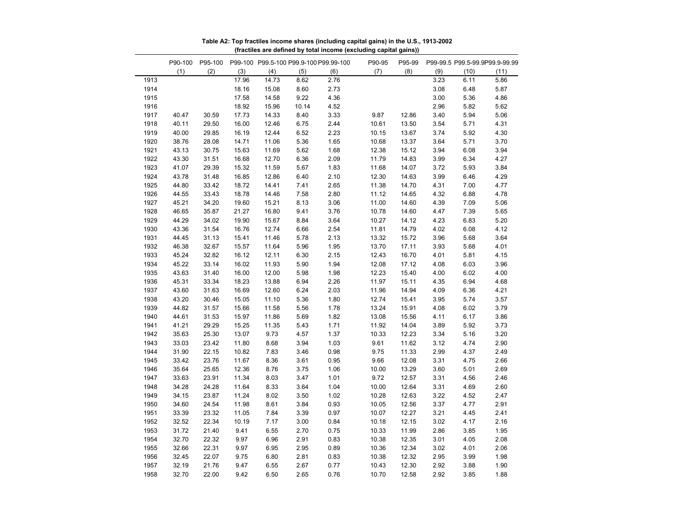|              |                |                |                |                |              | (macinoo di'o domnod by total moonio (oxoldanig capital g |                |                |              |              |                                |
|--------------|----------------|----------------|----------------|----------------|--------------|-----------------------------------------------------------|----------------|----------------|--------------|--------------|--------------------------------|
|              |                |                |                |                |              | P90-100 P95-100 P99-100 P99.5-100 P99.9-100 P99.99-100    | P90-95         | P95-99         |              |              | P99-99.5 P99.5-99.9P99.9-99.99 |
|              | (1)            | (2)            | (3)            | (4)            | (5)          | (6)                                                       | (7)            | (8)            | (9)          | (10)         | (11)                           |
| 1913         |                |                | 17.96          | 14.73          | 8.62         | 2.76                                                      |                |                | 3.23         | 6.11         | 5.86                           |
| 1914         |                |                | 18.16          | 15.08          | 8.60         | 2.73                                                      |                |                | 3.08         | 6.48         | 5.87                           |
| 1915         |                |                | 17.58          | 14.58          | 9.22         | 4.36                                                      |                |                | 3.00         | 5.36         | 4.86                           |
| 1916         |                |                | 18.92          | 15.96          | 10.14        | 4.52                                                      |                |                | 2.96         | 5.82         | 5.62                           |
| 1917         | 40.47          | 30.59          | 17.73          | 14.33          | 8.40         | 3.33                                                      | 9.87           | 12.86          | 3.40         | 5.94         | 5.06                           |
| 1918         | 40.11          | 29.50          | 16.00          | 12.46          | 6.75         | 2.44                                                      | 10.61          | 13.50          | 3.54         | 5.71         | 4.31                           |
| 1919         | 40.00          | 29.85          | 16.19          | 12.44          | 6.52         | 2.23                                                      | 10.15          | 13.67          | 3.74         | 5.92         | 4.30                           |
| 1920         | 38.76          | 28.08          | 14.71          | 11.06          | 5.36         | 1.65                                                      | 10.68          | 13.37          | 3.64         | 5.71         | 3.70                           |
| 1921         | 43.13          | 30.75          | 15.63          | 11.69          | 5.62         | 1.68                                                      | 12.38          | 15.12          | 3.94         | 6.08         | 3.94                           |
| 1922         | 43.30          | 31.51          | 16.68          | 12.70          | 6.36         | 2.09                                                      | 11.79          | 14.83          | 3.99         | 6.34         | 4.27                           |
| 1923         | 41.07          | 29.39          | 15.32          | 11.59          | 5.67         | 1.83                                                      | 11.68          | 14.07          | 3.72         | 5.93         | 3.84                           |
| 1924         | 43.78          | 31.48          | 16.85          | 12.86          | 6.40         | 2.10                                                      | 12.30          | 14.63          | 3.99         | 6.46         | 4.29                           |
| 1925         | 44.80          | 33.42          | 18.72          | 14.41          | 7.41         | 2.65                                                      | 11.38          | 14.70          | 4.31         | 7.00         | 4.77                           |
| 1926         | 44.55          | 33.43          | 18.78          | 14.46          | 7.58         | 2.80                                                      | 11.12          | 14.65          | 4.32         | 6.88         | 4.78                           |
| 1927         | 45.21          | 34.20          | 19.60          | 15.21          | 8.13         | 3.06                                                      | 11.00          | 14.60          | 4.39         | 7.09         | 5.06                           |
| 1928         | 46.65          | 35.87          | 21.27          | 16.80          | 9.41         | 3.76                                                      | 10.78          | 14.60          | 4.47         | 7.39         | 5.65                           |
| 1929         | 44.29          | 34.02          | 19.90          | 15.67          | 8.84         | 3.64                                                      | 10.27          | 14.12          | 4.23         | 6.83         | 5.20                           |
| 1930         | 43.36          | 31.54          | 16.76          | 12.74          | 6.66         | 2.54                                                      | 11.81          | 14.79          | 4.02         | 6.08         | 4.12                           |
| 1931         | 44.45          | 31.13          | 15.41          | 11.46          | 5.78         | 2.13                                                      | 13.32          | 15.72          | 3.96         | 5.68         | 3.64                           |
| 1932         | 46.38          | 32.67          | 15.57          | 11.64          | 5.96         | 1.95                                                      | 13.70          | 17.11          | 3.93         | 5.68         | 4.01                           |
| 1933         | 45.24          | 32.82          | 16.12          | 12.11          | 6.30         | 2.15                                                      | 12.43          | 16.70          | 4.01         | 5.81         | 4.15                           |
| 1934<br>1935 | 45.22<br>43.63 | 33.14<br>31.40 | 16.02<br>16.00 | 11.93<br>12.00 | 5.90         | 1.94<br>1.98                                              | 12.08<br>12.23 | 17.12<br>15.40 | 4.08         | 6.03         | 3.96                           |
|              |                |                |                |                | 5.98         |                                                           |                |                | 4.00         | 6.02         | 4.00                           |
| 1936<br>1937 | 45.31<br>43.60 | 33.34<br>31.63 | 18.23          | 13.88          | 6.94<br>6.24 | 2.26                                                      | 11.97<br>11.96 | 15.11<br>14.94 | 4.35<br>4.09 | 6.94         | 4.68<br>4.21                   |
| 1938         | 43.20          | 30.46          | 16.69<br>15.05 | 12.60<br>11.10 | 5.36         | 2.03<br>1.80                                              | 12.74          | 15.41          | 3.95         | 6.36<br>5.74 | 3.57                           |
| 1939         | 44.82          | 31.57          | 15.66          | 11.58          | 5.56         | 1.78                                                      | 13.24          | 15.91          | 4.08         | 6.02         | 3.79                           |
| 1940         | 44.61          | 31.53          | 15.97          | 11.86          | 5.69         | 1.82                                                      | 13.08          | 15.56          | 4.11         | 6.17         | 3.86                           |
| 1941         | 41.21          | 29.29          | 15.25          | 11.35          | 5.43         | 1.71                                                      | 11.92          | 14.04          | 3.89         | 5.92         | 3.73                           |
| 1942         | 35.63          | 25.30          | 13.07          | 9.73           | 4.57         | 1.37                                                      | 10.33          | 12.23          | 3.34         | 5.16         | 3.20                           |
| 1943         | 33.03          | 23.42          | 11.80          | 8.68           | 3.94         | 1.03                                                      | 9.61           | 11.62          | 3.12         | 4.74         | 2.90                           |
| 1944         | 31.90          | 22.15          | 10.82          | 7.83           | 3.46         | 0.98                                                      | 9.75           | 11.33          | 2.99         | 4.37         | 2.49                           |
| 1945         | 33.42          | 23.76          | 11.67          | 8.36           | 3.61         | 0.95                                                      | 9.66           | 12.08          | 3.31         | 4.75         | 2.66                           |
| 1946         | 35.64          | 25.65          | 12.36          | 8.76           | 3.75         | 1.06                                                      | 10.00          | 13.29          | 3.60         | 5.01         | 2.69                           |
| 1947         | 33.63          | 23.91          | 11.34          | 8.03           | 3.47         | 1.01                                                      | 9.72           | 12.57          | 3.31         | 4.56         | 2.46                           |
| 1948         | 34.28          | 24.28          | 11.64          | 8.33           | 3.64         | 1.04                                                      | 10.00          | 12.64          | 3.31         | 4.69         | 2.60                           |
| 1949         | 34.15          | 23.87          | 11.24          | 8.02           | 3.50         | 1.02                                                      | 10.28          | 12.63          | 3.22         | 4.52         | 2.47                           |
| 1950         | 34.60          | 24.54          | 11.98          | 8.61           | 3.84         | 0.93                                                      | 10.05          | 12.56          | 3.37         | 4.77         | 2.91                           |
| 1951         | 33.39          | 23.32          | 11.05          | 7.84           | 3.39         | 0.97                                                      | 10.07          | 12.27          | 3.21         | 4.45         | 2.41                           |
| 1952         | 32.52          | 22.34          | 10.19          | 7.17           | 3.00         | 0.84                                                      | 10.18          | 12.15          | 3.02         | 4.17         | 2.16                           |
| 1953         | 31.72          | 21.40          | 9.41           | 6.55           | 2.70         | 0.75                                                      | 10.33          | 11.99          | 2.86         | 3.85         | 1.95                           |
| 1954         | 32.70          | 22.32          | 9.97           | 6.96           | 2.91         | 0.83                                                      | 10.38          | 12.35          | 3.01         | 4.05         | 2.08                           |
| 1955         | 32.66          | 22.31          | 9.97           | 6.95           | 2.95         | 0.89                                                      | 10.36          | 12.34          | 3.02         | 4.01         | 2.06                           |
| 1956         | 32.45          | 22.07          | 9.75           | 6.80           | 2.81         | 0.83                                                      | 10.38          | 12.32          | 2.95         | 3.99         | 1.98                           |
| 1957         | 32.19          | 21.76          | 9.47           | 6.55           | 2.67         | 0.77                                                      | 10.43          | 12.30          | 2.92         | 3.88         | 1.90                           |
| 1958         | 32.70          | 22.00          | 9.42           | 6.50           | 2.65         | 0.76                                                      | 10.70          | 12.58          | 2.92         | 3.85         | 1.88                           |
|              |                |                |                |                |              |                                                           |                |                |              |              |                                |

**Table A2: Top fractiles income shares (including capital gains) in the U.S., 1913-2002 (fractiles are defined by total income (excluding capital gains))**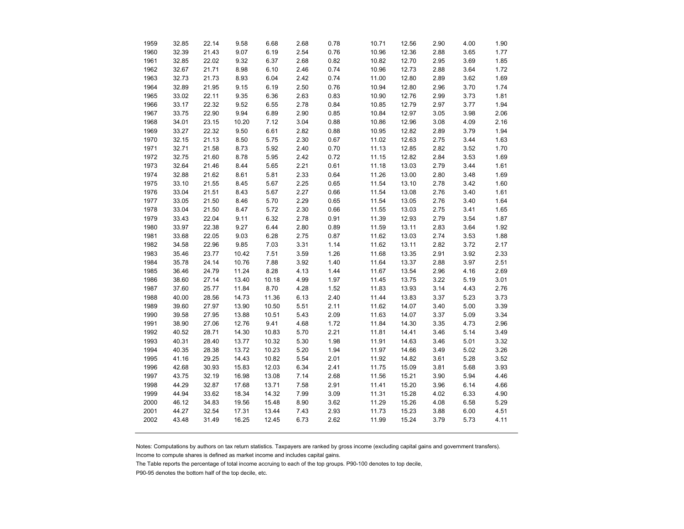| 1959 | 32.85 | 22.14 | 9.58  | 6.68  | 2.68 | 0.78 | 10.71 | 12.56 | 2.90 | 4.00 | 1.90 |
|------|-------|-------|-------|-------|------|------|-------|-------|------|------|------|
| 1960 | 32.39 | 21.43 | 9.07  | 6.19  | 2.54 | 0.76 | 10.96 | 12.36 | 2.88 | 3.65 | 1.77 |
| 1961 | 32.85 | 22.02 | 9.32  | 6.37  | 2.68 | 0.82 | 10.82 | 12.70 | 2.95 | 3.69 | 1.85 |
| 1962 | 32.67 | 21.71 | 8.98  | 6.10  | 2.46 | 0.74 | 10.96 | 12.73 | 2.88 | 3.64 | 1.72 |
| 1963 | 32.73 | 21.73 | 8.93  | 6.04  | 2.42 | 0.74 | 11.00 | 12.80 | 2.89 | 3.62 | 1.69 |
| 1964 | 32.89 | 21.95 | 9.15  | 6.19  | 2.50 | 0.76 | 10.94 | 12.80 | 2.96 | 3.70 | 1.74 |
| 1965 | 33.02 | 22.11 | 9.35  | 6.36  | 2.63 | 0.83 | 10.90 | 12.76 | 2.99 | 3.73 | 1.81 |
| 1966 | 33.17 | 22.32 | 9.52  | 6.55  | 2.78 | 0.84 | 10.85 | 12.79 | 2.97 | 3.77 | 1.94 |
| 1967 | 33.75 | 22.90 | 9.94  | 6.89  | 2.90 | 0.85 | 10.84 | 12.97 | 3.05 | 3.98 | 2.06 |
| 1968 | 34.01 | 23.15 | 10.20 | 7.12  | 3.04 | 0.88 | 10.86 | 12.96 | 3.08 | 4.09 | 2.16 |
| 1969 | 33.27 | 22.32 | 9.50  | 6.61  | 2.82 | 0.88 | 10.95 | 12.82 | 2.89 | 3.79 | 1.94 |
| 1970 | 32.15 | 21.13 | 8.50  | 5.75  | 2.30 | 0.67 | 11.02 | 12.63 | 2.75 | 3.44 | 1.63 |
| 1971 | 32.71 | 21.58 | 8.73  | 5.92  | 2.40 | 0.70 | 11.13 | 12.85 | 2.82 | 3.52 | 1.70 |
| 1972 | 32.75 | 21.60 | 8.78  | 5.95  | 2.42 | 0.72 | 11.15 | 12.82 | 2.84 | 3.53 | 1.69 |
| 1973 | 32.64 | 21.46 | 8.44  | 5.65  | 2.21 | 0.61 | 11.18 | 13.03 | 2.79 | 3.44 | 1.61 |
| 1974 | 32.88 | 21.62 | 8.61  | 5.81  | 2.33 | 0.64 | 11.26 | 13.00 | 2.80 | 3.48 | 1.69 |
| 1975 | 33.10 | 21.55 | 8.45  | 5.67  | 2.25 | 0.65 | 11.54 | 13.10 | 2.78 | 3.42 | 1.60 |
| 1976 | 33.04 | 21.51 | 8.43  | 5.67  | 2.27 | 0.66 | 11.54 | 13.08 | 2.76 | 3.40 | 1.61 |
| 1977 | 33.05 | 21.50 | 8.46  | 5.70  | 2.29 | 0.65 | 11.54 | 13.05 | 2.76 | 3.40 | 1.64 |
| 1978 | 33.04 | 21.50 | 8.47  | 5.72  | 2.30 | 0.66 | 11.55 | 13.03 | 2.75 | 3.41 | 1.65 |
| 1979 | 33.43 | 22.04 | 9.11  | 6.32  | 2.78 | 0.91 | 11.39 | 12.93 | 2.79 | 3.54 | 1.87 |
| 1980 | 33.97 | 22.38 | 9.27  | 6.44  | 2.80 | 0.89 | 11.59 | 13.11 | 2.83 | 3.64 | 1.92 |
| 1981 | 33.68 | 22.05 | 9.03  | 6.28  | 2.75 | 0.87 | 11.62 | 13.03 | 2.74 | 3.53 | 1.88 |
| 1982 | 34.58 | 22.96 | 9.85  | 7.03  | 3.31 | 1.14 | 11.62 | 13.11 | 2.82 | 3.72 | 2.17 |
| 1983 | 35.46 | 23.77 | 10.42 | 7.51  | 3.59 | 1.26 | 11.68 | 13.35 | 2.91 | 3.92 | 2.33 |
| 1984 | 35.78 | 24.14 | 10.76 | 7.88  | 3.92 | 1.40 | 11.64 | 13.37 | 2.88 | 3.97 | 2.51 |
| 1985 | 36.46 | 24.79 | 11.24 | 8.28  | 4.13 | 1.44 | 11.67 | 13.54 | 2.96 | 4.16 | 2.69 |
| 1986 | 38.60 | 27.14 | 13.40 | 10.18 | 4.99 | 1.97 | 11.45 | 13.75 | 3.22 | 5.19 | 3.01 |
| 1987 | 37.60 | 25.77 | 11.84 | 8.70  | 4.28 | 1.52 | 11.83 | 13.93 | 3.14 | 4.43 | 2.76 |
| 1988 | 40.00 | 28.56 | 14.73 | 11.36 | 6.13 | 2.40 | 11.44 | 13.83 | 3.37 | 5.23 | 3.73 |
| 1989 | 39.60 | 27.97 | 13.90 | 10.50 | 5.51 | 2.11 | 11.62 | 14.07 | 3.40 | 5.00 | 3.39 |
| 1990 | 39.58 | 27.95 | 13.88 | 10.51 | 5.43 | 2.09 | 11.63 | 14.07 | 3.37 | 5.09 | 3.34 |
| 1991 | 38.90 | 27.06 | 12.76 | 9.41  | 4.68 | 1.72 | 11.84 | 14.30 | 3.35 | 4.73 | 2.96 |
| 1992 | 40.52 | 28.71 | 14.30 | 10.83 | 5.70 | 2.21 | 11.81 | 14.41 | 3.46 | 5.14 | 3.49 |
| 1993 | 40.31 | 28.40 | 13.77 | 10.32 | 5.30 | 1.98 | 11.91 | 14.63 | 3.46 | 5.01 | 3.32 |
| 1994 | 40.35 | 28.38 | 13.72 | 10.23 | 5.20 | 1.94 | 11.97 | 14.66 | 3.49 | 5.02 | 3.26 |
| 1995 | 41.16 | 29.25 | 14.43 | 10.82 | 5.54 | 2.01 | 11.92 | 14.82 | 3.61 | 5.28 | 3.52 |
| 1996 | 42.68 | 30.93 | 15.83 | 12.03 | 6.34 | 2.41 | 11.75 | 15.09 | 3.81 | 5.68 | 3.93 |
| 1997 | 43.75 | 32.19 | 16.98 | 13.08 | 7.14 | 2.68 | 11.56 | 15.21 | 3.90 | 5.94 | 4.46 |
| 1998 | 44.29 | 32.87 | 17.68 | 13.71 | 7.58 | 2.91 | 11.41 | 15.20 | 3.96 | 6.14 | 4.66 |
| 1999 | 44.94 | 33.62 | 18.34 | 14.32 | 7.99 | 3.09 | 11.31 | 15.28 | 4.02 | 6.33 | 4.90 |
| 2000 | 46.12 | 34.83 | 19.56 | 15.48 | 8.90 | 3.62 | 11.29 | 15.26 | 4.08 | 6.58 | 5.29 |
| 2001 | 44.27 | 32.54 | 17.31 | 13.44 | 7.43 | 2.93 | 11.73 | 15.23 | 3.88 | 6.00 | 4.51 |
| 2002 | 43.48 | 31.49 | 16.25 | 12.45 | 6.73 | 2.62 | 11.99 | 15.24 | 3.79 | 5.73 | 4.11 |
|      |       |       |       |       |      |      |       |       |      |      |      |

Notes: Computations by authors on tax return statistics. Taxpayers are ranked by gross income (excluding capital gains and government transfers).

Income to compute shares is defined as market income and includes capital gains.

The Table reports the percentage of total income accruing to each of the top groups. P90-100 denotes to top decile,

P90-95 denotes the bottom half of the top decile, etc.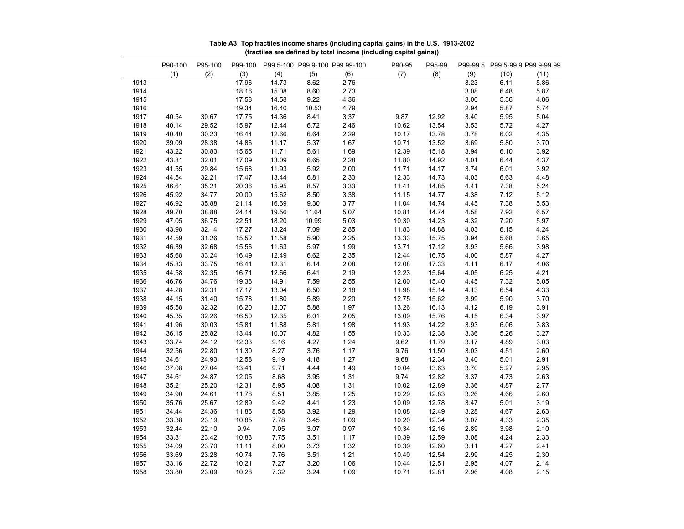|      | P90-100 | P95-100 | P99-100 |       |       | P99.5-100 P99.9-100 P99.99-100 | P90-95 | P95-99 |      |      | P99-99.5 P99.5-99.9 P99.9-99.99 |
|------|---------|---------|---------|-------|-------|--------------------------------|--------|--------|------|------|---------------------------------|
|      | (1)     | (2)     | (3)     | (4)   | (5)   | (6)                            | (7)    | (8)    | (9)  | (10) | (11)                            |
| 1913 |         |         | 17.96   | 14.73 | 8.62  | 2.76                           |        |        | 3.23 | 6.11 | 5.86                            |
| 1914 |         |         | 18.16   | 15.08 | 8.60  | 2.73                           |        |        | 3.08 | 6.48 | 5.87                            |
| 1915 |         |         | 17.58   | 14.58 | 9.22  | 4.36                           |        |        | 3.00 | 5.36 | 4.86                            |
| 1916 |         |         | 19.34   | 16.40 | 10.53 | 4.79                           |        |        | 2.94 | 5.87 | 5.74                            |
| 1917 | 40.54   | 30.67   | 17.75   | 14.36 | 8.41  | 3.37                           | 9.87   | 12.92  | 3.40 | 5.95 | 5.04                            |
| 1918 | 40.14   | 29.52   | 15.97   | 12.44 | 6.72  | 2.46                           | 10.62  | 13.54  | 3.53 | 5.72 | 4.27                            |
| 1919 | 40.40   | 30.23   | 16.44   | 12.66 | 6.64  | 2.29                           | 10.17  | 13.78  | 3.78 | 6.02 | 4.35                            |
| 1920 | 39.09   | 28.38   | 14.86   | 11.17 | 5.37  | 1.67                           | 10.71  | 13.52  | 3.69 | 5.80 | 3.70                            |
| 1921 | 43.22   | 30.83   | 15.65   | 11.71 | 5.61  | 1.69                           | 12.39  | 15.18  | 3.94 | 6.10 | 3.92                            |
| 1922 | 43.81   | 32.01   | 17.09   | 13.09 | 6.65  | 2.28                           | 11.80  | 14.92  | 4.01 | 6.44 | 4.37                            |
| 1923 | 41.55   | 29.84   | 15.68   | 11.93 | 5.92  | 2.00                           | 11.71  | 14.17  | 3.74 | 6.01 | 3.92                            |
| 1924 | 44.54   | 32.21   | 17.47   | 13.44 | 6.81  | 2.33                           | 12.33  | 14.73  | 4.03 | 6.63 | 4.48                            |
| 1925 | 46.61   | 35.21   | 20.36   | 15.95 | 8.57  | 3.33                           | 11.41  | 14.85  | 4.41 | 7.38 | 5.24                            |
| 1926 | 45.92   | 34.77   | 20.00   | 15.62 | 8.50  | 3.38                           | 11.15  | 14.77  | 4.38 | 7.12 | 5.12                            |
| 1927 | 46.92   | 35.88   | 21.14   | 16.69 | 9.30  | 3.77                           | 11.04  | 14.74  | 4.45 | 7.38 | 5.53                            |
| 1928 | 49.70   | 38.88   | 24.14   | 19.56 | 11.64 | 5.07                           | 10.81  | 14.74  | 4.58 | 7.92 | 6.57                            |
| 1929 | 47.05   | 36.75   | 22.51   | 18.20 | 10.99 | 5.03                           | 10.30  | 14.23  | 4.32 | 7.20 | 5.97                            |
| 1930 | 43.98   | 32.14   | 17.27   | 13.24 | 7.09  | 2.85                           | 11.83  | 14.88  | 4.03 | 6.15 | 4.24                            |
| 1931 | 44.59   | 31.26   | 15.52   | 11.58 | 5.90  | 2.25                           | 13.33  | 15.75  | 3.94 | 5.68 | 3.65                            |
| 1932 | 46.39   | 32.68   | 15.56   | 11.63 | 5.97  | 1.99                           | 13.71  | 17.12  | 3.93 | 5.66 | 3.98                            |
| 1933 | 45.68   | 33.24   | 16.49   | 12.49 | 6.62  | 2.35                           | 12.44  | 16.75  | 4.00 | 5.87 | 4.27                            |
| 1934 | 45.83   | 33.75   | 16.41   | 12.31 | 6.14  | 2.08                           | 12.08  | 17.33  | 4.11 | 6.17 | 4.06                            |
| 1935 | 44.58   | 32.35   | 16.71   | 12.66 | 6.41  | 2.19                           | 12.23  | 15.64  | 4.05 | 6.25 | 4.21                            |
| 1936 | 46.76   | 34.76   | 19.36   | 14.91 | 7.59  | 2.55                           | 12.00  | 15.40  | 4.45 | 7.32 | 5.05                            |
| 1937 | 44.28   | 32.31   | 17.17   | 13.04 | 6.50  | 2.18                           | 11.98  | 15.14  | 4.13 | 6.54 | 4.33                            |
| 1938 | 44.15   | 31.40   | 15.78   | 11.80 | 5.89  | 2.20                           | 12.75  | 15.62  | 3.99 | 5.90 | 3.70                            |
| 1939 | 45.58   | 32.32   | 16.20   | 12.07 | 5.88  | 1.97                           | 13.26  | 16.13  | 4.12 | 6.19 | 3.91                            |
| 1940 | 45.35   | 32.26   | 16.50   | 12.35 | 6.01  | 2.05                           | 13.09  | 15.76  | 4.15 | 6.34 | 3.97                            |
| 1941 | 41.96   | 30.03   | 15.81   | 11.88 | 5.81  | 1.98                           | 11.93  | 14.22  | 3.93 | 6.06 | 3.83                            |
| 1942 | 36.15   | 25.82   | 13.44   | 10.07 | 4.82  | 1.55                           | 10.33  | 12.38  | 3.36 | 5.26 | 3.27                            |
| 1943 | 33.74   | 24.12   | 12.33   | 9.16  | 4.27  | 1.24                           | 9.62   | 11.79  | 3.17 | 4.89 | 3.03                            |
| 1944 | 32.56   | 22.80   | 11.30   | 8.27  | 3.76  | 1.17                           | 9.76   | 11.50  | 3.03 | 4.51 | 2.60                            |
| 1945 | 34.61   | 24.93   | 12.58   | 9.19  | 4.18  | 1.27                           | 9.68   | 12.34  | 3.40 | 5.01 | 2.91                            |
| 1946 | 37.08   | 27.04   | 13.41   | 9.71  | 4.44  | 1.49                           | 10.04  | 13.63  | 3.70 | 5.27 | 2.95                            |
| 1947 | 34.61   | 24.87   | 12.05   | 8.68  | 3.95  | 1.31                           | 9.74   | 12.82  | 3.37 | 4.73 | 2.63                            |
| 1948 | 35.21   | 25.20   | 12.31   | 8.95  | 4.08  | 1.31                           |        | 12.89  | 3.36 | 4.87 | 2.77                            |
|      |         |         |         |       |       |                                | 10.02  |        |      |      | 2.60                            |
| 1949 | 34.90   | 24.61   | 11.78   | 8.51  | 3.85  | 1.25                           | 10.29  | 12.83  | 3.26 | 4.66 |                                 |
| 1950 | 35.76   | 25.67   | 12.89   | 9.42  | 4.41  | 1.23                           | 10.09  | 12.78  | 3.47 | 5.01 | 3.19                            |
| 1951 | 34.44   | 24.36   | 11.86   | 8.58  | 3.92  | 1.29                           | 10.08  | 12.49  | 3.28 | 4.67 | 2.63                            |
| 1952 | 33.38   | 23.19   | 10.85   | 7.78  | 3.45  | 1.09                           | 10.20  | 12.34  | 3.07 | 4.33 | 2.35                            |
| 1953 | 32.44   | 22.10   | 9.94    | 7.05  | 3.07  | 0.97                           | 10.34  | 12.16  | 2.89 | 3.98 | 2.10                            |
| 1954 | 33.81   | 23.42   | 10.83   | 7.75  | 3.51  | 1.17                           | 10.39  | 12.59  | 3.08 | 4.24 | 2.33                            |
| 1955 | 34.09   | 23.70   | 11.11   | 8.00  | 3.73  | 1.32                           | 10.39  | 12.60  | 3.11 | 4.27 | 2.41                            |
| 1956 | 33.69   | 23.28   | 10.74   | 7.76  | 3.51  | 1.21                           | 10.40  | 12.54  | 2.99 | 4.25 | 2.30                            |
| 1957 | 33.16   | 22.72   | 10.21   | 7.27  | 3.20  | 1.06                           | 10.44  | 12.51  | 2.95 | 4.07 | 2.14                            |
| 1958 | 33.80   | 23.09   | 10.28   | 7.32  | 3.24  | 1.09                           | 10.71  | 12.81  | 2.96 | 4.08 | 2.15                            |

**Table A3: Top fractiles income shares (including capital gains) in the U.S., 1913-2002 (fractiles are defined by total income (including capital gains))**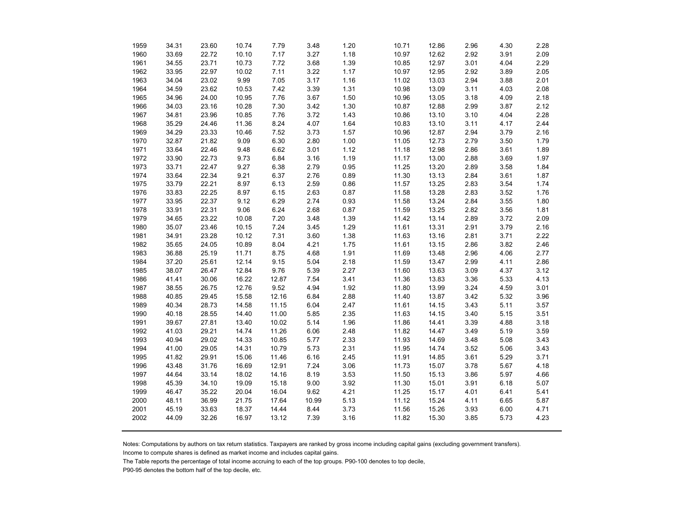| 1959 | 34.31 | 23.60 | 10.74 | 7.79  | 3.48  | 1.20 | 10.71 | 12.86 | 2.96 | 4.30 | 2.28 |
|------|-------|-------|-------|-------|-------|------|-------|-------|------|------|------|
| 1960 | 33.69 | 22.72 | 10.10 | 7.17  | 3.27  | 1.18 | 10.97 | 12.62 | 2.92 | 3.91 | 2.09 |
| 1961 | 34.55 | 23.71 | 10.73 | 7.72  | 3.68  | 1.39 | 10.85 | 12.97 | 3.01 | 4.04 | 2.29 |
| 1962 | 33.95 | 22.97 | 10.02 | 7.11  | 3.22  | 1.17 | 10.97 | 12.95 | 2.92 | 3.89 | 2.05 |
| 1963 | 34.04 | 23.02 | 9.99  | 7.05  | 3.17  | 1.16 | 11.02 | 13.03 | 2.94 | 3.88 | 2.01 |
| 1964 | 34.59 | 23.62 | 10.53 | 7.42  | 3.39  | 1.31 | 10.98 | 13.09 | 3.11 | 4.03 | 2.08 |
| 1965 | 34.96 | 24.00 | 10.95 | 7.76  | 3.67  | 1.50 | 10.96 | 13.05 | 3.18 | 4.09 | 2.18 |
| 1966 | 34.03 | 23.16 | 10.28 | 7.30  | 3.42  | 1.30 | 10.87 | 12.88 | 2.99 | 3.87 | 2.12 |
| 1967 | 34.81 | 23.96 | 10.85 | 7.76  | 3.72  | 1.43 | 10.86 | 13.10 | 3.10 | 4.04 | 2.28 |
| 1968 | 35.29 | 24.46 | 11.36 | 8.24  | 4.07  | 1.64 | 10.83 | 13.10 | 3.11 | 4.17 | 2.44 |
| 1969 | 34.29 | 23.33 | 10.46 | 7.52  | 3.73  | 1.57 | 10.96 | 12.87 | 2.94 | 3.79 | 2.16 |
| 1970 | 32.87 | 21.82 | 9.09  | 6.30  | 2.80  | 1.00 | 11.05 | 12.73 | 2.79 | 3.50 | 1.79 |
| 1971 | 33.64 | 22.46 | 9.48  | 6.62  | 3.01  | 1.12 | 11.18 | 12.98 | 2.86 | 3.61 | 1.89 |
| 1972 | 33.90 | 22.73 | 9.73  | 6.84  | 3.16  | 1.19 | 11.17 | 13.00 | 2.88 | 3.69 | 1.97 |
| 1973 | 33.71 | 22.47 | 9.27  | 6.38  | 2.79  | 0.95 | 11.25 | 13.20 | 2.89 | 3.58 | 1.84 |
| 1974 | 33.64 | 22.34 | 9.21  | 6.37  | 2.76  | 0.89 | 11.30 | 13.13 | 2.84 | 3.61 | 1.87 |
| 1975 | 33.79 | 22.21 | 8.97  | 6.13  | 2.59  | 0.86 | 11.57 | 13.25 | 2.83 | 3.54 | 1.74 |
| 1976 | 33.83 | 22.25 | 8.97  | 6.15  | 2.63  | 0.87 | 11.58 | 13.28 | 2.83 | 3.52 | 1.76 |
| 1977 | 33.95 | 22.37 | 9.12  | 6.29  | 2.74  | 0.93 | 11.58 | 13.24 | 2.84 | 3.55 | 1.80 |
| 1978 | 33.91 | 22.31 | 9.06  | 6.24  | 2.68  | 0.87 | 11.59 | 13.25 | 2.82 | 3.56 | 1.81 |
| 1979 | 34.65 | 23.22 | 10.08 | 7.20  | 3.48  | 1.39 | 11.42 | 13.14 | 2.89 | 3.72 | 2.09 |
| 1980 | 35.07 | 23.46 | 10.15 | 7.24  | 3.45  | 1.29 | 11.61 | 13.31 | 2.91 | 3.79 | 2.16 |
| 1981 | 34.91 | 23.28 | 10.12 | 7.31  | 3.60  | 1.38 | 11.63 | 13.16 | 2.81 | 3.71 | 2.22 |
| 1982 | 35.65 | 24.05 | 10.89 | 8.04  | 4.21  | 1.75 | 11.61 | 13.15 | 2.86 | 3.82 | 2.46 |
| 1983 | 36.88 | 25.19 | 11.71 | 8.75  | 4.68  | 1.91 | 11.69 | 13.48 | 2.96 | 4.06 | 2.77 |
| 1984 | 37.20 | 25.61 | 12.14 | 9.15  | 5.04  | 2.18 | 11.59 | 13.47 | 2.99 | 4.11 | 2.86 |
| 1985 | 38.07 | 26.47 | 12.84 | 9.76  | 5.39  | 2.27 | 11.60 | 13.63 | 3.09 | 4.37 | 3.12 |
| 1986 | 41.41 | 30.06 | 16.22 | 12.87 | 7.54  | 3.41 | 11.36 | 13.83 | 3.36 | 5.33 | 4.13 |
| 1987 | 38.55 | 26.75 | 12.76 | 9.52  | 4.94  | 1.92 | 11.80 | 13.99 | 3.24 | 4.59 | 3.01 |
| 1988 | 40.85 | 29.45 | 15.58 | 12.16 | 6.84  | 2.88 | 11.40 | 13.87 | 3.42 | 5.32 | 3.96 |
| 1989 | 40.34 | 28.73 | 14.58 | 11.15 | 6.04  | 2.47 | 11.61 | 14.15 | 3.43 | 5.11 | 3.57 |
| 1990 | 40.18 | 28.55 | 14.40 | 11.00 | 5.85  | 2.35 | 11.63 | 14.15 | 3.40 | 5.15 | 3.51 |
| 1991 | 39.67 | 27.81 | 13.40 | 10.02 | 5.14  | 1.96 | 11.86 | 14.41 | 3.39 | 4.88 | 3.18 |
| 1992 | 41.03 | 29.21 | 14.74 | 11.26 | 6.06  | 2.48 | 11.82 | 14.47 | 3.49 | 5.19 | 3.59 |
| 1993 | 40.94 | 29.02 | 14.33 | 10.85 | 5.77  | 2.33 | 11.93 | 14.69 | 3.48 | 5.08 | 3.43 |
| 1994 | 41.00 | 29.05 | 14.31 | 10.79 | 5.73  | 2.31 | 11.95 | 14.74 | 3.52 | 5.06 | 3.43 |
| 1995 | 41.82 | 29.91 | 15.06 | 11.46 | 6.16  | 2.45 | 11.91 | 14.85 | 3.61 | 5.29 | 3.71 |
| 1996 | 43.48 | 31.76 | 16.69 | 12.91 | 7.24  | 3.06 | 11.73 | 15.07 | 3.78 | 5.67 | 4.18 |
| 1997 | 44.64 | 33.14 | 18.02 | 14.16 | 8.19  | 3.53 | 11.50 | 15.13 | 3.86 | 5.97 | 4.66 |
| 1998 | 45.39 | 34.10 | 19.09 | 15.18 | 9.00  | 3.92 | 11.30 | 15.01 | 3.91 | 6.18 | 5.07 |
| 1999 | 46.47 | 35.22 | 20.04 | 16.04 | 9.62  | 4.21 | 11.25 | 15.17 | 4.01 | 6.41 | 5.41 |
| 2000 | 48.11 | 36.99 | 21.75 | 17.64 | 10.99 | 5.13 | 11.12 | 15.24 | 4.11 | 6.65 | 5.87 |
| 2001 | 45.19 | 33.63 | 18.37 | 14.44 | 8.44  | 3.73 | 11.56 | 15.26 | 3.93 | 6.00 | 4.71 |
| 2002 | 44.09 | 32.26 | 16.97 | 13.12 | 7.39  | 3.16 | 11.82 | 15.30 | 3.85 | 5.73 | 4.23 |
|      |       |       |       |       |       |      |       |       |      |      |      |

Notes: Computations by authors on tax return statistics. Taxpayers are ranked by gross income including capital gains (excluding government transfers).

Income to compute shares is defined as market income and includes capital gains.

The Table reports the percentage of total income accruing to each of the top groups. P90-100 denotes to top decile,

P90-95 denotes the bottom half of the top decile, etc.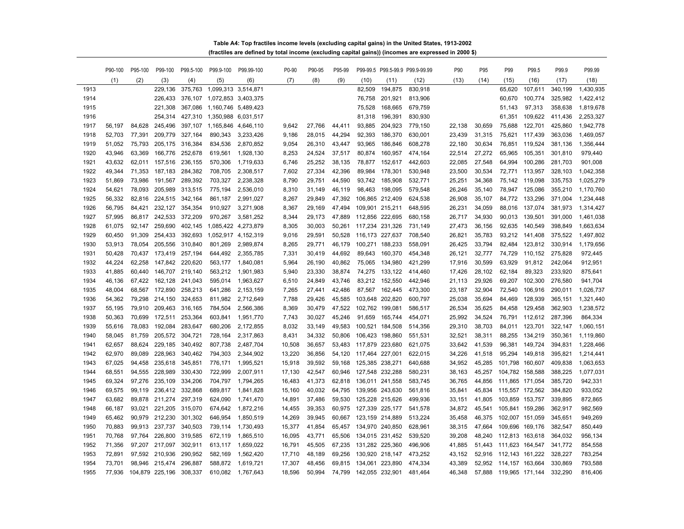| Table A4: Top fractiles income levels (excluding capital gains) in the United States, 1913-2002      |  |  |  |
|------------------------------------------------------------------------------------------------------|--|--|--|
| (fractiles are defined by total income (excluding capital gains)) (incomes are expressed in 2000 \$) |  |  |  |

|      | P90-100 | P95-100 | P99-100         | P99.5-100 | P99.9-100                   | P99.99-100          | P0-90  | P90-95 | P95-99 |                 |                 | P99-99.5 P99.5-99.9 P99.9-99.99 | P90    | P95    | P99                    | P99.5           | P99.9   | P99.99    |
|------|---------|---------|-----------------|-----------|-----------------------------|---------------------|--------|--------|--------|-----------------|-----------------|---------------------------------|--------|--------|------------------------|-----------------|---------|-----------|
|      | (1)     | (2)     | (3)             | (4)       | (5)                         | (6)                 | (7)    | (8)    | (9)    | (10)            | (11)            | (12)                            | (13)   | (14)   | (15)                   | (16)            | (17)    | (18)      |
| 1913 |         |         | 229,136         | 375,763   | 1,099,313 3,514,871         |                     |        |        |        | 82,509          | 194,875         | 830,918                         |        |        | 65,620                 | 107,611         | 340,199 | 1,430,935 |
| 1914 |         |         | 226,433         |           | 376,107 1,072,853 3,403,375 |                     |        |        |        | 76,758          | 201,921         | 813,906                         |        |        | 60,670                 | 100,774         | 325,982 | 1,422,412 |
| 1915 |         |         | 221,308         | 367,086   | 1,160,746 5,489,423         |                     |        |        |        | 75,528          | 168,665         | 679,759                         |        |        | 51,143                 | 97,313          | 358,638 | 1,819,678 |
| 1916 |         |         | 254,314         | 427,310   | 1,350,988                   | 6,031,517           |        |        |        | 81,318          | 196,391         | 830,930                         |        |        | 61,351                 | 109,622         | 411,436 | 2,253,327 |
| 1917 | 56,197  | 84,628  | 245,496         |           | 397,107 1,165,846           | 4,646,110           | 9,642  | 27,766 | 44,411 | 93,885          | 204,923         | 779,150                         | 22,138 | 30,659 | 75,688                 | 122,701         | 425,860 | 1,942,778 |
| 1918 | 52.703  | 77,391  | 209,779         | 327.164   | 890.343                     | 3,233,426           | 9.186  | 28.015 | 44,294 | 92,393          | 186,370         | 630,001                         | 23.439 | 31,315 | 75,621                 | 117,439         | 363,036 | 1,469,057 |
| 1919 | 51,052  | 75,793  | 205,175         | 316,384   | 834,536                     | 2,870,852           | 9,054  | 26,310 | 43,447 | 93,965          | 186,846         | 608,278                         | 22,180 | 30,634 | 76,851                 | 119,524         | 381,136 | 1,356,444 |
| 1920 | 43,946  | 63,369  | 166,776         | 252,678   | 619,561                     | 1,928,130           | 8,253  | 24,524 | 37,517 | 80,874          | 160,957         | 474,164                         | 22,514 | 27,272 | 65,965                 | 105,351         | 301,810 | 979,440   |
| 1921 | 43,632  | 62,011  | 157,516         | 236,155   | 570,306                     | 1,719,633           | 6,746  | 25,252 | 38,135 | 78,877          | 152,617         | 442,603                         | 22,085 | 27,548 | 64,994                 | 100,286         | 281,703 | 901,008   |
| 1922 | 49,344  | 71,353  | 187,183         | 284,382   | 708,705                     | 2,308,517           | 7,602  | 27,334 | 42,396 | 89,984          | 178,301         | 530,948                         | 23,500 | 30,534 | 72,771                 | 113,957         | 328,103 | 1,042,358 |
| 1923 | 51,869  | 73,986  | 191,567         | 289,392   | 703,327                     | 2,238,328           | 8,790  | 29,751 | 44,590 | 93,742          | 185,908         | 532,771                         | 25,251 | 34,368 | 75,142                 | 119,098         | 335,753 | 1,025,279 |
| 1924 | 54,621  | 78,093  | 205,989         | 313,515   | 775,194                     | 2,536,010           | 8,310  | 31,149 | 46,119 | 98,463          | 198,095         | 579,548                         | 26,246 | 35,140 | 78,947                 | 125,086         | 355,210 | 1,170,760 |
| 1925 | 56,332  | 82,816  | 224,515         | 342,164   | 861,187                     | 2,991,027           | 8,267  | 29.849 | 47,392 |                 | 106,865 212,409 | 624,538                         | 26,908 | 35,107 | 84,772                 | 133,296         | 371,004 | 1,234,448 |
| 1926 | 56,795  | 84,421  | 232,127         | 354,354   | 910,927                     | 3,271,908           | 8,367  | 29,169 | 47,494 |                 | 109,901 215,211 | 648,595                         | 26,231 | 34,059 | 88,016                 | 137,074         | 381,973 | 1,314,427 |
| 1927 | 57,995  | 86,817  | 242,533         | 372,209   | 970,267                     | 3,581,252           | 8,344  | 29,173 | 47,889 | 112,856 222,695 |                 | 680,158                         | 26,717 | 34,930 | 90,013                 | 139,501         | 391,000 | 1,461,038 |
| 1928 | 61.075  | 92.147  | 259.690         | 402.145   | 1,085,422 4,273,879         |                     | 8,305  | 30.003 | 50,261 | 117,234 231,326 |                 | 731,149                         | 27.473 | 36,156 | 92,635                 | 140.549         | 398,849 | 1,663,634 |
| 1929 | 60,450  | 91,309  | 254,433         | 392,693   |                             | 1,052,917 4,152,319 | 9,016  | 29,591 | 50,528 | 116,173 227,637 |                 | 708,540                         | 26,821 | 35,783 | 93,212                 | 141,408         | 375,522 | 1,497,802 |
| 1930 | 53,913  | 78,054  | 205,556         | 310,840   | 801,269                     | 2,989,874           | 8,265  | 29,771 | 46,179 | 100,271 188,233 |                 | 558,091                         | 26,425 | 33,794 | 82,484                 | 123,812         | 330,914 | 1,179,656 |
| 1931 | 50,428  | 70,437  | 173,419         | 257,194   | 644,492                     | 2,355,785           | 7,331  | 30,419 | 44,692 | 89,643          | 160,370         | 454,348                         | 26,121 | 32,777 | 74,729                 | 110,152         | 275,828 | 972,445   |
| 1932 | 44,224  | 62,258  | 147,842         | 220,620   | 563,177                     | 1,840,081           | 5,964  | 26,190 | 40,862 | 75,065          | 134,980         | 421,299                         | 17,916 | 30,599 | 63,929                 | 91,812          | 242,064 | 912,951   |
| 1933 | 41,885  | 60,440  | 146,707         | 219,140   | 563,212                     | 1,901,983           | 5,940  | 23,330 | 38,874 | 74,275          | 133,122         | 414,460                         | 17,426 | 28,102 | 62,184                 | 89,323          | 233,920 | 875,641   |
| 1934 | 46,136  | 67,422  | 162,128         | 241,043   | 595,014                     | 1,963,627           | 6,510  | 24,849 | 43,746 | 83,212          | 152,550         | 442,946                         | 21,113 | 29,926 | 69,207                 | 102,300         | 276,580 | 941,704   |
| 1935 | 48,004  | 68,567  | 172,890         | 258,213   | 641,286                     | 2,153,159           | 7,265  | 27,441 | 42,486 | 87,567          | 162,445         | 473,300                         | 23,187 | 32,904 | 72,540                 | 106,916         | 290,011 | 1,026,737 |
| 1936 | 54,362  | 79,298  | 214,150         | 324,653   | 811,982                     | 2,712,649           | 7,788  | 29,426 | 45,585 |                 | 103,648 202,820 | 600,797                         | 25,038 | 35,694 | 84,469                 | 128,939         | 365,151 | 1,321,440 |
| 1937 | 55,195  | 79,910  | 209,463         | 316,165   | 784,504                     | 2,566,386           | 8,369  | 30,479 | 47,522 | 102,762 199,081 |                 | 586,517                         | 26,534 | 35,625 | 84,458                 | 129,458         | 362,903 | 1,238,572 |
| 1938 | 50,363  | 70,699  | 172,511         | 253,364   | 603,841                     | 1,951,770           | 7,743  | 30,027 | 45,246 | 91,659          | 165,744         | 454,071                         | 25,992 | 34,524 | 76,791                 | 112,612         | 287,396 | 864,334   |
| 1939 | 55,616  | 78,083  | 192,084         | 283,647   | 680,206                     | 2,172,855           | 8,032  | 33,149 | 49,583 |                 | 100,521 184,508 | 514,356                         | 29,310 | 38,703 | 84,011                 | 123,701         | 322,147 | 1,060,151 |
| 1940 | 58,045  | 81,759  | 205,572         | 304,721   | 728,164                     | 2,317,863           | 8,431  | 34,332 | 50,806 | 106,423 198,860 |                 | 551,531                         | 32,521 | 38,311 | 88,255                 | 134,219         | 350,361 | 1,119,860 |
| 1941 | 62,657  | 88,624  | 229,185         | 340,492   | 807,738                     | 2,487,704           | 10,508 | 36,657 | 53,483 | 117,879 223,680 |                 | 621,075                         | 33,642 | 41,539 | 96,381                 | 149,724         | 394,831 | 1,228,466 |
| 1942 | 62,970  | 89,089  | 228,963         | 340,462   | 794,303                     | 2,344,902           | 13,220 | 36,856 | 54,120 | 117,464 227,001 |                 | 622,015                         | 34,226 | 41,518 | 95,294                 | 149,818         | 395,821 | 1,214,441 |
| 1943 | 67,025  | 94,458  | 235,618         | 345,851   | 776,171                     | 1,995,521           | 15,918 | 39,592 | 59,168 | 125,385 238,271 |                 | 640,688                         | 34,952 | 45,285 |                        | 101,798 160,607 | 409,838 | 1,063,653 |
| 1944 | 68,551  | 94,555  | 228,989         | 330,430   | 722,999                     | 2,007,911           | 17,130 | 42,547 | 60,946 | 127,548 232,288 |                 | 580,231                         | 38,163 | 45,257 |                        | 104,782 158,588 | 388,225 | 1,077,031 |
| 1945 | 69,324  | 97,276  | 235,109         | 334,206   | 704,797                     | 1,794,265           | 16,483 | 41,373 | 62,818 | 136,011 241,558 |                 | 583,745                         | 36,765 | 44,856 | 111,865 171,054        |                 | 385,720 | 942,331   |
| 1946 | 69,575  | 99,119  | 236,412         | 332,868   | 689,817                     | 1,841,828           | 15,160 | 40,032 | 64,795 | 139,956 243,630 |                 | 561,816                         | 35,841 | 45,834 |                        | 115,557 172,562 | 384,820 | 933,052   |
| 1947 | 63,682  | 89,878  | 211,274         | 297,319   | 624,090                     | 1,741,470           | 14,891 | 37,486 | 59,530 | 125,228 215,626 |                 | 499,936                         | 33,151 | 41,805 |                        | 103,859 153,757 | 339,895 | 872,865   |
| 1948 | 66.187  | 93.021  | 221,205         | 315,070   | 674,642                     | 1,872,216           | 14,455 | 39,353 | 60.975 | 127,339 225,177 |                 | 541,578                         | 34,872 | 45,541 |                        | 105,841 159,286 | 362,917 | 982,569   |
| 1949 | 65,462  | 90,979  | 212,230         | 301,302   | 646,954                     | 1,850,519           | 14,269 | 39,945 | 60,667 | 123,159 214,889 |                 | 513,224                         | 35,458 | 46,375 |                        | 102,007 151,059 | 345,651 | 949,269   |
| 1950 | 70,883  | 99,913  | 237,737         | 340,503   | 739,114                     | 1,730,493           | 15,377 | 41,854 | 65,457 | 134,970 240,850 |                 | 628,961                         | 38,315 | 47,664 |                        | 109,696 169,176 | 382,547 | 850,449   |
| 1951 | 70,768  | 97,764  | 226,800         | 319,585   | 672,119                     | 1,865,510           | 16,095 | 43,771 | 65,506 | 134,015 231,452 |                 | 539,520                         | 39,208 | 48,240 |                        | 112,813 163,618 | 364,032 | 956,134   |
| 1952 | 71,356  | 97,207  | 217,097         | 302,911   | 613,117                     | 1,659,022           | 16,791 | 45,505 | 67,235 | 131,282 225,360 |                 | 496,906                         | 41,885 | 51,443 | 111,623 164,547        |                 | 341,772 | 854,558   |
| 1953 | 72,891  | 97,592  | 210,936         | 290,952   | 582,169                     | 1,562,420           | 17,710 | 48,189 | 69,256 | 130,920 218,147 |                 | 473,252                         | 43,152 | 52,916 | 112,143 161,222        |                 | 328,227 | 783,254   |
| 1954 | 73,701  | 98,946  | 215,474         | 296,887   | 588,872                     | 1,619,721           | 17,307 | 48,456 | 69,815 | 134,061 223,890 |                 | 474,334                         | 43,389 | 52,952 | 114,157 163,664        |                 | 330,869 | 793,588   |
| 1955 | 77.936  |         | 104,879 225,196 | 308,337   | 610,082                     | 1.767.643           | 18.596 | 50.994 | 74.799 | 142,055 232,901 |                 | 481.464                         | 46.348 |        | 57,888 119,965 171,144 |                 | 332.290 | 816.406   |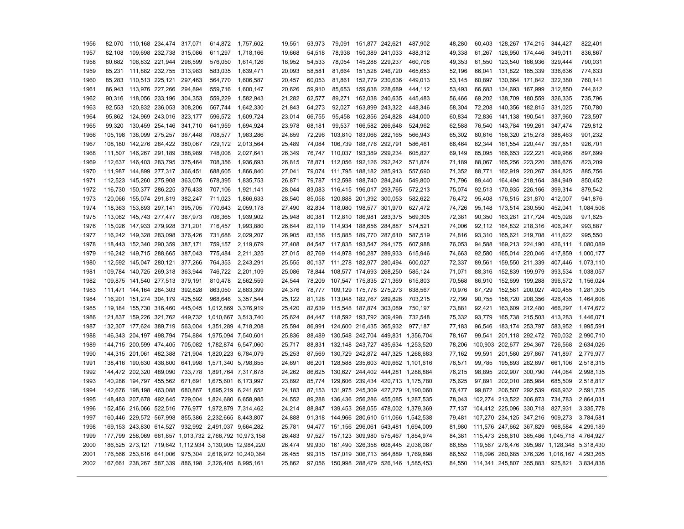| 1956 | 82,070 |                         | 110,168 234,474 317,071         | 614,872                                             | 1,757,602                                              | 19,551 | 53,973 | 79,091                         | 151,877 242,621         | 487,902                           | 48,280 | 60,403 | 128,267 174,215         |                 | 344,427                                     | 822,401   |
|------|--------|-------------------------|---------------------------------|-----------------------------------------------------|--------------------------------------------------------|--------|--------|--------------------------------|-------------------------|-----------------------------------|--------|--------|-------------------------|-----------------|---------------------------------------------|-----------|
| 1957 | 82.108 |                         | 109,698 232,738 315,086         | 611,297                                             | 1,718,166                                              | 19,668 | 54,518 | 78,938                         | 150,389 241,033         | 488,312                           | 49,338 | 61,267 |                         | 126,950 174,446 | 349,011                                     | 836,867   |
| 1958 | 80,682 |                         | 106,832 221,944 298,599         | 576,050                                             | 1,614,126                                              | 18,952 | 54,533 | 78,054                         | 145,288 229,237         | 460,708                           | 49,353 | 61,550 |                         | 123,540 166,936 | 329,444                                     | 790,031   |
| 1959 | 85.231 |                         | 111,882 232,755 313,983         | 583.035                                             | 1,639,471                                              | 20.093 | 58,581 | 81,664                         | 151,528 246,720         | 465.653                           | 52,196 | 66,041 | 131,822 185,339         |                 | 336,636                                     | 774,633   |
| 1960 | 85.283 | 110,513 225,121         | 297,463                         | 564,770                                             | 1,606,587                                              | 20,457 | 60,053 |                                | 81,861 152,779 230,636  | 449,013                           | 53,145 | 60,897 | 130,664 171,842         |                 | 322,380                                     | 760,141   |
| 1961 | 86,943 |                         | 113,976 227,266 294,894         | 559,716                                             | 1,600,147                                              | 20,626 | 59,910 |                                | 85,653 159,638 228,689  | 444,112                           | 53,493 | 66,683 | 134,693 167,999         |                 | 312,850                                     | 744,612   |
| 1962 | 90.316 | 118,056 233,196         | 304,353                         | 559.229                                             | 1,582,943                                              | 21.282 | 62,577 | 89.271                         | 162,038 240,635         | 445.483                           | 56.466 | 69,202 | 138,709 180,559         |                 | 326.335                                     | 735,796   |
| 1963 | 92.553 |                         | 120,832 236,053 308,206         | 567,744                                             | 1,642,330                                              | 21,843 | 64,273 | 92,027                         | 163,899 243,322         | 448,346                           | 58,304 | 72,208 | 140,356 182,815         |                 | 331,025                                     | 750,780   |
| 1964 | 95,862 |                         | 124,969 243,016 323,177         | 596,572                                             | 1,609,724                                              | 23,014 | 66,755 |                                | 95,458 162,856 254,828  | 484,000                           | 60,834 | 72,836 | 141,138 190,541         |                 | 337,960                                     | 723,597   |
| 1965 | 99,320 | 130,459 254,146         | 341,710                         | 641,959                                             | 1,694,924                                              | 23,978 | 68,181 |                                | 99,537 166,582 266,648  | 524,962                           | 62,588 | 76,540 | 143,784 199,261         |                 | 347,474                                     | 729,812   |
| 1966 |        | 105,198 138,099 275,257 | 367,448                         | 708,577                                             | 1,983,286                                              | 24,859 | 72,296 |                                | 103,810 183,066 282,165 | 566,943                           | 65,302 | 80,616 | 156,320 215,278         |                 | 388,463                                     | 901,232   |
| 1967 |        |                         | 108,180 142,276 284,422 380,067 | 729,172                                             | 2,013,564                                              | 25,489 | 74,084 |                                | 106,739 188,776 292,791 | 586,461                           | 66,464 | 82,344 | 161,554 220,447         |                 | 397,851                                     | 926,701   |
| 1968 |        | 111,507 146,267 291,189 | 388,989                         | 748,008                                             | 2,027,641                                              | 26,349 | 76,747 | 110,037 193,389 299,234        |                         | 605,827                           | 69,149 | 85,095 | 166,653 222,221         |                 | 409,986                                     | 897,699   |
| 1969 |        |                         | 112,637 146,403 283,795 375,464 | 708,356                                             | 1,936,693                                              | 26,815 | 78,871 | 112,056 192,126 292,242        |                         | 571,874                           | 71,189 | 88,067 | 165,256 223,220         |                 | 386,676                                     | 823,209   |
| 1970 |        | 111,987 144,899 277,317 | 366,451                         | 688,605                                             | 1,866,840                                              | 27,041 | 79,074 | 111,795 188,182 285,913        |                         | 557,690                           | 71,352 | 88,771 | 162,919 220,267         |                 | 394,825                                     | 885,756   |
| 1971 |        | 112,523 145,260 275,908 | 363,076                         | 678,395                                             | 1,835,753                                              | 26,871 |        | 79,787 112,598 188,740 284,246 |                         | 549,800                           | 71,796 | 89,440 | 164,494 218,164         |                 | 384,949                                     | 850,452   |
| 1972 |        |                         | 116,730 150,377 286,225 376,433 | 707.106                                             | 1,921,141                                              | 28,044 | 83.083 | 116,415 196,017 293,765        |                         | 572.213                           | 75.074 | 92.513 | 170,935 226,166         |                 | 399.314                                     | 879,542   |
| 1973 |        | 120,066 155,074 291,819 | 382,247                         | 711,023                                             | 1,866,633                                              | 28.540 | 85.058 |                                | 120,888 201,392 300,053 | 582,622                           | 76.472 | 95,408 | 176,515 231,870         |                 | 412,007                                     | 941,876   |
| 1974 |        | 118,363 153,893 297,141 | 395,705                         | 770,643                                             | 2,059,178                                              | 27,490 | 82,834 | 118,080 198,577 301,970        |                         | 627,472                           | 74,726 | 95,148 | 173,514 230,550         |                 | 452,041                                     | 1,084,508 |
| 1975 |        | 113,062 145,743 277,477 | 367,973                         | 706,365                                             | 1,939,902                                              | 25,948 | 80,381 | 112,810 186,981 283,375        |                         | 569,305                           | 72,381 | 90,350 | 163,281 217,724         |                 | 405,028                                     | 971,625   |
| 1976 |        | 115,026 147,933 279,928 | 371,201                         | 716,457                                             | 1,993,880                                              | 26,644 | 82,119 | 114,934 188,656 284,887        |                         | 574,521                           | 74,006 | 92,112 | 164,832 218,316         |                 | 406,247                                     | 993,887   |
| 1977 |        |                         | 116,242 149,328 283,098 376,426 | 731,688                                             | 2,029,207                                              | 26,905 |        | 83,156 115,885 189,770 287,610 |                         | 587,519                           | 74,816 | 93,310 | 165,621 219,708         |                 | 411,622                                     | 995,550   |
| 1978 |        | 118,443 152,340 290,359 | 387,171                         | 759,157                                             | 2,119,679                                              | 27,408 | 84,547 | 117,835 193,547 294,175        |                         | 607,988                           | 76,053 | 94,588 |                         | 169,213 224,190 | 426,111                                     | 1,080,089 |
| 1979 |        |                         | 116,242 149,715 288,665 387,043 | 775,484                                             | 2,211,325                                              | 27.015 | 82,769 | 114,978 190,287 289,933        |                         | 615.946                           | 74,663 | 92,580 |                         | 165,014 220,046 | 417,859                                     | 1,000,177 |
| 1980 |        | 112,592 145,047 280,121 | 377,266                         | 764,353                                             | 2,243,291                                              | 25,555 | 80,137 | 111,278 182,977 280,494        |                         | 600,027                           | 72,337 | 89,561 |                         | 159,550 211,339 | 407,446                                     | 1,073,110 |
| 1981 |        | 109,784 140,725 269,318 | 363,944                         | 746,722                                             | 2,201,109                                              | 25,086 | 78,844 |                                | 108,577 174,693 268,250 | 585,124                           | 71,071 | 88,316 | 152,839 199,979         |                 | 393,534                                     | 1,038,057 |
| 1982 |        |                         | 109,875 141,540 277,513 379,191 | 810.478                                             | 2,562,559                                              | 24,544 | 78,209 | 107,547 175,835 271,369        |                         | 615.803                           | 70.568 | 86,910 | 152,699 199,288         |                 | 396,572                                     | 1.156.024 |
| 1983 |        |                         | 111,471 144,164 284,303 392,828 | 863,050                                             | 2,883,399                                              | 24,376 | 78,777 | 109,129 175,778 275,273        |                         | 638,567                           | 70,976 | 87,729 | 152,581 200,027         |                 | 400,455                                     | 1,281,305 |
| 1984 |        | 116,201 151,274 304,179 | 425,592                         | 968,648                                             | 3,357,544                                              | 25,122 | 81,128 | 113,048 182,767 289,828        |                         | 703,215                           | 72,799 | 90,755 | 158,720 208,356         |                 | 426,435                                     | 1,464,608 |
| 1985 |        |                         |                                 | 119,184 155,730 316,460 445,045 1,012,869 3,376,919 |                                                        | 25,420 | 82,639 | 115,548 187,874 303,089        |                         | 750,197                           | 73,881 | 92,421 |                         | 163,609 212,480 | 466,297                                     | 1,474,672 |
| 1986 |        |                         |                                 | 121,837 159,226 321,762 449,732 1,010,667 3,513,740 |                                                        | 25,624 |        | 84,447 118,592 193,792 309,498 |                         | 732,548                           | 75,332 | 93,779 |                         | 165,738 215,503 | 413,283                                     | 1,446,071 |
| 1987 |        |                         |                                 | 132,307 177,624 389,719 563,004 1,351,289 4,718,208 |                                                        | 25,594 | 86,991 |                                | 124,600 216,435 365,932 | 977,187                           | 77,183 | 96,546 | 183,174 253,797         |                 | 583,952                                     | 1,995,591 |
| 1988 |        |                         |                                 | 146,343 204,197 498,794 754,884 1,975,094 7,540,601 |                                                        | 25,836 | 88,489 |                                |                         | 130,548 242,704 449,831 1,356,704 | 78,167 |        | 99,541 201,118 292,472  |                 | 760,032                                     | 2,990,710 |
| 1989 |        |                         |                                 | 144,715 200,599 474,405 705,082 1,782,874 6,547,060 |                                                        | 25,717 | 88,831 |                                |                         | 132,148 243,727 435,634 1,253,520 | 78,206 |        | 100,903 202,677 294,367 |                 | 726,568                                     | 2,634,026 |
| 1990 |        |                         |                                 | 144,315 201,061 482,388 721,904 1,820,223 6,784,079 |                                                        | 25,253 | 87,569 |                                |                         | 130,729 242,872 447,325 1,268,683 | 77,162 | 99,591 |                         | 201,580 297,867 | 741,897                                     | 2,779,977 |
| 1991 |        |                         |                                 | 138,416 190,630 438,800 641,998 1,571,340 5,798,855 |                                                        | 24,691 | 86,201 |                                |                         | 128,588 235,603 409,662 1,101,616 | 76,571 | 99,785 | 195,893 282,697         |                 | 661,106                                     | 2,518,315 |
| 1992 |        |                         |                                 | 144,472 202,320 489,090 733,778 1,891,764 7,317,678 |                                                        | 24,262 | 86.625 |                                |                         | 130,627 244,402 444,281 1,288,884 | 76,215 | 98.895 |                         | 202,907 300,790 | 744,084                                     | 2.998.135 |
| 1993 |        |                         |                                 | 140,286 194,797 455,562 671,691 1,675,601 6,173,997 |                                                        | 23,892 | 85,774 |                                |                         | 129,606 239,434 420,713 1,175,780 | 75,625 |        | 97,891 202,010 285,984  |                 | 685,509                                     | 2,518,817 |
| 1994 |        |                         |                                 | 142,676 198,198 463,088 680,867 1,695,219 6,241,652 |                                                        | 24,183 | 87,153 |                                |                         | 131,975 245,309 427,279 1,190,060 | 76,477 |        | 99,872 206,507 292,539  |                 | 696,932                                     | 2,591,735 |
| 1995 |        |                         |                                 | 148,483 207,678 492,645 729,004 1,824,680 6,658,985 |                                                        | 24,552 | 89.288 |                                |                         | 136,436 256,286 455,085 1,287,535 | 78.043 |        | 102,274 213,522 306,873 |                 | 734.783                                     | 2,864,031 |
| 1996 |        |                         |                                 | 152,456 216,066 522,516 776,977 1,972,879 7,314,462 |                                                        | 24,214 | 88,847 |                                |                         | 139,453 268,055 478,002 1,379,369 | 77,137 |        | 104,412 225,096 330,718 |                 | 827,931                                     | 3,335,778 |
| 1997 |        |                         |                                 | 160,446 229,572 567,998 855,386 2,232,665 8,443,807 |                                                        | 24,888 | 91,318 |                                |                         | 144,966 280,610 511,066 1,542,538 | 79,481 |        | 107,270 234,125 347,216 |                 | 909,273                                     | 3,784,581 |
| 1998 |        |                         |                                 | 169,153 243,830 614,527 932,992 2,491,037 9,664,282 |                                                        | 25,781 | 94,477 |                                |                         | 151,156 296,061 543,481 1,694,009 | 81,980 |        | 111,576 247,662 367,829 |                 | 968,584                                     | 4,299,189 |
| 1999 |        |                         |                                 |                                                     | 177,799 258,069 661,857 1,013,732 2,766,792 10,973,158 | 26,483 | 97,527 |                                |                         | 157,123 309,980 575,467 1,854,974 | 84,381 |        |                         |                 | 115,473 258,610 385,486 1,045,718 4,764,927 |           |
| 2000 |        |                         |                                 |                                                     | 186,525 273,121 719,642 1,112,934 3,130,905 12,984,220 | 26,474 | 99,930 |                                |                         | 161,490 326,358 608,445 2,036,067 | 86,855 |        |                         |                 | 119,567 276,476 395,987 1,128,348 5,318,430 |           |
| 2001 |        |                         |                                 |                                                     | 176,566 253,816 641,006 975,304 2,616,972 10,240,364   | 26,455 | 99,315 |                                |                         | 157,019 306,713 564,889 1,769,898 | 86,552 |        |                         |                 | 118,096 260,685 376,326 1,016,167 4,293,265 |           |
| 2002 |        |                         |                                 | 167,661 238,267 587,339 886,198 2,326,405 8,995,161 |                                                        | 25,862 | 97.056 |                                |                         | 150,998 288,479 526,146 1,585,453 |        |        |                         |                 | 84,550  114,341  245,807  355,883  925,821  | 3,834,838 |
|      |        |                         |                                 |                                                     |                                                        |        |        |                                |                         |                                   |        |        |                         |                 |                                             |           |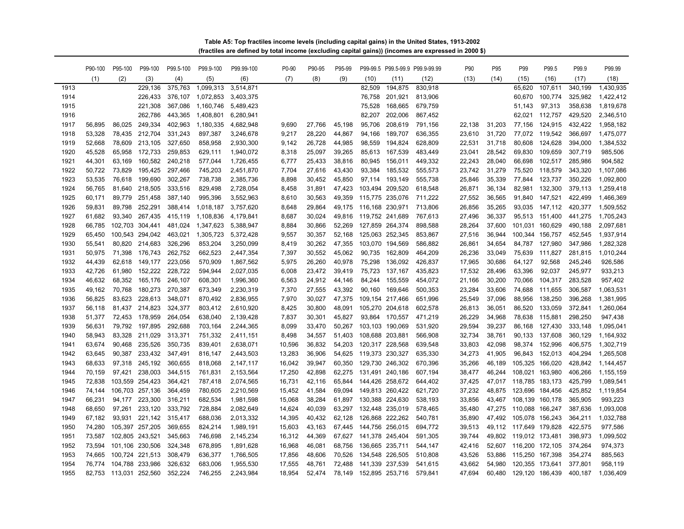**(fractiles are defined by total income (excluding capital gains)) (incomes are expressed in 2000 \$) Table A5: Top fractiles income levels (including capital gains) in the United States, 1913-2002**

|      | P90-100 | P95-100         | P99-100         | P99.5-100 | P99.9-100 | P99.99-100 | P0-90  | P90-95 | P95-99 |                 |                 | P99-99.5 P99.5-99.9 P99.9-99.99 | P90    | P95    | P99                    | P99.5           | P99.9   | P99.99    |
|------|---------|-----------------|-----------------|-----------|-----------|------------|--------|--------|--------|-----------------|-----------------|---------------------------------|--------|--------|------------------------|-----------------|---------|-----------|
|      | (1)     | (2)             | (3)             | (4)       | (5)       | (6)        | (7)    | (8)    | (9)    | (10)            | (11)            | (12)                            | (13)   | (14)   | (15)                   | (16)            | (17)    | (18)      |
| 1913 |         |                 | 229.136         | 375,763   | 1,099,313 | 3,514,871  |        |        |        | 82.509          | 194,875         | 830,918                         |        |        | 65.620                 | 107,611         | 340.199 | 1.430.935 |
| 1914 |         |                 | 226,433         | 376,107   | 1,072,853 | 3,403,375  |        |        |        | 76,758          | 201,921         | 813,906                         |        |        | 60,670                 | 100,774         | 325,982 | 1,422,412 |
| 1915 |         |                 | 221,308         | 367,086   | 1,160,746 | 5,489,423  |        |        |        | 75,528          | 168,665         | 679,759                         |        |        | 51,143                 | 97,313          | 358,638 | 1,819,678 |
| 1916 |         |                 | 262,786         | 443,365   | 1,408,801 | 6,280,941  |        |        |        | 82,207          | 202,006         | 867,452                         |        |        | 62,021                 | 112,757         | 429,520 | 2,346,510 |
| 1917 | 56.895  | 86.025          | 249,334         | 402,963   | 1,180,335 | 4,682,948  | 9,690  | 27,766 | 45,198 | 95,706          | 208,619         | 791,156                         | 22,138 | 31,203 | 77,156                 | 124,915         | 432,422 | 1,958,182 |
| 1918 | 53,328  | 78,435          | 212,704         | 331,243   | 897,387   | 3,246,678  | 9,217  | 28,220 | 44,867 | 94,166          | 189,707         | 636,355                         | 23,610 | 31,720 | 77,072                 | 119,542         | 366,697 | 1,475,077 |
| 1919 | 52,668  | 78,609          | 213,105         | 327,650   | 858,958   | 2,930,300  | 9,142  | 26,728 | 44,985 | 98,559          | 194,824         | 628,809                         | 22,531 | 31,718 | 80,608                 | 124,628         | 394,000 | 1,384,532 |
| 1920 | 45,528  | 65,958          | 172,733         | 259,853   | 629,111   | 1,940,072  | 8,318  | 25,097 | 39,265 | 85,613          | 167,539         | 483,449                         | 23,041 | 28,542 | 69,830                 | 109,659         | 307,719 | 985,506   |
| 1921 | 44,301  | 63,169          | 160,582         | 240,218   | 577,044   | 1,726,455  | 6,777  | 25,433 | 38,816 | 80,945          | 156,011         | 449,332                         | 22,243 | 28,040 | 66,698                 | 102,517         | 285,986 | 904,582   |
| 1922 | 50,722  | 73,829          | 195,425         | 297,466   | 745,203   | 2,451,870  | 7,704  | 27,616 | 43,430 | 93,384          | 185,532         | 555,573                         | 23,742 | 31,279 | 75,520                 | 118,579         | 343,320 | 1,107,086 |
| 1923 | 53,535  | 76,618          | 199,690         | 302,267   | 738,738   | 2,385,736  | 8,898  | 30,452 | 45,850 | 97,114          | 193,149         | 555,738                         | 25,846 | 35,339 | 77,844                 | 123,737         | 350,226 | 1,092,800 |
| 1924 | 56.765  | 81.640          | 218,505         | 333,516   | 829,498   | 2,728,054  | 8,458  | 31,891 | 47,423 |                 | 103,494 209,520 | 618,548                         | 26,871 | 36,134 | 82,981                 | 132,300         | 379,113 | 1,259,418 |
| 1925 | 60,171  | 89,779          | 251,458         | 387,140   | 995,396   | 3,552,963  | 8,610  | 30,563 | 49,359 |                 | 115,775 235,076 | 711,222                         | 27,552 | 36,565 | 91,840                 | 147,521         | 422,499 | 1,466,369 |
| 1926 | 59,831  | 89,798          | 252,291         | 388,414   | 1,018,187 | 3,757,620  | 8,648  | 29,864 | 49,175 | 116,168 230,971 |                 | 713,806                         | 26,856 | 35,265 | 93,035                 | 147,112         | 420,377 | 1,509,552 |
| 1927 | 61,682  | 93,340          | 267,435         | 415,119   | 1.108.836 | 4,179,841  | 8,687  | 30,024 | 49,816 |                 | 119,752 241,689 | 767,613                         | 27,496 | 36,337 | 95,513                 | 151,400         | 441,275 | 1,705,243 |
| 1928 | 66,785  | 102,703         | 304,441         | 481,024   | 1,347,623 | 5,388,947  | 8,884  | 30,866 | 52,269 |                 | 127,859 264,374 | 898,588                         | 28,264 | 37,600 |                        | 101,031 160,629 | 490,188 | 2,097,681 |
| 1929 | 65,450  | 100,543         | 294,042         | 463,021   | 1,305,723 | 5,372,428  | 9,557  | 30,357 | 52,168 |                 | 125,063 252,345 | 853,867                         | 27,516 | 36,944 |                        | 100,344 156,757 | 452,545 | 1,937,914 |
| 1930 | 55,541  | 80,820          | 214,683         | 326,296   | 853,204   | 3,250,099  | 8,419  | 30,262 | 47,355 |                 | 103,070 194,569 | 586,882                         | 26,861 | 34,654 | 84,787                 | 127,980         | 347,986 | 1,282,328 |
| 1931 | 50,975  | 71,398          | 176,743         | 262,752   | 662,523   | 2,447,354  | 7,397  | 30,552 | 45,062 | 90,735          | 162,809         | 464,209                         | 26,236 | 33,049 | 75,639                 | 111,827         | 281,815 | 1,010,244 |
| 1932 | 44,439  | 62,618          | 149,177         | 223,056   | 570,909   | 1,867,562  | 5,975  | 26,260 | 40,978 | 75,298          | 136,092         | 426,837                         | 17,965 | 30,686 | 64,127                 | 92,568          | 245,246 | 926,586   |
| 1933 | 42,726  | 61,980          | 152,222         | 228,722   | 594,944   | 2,027,035  | 6,008  | 23,472 | 39,419 | 75,723          | 137,167         | 435,823                         | 17,532 | 28,496 | 63,396                 | 92,037          | 245,977 | 933,213   |
| 1934 | 46,632  | 68,352          | 165,176         | 246,107   | 608,301   | 1,996,360  | 6,563  | 24,912 | 44,146 | 84,244          | 155,559         | 454,072                         | 21,166 | 30,200 | 70,066                 | 104,317         | 283,528 | 957,402   |
| 1935 | 49,162  | 70,768          | 180,273         | 270,387   | 673,349   | 2,230,319  | 7,370  | 27,555 | 43,392 | 90,160          | 169,646         | 500,353                         | 23,284 | 33,606 | 74,688                 | 111,655         | 306,587 | 1,063,531 |
| 1936 | 56,825  | 83.623          | 228,613         | 348,071   | 870.492   | 2,836,955  | 7,970  | 30.027 | 47,375 |                 | 109,154 217,466 | 651,996                         | 25,549 | 37.096 | 88,956                 | 138,250         | 396,268 | 1,381,995 |
| 1937 | 56,118  | 81,437          | 214,823         | 324,377   | 803,412   | 2,610,920  | 8,425  | 30,800 | 48,091 |                 | 105,270 204,618 | 602,578                         | 26,813 | 36,051 | 86,520                 | 133,059         | 372,841 | 1,260,064 |
| 1938 | 51,377  | 72,453          | 178,959         | 264,054   | 638,040   | 2,139,428  | 7,837  | 30,301 | 45,827 |                 | 93,864 170,557  | 471,219                         | 26,229 | 34,968 | 78,638                 | 115,881         | 298,250 | 947,438   |
| 1939 | 56,631  | 79,792          | 197,895         | 292,688   | 703,164   | 2,244,365  | 8,099  | 33,470 | 50,267 |                 | 103,103 190,069 | 531,920                         | 29,594 | 39,237 | 86,168                 | 127,430         | 333,148 | 1,095,041 |
| 1940 | 58,943  | 83,328          | 211,029         | 313,371   | 751,332   | 2,411,151  | 8,498  | 34,557 | 51,403 |                 | 108,688 203,881 | 566,908                         | 32,734 | 38,761 | 90,133                 | 137,608         | 360,129 | 1,164,932 |
| 1941 | 63,674  | 90,468          | 235,526         | 350,735   | 839,401   | 2,638,071  | 10,596 | 36,832 | 54,203 |                 | 120,317 228,568 | 639,548                         | 33,803 | 42,098 | 98,374                 | 152,996         | 406,575 | 1,302,719 |
| 1942 | 63,645  | 90,387          | 233,432         | 347,491   | 816,147   | 2,443,503  | 13,283 | 36,906 | 54,625 | 119,373 230,327 |                 | 635,330                         | 34,273 | 41,905 |                        | 96,843 152,013  | 404,294 | 1,265,508 |
| 1943 | 68,633  |                 | 97,318 245,192  | 360,655   | 818,068   | 2,147,117  | 16,042 | 39,947 | 60,350 |                 | 129,730 246,302 | 670,396                         | 35,266 | 46,189 |                        | 105,325 166,020 | 428,842 | 1,144,457 |
| 1944 | 70,159  | 97,421          | 238,003         | 344,515   | 761,831   | 2,153,564  | 17,250 | 42,898 | 62,275 |                 | 131,491 240,186 | 607,194                         | 38,477 | 46,244 |                        | 108,021 163,980 | 406,266 | 1,155,159 |
| 1945 | 72,838  | 103,559 254,423 |                 | 364,421   | 787,418   | 2,074,565  | 16,731 | 42,116 | 65,844 |                 | 144,426 258,672 | 644,402                         | 37,425 | 47,017 | 118,785 183,173        |                 | 425,799 | 1,089,541 |
| 1946 | 74,144  | 106,703 257,136 |                 | 364,459   | 780,605   | 2,210,569  | 15,452 | 41,584 | 69,094 |                 | 149,813 260,422 | 621,720                         | 37,232 | 48,875 | 123,696 184,456        |                 | 425,852 | 1,119,854 |
| 1947 | 66,231  | 94.177          | 223,300         | 316,211   | 682,534   | 1,981,598  | 15,068 | 38.284 | 61.897 |                 | 130,388 224,630 | 538,193                         | 33.856 | 43.467 | 108,139 160,178        |                 | 365.905 | 993.223   |
| 1948 | 68,650  | 97,261          | 233,120         | 333,792   | 728,884   | 2,082,649  | 14,624 | 40,039 | 63,297 |                 | 132,448 235,019 | 578,465                         | 35,480 | 47,275 | 110,088 166,247        |                 | 387,636 | 1,093,008 |
| 1949 | 67,182  | 93,931          | 221,142         | 315,417   | 688,036   | 2,013,332  | 14,395 | 40,432 | 62,128 |                 | 126,868 222,262 | 540,781                         | 35.890 | 47.492 | 105,078 156,243        |                 | 364,211 | 1,032,788 |
| 1950 | 74,280  | 105,397 257,205 |                 | 369,655   | 824,214   | 1,989,191  | 15,603 | 43.163 | 67.445 |                 | 144,756 256,015 | 694,772                         | 39.513 | 49,112 | 117,649 179,828        |                 | 422,575 | 977,586   |
| 1951 | 73,587  |                 | 102,805 243,521 | 345,663   | 746,698   | 2,145,234  | 16,312 | 44,369 | 67,627 |                 | 141,378 245,404 | 591,305                         | 39,744 |        | 49,802 119,012 173,481 |                 | 398,973 | 1,099,502 |
| 1952 | 73.594  |                 | 101,106 230,506 | 324,348   | 678,895   | 1,891,628  | 16,968 | 46,081 | 68,756 |                 | 136,665 235,711 | 544,147                         | 42,416 | 52,607 | 116,200 172,105        |                 | 374,264 | 974,373   |
| 1953 | 74,665  | 100,724 221,513 |                 | 308,479   | 636,377   | 1,766,505  | 17,856 | 48,606 | 70,526 |                 | 134,548 226,505 | 510,808                         | 43,526 | 53,886 | 115,250 167,398        |                 | 354,274 | 885,563   |
| 1954 | 76,774  | 104,788 233,986 |                 | 326,632   | 683,006   | 1,955,530  | 17,555 | 48,761 | 72,488 |                 | 141,339 237,539 | 541,615                         | 43,662 | 54,980 | 120,355 173,641        |                 | 377,801 | 958,119   |
| 1955 | 82,753  | 113,031 252,560 |                 | 352,224   | 746,255   | 2,243,984  | 18,954 | 52.474 | 78,149 |                 | 152,895 253,716 | 579,841                         | 47.694 | 60.480 | 129,120 186,439        |                 | 400,187 | 1,036,409 |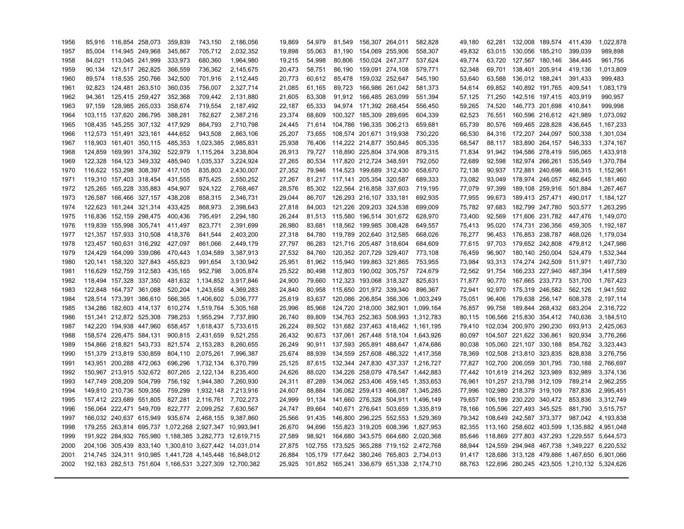| 1956 |        | 85,916 116,854 258,073  |                         | 359,839 | 743,150                                                | 2,186,056 | 19,869 | 54,979 | 81,549 | 156,307 264,011                | 582,828                                   | 49,180 | 62,281 | 132,008 189,574         | 411,439                                     | 1,022,878 |
|------|--------|-------------------------|-------------------------|---------|--------------------------------------------------------|-----------|--------|--------|--------|--------------------------------|-------------------------------------------|--------|--------|-------------------------|---------------------------------------------|-----------|
| 1957 |        | 85,004 114,945 249,968  |                         | 345,867 | 705,712                                                | 2,032,352 | 19,898 | 55,063 | 81,190 | 154,069 255,906                | 558,307                                   | 49,832 | 63,015 | 130,056 185,210         | 399,039                                     | 989,898   |
| 1958 |        | 84,021 113,045 241,999  |                         | 333,973 | 680,360                                                | 1,964,980 | 19,215 | 54,998 | 80,806 | 150,024 247,377                | 537,624                                   | 49,774 | 63,720 | 127,567 180,146         | 384,445                                     | 961,756   |
| 1959 |        | 90,134 121,517 262,825  |                         | 366,559 | 736,362                                                | 2,145,675 | 20,473 | 58,751 | 86,190 | 159,091 274,108                | 579,771                                   | 52,348 | 69,701 | 138,401 205,914         | 419,136                                     | 1,013,809 |
| 1960 |        | 89,574 118,535 250,766  |                         | 342,500 | 701,916                                                | 2,112,445 | 20,773 | 60,612 | 85,478 | 159,032 252,647                | 545,190                                   | 53,640 | 63,588 | 136,012 188,241         | 391,433                                     | 999,483   |
| 1961 | 92,823 | 124,481 263,510         |                         | 360,035 | 756,007                                                | 2,327,714 | 21,085 | 61,165 | 89,723 | 166,986 261,042                | 581,373                                   | 54,614 | 69,852 | 140,892 191,765         | 409,541                                     | 1,083,179 |
| 1962 | 94,361 | 125,415 259,427         |                         | 352,368 | 709,442                                                | 2,131,880 | 21,605 | 63,308 | 91,912 | 166,485 263,099                | 551,394                                   | 57,125 | 71,250 | 142,516 197,415         | 403,919                                     | 990,957   |
| 1963 | 97.159 | 128,985 265,033         |                         | 358,674 | 719,554                                                | 2,187,492 | 22,187 | 65.333 |        | 94,974 171,392 268,454         | 556,450                                   | 59,265 | 74,520 | 146,773 201,698         | 410,841                                     | 999,998   |
| 1964 |        | 103,115 137,620 286,795 |                         | 388,281 | 782,627                                                | 2,387,216 | 23,374 | 68,609 |        | 100,327 185,309 289,695        | 604,339                                   | 62,523 | 76,551 | 160,596 216,612         | 421,989                                     | 1,073,092 |
| 1965 |        | 108,435 145,255 307,132 |                         | 417,929 | 864,793                                                | 2,710,798 | 24,445 | 71.614 |        | 104,786 196,335 306,213        | 659.681                                   | 65,739 | 80,576 | 169,465 228,828         | 436.645                                     | 1,167,233 |
| 1966 |        | 112,573 151,491 323,161 |                         | 444,652 | 943,508                                                | 2,863,106 | 25,207 | 73.655 |        | 108,574 201,671 319,938        | 730,220                                   | 66,530 | 84,316 | 172,207 244,097         | 500,338                                     | 1,301,034 |
| 1967 |        | 118,903 161,401 350,115 |                         | 485,353 | 1,023,385                                              | 2,985,831 | 25,938 | 76.406 |        | 114,222 214,877 350,845        | 805.335                                   | 68,547 | 88,117 | 183,890 264,157         | 546,333                                     | 1,374,167 |
| 1968 |        | 124,859 169,991 374,392 |                         | 522,979 | 1,115,264                                              | 3,238,804 | 26,913 | 79,727 |        | 118,890 225,804 374,908        | 879,315                                   | 71,834 | 91,942 | 194,586 278,419         | 595,065                                     | 1,433,918 |
| 1969 |        |                         | 122,328 164,123 349,332 | 485,940 | 1,035,337                                              | 3,224,924 | 27,265 |        |        | 80,534 117,820 212,724 348,591 | 792,050                                   | 72,689 | 92,598 | 182,974 266,261         | 535,549                                     | 1,370,784 |
| 1970 |        | 116,622 153,298 308,397 |                         | 417,105 | 835,803                                                | 2,430,007 | 27,352 | 79,946 |        | 114,523 199,689 312,430        | 658,670                                   | 72,138 | 90,937 | 172,881 240,696         | 466,315                                     | 1,152,961 |
| 1971 |        | 119,310 157,403 318,454 |                         | 431,555 | 875,425                                                | 2,550,252 | 27,267 |        |        | 81,217 117,141 205,354 320,587 | 689,333                                   | 73,082 | 93,049 | 178,974 246,057         | 482,645                                     | 1,181,460 |
| 1972 |        | 125,265 165,228 335,883 |                         | 454,907 | 924,122                                                | 2,768,467 | 28,576 | 85.302 |        | 122,564 216,858 337,603        | 719,195                                   | 77,079 | 97,399 | 189,108 259,916         | 501,884                                     | 1,267,467 |
| 1973 |        | 126,587 166,466 327,157 |                         | 438,208 | 858,315                                                | 2,346,731 | 29,044 | 86.707 |        | 126,293 216,107 333,181        | 692,935                                   | 77,955 | 99,673 | 189,413 257,471         | 490,017                                     | 1,184,127 |
| 1974 |        | 122,623 161,244 321,314 |                         | 433,425 | 868,973                                                | 2,398,643 | 27,818 | 84,003 |        | 121,226 209,203 324,538        | 699,009                                   | 75,782 | 97,683 | 182,799 247,780         | 503,577                                     | 1,263,295 |
| 1975 |        | 116,836 152,159 298,475 |                         | 400,436 | 795,491                                                | 2,294,180 | 26,244 |        |        | 81,513 115,580 196,514 301,672 | 628,970                                   | 73,400 | 92,569 | 171,606 231,782         | 447,476                                     | 1,149,070 |
| 1976 |        | 119,839 155,998 305,741 |                         | 411,497 | 823,771                                                | 2,391,699 | 26,980 | 83,681 |        | 118,562 199,985 308,428        | 649,557                                   | 75,413 | 95,020 | 174,731 236,356         | 459,305                                     | 1,192,187 |
| 1977 |        | 121,357 157,933 310,508 |                         | 418,376 | 841,544                                                | 2,403,200 | 27,318 | 84,780 |        | 119,789 202,640 312,585        | 668,026                                   | 76,277 |        | 96,453 176,853 238,787  | 468,026                                     | 1,179,034 |
| 1978 |        | 123,457 160,631 316,292 |                         | 427,097 | 861,066                                                | 2,449,179 | 27,797 | 86,283 |        | 121,716 205,487 318,604        | 684,609                                   | 77,615 | 97,703 | 179,652 242,808         | 479,812                                     | 1,247,986 |
| 1979 |        | 124,429 164,099 339,086 |                         | 470,443 | 1,034,589                                              | 3,387,913 | 27,532 | 84,760 |        | 120,352 207,729 329,407        | 773,108                                   | 76,459 | 96,907 | 180,140 250,004         | 524,479                                     | 1,532,344 |
| 1980 |        | 120,141 158,320 327,843 |                         | 455,823 | 991,654                                                | 3,130,942 | 25,951 |        |        | 81,962 115,940 199,863 321,865 | 753,955                                   | 73,984 |        | 93,313 174,274 242,509  | 511,971                                     | 1,497,730 |
| 1981 |        | 116,629 152,759 312,583 |                         | 435,165 | 952,798                                                | 3,005,874 | 25,522 | 80,498 |        | 112,803 190,002 305,757        | 724,679                                   | 72,562 | 91,754 | 166,233 227,940         | 487,394                                     | 1,417,589 |
| 1982 |        | 118,494 157,328 337,350 |                         | 481,632 | 1,134,852                                              | 3,917,846 | 24,900 | 79,660 |        | 112,323 193,068 318,327        | 825,631                                   | 71,877 | 90,770 | 167,665 233,773         | 531,700                                     | 1,767,423 |
| 1983 |        | 122,848 164,737 361,088 |                         |         | 520,204 1,243,658                                      | 4,369,283 | 24,840 | 80,958 |        | 115,650 201,972 339,340        | 896,367                                   | 72,941 | 92,970 | 175,319 246,582         | 562,126                                     | 1,941,592 |
| 1984 |        | 128,514 173,391 386,610 |                         | 566,365 | 1,406,602                                              | 5,036,777 | 25,619 | 83,637 |        |                                | 120,086 206,854 356,306 1,003,249         | 75,051 | 96,406 | 179,638 256,147         | 608,378                                     | 2,197,114 |
| 1985 |        | 134,286 182,603 414,137 |                         | 610,274 | 1,519,764                                              | 5,305,168 | 25,996 | 85,968 |        |                                | 124,720 218,000 382,901 1,099,164         | 76,857 | 99,758 | 189,844 268,432         | 683,204                                     | 2,316,722 |
| 1986 |        | 151,341 212,872 525,308 |                         | 798,253 | 1,955,294 7,737,890                                    |           | 26,740 | 89,809 |        |                                | 134,763 252,363 508,993 1,312,783         | 80,115 |        | 106,566 215,830 354,412 | 740,636                                     | 3,184,510 |
| 1987 |        | 142,220 194,938 447,960 |                         |         | 658,457 1,618,437                                      | 5,733,615 | 26,224 | 89,502 |        |                                | 131,682 237,463 418,462 1,161,195         | 79,410 |        | 102,034 200,970 290,230 | 693,913                                     | 2,425,063 |
| 1988 |        | 158,574 226,475 584,131 |                         |         | 900,815 2,431,659 9,521,255                            |           | 26,432 | 90.673 |        |                                | 137,061 267,448 518,104 1,643,926         | 80.097 |        | 104,507 221,622 336,861 | 920.934                                     | 3,776,266 |
| 1989 |        | 154,866 218,821 543,733 |                         |         | 821,574 2,153,283                                      | 8,260,655 | 26,249 | 90.911 |        |                                | 137,593 265,891 488,647 1,474,686         | 80.038 |        | 105,060 221,107 330,188 | 854,762                                     | 3,323,443 |
| 1990 |        | 151,379 213,819 530,859 |                         |         | 804,110 2,075,261 7,996,387                            |           | 25,674 | 88.939 |        |                                | 134,559 257,608 486,322 1,417,358         | 78.369 |        | 102,508 213,810 323,835 | 828.838                                     | 3.276.756 |
| 1991 |        | 143,951 200,288 472,063 |                         | 696,296 | 1,732,134                                              | 6,370,799 | 25,125 | 87.615 |        |                                | 132,344 247,830 437,337 1,216,727         | 77.827 |        | 102,700 206,059 301,795 | 730,188                                     | 2,766,697 |
| 1992 |        |                         | 150,967 213,915 532,672 |         | 807,265 2,122,134                                      | 8,235,400 | 24,626 | 88,020 |        |                                | 134,226 258,079 478,547 1,442,883         | 77,442 |        | 101,619 214,262 323,989 | 832,989                                     | 3,374,136 |
| 1993 |        | 147,749 208,209 504,799 |                         |         | 756,192  1,944,380  7,260,930                          |           | 24,311 | 87,289 |        |                                | 134,062 253,406 459,145 1,353,653         | 76,961 |        | 101,257 213,798 312,109 | 789,214                                     | 2,962,255 |
| 1994 |        | 149,810 210,736 509,356 |                         | 759,299 | 1,932,148                                              | 7,213,916 | 24,607 | 88.884 |        |                                | 136,082 259,413 466,087 1,345,285         | 77.996 |        | 102,980 218,379 319,109 | 787.836                                     | 2,995,451 |
| 1995 |        | 157,412 223,689 551,805 |                         |         | 827,281 2,116,761 7,702,273                            |           | 24,999 | 91,134 |        |                                | 141,660 276,328 504,911 1,496,149         | 79,657 |        | 106,189 230,220 340,472 | 853,836                                     | 3,312,749 |
| 1996 |        | 156,064 222,471 549,709 |                         |         | 822,777 2,099,252 7,630,567                            |           | 24,747 | 89.664 |        |                                | 140,671 276,641 503,659 1,335,819         | 78,166 |        | 105,596 227,493 345,525 | 881,790                                     | 3,515,757 |
| 1997 |        | 166,032 240,637 615,949 |                         |         | 935,674 2,468,155 9,387,860                            |           | 25,566 | 91.435 |        |                                | 146,800 296,225 552,553 1,529,369         | 79.342 |        | 108,649 242,587 373,377 | 987,042                                     | 4.193.838 |
| 1998 |        |                         |                         |         | 179,255 263,814 695,737 1,072,268 2,927,347 10,993,941 |           | 26,670 | 94,696 |        |                                | 155,823 319,205 608,396 1,827,953         | 82,355 |        |                         | 113,160 258,602 403,599 1,135,882 4,951,048 |           |
| 1999 |        |                         |                         |         | 191,922 284,932 765,980 1,188,385 3,282,773 12,619,715 |           | 27,589 | 98,921 |        |                                | 164,680 343,575 664,680 2,020,368         | 85,646 |        |                         | 118,869 277,803 437,293 1,229,557 5,644,573 |           |
| 2000 |        |                         |                         |         | 204,106 305,439 833,140 1,300,810 3,627,442 14,031,014 |           | 27,875 |        |        |                                | 102,755 173,525 365,288 719,152 2,472,768 | 88.944 |        |                         | 124,559 294,948 467,738 1,349,227 6,220,532 |           |
| 2001 |        |                         |                         |         | 214,745 324,311 910,985 1,441,728 4,145,448 16,848,012 |           | 26,884 |        |        |                                | 105,179 177,642 380,246 765,803 2,734,013 | 91.417 |        |                         | 128,686 313,128 479,886 1,467,650 6,901,066 |           |
| 2002 |        |                         |                         |         | 192,183 282,513 751,604 1,166,531 3,227,309 12,700,382 |           | 25,925 |        |        |                                | 101,852 165,241 336,679 651,338 2,174,710 | 88.763 |        |                         | 122,696 280,245 423,505 1,210,132 5,324,626 |           |
|      |        |                         |                         |         |                                                        |           |        |        |        |                                |                                           |        |        |                         |                                             |           |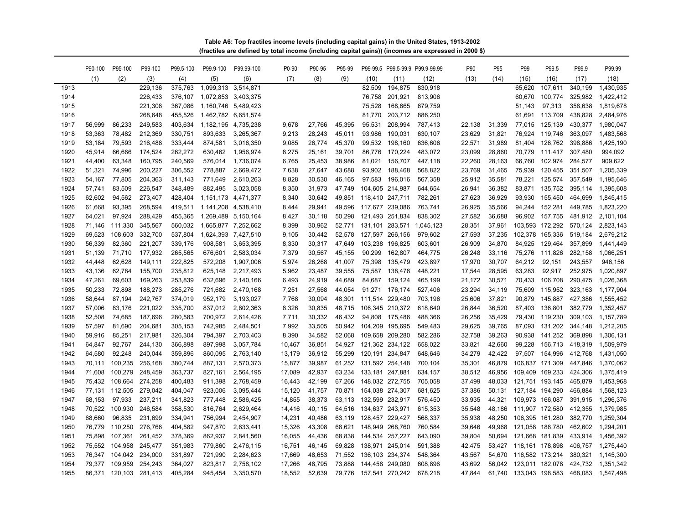**(fractiles are defined by total income (including capital gains)) (incomes are expressed in 2000 \$) Table A6: Top fractiles income levels (including capital gains) in the United States, 1913-2002**

|      | P90-100 | P95-100        | P99-100 | P99.5-100 | P99.9-100               | P99.99-100 | P0-90  | P90-95 | P95-99 |                 |                 | P99-99.5 P99.5-99.9 P99.9-99.99 | P90    | P95    | P99                    | P99.5           | P99.9   | P99.99    |
|------|---------|----------------|---------|-----------|-------------------------|------------|--------|--------|--------|-----------------|-----------------|---------------------------------|--------|--------|------------------------|-----------------|---------|-----------|
|      | (1)     | (2)            | (3)     | (4)       | (5)                     | (6)        | (7)    | (8)    | (9)    | (10)            | (11)            | (12)                            | (13)   | (14)   | (15)                   | (16)            | (17)    | (18)      |
| 1913 |         |                | 229,136 | 375,763   | 1,099,313 3,514,871     |            |        |        |        | 82.509          | 194.875         | 830,918                         |        |        | 65.620                 | 107.611         | 340.199 | 1.430.935 |
| 1914 |         |                | 226,433 | 376,107   | 1,072,853 3,403,375     |            |        |        |        | 76,758          | 201,921         | 813,906                         |        |        | 60,670                 | 100,774         | 325,982 | 1,422,412 |
| 1915 |         |                | 221,308 | 367,086   | 1,160,746 5,489,423     |            |        |        |        | 75,528          | 168,665         | 679,759                         |        |        | 51.143                 | 97,313          | 358,638 | 1,819,678 |
| 1916 |         |                | 268,648 | 455,526   | 1,462,782 6,651,574     |            |        |        |        | 81,770          | 203,712         | 886,250                         |        |        |                        | 61,691 113,709  | 438,828 | 2,484,976 |
| 1917 | 56,999  | 86,233         | 249,583 | 403,634   | 1,182,195 4,735,238     |            | 9,678  | 27,766 | 45,395 | 95,531          | 208,994         | 787,413                         | 22,138 | 31,339 |                        | 77,015 125,139  | 430,377 | 1,980,047 |
| 1918 | 53,363  | 78,482         | 212,369 | 330,751   | 893,633                 | 3,265,367  | 9,213  | 28,243 | 45,011 | 93,986          | 190,031         | 630,107                         | 23,629 | 31,821 | 76,924                 | 119,746         | 363,097 | 1,483,568 |
| 1919 | 53,184  | 79,593         | 216,488 | 333,444   | 874,581                 | 3,016,350  | 9,085  | 26,774 | 45,370 | 99,532          | 198,160         | 636,606                         | 22,571 | 31,989 |                        | 81,404 126,762  | 398,886 | 1,425,190 |
| 1920 | 45,914  | 66,666         | 174,524 | 262,272   | 630,462                 | 1,956,974  | 8,275  | 25,161 | 39,701 | 86,776          | 170,224         | 483,072                         | 23,099 | 28,860 |                        | 70,779 111,417  | 307,480 | 994,092   |
| 1921 | 44,400  | 63,348         | 160,795 | 240,569   | 576,014                 | 1,736,074  | 6,765  | 25,453 | 38,986 | 81,021          | 156,707         | 447,118                         | 22,260 | 28,163 | 66,760                 | 102,974         | 284,577 | 909,622   |
| 1922 | 51,321  | 74,996         | 200,227 | 306,552   | 778,887                 | 2,669,472  | 7,638  | 27,647 | 43.688 | 93,902          | 188,468         | 568,822                         | 23,769 | 31.465 |                        | 75,939 120,455  | 351,507 | 1,205,339 |
| 1923 | 54,167  | 77,805         | 204,363 | 311,143   | 771,649                 | 2,610,263  | 8.828  | 30,530 | 46.165 | 97,583          | 196,016         | 567,358                         | 25,912 | 35,581 | 78,221                 | 125,574         | 357,549 | 1,195,646 |
| 1924 | 57,741  | 83,509         | 226,547 | 348,489   | 882,495                 | 3,023,058  | 8,350  | 31,973 | 47.749 |                 | 104,605 214,987 | 644,654                         | 26,941 | 36,382 | 83,871                 | 135,752         | 395,114 | 1,395,608 |
| 1925 | 62,602  | 94,562         | 273,407 | 428,404   | 1, 151, 173 4, 471, 377 |            | 8,340  | 30,642 | 49.851 | 118,410 247,711 |                 | 782,261                         | 27,623 | 36,929 |                        | 93,930 155,450  | 464,699 | 1,845,415 |
| 1926 | 61,668  | 93,395         | 268,594 | 419,511   | 1,141,208 4,538,410     |            | 8,444  | 29,941 | 49,596 |                 | 117,677 239,086 | 763,741                         | 26,925 | 35,566 |                        | 94,244 152,281  | 449,785 | 1,823,220 |
| 1927 | 64,021  | 97,924         | 288,429 | 455,365   | 1,269,489 5,150,164     |            | 8,427  | 30,118 | 50,298 |                 | 121,493 251,834 | 838,302                         | 27,582 | 36,688 |                        | 96,902 157,755  | 481,912 | 2,101,104 |
| 1928 | 71,146  | 111,330        | 345,567 | 560,032   | 1,665,877 7,252,662     |            | 8,399  | 30,962 | 52,771 |                 |                 | 131,101 283,571 1,045,123       | 28,351 | 37,961 |                        | 103,593 172,292 | 570,124 | 2,823,143 |
| 1929 | 69,523  | 108,603        | 332,700 | 537,804   | 1,624,393 7,427,510     |            | 9,105  | 30,442 | 52,578 |                 | 127,597 266,156 | 979,602                         | 27,593 | 37,235 | 102,378 165,336        |                 | 519,184 | 2,679,212 |
| 1930 | 56,339  | 82,360         | 221,207 | 339,176   | 908,581                 | 3,653,395  | 8,330  | 30,317 | 47,649 |                 | 103,238 196,825 | 603,601                         | 26,909 | 34,870 |                        | 84,925 129,464  | 357,899 | 1,441,449 |
| 1931 | 51.139  | 71,710         | 177,932 | 265,565   | 676,601                 | 2,583,034  | 7,379  | 30,567 | 45.155 | 90,299          | 162,807         | 464,775                         | 26,248 | 33.116 |                        | 75,276 111,826  | 282,158 | 1,066,251 |
| 1932 | 44,448  | 62,628         | 149,111 | 222,825   | 572,208                 | 1,907,006  | 5,974  | 26,268 | 41,007 | 75,398          | 135,479         | 423,897                         | 17,970 | 30.707 | 64,212                 | 92,151          | 243,557 | 946,156   |
| 1933 | 43.136  | 62,784         | 155,700 | 235,812   | 625,148                 | 2,217,493  | 5,962  | 23,487 | 39,555 | 75,587          | 138,478         | 448,221                         | 17.544 | 28,595 | 63,283                 | 92,917          | 252,975 | 1.020.897 |
| 1934 | 47,261  | 69,603         | 169,263 | 253,839   | 632,696                 | 2,140,166  | 6,493  | 24,919 | 44,689 | 84,687          | 159,124         | 465,199                         | 21,172 | 30,571 |                        | 70,433 106,708  | 290,475 | 1,026,368 |
| 1935 | 50,233  | 72,898         | 188,273 | 285,276   | 721,682                 | 2,470,168  | 7,251  | 27,568 | 44,054 |                 | 91,271 176,174  | 527,406                         | 23,294 | 34,119 |                        | 75,609 115,952  | 323,163 | 1,177,904 |
| 1936 | 58.644  | 87,194         | 242,767 | 374,019   | 952,179                 | 3,193,027  | 7,768  | 30,094 | 48.301 |                 | 111,514 229,480 | 703,196                         | 25,606 | 37,821 | 90,879                 | 145,887         | 427,386 | 1,555,452 |
| 1937 | 57,006  | 83,176         | 221,022 | 335,700   | 837,012                 | 2,802,363  | 8,326  | 30,835 | 48,715 |                 | 106,345 210,372 | 618,640                         | 26,844 | 36,520 | 87,403                 | 136,801         | 382,779 | 1,352,457 |
| 1938 | 52,508  | 74,685         | 187,696 | 280,583   | 700,972                 | 2,614,426  | 7,711  | 30,332 | 46,432 | 94,808          | 175,486         | 488,366                         | 26,256 | 35,429 |                        | 79,430 119,230  | 309,103 | 1,157,789 |
| 1939 | 57,597  | 81,690         | 204,681 | 305,153   | 742,985                 | 2,484,501  | 7,992  | 33,505 | 50,942 |                 | 104,209 195,695 | 549,483                         | 29,625 | 39,765 |                        | 87,093 131,202  | 344,148 | 1,212,205 |
| 1940 | 59,916  | 85,251         | 217,981 | 326,304   | 794,397                 | 2,703,403  | 8,390  | 34,582 | 52,068 |                 | 109,658 209,280 | 582,286                         | 32,758 | 39,263 |                        | 90,938 141,252  | 369,898 | 1,306,131 |
| 1941 | 64.847  | 92,767         | 244,130 | 366,898   | 897,998                 | 3,057,784  | 10,467 | 36,851 | 54.927 |                 | 121,362 234,122 | 658,022                         | 33,821 | 42,660 | 99.228                 | 156,713         | 418,319 | 1.509.979 |
| 1942 | 64,580  | 92,248         | 240,044 | 359,896   | 860,095                 | 2,763,140  | 13.179 | 36,912 | 55.299 |                 | 120,191 234,847 | 648,646                         | 34,279 | 42.422 |                        | 97,507 154,996  | 412,768 | 1,431,050 |
| 1943 | 70.111  | 100,235        | 256,168 | 380,744   | 887,131                 | 2,570,373  | 15,877 | 39,987 | 61.252 |                 | 131,592 254,148 | 700,104                         | 35,301 | 46.879 | 106,837 171,309        |                 | 447,846 | 1,370,062 |
| 1944 | 71,608  | 100,279        | 248,459 | 363,737   | 827,161                 | 2,564,195  | 17,089 | 42,937 | 63,234 | 133,181 247,881 |                 | 634,157                         | 38,512 | 46,956 | 109,409 169,233        |                 | 424,306 | 1,375,419 |
| 1945 | 75,432  | 108,664        | 274,258 | 400,483   | 911,398                 | 2,768,459  | 16,443 | 42,199 | 67,266 |                 | 148,032 272,755 | 705,058                         | 37,499 | 48,033 | 121,751 193,145        |                 | 465,879 | 1,453,968 |
| 1946 | 77,131  | 112,505        | 279,042 | 404,047   | 923,006                 | 3,095,444  | 15,120 | 41,757 | 70.871 |                 | 154,038 274,307 | 681,625                         | 37,386 | 50,131 | 127,184 194,290        |                 | 466,884 | 1,568,123 |
| 1947 | 68,153  | 97,933         | 237,211 | 341,823   | 777,448                 | 2,586,425  | 14,855 | 38,373 | 63,113 |                 | 132,599 232,917 | 576,450                         | 33,935 | 44,321 | 109,973 166,087        |                 | 391,915 | 1,296,376 |
| 1948 | 70,522  | 100,930        | 246,584 | 358,530   | 816,764                 | 2,629,464  | 14,416 | 40,115 | 64,516 | 134,637 243,971 |                 | 615,353                         | 35,548 | 48,186 | 111,907 172,580        |                 | 412,355 | 1,379,985 |
| 1949 | 68,660  | 96,835         | 231,699 | 334,941   | 756,994                 | 2,454,907  | 14,231 | 40,486 | 63,119 |                 | 128,457 229,427 | 568,337                         | 35,938 | 48,250 | 106,395 161,280        |                 | 382,770 | 1,259,304 |
| 1950 | 76.779  | 110,250        | 276,766 | 404,582   | 947,870                 | 2,633,441  | 15,326 | 43,308 | 68.621 |                 | 148,949 268,760 | 760,584                         | 39,646 | 49.968 | 121,058 188,780        |                 | 462,602 | 1,294,201 |
| 1951 | 75.898  | 107,361        | 261,452 | 378,369   | 862,937                 | 2,841,560  | 16,055 | 44,436 | 68.838 |                 | 144,534 257,227 | 643,090                         | 39,804 | 50.694 | 121,668 181,839        |                 | 433,914 | 1,456,392 |
| 1952 |         | 75,552 104,958 | 245,477 | 351,983   | 779,860                 | 2,476,115  | 16,751 | 46,145 | 69.828 |                 | 138,971 245,014 | 591,388                         | 42,475 | 53.427 | 118,161 178,898        |                 | 406,757 | 1,275,440 |
| 1953 | 76.347  | 104,042        | 234,000 | 331,897   | 721,990                 | 2,284,623  | 17,669 | 48,653 | 71,552 |                 | 136,103 234,374 | 548,364                         | 43,567 | 54,670 | 116,582 173,214        |                 | 380,321 | 1,145,300 |
| 1954 | 79,377  | 109,959        | 254,243 | 364,027   | 823,817                 | 2,758,102  | 17,266 | 48,795 | 73,888 |                 | 144,458 249,080 | 608,896                         | 43,692 | 56,042 | 123,011 182,078        |                 | 424,732 | 1,351,342 |
| 1955 | 86.371  | 120,103        | 281,413 | 405,284   | 945,454                 | 3,350,570  | 18,552 | 52,639 | 79.776 |                 | 157,541 270,242 | 678,218                         | 47.844 |        | 61,740 133,043 198,583 |                 | 468,083 | 1.547.498 |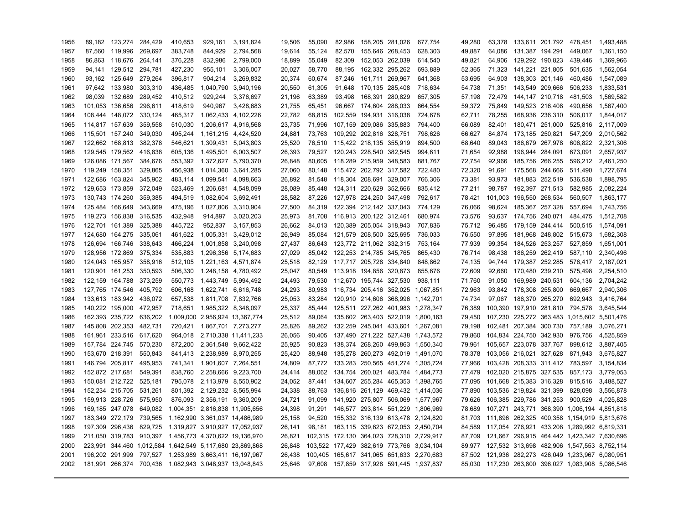| 1956 |                 | 89,182 123,274          | 284,429 | 410,653 | 929,161                                                  | 3,191,824           | 19,506 | 55,090 | 82,986 | 158,205 281,026                | 677,754                                   | 49,280 |         |                         | 63,378 133,611 201,792 478,451 |                                             | 1,493,488         |
|------|-----------------|-------------------------|---------|---------|----------------------------------------------------------|---------------------|--------|--------|--------|--------------------------------|-------------------------------------------|--------|---------|-------------------------|--------------------------------|---------------------------------------------|-------------------|
| 1957 |                 | 87,560 119,996          | 269,697 | 383,748 | 844,929                                                  | 2,794,568           | 19,614 | 55,124 | 82,570 | 155,646 268,453                | 628,303                                   | 49,887 | 64,086  |                         | 131,387 194,291                | 449,067                                     | 1,361,150         |
| 1958 |                 | 86,863 118,676          | 264,141 | 376,228 | 832,986                                                  | 2,799,000           | 18,899 | 55,049 | 82,309 | 152,053 262,039                | 614,540                                   | 49,821 | 64,906  |                         | 129,292 190,823                | 439,446                                     | 1,369,966         |
| 1959 |                 | 94,141 129,512 294,781  |         | 427,230 | 955,101                                                  | 3,306,007           | 20,027 | 58,770 | 88,195 | 162,332 295,262                | 693,889                                   | 52,365 |         |                         |                                | 71,323 141,221 221,805 501,635              | 1,562,054         |
| 1960 |                 | 93,162 125,649          | 279,264 | 396,817 | 904,214                                                  | 3,269,832           | 20,374 | 60.674 | 87,246 | 161,711 269,967                | 641,368                                   | 53,695 | 64.903  | 138,303 201,146         |                                | 460,486                                     | 1,547,089         |
| 1961 |                 | 97,642 133,980          | 303,310 | 436,485 |                                                          | 1,040,790 3,940,196 | 20,550 | 61.305 | 91.648 | 170,135 285,408                | 718,634                                   | 54,738 | 71,351  | 143,549 209,666         |                                | 506,233                                     | 1.833.531         |
| 1962 |                 | 98,039 132,689          | 289,452 | 410,512 | 929,244                                                  | 3,376,697           | 21,196 | 63,389 | 93,498 | 168,391 280,829                | 657,305                                   | 57,198 | 72,479  | 144,147 210,718         |                                | 481,503                                     | 1,569,582         |
| 1963 |                 | 101,053 136,656         | 296,611 | 418,619 | 940,967                                                  | 3,428,683           | 21,755 | 65,451 |        | 96,667 174,604 288,033         | 664,554                                   | 59,372 | 75,849  | 149,523 216,408         |                                | 490,656                                     | 1,567,400         |
| 1964 |                 | 108,444 148,072         | 330,124 | 465,317 | 1,062,433 4,102,226                                      |                     | 22,782 | 68,815 |        | 102,559 194,931 316,038        | 724,678                                   | 62,711 | 78,255  |                         | 168,936 236,310                |                                             | 506,017 1,844,017 |
| 1965 | 114,817 157,639 |                         | 359,558 | 510,030 | 1,206,617 4,916,568                                      |                     | 23,735 | 71,996 |        | 107,159 209,086 335,883        | 794,400                                   | 66,089 | 82,401  |                         | 180,471 251,000                | 525,816                                     | 2,117,009         |
| 1966 | 115,501 157,240 |                         | 349,030 | 495,244 | 1,161,215 4,424,520                                      |                     | 24,881 | 73,763 |        | 109,292 202,816 328,751        | 798,626                                   | 66,627 | 84,874  |                         | 173,185 250,821                | 547,209                                     | 2,010,562         |
| 1967 |                 | 122,662 168,813         | 382,378 | 546,621 | 1,309,431 5,043,803                                      |                     | 25,520 | 76,510 |        | 115,422 218,135 355,919        | 894,500                                   | 68,640 | 89,043  |                         | 186,679 267,978                | 606,822                                     | 2,321,306         |
| 1968 |                 | 129,545 179,562 416,838 |         | 605,136 | 1,495,501 6,003,507                                      |                     | 26,393 | 79,527 |        | 120,243 228,540 382,545        | 994,611                                   | 71,654 | 92,988  | 196,944 284,091         |                                | 673,091                                     | 2,657,937         |
| 1969 |                 | 126,086 171,567         | 384,676 | 553,392 | 1,372,627 5,790,370                                      |                     | 26,848 | 80,605 |        | 118,289 215,959 348,583        | 881,767                                   | 72,754 | 92,966  |                         | 185,756 266,255                |                                             | 596,212 2,461,250 |
| 1970 | 119,249 158,351 |                         | 329,865 | 456,938 | 1,014,360 3,641,285                                      |                     | 27,060 | 80,148 |        | 115,472 202,792 317,582        | 722,480                                   | 72,320 | 91,691  |                         | 175,568 244,666                | 511,490                                     | 1,727,674         |
| 1971 |                 | 122,686 163,824         | 345,902 | 483,114 | 1,099,541 4,098,663                                      |                     | 26,892 | 81,548 |        | 118,304 208,691 329,007        | 766,306                                   | 73,381 |         |                         | 93,973 181,883 252,519         | 536,538                                     | 1,898,795         |
| 1972 |                 | 129.653 173.859         | 372.049 | 523.469 | 1.206.681 4.548.099                                      |                     | 28,089 | 85.448 |        | 124,311 220,629 352,666        | 835.412                                   | 77.211 | 98.787  |                         | 192,397 271,513                | 582.985                                     | 2.082.224         |
| 1973 | 130,743 174,260 |                         | 359,385 | 494,519 | 1,082,604 3,692,491                                      |                     | 28,582 | 87.226 |        | 127,978 224,250 347,498        | 792.617                                   | 78,421 | 101.003 | 196,550 268,534         |                                | 560.507                                     | 1.863.177         |
| 1974 | 125,484 166,649 |                         | 343,669 | 475,196 | 1,027,806 3,310,904                                      |                     | 27,500 | 84,319 |        | 122,394 212,142 337,043        | 774,129                                   | 76,066 |         | 98,624 185,367 257,328  |                                |                                             | 557,694 1,743,756 |
| 1975 | 119,273 156,838 |                         | 316,535 | 432,948 | 914,897                                                  | 3,020,203           | 25,973 | 81.708 |        | 116,913 200,122 312,461        | 680.974                                   | 73,576 |         | 93,637 174,756 240,071  |                                | 484.475                                     | 1.512.708         |
| 1976 | 122,701 161,389 |                         | 325,388 | 445,722 | 952,837                                                  | 3,157,853           | 26,662 | 84.013 |        | 120,389 205,054 318,943        | 707,836                                   | 75,712 |         |                         |                                | 96,485 179,159 244,414 500,515 1,574,091    |                   |
| 1977 |                 | 124,680 164,275         | 335,061 | 461,622 | 1,005,331 3,429,012                                      |                     | 26,949 | 85.084 |        | 121,579 208,500 325,695        | 736,033                                   | 76,550 | 97,895  |                         |                                | 181,968 248,802 515,673                     | 1,682,308         |
| 1978 |                 | 126,694 166,746         | 338,643 | 466,224 | 1,001,858 3,240,098                                      |                     | 27,437 | 86.643 |        | 123,772 211,062 332,315        | 753.164                                   | 77,939 | 99,354  |                         | 184,526 253,257                | 527,859                                     | 1.651.001         |
| 1979 |                 | 128,956 172,869         | 375,334 | 535,883 | 1,296,356 5,174,683                                      |                     | 27,029 |        |        | 85,042 122,253 214,785 345,765 | 865,430                                   | 76,714 | 98,438  |                         | 186,259 262,419                |                                             | 587,110 2,340,496 |
| 1980 |                 | 124,043 165,957         | 358,916 | 512,105 | 1,221,163 4,571,874                                      |                     | 25,518 | 82,129 |        | 117,717 205,728 334,840        | 848,862                                   | 74,135 |         |                         |                                | 94,744 179,387 252,285 576,417 2,187,021    |                   |
| 1981 | 120,901 161,253 |                         | 350,593 | 506,330 | 1,248,158 4,780,492                                      |                     | 25,047 | 80,549 |        | 113,918 194,856 320,873        | 855,676                                   | 72,609 | 92,660  |                         | 170,480 239,210                | 575,498                                     | 2,254,510         |
| 1982 |                 | 122,159 164,788         | 373,259 | 550,773 | 1,443,749 5,994,492                                      |                     | 24,493 | 79,530 |        | 112,670 195,744 327,530        | 938,111                                   | 71,760 | 91,050  |                         |                                | 169,989 240,531 604,136                     | 2,704,242         |
| 1983 |                 | 127,765 174,546 405,792 |         | 606,168 | 1,622,741 6,616,748                                      |                     | 24,293 | 80,983 |        |                                | 116,734 205,416 352,025 1,067,851         | 72,963 |         | 93,842 178,308 255,800  |                                |                                             | 669,667 2,940,306 |
| 1984 |                 | 133,613 183,942 436,072 |         | 657,538 | 1,811,708 7,832,766                                      |                     | 25,053 | 83,284 |        |                                | 120,910 214,606 368,996 1,142,701         | 74,734 |         | 97,067 186,370 265,270  |                                | 692,943                                     | 3,416,764         |
| 1985 |                 | 140,222 195,000 472,957 |         | 718,651 | 1,985,322 8,348,097                                      |                     | 25,337 | 85.444 |        |                                | 125,511 227,262 401,983 1,278,347         | 76,389 |         |                         | 100,390 197,910 281,810        | 794,578                                     | 3.645.544         |
| 1986 |                 | 162,393 235,722 636,202 |         |         | 1,009,000 2,956,924 13,367,774                           |                     | 25,512 | 89,064 |        |                                | 135,602 263,403 522,019 1,800,163         | 79,450 |         |                         |                                | 107,230 225,272 363,483 1,015,602 5,501,476 |                   |
| 1987 |                 | 145,808 202,353 482,731 |         | 720.421 | 1,867,701 7,273,277                                      |                     | 25,826 | 89.262 |        |                                | 132,259 245,041 433,601 1,267,081         | 79.198 |         |                         | 102,481 207,384 300,730        | 757.189                                     | 3.076.271         |
| 1988 |                 | 161,961 233,516 617,620 |         |         | 964,018 2,710,338 11,411,233                             |                     | 26,056 | 90.405 |        |                                | 137,490 271,222 527,438 1,743,572         | 79,860 |         |                         |                                | 104,834 224,750 342,930 976,756             | 4,525,859         |
| 1989 |                 | 157,784 224,745 570,230 |         |         | 872,200 2,361,548 9,662,422                              |                     | 25,925 | 90.823 |        |                                | 138,374 268,260 499,863 1,550,340         | 79,961 |         |                         | 105,657 223,078 337,767        | 898,612                                     | 3,887,405         |
| 1990 | 153,670 218,391 |                         | 550,843 | 841,413 | 2,238,989 8,970,255                                      |                     | 25,420 | 88.948 |        |                                | 135,278 260,273 492,019 1,491,070         | 78,378 |         |                         | 103,056 216,021 327,628        | 871,943                                     | 3.675.827         |
| 1991 |                 | 146,794 205,817         | 495,953 | 741,341 | 1,901,607 7,264,551                                      |                     | 24,809 | 87,772 |        |                                | 133,283 250,565 451,274 1,305,724         | 77,966 |         |                         |                                | 103,428 208,333 311,412 783,597 3,154,834   |                   |
| 1992 | 152,872 217,681 |                         | 549,391 | 838,760 | 2,258,666 9,223,700                                      |                     | 24,414 | 88,062 |        |                                | 134,754 260,021 483,784 1,484,773         | 77,479 |         |                         | 102,020 215,875 327,535        | 857,173                                     | 3,779,053         |
| 1993 |                 | 150,081 212,722 525,181 |         |         | 795,078 2,113,979 8,550,902                              |                     | 24,052 | 87,441 |        |                                | 134,607 255,284 465,353 1,398,765         | 77,095 |         |                         |                                | 101,668 215,383 316,328 815,516             | 3,488,527         |
| 1994 |                 | 152,234 215,705 531,261 |         |         | 801,392 2,129,232 8,565,994                              |                     | 24,338 | 88,763 |        |                                | 136,816 261,129 469,432 1,414,036         | 77,890 |         | 103,536 219,824 321,399 |                                | 828,098                                     | 3,556,878         |
| 1995 |                 | 159,913 228,726         | 575,950 |         | 876,093 2,356,191 9,360,209                              |                     | 24,721 | 91,099 |        |                                | 141,920 275,807 506,069 1,577,967         | 79,626 |         |                         | 106,385 229,786 341,253        | 900,529                                     | 4,025,828         |
| 1996 |                 | 169,185 247,078         | 649,082 |         | 1,004,351 2,816,838 11,905,656                           |                     | 24,398 | 91,291 |        |                                | 146,577 293,814 551,229 1,806,969         | 78,689 |         |                         |                                | 107,271 243,771 368,390 1,006,194 4,851,818 |                   |
| 1997 |                 | 183,349 272,179         | 739,565 |         | 1,162,990 3,361,037 14,486,989                           |                     | 25,158 | 94,520 |        |                                | 155,332 316,139 613,478 2,124,820         | 81,703 |         |                         |                                | 111,896 262,325 400,358 1,154,919 5,813,676 |                   |
| 1998 |                 | 197,309 296,436         |         |         | 829,725 1,319,827 3,910,927 17,052,937                   |                     | 26,141 | 98.181 |        |                                | 163,115 339,623 672,053 2,450,704         | 84.589 |         |                         |                                | 117,054 276,921 433,208 1,289,992 6,819,331 |                   |
| 1999 |                 |                         |         |         | 211,050 319,783 910,397 1,456,773 4,370,622 19,136,970   |                     | 26,821 |        |        |                                | 102,315 172,130 364,023 728,310 2,729,917 | 87.709 |         |                         |                                | 121,667 296,915 464,442 1,423,342 7,630,696 |                   |
| 2000 |                 |                         |         |         | 223,991 344,460 1,012,584 1,642,549 5,117,680 23,869,868 |                     | 26,848 |        |        |                                | 103,522 177,429 382,619 773,766 3,034,104 | 89.977 |         |                         |                                | 127,532 313,698 482,906 1,547,553 8,752,114 |                   |
| 2001 |                 |                         |         |         | 196,202 291,999 797,527 1,253,989 3,663,411 16,197,967   |                     | 26,438 |        |        |                                | 100,405 165,617 341,065 651,633 2,270,683 | 87.502 |         |                         |                                | 121,936 282,273 426,049 1,233,967 6,080,951 |                   |
| 2002 |                 |                         |         |         | 181,991 266,374 700,436 1,082,943 3,048,937 13,048,843   |                     | 25,646 |        |        |                                | 97,608 157,859 317,928 591,445 1,937,837  | 85.030 |         |                         |                                | 117,230 263,800 396,027 1,083,908 5,086,546 |                   |
|      |                 |                         |         |         |                                                          |                     |        |        |        |                                |                                           |        |         |                         |                                |                                             |                   |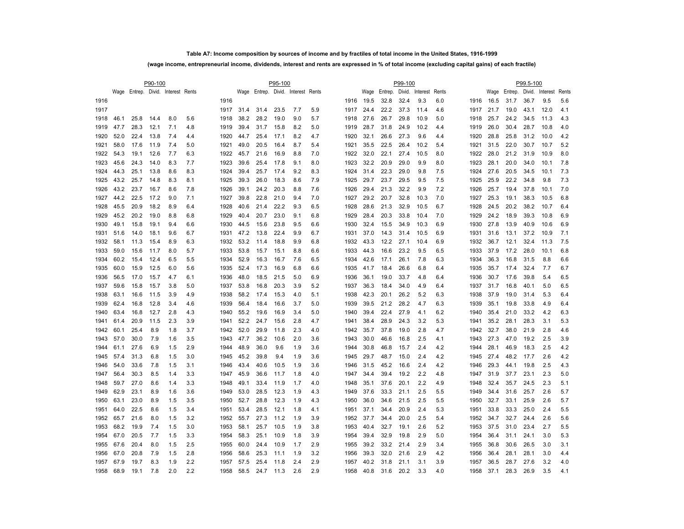### **Table A7: Income composition by sources of income and by fractiles of total income in the United States, 1916-1999**

### **(wage income, entrepreneurial income, dividends, interest and rents are expressed in % of total income (excluding capital gains) of each fractile)**

|      |      |                                    | P90-100 |     |     | P95-100 |      |      |      |                                    |     |  |      |      |         | P99-100 |          |       |      |      |         | P99.5-100 |                 |       |
|------|------|------------------------------------|---------|-----|-----|---------|------|------|------|------------------------------------|-----|--|------|------|---------|---------|----------|-------|------|------|---------|-----------|-----------------|-------|
|      |      | Wage Entrep. Divid. Interest Rents |         |     |     |         |      |      |      | Wage Entrep. Divid. Interest Rents |     |  |      | Wage | Entrep. | Divid.  | Interest | Rents |      | Wage | Entrep. |           | Divid. Interest | Rents |
| 1916 |      |                                    |         |     |     | 1916    |      |      |      |                                    |     |  | 1916 | 19.5 | 32.8    | 32.4    | 9.3      | 6.0   | 1916 | 16.5 | 31.7    | 36.7      | 9.5             | 5.6   |
| 1917 |      |                                    |         |     |     | 1917    | 31.4 | 31.4 | 23.5 | 7.7                                | 5.9 |  | 1917 | 24.4 | 22.2    | 37.3    | 11.4     | 4.6   | 1917 | 21.7 | 19.0    | 43.1      | 12.0            | 4.1   |
| 1918 | 46.1 | 25.8                               | 14.4    | 8.0 | 5.6 | 1918    | 38.2 | 28.2 | 19.0 | 9.0                                | 5.7 |  | 1918 | 27.6 | 26.7    | 29.8    | 10.9     | 5.0   | 1918 | 25.7 | 24.2    | 34.5      | 11.3            | 4.3   |
| 1919 | 47.7 | 28.3                               | 12.1    | 7.1 | 4.8 | 1919    | 39.4 | 31.7 | 15.8 | 8.2                                | 5.0 |  | 1919 | 28.7 | 31.8    | 24.9    | 10.2     | 4.4   | 1919 | 26.0 | 30.4    | 28.7      | 10.8            | 4.0   |
| 1920 | 52.0 | 22.4                               | 13.8    | 7.4 | 4.4 | 1920    | 44.7 | 25.4 | 17.1 | 8.2                                | 4.7 |  | 1920 | 32.1 | 26.6    | 27.3    | 9.6      | 4.4   | 1920 | 28.8 | 25.8    | 31.2      | 10.0            | 4.2   |
| 1921 | 58.0 | 17.6                               | 11.9    | 7.4 | 5.0 | 1921    | 49.0 | 20.5 | 16.4 | 8.7                                | 5.4 |  | 1921 | 35.5 | 22.5    | 26.4    | 10.2     | 5.4   | 1921 | 31.5 | 22.0    | 30.7      | 10.7            | 5.2   |
| 1922 | 54.3 | 19.1                               | 12.6    | 7.7 | 6.3 | 1922    | 45.7 | 21.6 | 16.9 | 8.8                                | 7.0 |  | 1922 | 32.0 | 22.1    | 27.4    | 10.5     | 8.0   | 1922 | 28.0 | 21.2    | 31.9      | 10.9            | 8.0   |
| 1923 | 45.6 | 24.3                               | 14.0    | 8.3 | 7.7 | 1923    | 39.6 | 25.4 | 17.8 | 9.1                                | 8.0 |  | 1923 | 32.2 | 20.9    | 29.0    | 9.9      | 8.0   | 1923 | 28.1 | 20.0    | 34.0      | 10.1            | 7.8   |
| 1924 | 44.3 | 25.1                               | 13.8    | 8.6 | 8.3 | 1924    | 39.4 | 25.7 | 17.4 | 9.2                                | 8.3 |  | 1924 | 31.4 | 22.3    | 29.0    | 9.8      | 7.5   | 1924 | 27.6 | 20.5    | 34.5      | 10.1            | 7.3   |
| 1925 | 43.2 | 25.7                               | 14.8    | 8.3 | 8.1 | 1925    | 39.3 | 26.0 | 18.3 | 8.6                                | 7.9 |  | 1925 | 29.7 | 23.7    | 29.5    | 9.5      | 7.5   | 1925 | 25.9 | 22.2    | 34.8      | 9.8             | 7.3   |
| 1926 | 43.2 | 23.7                               | 16.7    | 8.6 | 7.8 | 1926    | 39.1 | 24.2 | 20.3 | 8.8                                | 7.6 |  | 1926 | 29.4 | 21.3    | 32.2    | 9.9      | 7.2   | 1926 | 25.7 | 19.4    | 37.8      | 10.1            | 7.0   |
| 1927 | 44.2 | 22.5                               | 17.2    | 9.0 | 7.1 | 1927    | 39.8 | 22.8 | 21.0 | 9.4                                | 7.0 |  | 1927 | 29.2 | 20.7    | 32.8    | 10.3     | 7.0   | 1927 | 25.3 | 19.1    | 38.3      | 10.5            | 6.8   |
| 1928 | 45.5 | 20.9                               | 18.2    | 8.9 | 6.4 | 1928    | 40.6 | 21.4 | 22.2 | 9.3                                | 6.5 |  | 1928 | 28.6 | 21.3    | 32.9    | 10.5     | 6.7   | 1928 | 24.5 | 20.2    | 38.2      | 10.7            | 6.4   |
| 1929 | 45.2 | 20.2                               | 19.0    | 8.8 | 6.8 | 1929    | 40.4 | 20.7 | 23.0 | 9.1                                | 6.8 |  | 1929 | 28.4 | 20.3    | 33.8    | 10.4     | 7.0   | 1929 | 24.2 | 18.9    | 39.3      | 10.8            | 6.9   |
| 1930 | 49.1 | 15.8                               | 19.1    | 9.4 | 6.6 | 1930    | 44.5 | 15.6 | 23.8 | 9.5                                | 6.6 |  | 1930 | 32.4 | 15.5    | 34.9    | 10.3     | 6.9   | 1930 | 27.8 | 13.9    | 40.9      | 10.6            | 6.9   |
| 1931 | 51.6 | 14.0                               | 18.1    | 9.6 | 6.7 | 1931    | 47.2 | 13.8 | 22.4 | 9.9                                | 6.7 |  | 1931 | 37.0 | 14.3    | 31.4    | 10.5     | 6.9   | 1931 | 31.6 | 13.1    | 37.2      | 10.9            | 7.1   |
| 1932 | 58.1 | 11.3                               | 15.4    | 8.9 | 6.3 | 1932    | 53.2 | 11.4 | 18.8 | 9.9                                | 6.8 |  | 1932 | 43.3 | 12.2    | 27.1    | 10.4     | 6.9   | 1932 | 36.7 | 12.1    | 32.4      | 11.3            | 7.5   |
| 1933 | 59.0 | 15.6                               | 11.7    | 8.0 | 5.7 | 1933    | 53.8 | 15.7 | 15.1 | 8.8                                | 6.6 |  | 1933 | 44.3 | 16.6    | 23.2    | 9.5      | 6.5   | 1933 | 37.9 | 17.2    | 28.0      | 10.1            | 6.8   |
| 1934 | 60.2 | 15.4                               | 12.4    | 6.5 | 5.5 | 1934    | 52.9 | 16.3 | 16.7 | 7.6                                | 6.5 |  | 1934 | 42.6 | 17.1    | 26.1    | 7.8      | 6.3   | 1934 | 36.3 | 16.8    | 31.5      | 8.8             | 6.6   |
| 1935 | 60.0 | 15.9                               | 12.5    | 6.0 | 5.6 | 1935    | 52.4 | 17.3 | 16.9 | 6.8                                | 6.6 |  | 1935 | 41.7 | 18.4    | 26.6    | 6.8      | 6.4   | 1935 | 35.7 | 17.4    | 32.4      | 7.7             | 6.7   |
| 1936 | 56.5 | 17.0                               | 15.7    | 4.7 | 6.1 | 1936    | 48.0 | 18.5 | 21.5 | 5.0                                | 6.9 |  | 1936 | 36.1 | 19.0    | 33.7    | 4.8      | 6.4   | 1936 | 30.7 | 17.6    | 39.8      | 5.4             | 6.5   |
| 1937 | 59.6 | 15.8                               | 15.7    | 3.8 | 5.0 | 1937    | 53.8 | 16.8 | 20.3 | 3.9                                | 5.2 |  | 1937 | 36.3 | 18.4    | 34.0    | 4.9      | 6.4   | 1937 | 31.7 | 16.8    | 40.1      | 5.0             | 6.5   |
| 1938 | 63.1 | 16.6                               | 11.5    | 3.9 | 4.9 | 1938    | 58.2 | 17.4 | 15.3 | 4.0                                | 5.1 |  | 1938 | 42.3 | 20.1    | 26.2    | 5.2      | 6.3   | 1938 | 37.9 | 19.0    | 31.4      | 5.3             | 6.4   |
| 1939 | 62.4 | 16.8                               | 12.8    | 3.4 | 4.6 | 1939    | 56.4 | 18.4 | 16.6 | 3.7                                | 5.0 |  | 1939 | 39.5 | 21.2    | 28.2    | 4.7      | 6.3   | 1939 | 35.1 | 19.8    | 33.8      | 4.9             | 6.4   |
| 1940 | 63.4 | 16.8                               | 12.7    | 2.8 | 4.3 | 1940    | 55.2 | 19.6 | 16.9 | 3.4                                | 5.0 |  | 1940 | 39.4 | 22.4    | 27.9    | 4.1      | 6.2   | 1940 | 35.4 | 21.0    | 33.2      | 4.2             | 6.3   |
| 1941 | 61.4 | 20.9                               | 11.5    | 2.3 | 3.9 | 1941    | 52.2 | 24.7 | 15.6 | 2.8                                | 4.7 |  | 1941 | 38.4 | 28.9    | 24.3    | 3.2      | 5.3   | 1941 | 35.2 | 28.1    | 28.3      | 3.1             | 5.3   |
| 1942 | 60.1 | 25.4                               | 8.9     | 1.8 | 3.7 | 1942    | 52.0 | 29.9 | 11.8 | 2.3                                | 4.0 |  | 1942 | 35.7 | 37.8    | 19.0    | 2.8      | 4.7   | 1942 | 32.7 | 38.0    | 21.9      | 2.8             | 4.6   |
| 1943 | 57.0 | 30.0                               | 7.9     | 1.6 | 3.5 | 1943    | 47.7 | 36.2 | 10.6 | 2.0                                | 3.6 |  | 1943 | 30.0 | 46.6    | 16.8    | 2.5      | 4.1   | 1943 | 27.3 | 47.0    | 19.2      | 2.5             | 3.9   |
| 1944 | 61.1 | 27.6                               | 6.9     | 1.5 | 2.9 | 1944    | 48.9 | 36.0 | 9.6  | 1.9                                | 3.6 |  | 1944 | 30.8 | 46.8    | 15.7    | 2.4      | 4.2   | 1944 | 28.1 | 46.9    | 18.3      | 2.5             | 4.2   |
| 1945 | 57.4 | 31.3                               | 6.8     | 1.5 | 3.0 | 1945    | 45.2 | 39.8 | 9.4  | 1.9                                | 3.6 |  | 1945 | 29.7 | 48.7    | 15.0    | 2.4      | 4.2   | 1945 | 27.4 | 48.2    | 17.7      | 2.6             | 4.2   |
| 1946 | 54.0 | 33.6                               | 7.8     | 1.5 | 3.1 | 1946    | 43.4 | 40.6 | 10.5 | 1.9                                | 3.6 |  | 1946 | 31.5 | 45.2    | 16.6    | 2.4      | 4.2   | 1946 | 29.3 | 44.1    | 19.8      | 2.5             | 4.3   |
| 1947 | 56.4 | 30.3                               | 8.5     | 1.4 | 3.3 | 1947    | 45.9 | 36.6 | 11.7 | 1.8                                | 4.0 |  | 1947 | 34.4 | 39.4    | 19.2    | 2.2      | 4.8   | 1947 | 31.9 | 37.7    | 23.1      | 2.3             | 5.0   |
| 1948 | 59.7 | 27.0                               | 8.6     | 1.4 | 3.3 | 1948    | 49.1 | 33.4 | 11.9 | 1.7                                | 4.0 |  | 1948 | 35.1 | 37.6    | 20.1    | 2.2      | 4.9   | 1948 | 32.4 | 35.7    | 24.5      | 2.3             | 5.1   |
| 1949 | 62.9 | 23.1                               | 8.9     | 1.6 | 3.6 | 1949    | 53.0 | 28.5 | 12.3 | 1.9                                | 4.3 |  | 1949 | 37.6 | 33.3    | 21.1    | 2.5      | 5.5   | 1949 | 34.4 | 31.6    | 25.7      | 2.6             | 5.7   |
| 1950 | 63.1 | 23.0                               | 8.9     | 1.5 | 3.5 | 1950    | 52.7 | 28.8 | 12.3 | 1.9                                | 4.3 |  | 1950 | 36.0 | 34.6    | 21.5    | 2.5      | 5.5   | 1950 | 32.7 | 33.1    | 25.9      | 2.6             | 5.7   |
| 1951 | 64.0 | 22.5                               | 8.6     | 1.5 | 3.4 | 1951    | 53.4 | 28.5 | 12.1 | 1.8                                | 4.1 |  | 1951 | 37.1 | 34.4    | 20.9    | 2.4      | 5.3   | 1951 | 33.8 | 33.3    | 25.0      | 2.4             | 5.5   |
| 1952 | 65.7 | 21.6                               | 8.0     | 1.5 | 3.2 | 1952    | 55.7 | 27.3 | 11.2 | 1.9                                | 3.9 |  | 1952 | 37.7 | 34.4    | 20.0    | 2.5      | 5.4   | 1952 | 34.7 | 32.7    | 24.4      | 2.6             | 5.6   |
| 1953 | 68.2 | 19.9                               | 7.4     | 1.5 | 3.0 | 1953    | 58.1 | 25.7 | 10.5 | 1.9                                | 3.8 |  | 1953 | 40.4 | 32.7    | 19.1    | 2.6      | 5.2   | 1953 | 37.5 | 31.0    | 23.4      | 2.7             | 5.5   |
| 1954 | 67.0 | 20.5                               | 7.7     | 1.5 | 3.3 | 1954    | 58.3 | 25.1 | 10.9 | 1.8                                | 3.9 |  | 1954 | 39.4 | 32.9    | 19.8    | 2.9      | 5.0   | 1954 | 36.4 | 31.1    | 24.1      | 3.0             | 5.3   |
| 1955 | 67.6 | 20.4                               | 8.0     | 1.5 | 2.5 | 1955    | 60.0 | 24.4 | 10.9 | 1.7                                | 2.9 |  | 1955 | 39.2 | 33.2    | 21.4    | 2.9      | 3.4   | 1955 | 36.8 | 30.6    | 26.5      | 3.0             | 3.1   |
| 1956 | 67.0 | 20.8                               | 7.9     | 1.5 | 2.8 | 1956    | 58.6 | 25.3 | 11.1 | 1.9                                | 3.2 |  | 1956 | 39.3 | 32.0    | 21.6    | 2.9      | 4.2   | 1956 | 36.4 | 28.1    | 28.1      | 3.0             | 4.4   |
| 1957 | 67.9 | 19.7                               | 8.3     | 1.9 | 2.2 | 1957    | 57.5 | 25.4 | 11.8 | 2.4                                | 2.9 |  | 1957 | 40.2 | 31.8    | 21.1    | 3.1      | 3.9   | 1957 | 36.5 | 28.7    | 27.6      | 3.2             | 4.0   |
| 1958 | 68.9 | 19.1                               | 7.8     | 2.0 | 2.2 | 1958    | 58.5 | 24.7 | 11.3 | 2.6                                | 2.9 |  | 1958 | 40.8 | 31.6    | 20.2    | 3.3      | 4.0   | 1958 | 37.1 | 28.3    | 26.9      | 3.5             | 4.1   |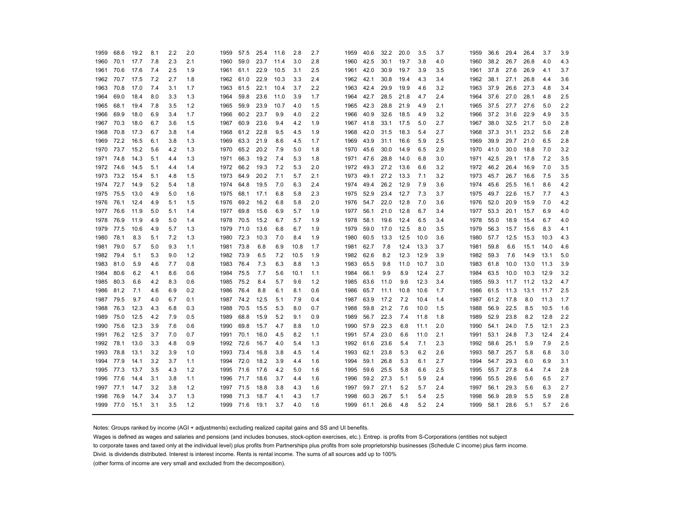| 1959      | 68.6           | 19.2 | 8.1 | 2.2 | 2.0 | 1959      | 57.5           | 25.4 | 11.6 | 2.8  | 2.7 | 1959      | 40.6      | 32.2 | 20.0 | 3.5  | 3.7 | 1959 | 36.6 | 29.4 | 26.4 | 3.7  | 3.9 |
|-----------|----------------|------|-----|-----|-----|-----------|----------------|------|------|------|-----|-----------|-----------|------|------|------|-----|------|------|------|------|------|-----|
| 1960      | 70.1           | 17.7 | 7.8 | 2.3 | 2.1 | 1960      | 59.0           | 23.7 | 11.4 | 3.0  | 2.8 | 1960      | 42.5      | 30.1 | 19.7 | 3.8  | 4.0 | 1960 | 38.2 | 26.7 | 26.8 | 4.0  | 4.3 |
| 1961      | 70.6           | 17.6 | 7.4 | 2.5 | 1.9 | 1961      | 61.1           | 22.9 | 10.5 | 3.1  | 2.5 | 1961 42.0 |           | 30.9 | 19.7 | 3.9  | 3.5 | 1961 | 37.8 | 27.6 | 26.9 | 4.1  | 3.7 |
| 1962      | 70.7           | 17.5 | 7.2 | 2.7 | 1.8 | 1962      | 61.0           | 22.9 | 10.3 | 3.3  | 2.4 | 1962      | 42.1      | 30.8 | 19.4 | 4.3  | 3.4 | 1962 | 38.1 | 27.1 | 26.8 | 4.4  | 3.6 |
| 1963      | 70.8           | 17.0 | 7.4 | 3.1 | 1.7 | 1963      | 61.5           | 22.1 | 10.4 | 3.7  | 2.2 | 1963      | 42.4      | 29.9 | 19.9 | 4.6  | 3.2 | 1963 | 37.9 | 26.6 | 27.3 | 4.8  | 3.4 |
| 1964      | 69.0           | 18.4 | 8.0 | 3.3 | 1.3 | 1964      | 59.8           | 23.6 | 11.0 | 3.9  | 1.7 | 1964 42.7 |           | 28.5 | 21.8 | 4.7  | 2.4 | 1964 | 37.6 | 27.0 | 28.1 | 4.8  | 2.5 |
| 1965      | 68.1           | 19.4 | 7.8 | 3.5 | 1.2 | 1965      | 59.9           | 23.9 | 10.7 | 4.0  | 1.5 | 1965 42.3 |           | 28.8 | 21.9 | 4.9  | 2.1 | 1965 | 37.5 | 27.7 | 27.6 | 5.0  | 2.2 |
| 1966      | 69.9           | 18.0 | 6.9 | 3.4 | 1.7 | 1966      | 60.2           | 23.7 | 9.9  | 4.0  | 2.2 | 1966 40.9 |           | 32.6 | 18.5 | 4.9  | 3.2 | 1966 | 37.2 | 31.6 | 22.9 | 4.9  | 3.5 |
| 1967 70.3 |                | 18.0 | 6.7 | 3.6 | 1.5 | 1967      | 60.9           | 23.6 | 9.4  | 4.2  | 1.9 | 1967 41.8 |           | 33.1 | 17.5 | 5.0  | 2.7 | 1967 | 38.0 | 32.5 | 21.7 | 5.0  | 2.8 |
| 1968      | 70.8           | 17.3 | 6.7 | 3.8 | 1.4 | 1968      | 61.2 22.8      |      | 9.5  | 4.5  | 1.9 | 1968      | 42.0      | 31.5 | 18.3 | 5.4  | 2.7 | 1968 | 37.3 | 31.1 | 23.2 | 5.6  | 2.8 |
| 1969      | 72.2           | 16.5 | 6.1 | 3.8 | 1.3 | 1969      | 63.3           | 21.9 | 8.6  | 4.5  | 1.7 | 1969      | 43.9      | 31.1 | 16.6 | 5.9  | 2.5 | 1969 | 39.9 | 29.7 | 21.0 | 6.5  | 2.8 |
| 1970      | 73.7           | 15.2 | 5.6 | 4.2 | 1.3 | 1970      | 65.2           | 20.2 | 7.9  | 5.0  | 1.8 | 1970      | 45.6      | 30.0 | 14.9 | 6.5  | 2.9 | 1970 | 41.0 | 30.0 | 18.8 | 7.0  | 3.2 |
| 1971      | 74.8           | 14.3 | 5.1 | 4.4 | 1.3 | 1971      | 66.3           | 19.2 | 7.4  | 5.3  | 1.8 | 1971      | 47.6      | 28.8 | 14.0 | 6.8  | 3.0 | 1971 | 42.5 | 29.1 | 17.8 | 7.2  | 3.5 |
| 1972      | 74.6           | 14.5 | 5.1 | 4.4 | 1.4 | 1972      | 66.2           | 19.3 | 7.2  | 5.3  | 2.0 | 1972 49.3 |           | 27.2 | 13.6 | 6.6  | 3.2 | 1972 | 46.2 | 26.4 | 16.9 | 7.0  | 3.5 |
| 1973      | 73.2           | 15.4 | 5.1 | 4.8 | 1.5 | 1973      | 64.9           | 20.2 | 7.1  | 5.7  | 2.1 | 1973      | 49.1      | 27.2 | 13.3 | 7.1  | 3.2 | 1973 | 45.7 | 26.7 | 16.6 | 7.5  | 3.5 |
| 1974      | 72.7           | 14.9 | 5.2 | 5.4 | 1.8 | 1974      | 64.8           | 19.5 | 7.0  | 6.3  | 2.4 | 1974 49.4 |           | 26.2 | 12.9 | 7.9  | 3.6 | 1974 | 45.6 | 25.5 | 16.1 | 8.6  | 4.2 |
| 1975      | 75.5           | 13.0 | 4.9 | 5.0 | 1.6 | 1975      | 68.1           | 17.1 | 6.8  | 5.8  | 2.3 | 1975 52.9 |           | 23.4 | 12.7 | 7.3  | 3.7 | 1975 | 49.7 | 22.6 | 15.7 | 7.7  | 4.3 |
| 1976      | 76.1           | 12.4 | 4.9 | 5.1 | 1.5 | 1976      | 69.2           | 16.2 | 6.8  | 5.8  | 2.0 | 1976      | 54.7      | 22.0 | 12.8 | 7.0  | 3.6 | 1976 | 52.0 | 20.9 | 15.9 | 7.0  | 4.2 |
| 1977      | 76.6           | 11.9 | 5.0 | 5.1 | 1.4 | 1977      | 69.8           | 15.6 | 6.9  | 5.7  | 1.9 | 1977 56.1 |           | 21.0 | 12.8 | 6.7  | 3.4 | 1977 | 53.3 | 20.1 | 15.7 | 6.9  | 4.0 |
| 1978      | 76.9           | 11.9 | 4.9 | 5.0 | 1.4 |           | 1978 70.5      | 15.2 | 6.7  | 5.7  | 1.9 | 1978      | 58.1      | 19.6 | 12.4 | 6.5  | 3.4 | 1978 | 55.0 | 18.9 | 15.4 | 6.7  | 4.0 |
| 1979      | 77.5           | 10.6 | 4.9 | 5.7 | 1.3 | 1979      | 71.0           | 13.6 | 6.8  | 6.7  | 1.9 | 1979      | 59.0      | 17.0 | 12.5 | 8.0  | 3.5 | 1979 | 56.3 | 15.7 | 15.6 | 8.3  | 4.1 |
| 1980      | 78.1           | 8.3  | 5.1 | 7.2 | 1.3 | 1980      | 72.3           | 10.3 | 7.0  | 8.4  | 1.9 | 1980      | 60.5      | 13.3 | 12.5 | 10.0 | 3.6 | 1980 | 57.7 | 12.5 | 15.3 | 10.3 | 4.3 |
| 1981      | 79.0           | 5.7  | 5.0 | 9.3 | 1.1 | 1981 73.8 |                | 6.8  | 6.9  | 10.8 | 1.7 | 1981 62.7 |           | 7.8  | 12.4 | 13.3 | 3.7 | 1981 | 59.8 | 6.6  | 15.1 | 14.0 | 4.6 |
| 1982 79.4 |                | 5.1  | 5.3 | 9.0 | 1.2 | 1982 73.9 |                | 6.5  | 7.2  | 10.5 | 1.9 | 1982 62.6 |           | 8.2  | 12.3 | 12.9 | 3.9 | 1982 | 59.3 | 7.6  | 14.9 | 13.1 | 5.0 |
| 1983      | 81.0           | 5.9  | 4.6 | 7.7 | 0.8 | 1983      | 76.4           | 7.3  | 6.3  | 8.8  | 1.3 | 1983 65.5 |           | 9.8  | 11.0 | 10.7 | 3.0 | 1983 | 61.8 | 10.0 | 13.0 | 11.3 | 3.9 |
| 1984      | 80.6           | 6.2  | 4.1 | 8.6 | 0.6 | 1984      | 75.5           | 7.7  | 5.6  | 10.1 | 1.1 | 1984      | 66.1      | 9.9  | 8.9  | 12.4 | 2.7 | 1984 | 63.5 | 10.0 | 10.3 | 12.9 | 3.2 |
| 1985      | 80.3           | 6.6  | 4.2 | 8.3 | 0.6 | 1985      | 75.2           | 8.4  | 5.7  | 9.6  | 1.2 | 1985      | 63.6      | 11.0 | 9.6  | 12.3 | 3.4 | 1985 | 59.3 | 11.7 | 11.2 | 13.2 | 4.7 |
| 1986      | 81.2           | 7.1  | 4.6 | 6.9 | 0.2 | 1986      | 76.4           | 8.8  | 6.1  | 8.1  | 0.6 | 1986      | 65.7      | 11.1 | 10.8 | 10.6 | 1.7 | 1986 | 61.5 | 11.3 | 13.1 | 11.7 | 2.5 |
| 1987      | 79.5           | 9.7  | 4.0 | 6.7 | 0.1 | 1987      | 74.2           | 12.5 | 5.1  | 7.9  | 0.4 | 1987 63.9 |           | 17.2 | 7.2  | 10.4 | 1.4 | 1987 | 61.2 | 17.8 | 8.0  | 11.3 | 1.7 |
| 1988      | 76.3           | 12.3 | 4.3 | 6.8 | 0.3 | 1988      | 70.5           | 15.5 | 5.3  | 8.0  | 0.7 | 1988      | 59.8      | 21.2 | 7.6  | 10.0 | 1.5 | 1988 | 56.9 | 22.5 | 8.5  | 10.5 | 1.6 |
| 1989      | 75.0           | 12.5 | 4.2 | 7.9 | 0.5 | 1989      | 68.8           | 15.9 | 5.2  | 9.1  | 0.9 | 1989      | 56.7      | 22.3 | 7.4  | 11.8 | 1.8 | 1989 | 52.9 | 23.8 | 8.2  | 12.8 | 2.2 |
| 1990      | 75.6           | 12.3 | 3.9 | 7.6 | 0.6 | 1990      | 69.8           | 15.7 | 4.7  | 8.8  | 1.0 | 1990      | 57.9      | 22.3 | 6.8  | 11.1 | 2.0 | 1990 | 54.1 | 24.0 | 7.5  | 12.1 | 2.3 |
| 1991      | 76.2           | 12.5 | 3.7 | 7.0 | 0.7 |           | 1991 70.1      | 16.0 | 4.5  | 8.2  | 1.1 | 1991 57.4 |           | 23.0 | 6.6  | 11.0 | 2.1 | 1991 | 53.1 | 24.8 | 7.3  | 12.4 | 2.4 |
| 1992 78.1 |                | 13.0 | 3.3 | 4.8 | 0.9 | 1992 72.6 |                | 16.7 | 4.0  | 5.4  | 1.3 | 1992 61.6 |           | 23.6 | 5.4  | 7.1  | 2.3 | 1992 | 58.6 | 25.1 | 5.9  | 7.9  | 2.5 |
| 1993      | 78.8           | 13.1 | 3.2 | 3.9 | 1.0 | 1993 73.4 |                | 16.8 | 3.8  | 4.5  | 1.4 | 1993      | 62.1      | 23.8 | 5.3  | 6.2  | 2.6 | 1993 | 58.7 | 25.7 | 5.8  | 6.8  | 3.0 |
| 1994      | 77.9           | 14.1 | 3.2 | 3.7 | 1.1 | 1994      | 72.0           | 18.2 | 3.9  | 4.4  | 1.6 | 1994      | 59.1      | 26.8 | 5.3  | 6.1  | 2.7 | 1994 | 54.7 | 29.3 | 6.0  | 6.9  | 3.1 |
| 1995      | 77.3           | 13.7 | 3.5 | 4.3 | 1.2 | 1995      | 71.6           | 17.6 | 4.2  | 5.0  | 1.6 | 1995      | 59.6      | 25.5 | 5.8  | 6.6  | 2.5 | 1995 | 55.7 | 27.8 | 6.4  | 7.4  | 2.8 |
| 1996      | 77.6           | 14.4 | 3.1 | 3.8 | 1.1 | 1996      | 71.7           | 18.6 | 3.7  | 4.4  | 1.6 | 1996      | 59.2      | 27.3 | 5.1  | 5.9  | 2.4 | 1996 | 55.5 | 29.6 | 5.6  | 6.5  | 2.7 |
| 1997 77.1 |                | 14.7 | 3.2 | 3.8 | 1.2 | 1997 71.5 |                | 18.8 | 3.8  | 4.3  | 1.6 | 1997      | 59.7      | 27.1 | 5.2  | 5.7  | 2.4 | 1997 | 56.1 | 29.3 | 5.6  | 6.3  | 2.7 |
| 1998      | 76.9           | 14.7 | 3.4 | 3.7 | 1.3 | 1998      | 71.3           | 18.7 | 4.1  | 4.3  | 1.7 | 1998      | 60.3      | 26.7 | 5.1  | 5.4  | 2.5 | 1998 | 56.9 | 28.9 | 5.5  | 5.9  | 2.8 |
|           | 1999 77.0 15.1 |      | 3.1 | 3.5 | 1.2 |           | 1999 71.6 19.1 |      | 3.7  | 4.0  | 1.6 |           | 1999 61.1 | 26.6 | 4.8  | 5.2  | 2.4 | 1999 | 58.1 | 28.6 | 5.1  | 5.7  | 2.6 |

Notes: Groups ranked by income (AGI + adjustments) excluding realized capital gains and SS and UI benefits.

Wages is defined as wages and salaries and pensions (and includes bonuses, stock-option exercises, etc.). Entrep. is profits from S-Corporations (entities not subject

to corporate taxes and taxed only at the individual level) plus profits from Partnerships plus profits from sole proprietorship businesses (Schedule C income) plus farm income.

Divid. is dividends distributed. Interest is interest income. Rents is rental income. The sums of all sources add up to 100%

(other forms of income are very small and excluded from the decomposition).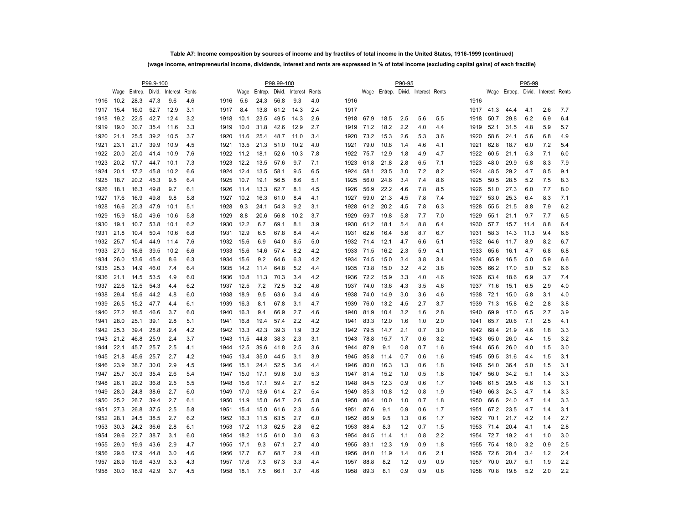# **Table A7: Income composition by sources of income and by fractiles of total income in the United States, 1916-1999 (continued) (wage income, entrepreneurial income, dividends, interest and rents are expressed in % of total income (excluding capital gains) of each fractile)**

|      |      |                                    | P99.9-100 |      |     |      |      |                     | P99.99-100 |          |       |      |      |      | P90-95 |                                    |     |      |      |      | P95-99 |                                    |     |
|------|------|------------------------------------|-----------|------|-----|------|------|---------------------|------------|----------|-------|------|------|------|--------|------------------------------------|-----|------|------|------|--------|------------------------------------|-----|
|      |      | Wage Entrep. Divid. Interest Rents |           |      |     |      |      | Wage Entrep. Divid. |            | Interest | Rents |      |      |      |        | Wage Entrep. Divid. Interest Rents |     |      |      |      |        | Wage Entrep. Divid. Interest Rents |     |
| 1916 | 10.2 | 28.3                               | 47.3      | 9.6  | 4.6 | 1916 | 5.6  | 24.3                | 56.8       | 9.3      | 4.0   | 1916 |      |      |        |                                    |     | 1916 |      |      |        |                                    |     |
| 1917 | 15.4 | 16.0                               | 52.7      | 12.9 | 3.1 | 1917 | 8.4  | 13.8                | 61.2       | 14.3     | 2.4   | 1917 |      |      |        |                                    |     | 1917 | 41.3 | 44.4 | 4.1    | 2.6                                | 7.7 |
| 1918 | 19.2 | 22.5                               | 42.7      | 12.4 | 3.2 | 1918 | 10.1 | 23.5                | 49.5       | 14.3     | 2.6   | 1918 | 67.9 | 18.5 | 2.5    | 5.6                                | 5.5 | 1918 | 50.7 | 29.8 | 6.2    | 6.9                                | 6.4 |
| 1919 | 19.0 | 30.7                               | 35.4      | 11.6 | 3.3 | 1919 | 10.0 | 31.8                | 42.6       | 12.9     | 2.7   | 1919 | 71.2 | 18.2 | 2.2    | 4.0                                | 4.4 | 1919 | 52.1 | 31.5 | 4.8    | 5.9                                | 5.7 |
| 1920 | 21.1 | 25.5                               | 39.2      | 10.5 | 3.7 | 1920 | 11.6 | 25.4                | 48.7       | 11.0     | 3.4   | 1920 | 73.2 | 15.3 | 2.6    | 5.3                                | 3.6 | 1920 | 58.6 | 24.1 | 5.6    | 6.8                                | 4.9 |
| 1921 | 23.1 | 21.7                               | 39.9      | 10.9 | 4.5 | 1921 | 13.5 | 21.3                | 51.0       | 10.2     | 4.0   | 1921 | 79.0 | 10.8 | 1.4    | 4.6                                | 4.1 | 1921 | 62.8 | 18.7 | 6.0    | 7.2                                | 5.4 |
| 1922 | 20.0 | 20.0                               | 41.4      | 10.9 | 7.6 | 1922 | 11.2 | 18.1                | 52.6       | 10.3     | 7.8   | 1922 | 75.7 | 12.9 | 1.8    | 4.9                                | 4.7 | 1922 | 60.5 | 21.1 | 5.3    | 7.1                                | 6.0 |
| 1923 | 20.2 | 17.7                               | 44.7      | 10.1 | 7.3 | 1923 | 12.2 | 13.5                | 57.6       | 9.7      | 7.1   | 1923 | 61.8 | 21.8 | 2.8    | 6.5                                | 7.1 | 1923 | 48.0 | 29.9 | 5.8    | 8.3                                | 7.9 |
| 1924 | 20.1 | 17.2                               | 45.8      | 10.2 | 6.6 | 1924 | 12.4 | 13.5                | 58.1       | 9.5      | 6.5   | 1924 | 58.1 | 23.5 | 3.0    | 7.2                                | 8.2 | 1924 | 48.5 | 29.2 | 4.7    | 8.5                                | 9.1 |
| 1925 | 18.7 | 20.2                               | 45.3      | 9.5  | 6.4 | 1925 | 10.7 | 19.1                | 56.5       | 8.6      | 5.1   | 1925 | 56.0 | 24.6 | 3.4    | 7.4                                | 8.6 | 1925 | 50.5 | 28.5 | 5.2    | 7.5                                | 8.3 |
| 1926 | 18.1 | 16.3                               | 49.8      | 9.7  | 6.1 | 1926 | 11.4 | 13.3                | 62.7       | 8.1      | 4.5   | 1926 | 56.9 | 22.2 | 4.6    | 7.8                                | 8.5 | 1926 | 51.0 | 27.3 | 6.0    | 7.7                                | 8.0 |
| 1927 | 17.6 | 16.9                               | 49.8      | 9.8  | 5.8 | 1927 | 10.2 | 16.3                | 61.0       | 8.4      | 4.1   | 1927 | 59.0 | 21.3 | 4.5    | 7.8                                | 7.4 | 1927 | 53.0 | 25.3 | 6.4    | 8.3                                | 7.1 |
| 1928 | 16.6 | 20.3                               | 47.9      | 10.1 | 5.1 | 1928 | 9.3  | 24.1                | 54.3       | 9.2      | 3.1   | 1928 | 61.2 | 20.2 | 4.5    | 7.8                                | 6.3 | 1928 | 55.5 | 21.5 | 8.8    | 7.9                                | 6.2 |
| 1929 | 15.9 | 18.0                               | 49.6      | 10.6 | 5.8 | 1929 | 8.8  | 20.6                | 56.8       | 10.2     | 3.7   | 1929 | 59.7 | 19.8 | 5.8    | 7.7                                | 7.0 | 1929 | 55.1 | 21.1 | 9.7    | 7.7                                | 6.5 |
| 1930 | 19.1 | 10.7                               | 53.8      | 10.1 | 6.2 | 1930 | 12.2 | 6.7                 | 69.1       | 8.1      | 3.9   | 1930 | 61.2 | 18.1 | 5.4    | 8.8                                | 6.4 | 1930 | 57.7 | 15.7 | 11.4   | 8.8                                | 6.4 |
| 1931 | 21.8 | 10.4                               | 50.4      | 10.6 | 6.8 | 1931 | 12.9 | 6.5                 | 67.8       | 8.4      | 4.4   | 1931 | 62.6 | 16.4 | 5.6    | 8.7                                | 6.7 | 1931 | 58.3 | 14.3 | 11.3   | 9.4                                | 6.6 |
| 1932 | 25.7 | 10.4                               | 44.9      | 11.4 | 7.6 | 1932 | 15.6 | 6.9                 | 64.0       | 8.5      | 5.0   | 1932 | 71.4 | 12.1 | 4.7    | 6.6                                | 5.1 | 1932 | 64.6 | 11.7 | 8.9    | 8.2                                | 6.7 |
| 1933 | 27.0 | 16.6                               | 39.5      | 10.2 | 6.6 | 1933 | 15.6 | 14.6                | 57.4       | 8.2      | 4.2   | 1933 | 71.5 | 16.2 | 2.3    | 5.9                                | 4.1 | 1933 | 65.6 | 16.1 | 4.7    | 6.8                                | 6.8 |
| 1934 | 26.0 | 13.6                               | 45.4      | 8.6  | 6.3 | 1934 | 15.6 | 9.2                 | 64.6       | 6.3      | 4.2   | 1934 | 74.5 | 15.0 | 3.4    | 3.8                                | 3.4 | 1934 | 65.9 | 16.5 | 5.0    | 5.9                                | 6.6 |
| 1935 | 25.3 | 14.9                               | 46.0      | 7.4  | 6.4 | 1935 | 14.2 | 11.4                | 64.8       | 5.2      | 4.4   | 1935 | 73.8 | 15.0 | 3.2    | 4.2                                | 3.8 | 1935 | 66.2 | 17.0 | 5.0    | 5.2                                | 6.6 |
| 1936 | 21.1 | 14.5                               | 53.5      | 4.9  | 6.0 | 1936 | 10.8 | 11.3                | 70.3       | 3.4      | 4.2   | 1936 | 72.2 | 15.9 | 3.3    | 4.0                                | 4.6 | 1936 | 63.4 | 18.6 | 6.9    | 3.7                                | 7.4 |
| 1937 | 22.6 | 12.5                               | 54.3      | 4.4  | 6.2 | 1937 | 12.5 | 7.2                 | 72.5       | 3.2      | 4.6   | 1937 | 74.0 | 13.6 | 4.3    | 3.5                                | 4.6 | 1937 | 71.6 | 15.1 | 6.5    | 2.9                                | 4.0 |
| 1938 | 29.4 | 15.6                               | 44.2      | 4.8  | 6.0 | 1938 | 18.9 | 9.5                 | 63.6       | 3.4      | 4.6   | 1938 | 74.0 | 14.9 | 3.0    | 3.6                                | 4.6 | 1938 | 72.1 | 15.0 | 5.8    | 3.1                                | 4.0 |
| 1939 | 26.5 | 15.2                               | 47.7      | 4.4  | 6.1 | 1939 | 16.3 | 8.1                 | 67.8       | 3.1      | 4.7   | 1939 | 76.0 | 13.2 | 4.5    | 2.7                                | 3.7 | 1939 | 71.3 | 15.8 | 6.2    | 2.8                                | 3.8 |
| 1940 | 27.2 | 16.5                               | 46.6      | 3.7  | 6.0 | 1940 | 16.3 | 9.4                 | 66.9       | 2.7      | 4.6   | 1940 | 81.9 | 10.4 | 3.2    | 1.6                                | 2.8 | 1940 | 69.9 | 17.0 | 6.5    | 2.7                                | 3.9 |
| 1941 | 28.0 | 25.1                               | 39.1      | 2.8  | 5.1 | 1941 | 16.8 | 19.4                | 57.4       | 2.2      | 4.2   | 1941 | 83.3 | 12.0 | 1.6    | 1.0                                | 2.0 | 1941 | 65.7 | 20.6 | 7.1    | 2.5                                | 4.1 |
| 1942 | 25.3 | 39.4                               | 28.8      | 2.4  | 4.2 | 1942 | 13.3 | 42.3                | 39.3       | 1.9      | 3.2   | 1942 | 79.5 | 14.7 | 2.1    | 0.7                                | 3.0 | 1942 | 68.4 | 21.9 | 4.6    | 1.8                                | 3.3 |
| 1943 | 21.2 | 46.8                               | 25.9      | 2.4  | 3.7 | 1943 | 11.5 | 44.8                | 38.3       | 2.3      | 3.1   | 1943 | 78.8 | 15.7 | 1.7    | 0.6                                | 3.2 | 1943 | 65.0 | 26.0 | 4.4    | 1.5                                | 3.2 |
| 1944 | 22.1 | 45.7                               | 25.7      | 2.5  | 4.1 | 1944 | 12.5 | 39.6                | 41.8       | 2.5      | 3.6   | 1944 | 87.9 | 9.1  | 0.8    | 0.7                                | 1.6 | 1944 | 65.6 | 26.0 | 4.0    | 1.5                                | 3.0 |
| 1945 | 21.8 | 45.6                               | 25.7      | 2.7  | 4.2 | 1945 | 13.4 | 35.0                | 44.5       | 3.1      | 3.9   | 1945 | 85.8 | 11.4 | 0.7    | 0.6                                | 1.6 | 1945 | 59.5 | 31.6 | 4.4    | 1.5                                | 3.1 |
| 1946 | 23.9 | 38.7                               | 30.0      | 2.9  | 4.5 | 1946 | 15.1 | 24.4                | 52.5       | 3.6      | 4.4   | 1946 | 80.0 | 16.3 | 1.3    | 0.6                                | 1.8 | 1946 | 54.0 | 36.4 | 5.0    | 1.5                                | 3.1 |
| 1947 | 25.7 | 30.9                               | 35.4      | 2.6  | 5.4 | 1947 | 15.0 | 17.1                | 59.6       | 3.0      | 5.3   | 1947 | 81.4 | 15.2 | 1.0    | 0.5                                | 1.8 | 1947 | 56.0 | 34.2 | 5.1    | 1.4                                | 3.3 |
| 1948 | 26.1 | 29.2                               | 36.8      | 2.5  | 5.5 | 1948 | 15.6 | 17.1                | 59.4       | 2.7      | 5.2   | 1948 | 84.5 | 12.3 | 0.9    | 0.6                                | 1.7 | 1948 | 61.5 | 29.5 | 4.6    | 1.3                                | 3.1 |
| 1949 | 28.0 | 24.8                               | 38.6      | 2.7  | 6.0 | 1949 | 17.0 | 13.6                | 61.4       | 2.7      | 5.4   | 1949 | 85.3 | 10.8 | 1.2    | 0.8                                | 1.9 | 1949 | 66.3 | 24.3 | 4.7    | 1.4                                | 3.3 |
| 1950 | 25.2 | 26.7                               | 39.4      | 2.7  | 6.1 | 1950 | 11.9 | 15.0                | 64.7       | 2.6      | 5.8   | 1950 | 86.4 | 10.0 | 1.0    | 0.7                                | 1.8 | 1950 | 66.6 | 24.0 | 4.7    | 1.4                                | 3.3 |
| 1951 | 27.3 | 26.8                               | 37.5      | 2.5  | 5.8 | 1951 | 15.4 | 15.0                | 61.6       | 2.3      | 5.6   | 1951 | 87.6 | 9.1  | 0.9    | 0.6                                | 1.7 | 1951 | 67.2 | 23.5 | 4.7    | 1.4                                | 3.1 |
| 1952 | 28.1 | 24.5                               | 38.5      | 2.7  | 6.2 | 1952 | 16.3 | 11.5                | 63.5       | 2.7      | 6.0   | 1952 | 86.9 | 9.5  | 1.3    | 0.6                                | 1.7 | 1952 | 70.1 | 21.7 | 4.2    | 1.4                                | 2.7 |
| 1953 | 30.3 | 24.2                               | 36.6      | 2.8  | 6.1 | 1953 | 17.2 | 11.3                | 62.5       | 2.8      | 6.2   | 1953 | 88.4 | 8.3  | 1.2    | 0.7                                | 1.5 | 1953 | 71.4 | 20.4 | 4.1    | 1.4                                | 2.8 |
| 1954 | 29.6 | 22.7                               | 38.7      | 3.1  | 6.0 | 1954 | 18.2 | 11.5                | 61.0       | 3.0      | 6.3   | 1954 | 84.5 | 11.4 | 1.1    | 0.8                                | 2.2 | 1954 | 72.7 | 19.2 | 4.1    | 1.0                                | 3.0 |
| 1955 | 29.0 | 19.9                               | 43.6      | 2.9  | 4.7 | 1955 | 17.1 | 9.3                 | 67.1       | 2.7      | 4.0   | 1955 | 83.1 | 12.3 | 1.9    | 0.9                                | 1.8 | 1955 | 75.4 | 18.0 | 3.2    | 0.9                                | 2.5 |
| 1956 | 29.6 | 17.9                               | 44.8      | 3.0  | 4.6 | 1956 | 17.7 | 6.7                 | 68.7       | 2.9      | 4.0   | 1956 | 84.0 | 11.9 | 1.4    | 0.6                                | 2.1 | 1956 | 72.6 | 20.4 | 3.4    | 1.2                                | 2.4 |
| 1957 | 28.9 | 19.6                               | 43.9      | 3.3  | 4.3 | 1957 | 17.6 | 7.3                 | 67.3       | 3.3      | 4.4   | 1957 | 88.8 | 8.2  | 1.2    | 0.9                                | 0.9 | 1957 | 70.0 | 20.7 | 5.1    | 1.9                                | 2.2 |
| 1958 | 30.0 | 18.9                               | 42.9      | 3.7  | 4.5 | 1958 | 18.1 | 7.5                 | 66.1       | 3.7      | 4.6   | 1958 | 89.3 | 8.1  | 0.9    | 0.9                                | 0.8 | 1958 | 70.8 | 19.8 | 5.2    | 2.0                                | 2.2 |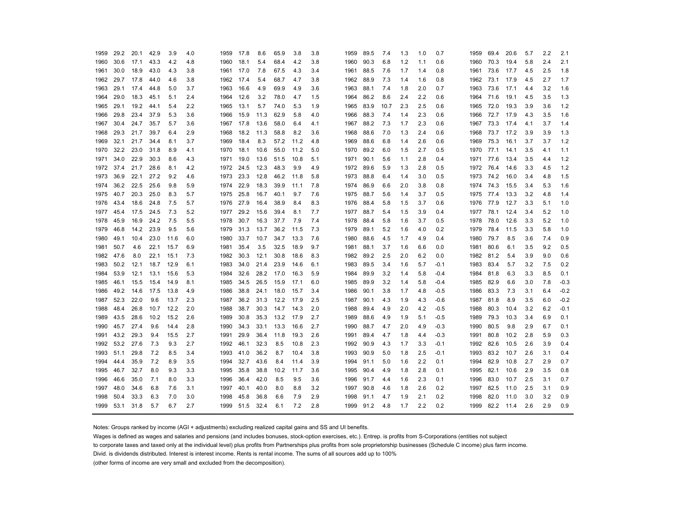| 1959 | 29.2 | 20.1 | 42.9 | 3.9  | 4.0 | 1959      | 17.8 | 8.6  | 65.9 | 3.8  | 3.8 | 1959 | 89.5      | 7.4  | 1.3 | 1.0 | 0.7    | 1959 | 69.4      | 20.6   | 5.7 | 2.2 | 2.1    |
|------|------|------|------|------|-----|-----------|------|------|------|------|-----|------|-----------|------|-----|-----|--------|------|-----------|--------|-----|-----|--------|
| 1960 | 30.6 | 17.1 | 43.3 | 4.2  | 4.8 | 1960      | 18.1 | 5.4  | 68.4 | 4.2  | 3.8 | 1960 | 90.3      | 6.8  | 1.2 | 1.1 | 0.6    | 1960 | 70.3      | 19.4   | 5.8 | 2.4 | 2.1    |
| 1961 | 30.0 | 18.9 | 43.0 | 4.3  | 3.8 | 1961      | 17.0 | 7.8  | 67.5 | 4.3  | 3.4 | 1961 | 88.5      | 7.6  | 1.7 | 1.4 | 0.8    | 1961 | 73.6      | 17.7   | 4.5 | 2.5 | 1.8    |
| 1962 | 29.7 | 17.8 | 44.0 | 4.6  | 3.8 | 1962 17.4 |      | 5.4  | 68.7 | 4.7  | 3.8 | 1962 | 88.9      | 7.3  | 1.4 | 1.6 | 0.8    | 1962 | 73.1      | 17.9   | 4.5 | 2.7 | 1.7    |
| 1963 | 29.1 | 17.4 | 44.8 | 5.0  | 3.7 | 1963      | 16.6 | 4.9  | 69.9 | 4.9  | 3.6 | 1963 | 88.1      | 7.4  | 1.8 | 2.0 | 0.7    | 1963 | 73.6      | 17.1   | 4.4 | 3.2 | 1.6    |
| 1964 | 29.0 | 18.3 | 45.1 | 5.1  | 2.4 | 1964      | 12.6 | 3.2  | 78.0 | 4.7  | 1.5 | 1964 | 86.2      | 8.6  | 2.4 | 2.2 | 0.6    | 1964 | 71.6      | 19.1   | 4.5 | 3.5 | 1.3    |
| 1965 | 29.1 | 19.2 | 44.1 | 5.4  | 2.2 | 1965      | 13.1 | 5.7  | 74.0 | 5.3  | 1.9 | 1965 | 83.9      | 10.7 | 2.3 | 2.5 | 0.6    | 1965 | 72.0      | 19.3   | 3.9 | 3.6 | 1.2    |
| 1966 | 29.8 | 23.4 | 37.9 | 5.3  | 3.6 | 1966      | 15.9 | 11.3 | 62.9 | 5.8  | 4.0 | 1966 | 88.3      | 7.4  | 1.4 | 2.3 | 0.6    | 1966 | 72.7      | 17.9   | 4.3 | 3.5 | 1.6    |
| 1967 | 30.4 | 24.7 | 35.7 | 5.7  | 3.6 | 1967      | 17.8 | 13.6 | 58.0 | 6.4  | 4.1 |      | 1967 88.2 | 7.3  | 1.7 | 2.3 | 0.6    | 1967 | 73.3      | - 17.4 | 4.1 | 3.7 | 1.4    |
| 1968 | 29.3 | 21.7 | 39.7 | 6.4  | 2.9 | 1968      | 18.2 | 11.3 | 58.8 | 8.2  | 3.6 | 1968 | 88.6      | 7.0  | 1.3 | 2.4 | 0.6    | 1968 | 73.7      | 17.2   | 3.9 | 3.9 | 1.3    |
| 1969 | 32.1 | 21.7 | 34.4 | 8.1  | 3.7 | 1969      | 18.4 | 8.3  | 57.2 | 11.2 | 4.8 | 1969 | 88.6      | 6.8  | 1.4 | 2.6 | 0.6    | 1969 | 75.3      | 16.1   | 3.7 | 3.7 | 1.2    |
| 1970 | 32.2 | 23.0 | 31.8 | 8.9  | 4.1 | 1970      | 18.1 | 10.6 | 55.0 | 11.2 | 5.0 | 1970 | 89.2      | 6.0  | 1.5 | 2.7 | 0.5    | 1970 | 77.1      | 14.1   | 3.5 | 4.1 | 1.1    |
| 1971 | 34.0 | 22.9 | 30.3 | 8.6  | 4.3 | 1971      | 19.0 | 13.6 | 51.5 | 10.8 | 5.1 | 1971 | 90.1      | 5.6  | 1.1 | 2.8 | 0.4    |      | 1971 77.6 | 13.4   | 3.5 | 4.4 | 1.2    |
| 1972 | 37.4 | 21.7 | 28.6 | 8.1  | 4.2 | 1972 24.5 |      | 12.3 | 48.3 | 9.9  | 4.9 |      | 1972 89.6 | 5.9  | 1.3 | 2.8 | 0.5    |      | 1972 76.4 | 14.6   | 3.3 | 4.5 | 1.2    |
| 1973 | 36.9 | 22.1 | 27.2 | 9.2  | 4.6 | 1973      | 23.3 | 12.8 | 46.2 | 11.8 | 5.8 | 1973 | 88.8      | 6.4  | 1.4 | 3.0 | 0.5    | 1973 | 74.2      | 16.0   | 3.4 | 4.8 | 1.5    |
| 1974 | 36.2 | 22.5 | 25.6 | 9.8  | 5.9 | 1974      | 22.9 | 18.3 | 39.9 | 11.1 | 7.8 | 1974 | 86.9      | 6.6  | 2.0 | 3.8 | 0.8    | 1974 | 74.3      | 15.5   | 3.4 | 5.3 | 1.6    |
| 1975 | 40.7 | 20.3 | 25.0 | 8.3  | 5.7 | 1975      | 25.8 | 16.7 | 40.1 | 9.7  | 7.6 |      | 1975 88.7 | 5.6  | 1.4 | 3.7 | 0.5    | 1975 | 77.4      | 13.3   | 3.2 | 4.8 | 1.4    |
| 1976 | 43.4 | 18.6 | 24.8 | 7.5  | 5.7 | 1976      | 27.9 | 16.4 | 38.9 | 8.4  | 8.3 | 1976 | 88.4      | 5.8  | 1.5 | 3.7 | 0.6    | 1976 | 77.9      | 12.7   | 3.3 | 5.1 | 1.0    |
| 1977 | 45.4 | 17.5 | 24.5 | 7.3  | 5.2 | 1977      | 29.2 | 15.6 | 39.4 | 8.1  | 7.7 | 1977 | 88.7      | 5.4  | 1.5 | 3.9 | 0.4    | 1977 | 78.1      | 12.4   | 3.4 | 5.2 | 1.0    |
| 1978 | 45.9 | 16.9 | 24.2 | 7.5  | 5.5 | 1978      | 30.7 | 16.3 | 37.7 | 7.9  | 7.4 | 1978 | 88.4      | 5.8  | 1.6 | 3.7 | 0.5    | 1978 | 78.0      | 12.6   | 3.3 | 5.2 | 1.0    |
| 1979 | 46.8 | 14.2 | 23.9 | 9.5  | 5.6 | 1979      | 31.3 | 13.7 | 36.2 | 11.5 | 7.3 | 1979 | 89.1      | 5.2  | 1.6 | 4.0 | 0.2    | 1979 | 78.4      | 11.5   | 3.3 | 5.8 | 1.0    |
| 1980 | 49.1 | 10.4 | 23.0 | 11.6 | 6.0 | 1980      | 33.7 | 10.7 | 34.7 | 13.3 | 7.6 | 1980 | 88.6      | 4.5  | 1.7 | 4.9 | 0.4    | 1980 | 79.7      | 8.5    | 3.6 | 7.4 | 0.9    |
| 1981 | 50.7 | 4.6  | 22.1 | 15.7 | 6.9 | 1981      | 35.4 | 3.5  | 32.5 | 18.9 | 9.7 |      | 1981 88.1 | 3.7  | 1.6 | 6.6 | 0.0    | 1981 | 80.6      | 6.1    | 3.5 | 9.2 | 0.5    |
| 1982 | 47.6 | 8.0  | 22.1 | 15.1 | 7.3 | 1982      | 30.3 | 12.1 | 30.8 | 18.6 | 8.3 | 1982 | 89.2      | 2.5  | 2.0 | 6.2 | 0.0    | 1982 | 81.2      | 5.4    | 3.9 | 9.0 | 0.6    |
| 1983 | 50.2 | 12.1 | 18.7 | 12.9 | 6.1 | 1983      | 34.0 | 21.4 | 23.9 | 14.6 | 6.1 | 1983 | 89.5      | 3.4  | 1.6 | 5.7 | $-0.1$ | 1983 | 83.4      | 5.7    | 3.2 | 7.5 | 0.2    |
| 1984 | 53.9 | 12.1 | 13.1 | 15.6 | 5.3 | 1984      | 32.6 | 28.2 | 17.0 | 16.3 | 5.9 | 1984 | 89.9      | 3.2  | 1.4 | 5.8 | $-0.4$ | 1984 | 81.8      | 6.3    | 3.3 | 8.5 | 0.1    |
| 1985 | 46.1 | 15.5 | 15.4 | 14.9 | 8.1 | 1985      | 34.5 | 26.5 | 15.9 | 17.1 | 6.0 | 1985 | 89.9      | 3.2  | 1.4 | 5.8 | $-0.4$ | 1985 | 82.9      | 6.6    | 3.0 | 7.8 | $-0.3$ |
| 1986 | 49.2 | 14.6 | 17.5 | 13.8 | 4.9 | 1986      | 38.8 | 24.1 | 18.0 | 15.7 | 3.4 | 1986 | 90.1      | 3.8  | 1.7 | 4.8 | $-0.5$ | 1986 | 83.3      | 7.3    | 3.1 | 6.4 | $-0.2$ |
| 1987 | 52.3 | 22.0 | 9.6  | 13.7 | 2.3 | 1987      | 36.2 | 31.3 | 12.2 | 17.9 | 2.5 | 1987 | 90.1      | 4.3  | 1.9 | 4.3 | $-0.6$ | 1987 | 81.8      | 8.9    | 3.5 | 6.0 | $-0.2$ |
| 1988 | 48.4 | 26.8 | 10.7 | 12.2 | 2.0 | 1988      | 38.7 | 30.3 | 14.7 | 14.3 | 2.0 | 1988 | 89.4      | 4.9  | 2.0 | 4.2 | $-0.5$ | 1988 | 80.3      | 10.4   | 3.2 | 6.2 | $-0.1$ |
| 1989 | 43.5 | 28.6 | 10.2 | 15.2 | 2.6 | 1989      | 30.8 | 35.3 | 13.2 | 17.9 | 2.7 | 1989 | 88.6      | 4.9  | 1.9 | 5.1 | $-0.5$ | 1989 | 79.3      | 10.3   | 3.4 | 6.9 | 0.1    |
| 1990 | 45.7 | 27.4 | 9.6  | 14.4 | 2.8 | 1990      | 34.3 | 33.1 | 13.3 | 16.6 | 2.7 | 1990 | 88.7      | 4.7  | 2.0 | 4.9 | $-0.3$ | 1990 | 80.5      | 9.8    | 2.9 | 6.7 | 0.1    |
| 1991 | 43.2 | 29.3 | 9.4  | 15.5 | 2.7 | 1991      | 29.9 | 36.4 | 11.8 | 19.3 | 2.6 | 1991 | 89.4      | 4.7  | 1.8 | 4.4 | $-0.3$ | 1991 | 80.8      | 10.2   | 2.8 | 5.9 | 0.3    |
| 1992 | 53.2 | 27.6 | 7.3  | 9.3  | 2.7 | 1992 46.1 |      | 32.3 | 8.5  | 10.8 | 2.3 | 1992 | 90.9      | 4.3  | 1.7 | 3.3 | $-0.1$ |      | 1992 82.6 | 10.5   | 2.6 | 3.9 | 0.4    |
| 1993 | 51.1 | 29.8 | 7.2  | 8.5  | 3.4 | 1993      | 41.0 | 36.2 | 8.7  | 10.4 | 3.8 | 1993 | 90.9      | 5.0  | 1.8 | 2.5 | $-0.1$ | 1993 | 83.2      | 10.7   | 2.6 | 3.1 | 0.4    |
| 1994 | 44.4 | 35.9 | 7.2  | 8.9  | 3.5 | 1994      | 32.7 | 43.6 | 8.4  | 11.4 | 3.9 | 1994 | 91.1      | 5.0  | 1.6 | 2.2 | 0.1    | 1994 | 82.9      | 10.8   | 2.7 | 2.9 | 0.7    |
| 1995 | 46.7 | 32.7 | 8.0  | 9.3  | 3.3 | 1995      | 35.8 | 38.8 | 10.2 | 11.7 | 3.6 | 1995 | 90.4      | 4.9  | 1.8 | 2.8 | 0.1    | 1995 | 82.1      | 10.6   | 2.9 | 3.5 | 0.8    |
| 1996 | 46.6 | 35.0 | 7.1  | 8.0  | 3.3 | 1996      | 36.4 | 42.0 | 8.5  | 9.5  | 3.6 | 1996 | 91.7      | 4.4  | 1.6 | 2.3 | 0.1    | 1996 | 83.0      | 10.7   | 2.5 | 3.1 | 0.7    |
| 1997 | 48.0 | 34.6 | 6.8  | 7.6  | 3.1 | 1997      | 40.1 | 40.0 | 8.0  | 8.8  | 3.2 | 1997 | 90.8      | 4.6  | 1.8 | 2.6 | 0.2    | 1997 | 82.5      | 11.0   | 2.5 | 3.1 | 0.9    |
| 1998 | 50.4 | 33.3 | 6.3  | 7.0  | 3.0 | 1998      | 45.8 | 36.8 | 6.6  | 7.9  | 2.9 | 1998 | 91.1      | 4.7  | 1.9 | 2.1 | 0.2    | 1998 | 82.0      | 11.0   | 3.0 | 3.2 | 0.9    |
| 1999 | 53.1 | 31.8 | 5.7  | 6.7  | 2.7 | 1999      | 51.5 | 32.4 | 6.1  | 7.2  | 2.8 |      | 1999 91.2 | 4.8  | 1.7 | 2.2 | 0.2    | 1999 | 82.2 11.4 |        | 2.6 | 2.9 | 0.9    |

Notes: Groups ranked by income (AGI + adjustments) excluding realized capital gains and SS and UI benefits.

Wages is defined as wages and salaries and pensions (and includes bonuses, stock-option exercises, etc.). Entrep. is profits from S-Corporations (entities not subject

to corporate taxes and taxed only at the individual level) plus profits from Partnerships plus profits from sole proprietorship businesses (Schedule C income) plus farm income.

Divid. is dividends distributed. Interest is interest income. Rents is rental income. The sums of all sources add up to 100%

(other forms of income are very small and excluded from the decomposition).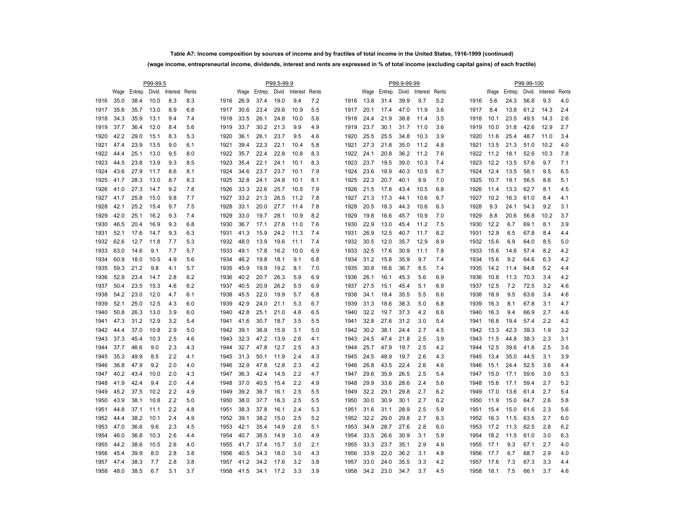# **Table A7: Income composition by sources of income and by fractiles of total income in the United States, 1916-1999 (continued) (wage income, entrepreneurial income, dividends, interest and rents are expressed in % of total income (excluding capital gains) of each fractile)**

|      |      |                                    | P99-99.5 |     |     |      |      |      | P99.5-99.9 |                                    |     |      |      |                                    | P99.9-99.99 |      |     |      |      |      | P99.99-100 |                                    |     |
|------|------|------------------------------------|----------|-----|-----|------|------|------|------------|------------------------------------|-----|------|------|------------------------------------|-------------|------|-----|------|------|------|------------|------------------------------------|-----|
|      |      | Wage Entrep. Divid. Interest Rents |          |     |     |      |      |      |            | Wage Entrep. Divid. Interest Rents |     |      |      | Wage Entrep. Divid. Interest Rents |             |      |     |      |      |      |            | Wage Entrep. Divid. Interest Rents |     |
| 1916 | 35.0 | 38.4                               | 10.0     | 8.3 | 8.3 | 1916 | 26.9 | 37.4 | 19.0       | 9.4                                | 7.2 | 1916 | 13.8 | 31.4                               | 39.9        | 9.7  | 5.2 | 1916 | 5.6  | 24.3 | 56.8       | 9.3                                | 4.0 |
| 1917 | 35.6 | 35.7                               | 13.0     | 8.9 | 6.8 | 1917 | 30.6 | 23.4 | 29.6       | 10.9                               | 5.5 | 1917 | 20.1 | 17.4                               | 47.0        | 11.9 | 3.6 | 1917 | 8.4  | 13.8 | 61.2       | 14.3                               | 2.4 |
| 1918 | 34.3 | 35.9                               | 13.1     | 9.4 | 7.4 | 1918 | 33.5 | 26.1 | 24.8       | 10.0                               | 5.6 | 1918 | 24.4 | 21.9                               | 38.8        | 11.4 | 3.5 | 1918 | 10.1 | 23.5 | 49.5       | 14.3                               | 2.6 |
| 1919 | 37.7 | 36.4                               | 12.0     | 8.4 | 5.6 | 1919 | 33.7 | 30.2 | 21.3       | 9.9                                | 4.9 | 1919 | 23.7 | 30.1                               | 31.7        | 11.0 | 3.6 | 1919 | 10.0 | 31.8 | 42.6       | 12.9                               | 2.7 |
| 1920 | 42.2 | 29.0                               | 15.1     | 8.3 | 5.3 | 1920 | 36.1 | 26.1 | 23.7       | 9.5                                | 4.6 | 1920 | 25.5 | 25.5                               | 34.8        | 10.3 | 3.9 | 1920 | 11.6 | 25.4 | 48.7       | 11.0                               | 3.4 |
| 1921 | 47.4 | 23.9                               | 13.5     | 9.0 | 6.1 | 1921 | 39.4 | 22.3 | 22.1       | 10.4                               | 5.8 | 1921 | 27.3 | 21.8                               | 35.0        | 11.2 | 4.8 | 1921 | 13.5 | 21.3 | 51.0       | 10.2                               | 4.0 |
| 1922 | 44.4 | 25.1                               | 13.0     | 9.5 | 8.0 | 1922 | 35.7 | 22.4 | 22.8       | 10.8                               | 8.3 | 1922 | 24.1 | 20.8                               | 36.2        | 11.2 | 7.6 | 1922 | 11.2 | 18.1 | 52.6       | 10.3                               | 7.8 |
| 1923 | 44.5 | 23.8                               | 13.9     | 9.3 | 8.5 | 1923 | 35.4 | 22.1 | 24.1       | 10.1                               | 8.3 | 1923 | 23.7 | 19.5                               | 39.0        | 10.3 | 7.4 | 1923 | 12.2 | 13.5 | 57.6       | 9.7                                | 7.1 |
| 1924 | 43.6 | 27.9                               | 11.7     | 8.6 | 8.1 | 1924 | 34.6 | 23.7 | 23.7       | 10.1                               | 7.9 | 1924 | 23.6 | 18.9                               | 40.3        | 10.5 | 6.7 | 1924 | 12.4 | 13.5 | 58.1       | 9.5                                | 6.5 |
| 1925 | 41.7 | 28.3                               | 13.0     | 8.7 | 8.3 | 1925 | 32.8 | 24.1 | 24.8       | 10.1                               | 8.1 | 1925 | 22.3 | 20.7                               | 40.1        | 9.9  | 7.0 | 1925 | 10.7 | 19.1 | 56.5       | 8.6                                | 5.1 |
| 1926 | 41.0 | 27.3                               | 14.7     | 9.2 | 7.8 | 1926 | 33.3 | 22.6 | 25.7       | 10.5                               | 7.9 | 1926 | 21.5 | 17.8                               | 43.4        | 10.5 | 6.8 | 1926 | 11.4 | 13.3 | 62.7       | 8.1                                | 4.5 |
| 1927 | 41.7 | 25.8                               | 15.0     | 9.8 | 7.7 | 1927 | 33.2 | 21.3 | 26.5       | 11.2                               | 7.8 | 1927 | 21.3 | 17.3                               | 44.1        | 10.6 | 6.7 | 1927 | 10.2 | 16.3 | 61.0       | 8.4                                | 4.1 |
| 1928 | 42.1 | 25.2                               | 15.4     | 9.7 | 7.5 | 1928 | 33.1 | 20.0 | 27.7       | 11.4                               | 7.8 | 1928 | 20.5 | 18.3                               | 44.3        | 10.6 | 6.3 | 1928 | 9.3  | 24.1 | 54.3       | 9.2                                | 3.1 |
| 1929 | 42.0 | 25.1                               | 16.2     | 9.3 | 7.4 | 1929 | 33.0 | 19.7 | 28.1       | 10.9                               | 8.2 | 1929 | 19.8 | 16.6                               | 45.7        | 10.9 | 7.0 | 1929 | 8.8  | 20.6 | 56.8       | 10.2                               | 3.7 |
| 1930 | 46.5 | 20.4                               | 16.9     | 9.3 | 6.8 | 1930 | 36.7 | 17.1 | 27.6       | 11.0                               | 7.6 | 1930 | 22.9 | 13.0                               | 45.4        | 11.2 | 7.5 | 1930 | 12.2 | 6.7  | 69.1       | 8.1                                | 3.9 |
| 1931 | 52.1 | 17.6                               | 14.7     | 9.3 | 6.3 | 1931 | 41.3 | 15.9 | 24.2       | 11.3                               | 7.4 | 1931 | 26.9 | 12.5                               | 40.7        | 11.7 | 8.2 | 1931 | 12.9 | 6.5  | 67.8       | 8.4                                | 4.4 |
| 1932 | 62.6 | 12.7                               | 11.8     | 7.7 | 5.3 | 1932 | 48.0 | 13.9 | 19.6       | 11.1                               | 7.4 | 1932 | 30.5 | 12.0                               | 35.7        | 12.9 | 8.9 | 1932 | 15.6 | 6.9  | 64.0       | 8.5                                | 5.0 |
| 1933 | 63.0 | 14.6                               | 9.1      | 7.7 | 5.7 | 1933 | 49.1 | 17.8 | 16.2       | 10.0                               | 6.9 | 1933 | 32.5 | 17.6                               | 30.9        | 11.1 | 7.8 | 1933 | 15.6 | 14.6 | 57.4       | 8.2                                | 4.2 |
| 1934 | 60.9 | 18.0                               | 10.5     | 4.9 | 5.6 | 1934 | 46.2 | 19.8 | 18.1       | 9.1                                | 6.8 | 1934 | 31.2 | 15.8                               | 35.9        | 9.7  | 7.4 | 1934 | 15.6 | 9.2  | 64.6       | 6.3                                | 4.2 |
| 1935 | 59.3 | 21.2                               | 9.8      | 4.1 | 5.7 | 1935 | 45.9 | 19.9 | 19.2       | 8.1                                | 7.0 | 1935 | 30.8 | 16.6                               | 36.7        | 8.5  | 7.4 | 1935 | 14.2 | 11.4 | 64.8       | 5.2                                | 4.4 |
| 1936 | 52.9 | 23.4                               | 14.7     | 2.8 | 6.2 | 1936 | 40.2 | 20.7 | 26.3       | 5.9                                | 6.9 | 1936 | 26.1 | 16.1                               | 45.3        | 5.6  | 6.9 | 1936 | 10.8 | 11.3 | 70.3       | 3.4                                | 4.2 |
| 1937 | 50.4 | 23.5                               | 15.3     | 4.6 | 6.2 | 1937 | 40.5 | 20.9 | 26.2       | 5.5                                | 6.9 | 1937 | 27.5 | 15.1                               | 45.4        | 5.1  | 6.9 | 1937 | 12.5 | 7.2  | 72.5       | 3.2                                | 4.6 |
| 1938 | 54.2 | 23.0                               | 12.0     | 4.7 | 6.1 | 1938 | 45.5 | 22.0 | 19.9       | 5.7                                | 6.8 | 1938 | 34.1 | 18.4                               | 35.5        | 5.5  | 6.6 | 1938 | 18.9 | 9.5  | 63.6       | 3.4                                | 4.6 |
| 1939 | 52.1 | 25.0                               | 12.5     | 4.3 | 6.0 | 1939 | 42.9 | 24.0 | 21.1       | 5.3                                | 6.7 | 1939 | 31.3 | 18.6                               | 38.3        | 5.0  | 6.8 | 1939 | 16.3 | 8.1  | 67.8       | 3.1                                | 4.7 |
| 1940 | 50.8 | 26.3                               | 13.0     | 3.9 | 6.0 | 1940 | 42.8 | 25.1 | 21.0       | 4.6                                | 6.5 | 1940 | 32.2 | 19.7                               | 37.3        | 4.2  | 6.6 | 1940 | 16.3 | 9.4  | 66.9       | 2.7                                | 4.6 |
| 1941 | 47.3 | 31.2                               | 12.9     | 3.2 | 5.4 | 1941 | 41.6 | 30.7 | 18.7       | 3.5                                | 5.5 | 1941 | 32.8 | 27.6                               | 31.2        | 3.0  | 5.4 | 1941 | 16.8 | 19.4 | 57.4       | 2.2                                | 4.2 |
| 1942 | 44.4 | 37.0                               | 10.8     | 2.9 | 5.0 | 1942 | 39.1 | 36.9 | 15.9       | 3.1                                | 5.0 | 1942 | 30.2 | 38.1                               | 24.4        | 2.7  | 4.5 | 1942 | 13.3 | 42.3 | 39.3       | 1.9                                | 3.2 |
| 1943 | 37.3 | 45.4                               | 10.3     | 2.5 | 4.6 | 1943 | 32.3 | 47.2 | 13.9       | 2.6                                | 4.1 | 1943 | 24.5 | 47.4                               | 21.8        | 2.5  | 3.9 | 1943 | 11.5 | 44.8 | 38.3       | 2.3                                | 3.1 |
| 1944 | 37.7 | 46.6                               | 9.0      | 2.3 | 4.3 | 1944 | 32.7 | 47.8 | 12.7       | 2.5                                | 4.3 | 1944 | 25.7 | 47.9                               | 19.7        | 2.5  | 4.2 | 1944 | 12.5 | 39.6 | 41.8       | 2.5                                | 3.6 |
| 1945 | 35.3 | 49.9                               | 8.5      | 2.2 | 4.1 | 1945 | 31.3 | 50.1 | 11.9       | 2.4                                | 4.3 | 1945 | 24.5 | 48.9                               | 19.7        | 2.6  | 4.3 | 1945 | 13.4 | 35.0 | 44.5       | 3.1                                | 3.9 |
| 1946 | 36.8 | 47.9                               | 9.2      | 2.0 | 4.0 | 1946 | 32.9 | 47.8 | 12.8       | 2.3                                | 4.2 | 1946 | 26.8 | 43.5                               | 22.4        | 2.6  | 4.6 | 1946 | 15.1 | 24.4 | 52.5       | 3.6                                | 4.4 |
| 1947 | 40.2 | 43.4                               | 10.0     | 2.0 | 4.3 | 1947 | 36.3 | 42.4 | 14.5       | 2.2                                | 4.7 | 1947 | 29.6 | 35.9                               | 26.5        | 2.5  | 5.4 | 1947 | 15.0 | 17.1 | 59.6       | 3.0                                | 5.3 |
| 1948 | 41.9 | 42.4                               | 9.4      | 2.0 | 4.4 | 1948 | 37.0 | 40.5 | 15.4       | 2.2                                | 4.9 | 1948 | 29.9 | 33.6                               | 28.6        | 2.4  | 5.6 | 1948 | 15.6 | 17.1 | 59.4       | 2.7                                | 5.2 |
| 1949 | 45.2 | 37.5                               | 10.2     | 2.2 | 4.9 | 1949 | 39.2 | 36.7 | 16.1       | 2.5                                | 5.5 | 1949 | 32.2 | 29.1                               | 29.8        | 2.7  | 6.2 | 1949 | 17.0 | 13.6 | 61.4       | 2.7                                | 5.4 |
| 1950 | 43.9 | 38.1                               | 10.8     | 2.2 | 5.0 | 1950 | 38.0 | 37.7 | 16.3       | 2.5                                | 5.5 | 1950 | 30.0 | 30.9                               | 30.1        | 2.7  | 6.2 | 1950 | 11.9 | 15.0 | 64.7       | 2.6                                | 5.8 |
| 1951 | 44.8 | 37.1                               | 11.1     | 2.2 | 4.8 | 1951 | 38.3 | 37.8 | 16.1       | 2.4                                | 5.3 | 1951 | 31.6 | 31.1                               | 28.9        | 2.5  | 5.9 | 1951 | 15.4 | 15.0 | 61.6       | 2.3                                | 5.6 |
| 1952 | 44.4 | 38.2                               | 10.1     | 2.4 | 4.9 | 1952 | 39.1 | 38.2 | 15.0       | 2.5                                | 5.2 | 1952 | 32.2 | 29.0                               | 29.8        | 2.7  | 6.3 | 1952 | 16.3 | 11.5 | 63.5       | 2.7                                | 6.0 |
| 1953 | 47.0 | 36.6                               | 9.6      | 2.3 | 4.5 | 1953 | 42.1 | 35.4 | 14.9       | 2.6                                | 5.1 | 1953 | 34.9 | 28.7                               | 27.6        | 2.8  | 6.0 | 1953 | 17.2 | 11.3 | 62.5       | 2.8                                | 6.2 |
| 1954 | 46.0 | 36.8                               | 10.3     | 2.6 | 4.4 | 1954 | 40.7 | 36.5 | 14.9       | 3.0                                | 4.9 | 1954 | 33.5 | 26.6                               | 30.9        | 3.1  | 5.9 | 1954 | 18.2 | 11.5 | 61.0       | 3.0                                | 6.3 |
| 1955 | 44.2 | 38.6                               | 10.5     | 2.6 | 4.0 | 1955 | 41.7 | 37.4 | 15.7       | 3.0                                | 2.1 | 1955 | 33.3 | 23.7                               | 35.1        | 2.9  | 4.9 | 1955 | 17.1 | 9.3  | 67.1       | 2.7                                | 4.0 |
| 1956 | 45.4 | 39.9                               | 8.0      | 2.8 | 3.8 | 1956 | 40.5 | 34.3 | 18.0       | 3.0                                | 4.3 | 1956 | 33.9 | 22.0                               | 36.2        | 3.1  | 4.8 | 1956 | 17.7 | 6.7  | 68.7       | 2.9                                | 4.0 |
| 1957 | 47.4 | 38.3                               | 7.7      | 2.8 | 3.8 | 1957 | 41.2 | 34.2 | 17.6       | 3.2                                | 3.8 | 1957 | 33.0 | 24.0                               | 35.5        | 3.3  | 4.2 | 1957 | 17.6 | 7.3  | 67.3       | 3.3                                | 4.4 |
| 1958 | 48.0 | 38.5                               | 6.7      | 3.1 | 3.7 | 1958 | 41.5 | 34.1 | 17.2       | 3.3                                | 3.9 | 1958 | 34.2 | 23.0                               | 34.7        | 3.7  | 4.5 | 1958 | 18.1 | 7.5  | 66.1       | 3.7                                | 4.6 |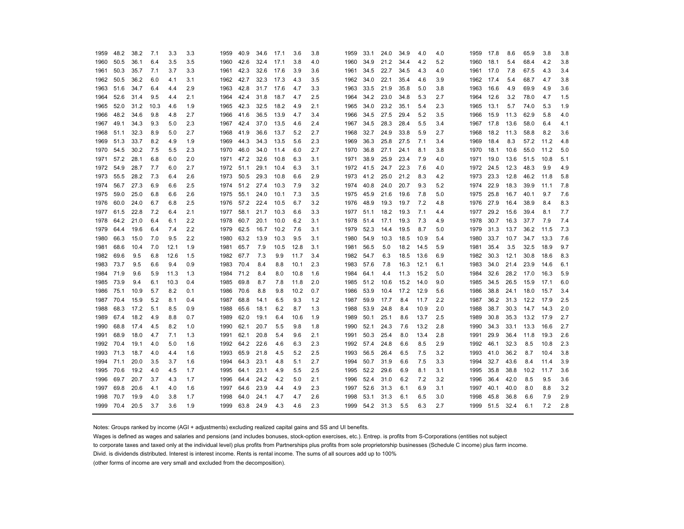| 1959      | 48.2 | 38.2 | 7.1  | 3.3  | 3.3 | 1959      | 40.9      | 34.6 | 17.1 | 3.6  | 3.8 | 1959      | 33.1 | 24.0 | 34.9 | 4.0  | 4.0 | 1959 | 17.8      | 8.6  | 65.9 | 3.8  | 3.8 |
|-----------|------|------|------|------|-----|-----------|-----------|------|------|------|-----|-----------|------|------|------|------|-----|------|-----------|------|------|------|-----|
| 1960      | 50.5 | 36.1 | 6.4  | 3.5  | 3.5 | 1960      | 42.6      | 32.4 | 17.1 | 3.8  | 4.0 | 1960      | 34.9 | 21.2 | 34.4 | 4.2  | 5.2 | 1960 | 18.1      | 5.4  | 68.4 | 4.2  | 3.8 |
| 1961      | 50.3 | 35.7 | 7.1  | 3.7  | 3.3 | 1961      | 42.3      | 32.6 | 17.6 | 3.9  | 3.6 | 1961      | 34.5 | 22.7 | 34.5 | 4.3  | 4.0 | 1961 | 17.0      | 7.8  | 67.5 | 4.3  | 3.4 |
| 1962      | 50.5 | 36.2 | 6.0  | 4.1  | 3.1 | 1962      | 42.7      | 32.3 | 17.3 | 4.3  | 3.5 | 1962      | 34.0 | 22.1 | 35.4 | 4.6  | 3.9 | 1962 | 17.4      | 5.4  | 68.7 | 4.7  | 3.8 |
| 1963      | 51.6 | 34.7 | 6.4  | 4.4  | 2.9 | 1963      | 42.8      | 31.7 | 17.6 | 4.7  | 3.3 | 1963      | 33.5 | 21.9 | 35.8 | 5.0  | 3.8 | 1963 | 16.6      | 4.9  | 69.9 | 4.9  | 3.6 |
| 1964      | 52.6 | 31.4 | 9.5  | 4.4  | 2.1 | 1964      | 42.4      | 31.8 | 18.7 | 4.7  | 2.5 | 1964      | 34.2 | 23.0 | 34.8 | 5.3  | 2.7 | 1964 | 12.6      | 3.2  | 78.0 | 4.7  | 1.5 |
| 1965      | 52.0 | 31.2 | 10.3 | 4.6  | 1.9 | 1965 42.3 |           | 32.5 | 18.2 | 4.9  | 2.1 | 1965      | 34.0 | 23.2 | 35.1 | 5.4  | 2.3 | 1965 | 13.1      | 5.7  | 74.0 | 5.3  | 1.9 |
| 1966      | 48.2 | 34.6 | 9.8  | 4.8  | 2.7 | 1966      | 41.6      | 36.5 | 13.9 | 4.7  | 3.4 | 1966      | 34.5 | 27.5 | 29.4 | 5.2  | 3.5 | 1966 | 15.9      | 11.3 | 62.9 | 5.8  | 4.0 |
| 1967 49.1 |      | 34.3 | 9.3  | 5.0  | 2.3 |           | 1967 42.4 | 37.0 | 13.5 | 4.6  | 2.4 | 1967      | 34.5 | 28.3 | 28.4 | 5.5  | 3.4 | 1967 | 17.8      | 13.6 | 58.0 | 6.4  | 4.1 |
| 1968      | 51.1 | 32.3 | 8.9  | 5.0  | 2.7 | 1968      | 41.9      | 36.6 | 13.7 | 5.2  | 2.7 | 1968      | 32.7 | 24.9 | 33.8 | 5.9  | 2.7 | 1968 | 18.2      | 11.3 | 58.8 | 8.2  | 3.6 |
| 1969      | 51.3 | 33.7 | 8.2  | 4.9  | 1.9 | 1969      | 44.3      | 34.3 | 13.5 | 5.6  | 2.3 | 1969      | 36.3 | 25.8 | 27.5 | 7.1  | 3.4 | 1969 | 18.4      | 8.3  | 57.2 | 11.2 | 4.8 |
| 1970      | 54.5 | 30.2 | 7.5  | 5.5  | 2.3 | 1970 46.0 |           | 34.0 | 11.4 | 6.0  | 2.7 | 1970      | 36.8 | 27.1 | 24.1 | 8.1  | 3.8 | 1970 | 18.1      | 10.6 | 55.0 | 11.2 | 5.0 |
| 1971      | 57.2 | 28.1 | 6.8  | 6.0  | 2.0 | 1971      | 47.2      | 32.6 | 10.8 | 6.3  | 3.1 | 1971      | 38.9 | 25.9 | 23.4 | 7.9  | 4.0 | 1971 | 19.0      | 13.6 | 51.5 | 10.8 | 5.1 |
| 1972      | 54.9 | 28.7 | 7.7  | 6.0  | 2.7 | 1972 51.1 |           | 29.1 | 10.4 | 6.3  | 3.1 | 1972 41.5 |      | 24.7 | 22.3 | 7.6  | 4.0 | 1972 | 24.5      | 12.3 | 48.3 | 9.9  | 4.9 |
| 1973      | 55.5 | 28.2 | 7.3  | 6.4  | 2.6 | 1973      | 50.5      | 29.3 | 10.8 | 6.6  | 2.9 | 1973      | 41.2 | 25.0 | 21.2 | 8.3  | 4.2 | 1973 | 23.3      | 12.8 | 46.2 | 11.8 | 5.8 |
| 1974      | 56.7 | 27.3 | 6.9  | 6.6  | 2.5 |           | 1974 51.2 | 27.4 | 10.3 | 7.9  | 3.2 | 1974      | 40.8 | 24.0 | 20.7 | 9.3  | 5.2 | 1974 | 22.9      | 18.3 | 39.9 | 11.1 | 7.8 |
| 1975      | 59.0 | 25.0 | 6.8  | 6.6  | 2.6 | 1975      | 55.1      | 24.0 | 10.1 | 7.3  | 3.5 | 1975 45.9 |      | 21.6 | 19.6 | 7.8  | 5.0 | 1975 | 25.8      | 16.7 | 40.1 | 9.7  | 7.6 |
| 1976      | 60.0 | 24.0 | 6.7  | 6.8  | 2.5 | 1976      | 57.2      | 22.4 | 10.5 | 6.7  | 3.2 | 1976      | 48.9 | 19.3 | 19.7 | 7.2  | 4.8 | 1976 | 27.9      | 16.4 | 38.9 | 8.4  | 8.3 |
| 1977      | 61.5 | 22.8 | 7.2  | 6.4  | 2.1 | 1977      | 58.1      | 21.7 | 10.3 | 6.6  | 3.3 | 1977 51.1 |      | 18.2 | 19.3 | 7.1  | 4.4 | 1977 | 29.2      | 15.6 | 39.4 | 8.1  | 7.7 |
| 1978      | 64.2 | 21.0 | 6.4  | 6.1  | 2.2 | 1978      | 60.7      | 20.1 | 10.0 | 6.2  | 3.1 | 1978      | 51.4 | 17.1 | 19.3 | 7.3  | 4.9 | 1978 | 30.7      | 16.3 | 37.7 | 7.9  | 7.4 |
| 1979      | 64.4 | 19.6 | 6.4  | 7.4  | 2.2 | 1979      | 62.5      | 16.7 | 10.2 | 7.6  | 3.1 | 1979      | 52.3 | 14.4 | 19.5 | 8.7  | 5.0 | 1979 | 31.3      | 13.7 | 36.2 | 11.5 | 7.3 |
| 1980      | 66.3 | 15.0 | 7.0  | 9.5  | 2.2 | 1980      | 63.2      | 13.9 | 10.3 | 9.5  | 3.1 | 1980      | 54.9 | 10.3 | 18.5 | 10.9 | 5.4 | 1980 | 33.7      | 10.7 | 34.7 | 13.3 | 7.6 |
| 1981      | 68.6 | 10.4 | 7.0  | 12.1 | 1.9 | 1981      | 65.7      | 7.9  | 10.5 | 12.8 | 3.1 | 1981      | 56.5 | 5.0  | 18.2 | 14.5 | 5.9 | 1981 | 35.4      | 3.5  | 32.5 | 18.9 | 9.7 |
| 1982      | 69.6 | 9.5  | 6.8  | 12.6 | 1.5 | 1982      | 67.7      | 7.3  | 9.9  | 11.7 | 3.4 | 1982      | 54.7 | 6.3  | 18.5 | 13.6 | 6.9 | 1982 | 30.3      | 12.1 | 30.8 | 18.6 | 8.3 |
| 1983      | 73.7 | 9.5  | 6.6  | 9.4  | 0.9 | 1983 70.4 |           | 8.4  | 8.8  | 10.1 | 2.3 | 1983      | 57.6 | 7.8  | 16.3 | 12.1 | 6.1 | 1983 | 34.0      | 21.4 | 23.9 | 14.6 | 6.1 |
| 1984      | 71.9 | 9.6  | 5.9  | 11.3 | 1.3 | 1984 71.2 |           | 8.4  | 8.0  | 10.8 | 1.6 | 1984      | 64.1 | 4.4  | 11.3 | 15.2 | 5.0 | 1984 | 32.6      | 28.2 | 17.0 | 16.3 | 5.9 |
| 1985      | 73.9 | 9.4  | 6.1  | 10.3 | 0.4 | 1985      | 69.8      | 8.7  | 7.8  | 11.8 | 2.0 | 1985      | 51.2 | 10.6 | 15.2 | 14.0 | 9.0 | 1985 | 34.5      | 26.5 | 15.9 | 17.1 | 6.0 |
| 1986      | 75.1 | 10.9 | 5.7  | 8.2  | 0.1 | 1986      | 70.6      | 8.8  | 9.8  | 10.2 | 0.7 | 1986      | 53.9 | 10.4 | 17.2 | 12.9 | 5.6 | 1986 | 38.8      | 24.1 | 18.0 | 15.7 | 3.4 |
| 1987      | 70.4 | 15.9 | 5.2  | 8.1  | 0.4 | 1987      | 68.8      | 14.1 | 6.5  | 9.3  | 1.2 | 1987 59.9 |      | 17.7 | 8.4  | 11.7 | 2.2 | 1987 | 36.2      | 31.3 | 12.2 | 17.9 | 2.5 |
| 1988      | 68.3 | 17.2 | 5.1  | 8.5  | 0.9 | 1988      | 65.6      | 18.1 | 6.2  | 8.7  | 1.3 | 1988      | 53.9 | 24.8 | 8.4  | 10.9 | 2.0 | 1988 | 38.7      | 30.3 | 14.7 | 14.3 | 2.0 |
| 1989      | 67.4 | 18.2 | 4.9  | 8.8  | 0.7 | 1989      | 62.0      | 19.1 | 6.4  | 10.6 | 1.9 | 1989      | 50.1 | 25.1 | 8.6  | 13.7 | 2.5 | 1989 | 30.8      | 35.3 | 13.2 | 17.9 | 2.7 |
| 1990      | 68.8 | 17.4 | 4.5  | 8.2  | 1.0 | 1990      | 62.1      | 20.7 | 5.5  | 9.8  | 1.8 | 1990      | 52.1 | 24.3 | 7.6  | 13.2 | 2.8 | 1990 | 34.3      | 33.1 | 13.3 | 16.6 | 2.7 |
| 1991      | 68.9 | 18.0 | 4.7  | 7.1  | 1.3 | 1991      | 62.1      | 20.8 | 5.4  | 9.6  | 2.1 | 1991      | 50.3 | 25.4 | 8.0  | 13.4 | 2.8 |      | 1991 29.9 | 36.4 | 11.8 | 19.3 | 2.6 |
| 1992 70.4 |      | 19.1 | 4.0  | 5.0  | 1.6 | 1992      | 64.2      | 22.6 | 4.6  | 6.3  | 2.3 | 1992 57.4 |      | 24.8 | 6.6  | 8.5  | 2.9 |      | 1992 46.1 | 32.3 | 8.5  | 10.8 | 2.3 |
| 1993      | 71.3 | 18.7 | 4.0  | 4.4  | 1.6 | 1993      | 65.9      | 21.8 | 4.5  | 5.2  | 2.5 | 1993      | 56.5 | 26.4 | 6.5  | 7.5  | 3.2 | 1993 | 41.0      | 36.2 | 8.7  | 10.4 | 3.8 |
| 1994      | 71.1 | 20.0 | 3.5  | 3.7  | 1.6 | 1994      | 64.3      | 23.1 | 4.8  | 5.1  | 2.7 | 1994      | 50.7 | 31.9 | 6.6  | 7.5  | 3.3 | 1994 | 32.7      | 43.6 | 8.4  | 11.4 | 3.9 |
| 1995      | 70.6 | 19.2 | 4.0  | 4.5  | 1.7 | 1995      | 64.1      | 23.1 | 4.9  | 5.5  | 2.5 | 1995      | 52.2 | 29.6 | 6.9  | 8.1  | 3.1 | 1995 | 35.8      | 38.8 | 10.2 | 11.7 | 3.6 |
| 1996      | 69.7 | 20.7 | 3.7  | 4.3  | 1.7 | 1996      | 64.4      | 24.2 | 4.2  | 5.0  | 2.1 | 1996      | 52.4 | 31.0 | 6.2  | 7.2  | 3.2 | 1996 | 36.4      | 42.0 | 8.5  | 9.5  | 3.6 |
| 1997      | 69.8 | 20.6 | 4.1  | 4.0  | 1.6 | 1997      | 64.6      | 23.9 | 4.4  | 4.9  | 2.3 | 1997      | 52.6 | 31.3 | 6.1  | 6.9  | 3.1 | 1997 | 40.1      | 40.0 | 8.0  | 8.8  | 3.2 |
| 1998      | 70.7 | 19.9 | 4.0  | 3.8  | 1.7 | 1998      | 64.0      | 24.1 | 4.7  | 4.7  | 2.6 | 1998      | 53.1 | 31.3 | 6.1  | 6.5  | 3.0 | 1998 | 45.8      | 36.8 | 6.6  | 7.9  | 2.9 |
| 1999      | 70.4 | 20.5 | 3.7  | 3.6  | 1.9 | 1999 63.8 |           | 24.9 | 4.3  | 4.6  | 2.3 | 1999      | 54.2 | 31.3 | 5.5  | 6.3  | 2.7 | 1999 | 51.5      | 32.4 | 6.1  | 7.2  | 2.8 |

Notes: Groups ranked by income (AGI + adjustments) excluding realized capital gains and SS and UI benefits.

Wages is defined as wages and salaries and pensions (and includes bonuses, stock-option exercises, etc.). Entrep. is profits from S-Corporations (entities not subject

to corporate taxes and taxed only at the individual level) plus profits from Partnerships plus profits from sole proprietorship businesses (Schedule C income) plus farm income.

Divid. is dividends distributed. Interest is interest income. Rents is rental income. The sums of all sources add up to 100%

(other forms of income are very small and excluded from the decomposition).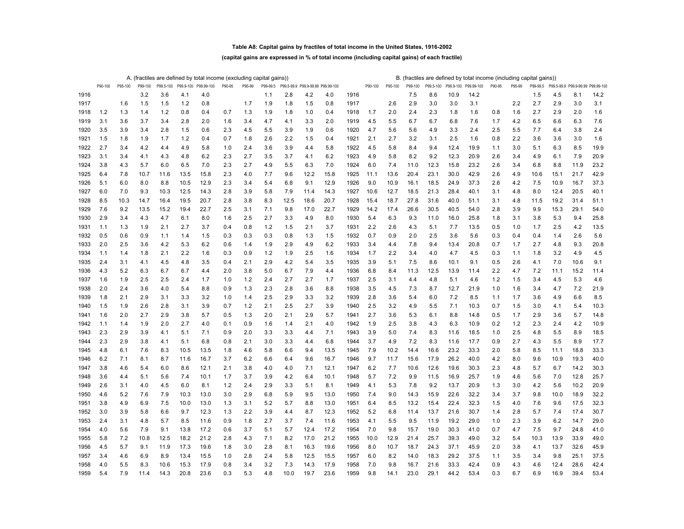### **Table A8: Capital gains by fractiles of total income in the United States, 1916-2002**

### **(capital gains are expressed in % of total income (including capital gains) of each fractile)**

|      |         |         |         |           |      | A. (fractiles are defined by total income (excluding capital gains)) |        |        |          |            |                        |      |      |         |         |         |           |           | B. (fractiles are defined by total income (including capital gains)) |        |        |          |      |                                   |      |
|------|---------|---------|---------|-----------|------|----------------------------------------------------------------------|--------|--------|----------|------------|------------------------|------|------|---------|---------|---------|-----------|-----------|----------------------------------------------------------------------|--------|--------|----------|------|-----------------------------------|------|
|      | P90-100 | P95-100 | P99-100 | P99.5-100 |      | P99.9-100 P99.99-100                                                 | P90-95 | P95-99 | P99-99.5 | P99.5-99.9 | P99.9-99.99 P99.99-100 |      |      | P90-100 | P95-100 | P99-100 | P99.5-100 | P99.9-100 | P99.99-100                                                           | P90-95 | P95-99 | P99-99.5 |      | P99.5-99.9 P99.9-99.99 P99.99-100 |      |
| 1916 |         |         | 3.2     | 3.6       | 4.1  | 4.0                                                                  |        |        | 1.1      | 2.8        | 4.2                    | 4.0  | 1916 |         |         | 7.5     | 8.6       | 10.9      | 14.2                                                                 |        |        | 1.5      | 4.5  | 8.1                               | 14.2 |
| 1917 |         | 1.6     | 1.5     | 1.5       | 1.2  | 0.8                                                                  |        | 1.7    | 1.9      | 1.8        | 1.5                    | 0.8  | 1917 |         | 2.6     | 2.9     | 3.0       | 3.0       | 3.1                                                                  |        | 2.2    | 2.7      | 2.9  | 3.0                               | 3.1  |
| 1918 | 1.2     | 1.3     | 1.4     | 1.2       | 0.8  | 0.4                                                                  | 0.7    | 1.3    | 1.9      | 1.8        | 1.0                    | 0.4  | 1918 | 1.7     | 2.0     | 2.4     | 2.3       | 1.8       | 1.6                                                                  | 0.8    | 1.6    | 2.7      | 2.9  | 2.0                               | 1.6  |
| 1919 | 3.1     | 3.6     | 3.7     | 3.4       | 2.8  | 2.0                                                                  | 1.6    | 3.4    | 4.7      | 4.1        | 3.3                    | 2.0  | 1919 | 4.5     | 5.5     | 6.7     | 6.7       | 6.8       | 7.6                                                                  | 1.7    | 4.2    | 6.5      | 6.6  | 6.3                               | 7.6  |
| 1920 | 3.5     | 3.9     | 3.4     | 2.8       | 1.5  | 0.6                                                                  | 2.3    | 4.5    | 5.5      | 3.9        | 1.9                    | 0.6  | 1920 | 4.7     | 5.6     | 5.6     | 4.9       | 3.3       | 2.4                                                                  | 2.5    | 5.5    | 7.7      | 6.4  | 3.8                               | 2.4  |
| 1921 | 1.5     | 1.8     | 1.9     | 1.7       | 1.2  | 0.4                                                                  | 0.7    | 1.8    | 2.6      | 2.2        | 1.5                    | 0.4  | 1921 | 2.1     | 2.7     | 3.2     | 3.1       | 2.5       | 1.6                                                                  | 0.8    | 2.2    | 3.6      | 3.6  | 3.0                               | 1.6  |
| 1922 | 2.7     | 3.4     | 4.2     | 4.4       | 4.9  | 5.8                                                                  | 1.0    | 2.4    | 3.6      | 3.9        | 4.4                    | 5.8  | 1922 | 4.5     | 5.8     | 8.4     | 9.4       | 12.4      | 19.9                                                                 | 1.1    | 3.0    | 5.1      | 6.3  | 8.5                               | 19.9 |
| 1923 | 3.1     | 3.4     | 4.1     | 4.3       | 4.8  | 6.2                                                                  | 2.3    | 2.7    | 3.5      | 3.7        | 4.1                    | 6.2  | 1923 | 4.9     | 5.8     | 8.2     | 9.2       | 12.3      | 20.9                                                                 | 2.6    | 3.4    | 4.9      | 6.1  | 7.9                               | 20.9 |
| 1924 | 3.8     | 4.3     | 5.7     | 6.0       | 6.5  | 7.0                                                                  | 2.3    | 2.7    | 4.9      | 5.5        | 6.3                    | 7.0  | 1924 | 6.0     | 7.4     | 11.0    | 12.3      | 15.8      | 23.2                                                                 | 2.6    | 3.4    | 6.8      | 8.8  | 11.9                              | 23.2 |
| 1925 | 6.4     | 7.8     | 10.7    | 11.6      | 13.5 | 15.8                                                                 | 2.3    | 4.0    | 7.7      | 9.6        | 12.2                   | 15.8 | 1925 | 11.1    | 13.6    | 20.4    | 23.1      | 30.0      | 42.9                                                                 | 2.6    | 4.9    | 10.6     | 15.1 | 21.7                              | 42.9 |
| 1926 | 5.1     | 6.0     | 8.0     | 8.8       | 10.5 | 12.9                                                                 | 2.3    | 3.4    | 5.4      | 6.8        | 9.1                    | 12.9 | 1926 | 9.0     | 10.9    | 16.1    | 18.5      | 24.9      | 37.3                                                                 | 2.6    | 4.2    | 7.5      | 10.9 | 16.7                              | 37.3 |
| 1927 | 6.0     | 7.0     | 9.3     | 10.3      | 12.5 | 14.3                                                                 | 2.8    | 3.9    | 5.8      | 7.9        | 11.4                   | 14.3 | 1927 | 10.6    | 12.7    | 18.5    | 21.3      | 28.4      | 40.1                                                                 | 3.1    | 4.8    | 8.0      | 12.4 | 20.5                              | 40.1 |
| 1928 | 8.5     | 10.3    | 14.7    | 16.4      | 19.5 | 20.7                                                                 | 2.8    | 3.8    | 8.3      | 12.5       | 18.6                   | 20.7 | 1928 | 15.4    | 18.7    | 27.8    | 31.6      | 40.0      | 51.1                                                                 | 3.1    | 4.8    | 11.5     | 19.2 | 31.4                              | 51.1 |
| 1929 | 7.6     | 9.2     | 13.5    | 15.2      | 19.4 | 22.7                                                                 | 2.5    | 3.1    | 7.1      | 9.8        | 17.0                   | 22.7 | 1929 | 14.2    | 17.4    | 26.6    | 30.5      | 40.5      | 54.0                                                                 | 2.8    | 3.9    | 9.9      | 15.3 | 29.1                              | 54.0 |
| 1930 | 2.9     | 3.4     | 4.3     | 4.7       | 6.1  | 8.0                                                                  | 1.6    | 2.5    | 2.7      | 3.3        | 4.9                    | 8.0  | 1930 | 5.4     | 6.3     | 9.3     | 11.0      | 16.0      | 25.8                                                                 | 1.8    | 3.1    | 3.8      | 5.3  | 9.4                               | 25.8 |
| 1931 | 1.1     | 1.3     | 1.9     | 2.1       | 2.7  | 3.7                                                                  | 0.4    | 0.8    | 1.2      | 1.5        | 2.1                    | 3.7  | 1931 | 2.2     | 2.6     | 4.3     | 5.1       | 7.7       | 13.5                                                                 | 0.5    | 1.0    | 1.7      | 2.5  | 4.2                               | 13.5 |
| 1932 | 0.5     | 0.6     | 0.9     | 1.1       | 1.4  | 1.5                                                                  | 0.3    | 0.3    | 0.3      | 0.8        | 1.3                    | 1.5  | 1932 | 0.7     | 0.9     | 2.0     | 2.5       | 3.6       | 5.6                                                                  | 0.3    | 0.4    | 0.4      | 1.4  | 2.6                               | 5.6  |
| 1933 | 2.0     | 2.5     | 3.6     | 4.2       | 5.3  | 6.2                                                                  | 0.6    | 1.4    | 1.9      | 2.9        | 4.9                    | 6.2  | 1933 | 3.4     | 4.4     | 7.8     | 9.4       | 13.4      | 20.8                                                                 | 0.7    | 1.7    | 2.7      | 4.8  | 9.3                               | 20.8 |
| 1934 | 1.1     | 1.4     | 1.8     | 2.1       | 2.2  | 1.6                                                                  | 0.3    | 0.9    | 1.2      | 1.9        | 2.5                    | 1.6  | 1934 | 1.7     | 2.2     | 3.4     | 4.0       | 4.7       | 4.5                                                                  | 0.3    | 1.1    | 1.8      | 3.2  | 4.9                               | 4.5  |
| 1935 | 2.4     | 3.1     | 4.1     | 4.5       | 4.8  | 3.5                                                                  | 0.4    | 2.1    | 2.9      | 4.2        | 5.4                    | 3.5  | 1935 | 3.9     | 5.1     | 7.5     | 8.6       | 10.1      | 9.1                                                                  | 0.5    | 2.6    | 4.1      | 7.0  | 10.6                              | 9.1  |
| 1936 | 4.3     | 5.2     | 6.3     | 6.7       | 6.7  | 4.4                                                                  | 2.0    | 3.8    | 5.0      | 6.7        | 7.9                    | 4.4  | 1936 | 6.8     | 8.4     | 11.3    | 12.5      | 13.9      | 11.4                                                                 | 2.2    | 4.7    | 7.2      | 11.1 | 15.2                              | 11.4 |
| 1937 | 1.6     | 1.9     | 2.5     | 2.5       | 2.4  | 1.7                                                                  | 1.0    | 1.2    | 2.4      | 2.7        | 2.7                    | 1.7  | 1937 | 2.5     | 3.1     | 4.4     | 4.8       | 5.1       | 4.6                                                                  | 1.2    | 1.5    | 3.4      | 4.5  | 5.3                               | 4.6  |
| 1938 | 2.0     | 2.4     | 3.6     | 4.0       | 5.4  | 8.8                                                                  | 0.9    | 1.3    | 2.3      | 2.8        | 3.6                    | 8.8  | 1938 | 3.5     | 4.5     | 7.3     | 8.7       | 12.7      | 21.9                                                                 | 1.0    | 1.6    | 3.4      | 4.7  | 7.2                               | 21.9 |
| 1939 | 1.8     | 2.1     | 2.9     | 3.1       | 3.3  | 3.2                                                                  | 1.0    | 1.4    | 2.5      | 2.9        | 3.3                    | 3.2  | 1939 | 2.8     | 3.6     | 5.4     | 6.0       | 7.2       | 8.5                                                                  | 1.1    | 1.7    | 3.6      | 4.9  | 6.6                               | 8.5  |
| 1940 | 1.5     | 1.9     | 2.6     | 2.8       | 3.1  | 3.9                                                                  | 0.7    | 1.2    | 2.1      | 2.5        | 2.7                    | 3.9  | 1940 | 2.5     | 3.2     | 4.9     | 5.5       | 7.1       | 10.3                                                                 | 0.7    | 1.5    | 3.0      | 4.1  | 5.4                               | 10.3 |
| 1941 | 1.6     | 2.0     | 2.7     | 2.9       | 3.8  | 5.7                                                                  | 0.5    | 1.3    | 2.0      | 2.1        | 2.9                    | 5.7  | 1941 | 2.7     | 3.6     | 5.3     | 6.1       | 8.8       | 14.8                                                                 | 0.5    | 1.7    | 2.9      | 3.6  | 5.7                               | 14.8 |
| 1942 | 1.1     | 1.4     | 1.9     | 2.0       | 2.7  | 4.0                                                                  | 0.1    | 0.9    | 1.6      | 1.4        | 2.1                    | 4.0  | 1942 | 1.9     | 2.5     | 3.8     | 4.3       | 6.3       | 10.9                                                                 | 0.2    | 1.2    | 2.3      | 2.4  | 4.2                               | 10.9 |
| 1943 | 2.3     | 2.9     | 3.9     | 4.1       | 5.1  | 7.1                                                                  | 0.9    | 2.0    | 3.3      | 3.3        | 4.4                    | 7.1  | 1943 | 3.9     | 5.0     | 7.4     | 8.3       | 11.6      | 18.5                                                                 | 1.0    | 2.5    | 4.8      | 5.5  | 8.9                               | 18.5 |
| 1944 | 2.3     | 2.9     | 3.8     | 4.1       | 5.1  | 6.8                                                                  | 0.8    | 2.1    | 3.0      | 3.3        | 4.4                    | 6.8  | 1944 | 3.7     | 4.9     | 7.2     | 8.3       | 11.6      | 17.7                                                                 | 0.9    | 2.7    | 4.3      | 5.5  | 8.9                               | 17.7 |
| 1945 | 4.8     | 6.1     | 7.6     | 8.3       | 10.5 | 13.5                                                                 | 1.8    | 4.6    | 5.8      | 6.6        | 9.4                    | 13.5 | 1945 | 7.9     | 10.2    | 14.4    | 16.6      | 23.2      | 33.3                                                                 | 2.0    | 5.8    | 8.5      | 11.1 | 18.8                              | 33.3 |
| 1946 | 6.2     | 7.1     | 8.1     | 8.7       | 11.6 | 16.7                                                                 | 3.7    | 6.2    | 6.6      | 6.4        | 9.6                    | 16.7 | 1946 | 9.7     | 11.7    | 15.6    | 17.9      | 26.2      | 40.0                                                                 | 4.2    | 8.0    | 9.6      | 10.9 | 19.3                              | 40.0 |
| 1947 | 3.8     | 4.6     | 5.4     | 6.0       | 8.6  | 12.1                                                                 | 2.1    | 3.8    | 4.0      | 4.0        | 7.1                    | 12.1 | 1947 | 6.2     | 7.7     | 10.6    | 12.6      | 19.6      | 30.3                                                                 | 2.3    | 4.8    | 5.7      | 6.7  | 14.2                              | 30.3 |
| 1948 | 3.6     | 4.4     | 5.1     | 5.6       | 7.4  | 10.1                                                                 | 1.7    | 3.7    | 3.9      | 4.2        | 6.4                    | 10.1 | 1948 | 5.7     | 7.2     | 9.9     | 11.5      | 16.9      | 25.7                                                                 | 1.9    | 4.6    | 5.6      | 7.0  | 12.8                              | 25.7 |
| 1949 | 2.6     | 3.1     | 4.0     | 4.5       | 6.0  | 8.1                                                                  | 1.2    | 2.4    | 2.9      | 3.3        | 5.1                    | 8.1  | 1949 | 4.1     | 5.3     | 7.8     | 9.2       | 13.7      | 20.9                                                                 | 1.3    | 3.0    | 4.2      | 5.6  | 10.2                              | 20.9 |
| 1950 | 4.6     | 5.2     | 7.6     | 7.9       | 10.3 | 13.0                                                                 | 3.0    | 2.9    | 6.8      | 5.9        | 9.5                    | 13.0 | 1950 | 7.4     | 9.0     | 14.3    | 15.9      | 22.6      | 32.2                                                                 | 3.4    | 3.7    | 9.8      | 10.0 | 18.9                              | 32.2 |
| 1951 | 3.8     | 4.9     | 6.9     | 7.5       | 10.0 | 13.0                                                                 | 1.3    | 3.1    | 5.2      | 5.7        | 8.8                    | 13.0 | 1951 | 6.4     | 8.5     | 13.2    | 15.4      | 22.4      | 32.3                                                                 | 1.5    | 4.0    | 7.6      | 9.6  | 17.5                              | 32.3 |
| 1952 | 3.0     | 3.9     | 5.8     | 6.6       | 9.7  | 12.3                                                                 | 1.3    | 2.2    | 3.9      | 4.4        | 8.7                    | 12.3 | 1952 | 5.2     | 6.8     | 11.4    | 13.7      | 21.6      | 30.7                                                                 | 1.4    | 2.8    | 5.7      | 7.4  | 17.4                              | 30.7 |
| 1953 | 2.4     | 3.1     | 4.8     | 5.7       | 8.5  | 11.6                                                                 | 0.9    | 1.8    | 2.7      | 3.7        | 7.4                    | 11.6 | 1953 | 4.1     | 5.5     | 9.5     | 11.9      | 19.2      | 29.0                                                                 | 1.0    | 2.3    | 3.9      | 6.2  | 14.7                              | 29.0 |
| 1954 | 4.0     | 5.6     | 7.9     | 9.1       | 13.8 | 17.2                                                                 | 0.6    | 3.7    | 5.1      | 5.7        | 12.4                   | 17.2 | 1954 | 7.0     | 9.8     | 15.7    | 19.0      | 30.3      | 41.0                                                                 | 0.7    | 4.7    | 7.5      | 9.7  | 24.8                              | 41.0 |
| 1955 | 5.8     | 7.2     | 10.8    | 12.5      | 18.2 | 21.2                                                                 | 2.8    | 4.3    | 7.1      | 8.2        | 17.0                   | 21.2 | 1955 | 10.0    | 12.9    | 21.4    | 25.7      | 39.3      | 49.0                                                                 | 3.2    | 5.4    | 10.3     | 13.9 | 33.9                              | 49.0 |
| 1956 | 4.5     | 5.7     | 9.1     | 11.9      | 17.3 | 19.6                                                                 | 1.8    | 3.0    | 2.8      | 8.1        | 16.3                   | 19.6 | 1956 | 8.0     | 10.7    | 18.7    | 24.3      | 37.1      | 45.9                                                                 | 2.0    | 3.8    | 4.1      | 13.7 | 32.6                              | 45.9 |
| 1957 | 3.4     | 4.6     | 6.9     | 8.9       | 13.4 | 15.5                                                                 | 1.0    | 2.8    | 2.4      | 5.8        | 12.5                   | 15.5 | 1957 | 6.0     | 8.2     | 14.0    | 18.3      | 29.2      | 37.5                                                                 | 1.1    | 3.5    | 3.4      | 9.8  | 25.1                              | 37.5 |
| 1958 | 4.0     | 5.5     | 8.3     | 10.6      | 15.3 | 17.9                                                                 | 0.8    | 3.4    | 3.2      | 7.3        | 14.3                   | 17.9 | 1958 | 7.0     | 9.8     | 16.7    | 21.6      | 33.3      | 42.4                                                                 | 0.9    | 4.3    | 4.6      | 12.4 | 28.6                              | 42.4 |
| 1959 | 5.4     | 7.9     | 11.4    | 14.3      | 20.8 | 23.6                                                                 | 0.3    | 5.3    | 4.8      | 10.0       | 19.7                   | 23.6 | 1959 | 9.8     | 14.1    | 23.0    | 29.1      | 44.2      | 53.4                                                                 | 0.3    | 6.7    | 6.9      | 16.9 | 39.4                              | 53.4 |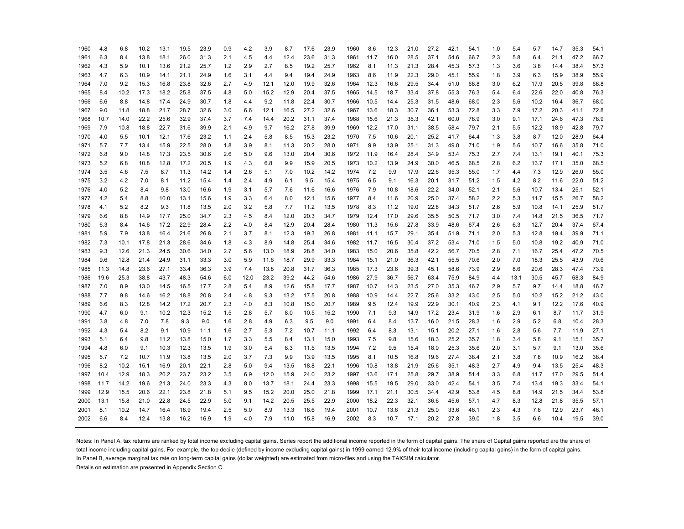| 1960 | 4.8  | 6.8  | 10.2 | 13.1 | 19.5 | 23.9 | 0.9 | 4.2  | 3.9  | 8.7  | 17.6 | 23.9 | 1960 | 8.6  | 12.3 | 21.0 | 27.2 | 42.1 | 54.1 | 1.0 | 5.4  | 5.7  | 14.7 | 35.3 | 54.1 |
|------|------|------|------|------|------|------|-----|------|------|------|------|------|------|------|------|------|------|------|------|-----|------|------|------|------|------|
| 1961 | 6.3  | 8.4  | 13.8 | 18.1 | 26.0 | 31.3 | 2.1 | 4.5  | 4.4  | 12.4 | 23.6 | 31.3 | 1961 | 11.7 | 16.0 | 28.5 | 37.1 | 54.6 | 66.7 | 2.3 | 5.8  | 6.4  | 21.1 | 47.2 | 66.7 |
| 1962 | 4.3  | 5.9  | 10.1 | 13.6 | 21.2 | 25.7 | 1.2 | 2.9  | 2.7  | 8.5  | 19.2 | 25.7 | 1962 | 8.1  | 11.3 | 21.3 | 28.4 | 45.3 | 57.3 | 1.3 | 3.6  | 3.8  | 14.4 | 38.4 | 57.3 |
| 1963 | 4.7  | 6.3  | 10.9 | 14.1 | 21.1 | 24.9 | 1.6 | 3.1  | 4.4  | 9.4  | 19.4 | 24.9 | 1963 | 8.6  | 11.9 | 22.3 | 29.0 | 45.1 | 55.9 | 1.8 | 3.9  | 6.3  | 15.9 | 38.9 | 55.9 |
| 1964 | 7.0  | 9.2  | 15.3 | 16.8 | 23.8 | 32.6 | 2.7 | 4.9  | 12.1 | 12.0 | 19.9 | 32.6 | 1964 | 12.3 | 16.6 | 29.5 | 34.4 | 51.0 | 68.8 | 3.0 | 6.2  | 17.9 | 20.5 | 39.8 | 68.8 |
| 1965 | 8.4  | 10.2 | 17.3 | 18.2 | 25.8 | 37.5 | 4.8 | 5.0  | 15.2 | 12.9 | 20.4 | 37.5 | 1965 | 14.5 | 18.7 | 33.4 | 37.8 | 55.3 | 76.3 | 5.4 | 6.4  | 22.6 | 22.0 | 40.8 | 76.3 |
| 1966 | 6.6  | 8.8  | 14.8 | 17.4 | 24.9 | 30.7 | 1.8 | 4.4  | 9.2  | 11.8 | 22.4 | 30.7 | 1966 | 10.5 | 14.4 | 25.3 | 31.5 | 48.6 | 68.0 | 2.3 | 5.6  | 10.2 | 16.4 | 36.7 | 68.0 |
| 1967 | 9.0  | 11.8 | 18.8 | 21.7 | 28.7 | 32.6 | 3.0 | 6.6  | 12.1 | 16.5 | 27.2 | 32.6 | 1967 | 13.6 | 18.3 | 30.7 | 36.1 | 53.3 | 72.8 | 3.3 | 7.9  | 17.2 | 20.3 | 41.1 | 72.8 |
| 1968 | 10.7 | 14.0 | 22.2 | 25.6 | 32.9 | 37.4 | 3.7 | 7.4  | 14.4 | 20.2 | 31.1 | 37.4 | 1968 | 15.6 | 21.3 | 35.3 | 42.1 | 60.0 | 78.9 | 3.0 | 9.1  | 17.1 | 24.6 | 47.3 | 78.9 |
| 1969 | 7.9  | 10.8 | 18.8 | 22.7 | 31.6 | 39.9 | 2.1 | 4.9  | 9.7  | 16.2 | 27.8 | 39.9 | 1969 | 12.2 | 17.0 | 31.1 | 38.5 | 58.4 | 79.7 | 2.1 | 5.5  | 12.2 | 18.9 | 42.8 | 79.7 |
| 1970 | 4.0  | 5.5  | 10.1 | 12.1 | 17.6 | 23.2 | 1.1 | 2.4  | 5.8  | 8.5  | 15.3 | 23.2 | 1970 | 7.5  | 10.6 | 20.1 | 25.2 | 41.7 | 64.4 | 1.3 | 3.8  | 8.7  | 12.0 | 28.9 | 64.4 |
| 1971 | 5.7  | 7.7  | 13.4 | 15.9 | 22.5 | 28.0 | 1.8 | 3.9  | 8.1  | 11.3 | 20.2 | 28.0 | 1971 | 9.9  | 13.9 | 25.1 | 31.3 | 49.0 | 71.0 | 1.9 | 5.6  | 10.7 | 16.6 | 35.8 | 71.0 |
| 1972 | 6.8  | 9.0  | 14.8 | 17.3 | 23.5 | 30.6 | 2.6 | 5.0  | 9.6  | 13.0 | 20.4 | 30.6 | 1972 | 11.9 | 16.4 | 28.4 | 34.9 | 53.4 | 75.3 | 2.7 | 7.4  | 13.1 | 19.1 | 40.1 | 75.3 |
| 1973 | 5.2  | 6.8  | 10.8 | 12.8 | 17.2 | 20.5 | 1.9 | 4.3  | 6.8  | 9.9  | 15.9 | 20.5 | 1973 | 10.2 | 13.9 | 24.9 | 30.0 | 46.5 | 68.5 | 2.8 | 6.2  | 13.7 | 17.1 | 35.0 | 68.5 |
| 1974 | 3.5  | 4.6  | 7.5  | 8.7  | 11.3 | 14.2 | 1.4 | 2.6  | 5.1  | 7.0  | 10.2 | 14.2 | 1974 | 7.2  | 9.9  | 17.9 | 22.6 | 35.3 | 55.0 | 1.7 | 4.4  | 7.3  | 12.9 | 26.0 | 55.0 |
| 1975 | 3.2  | 4.2  | 7.0  | 8.1  | 11.2 | 15.4 | 1.4 | 2.4  | 4.9  | 6.1  | 9.5  | 15.4 | 1975 | 6.5  | 9.1  | 16.3 | 20.1 | 31.7 | 51.2 | 1.5 | 4.2  | 8.2  | 11.6 | 22.0 | 51.2 |
| 1976 | 4.0  | 5.2  | 8.4  | 9.8  | 13.0 | 16.6 | 1.9 | 3.1  | 5.7  | 7.6  | 11.6 | 16.6 | 1976 | 7.9  | 10.8 | 18.6 | 22.2 | 34.0 | 52.1 | 2.1 | 5.6  | 10.7 | 13.4 | 25.1 | 52.1 |
| 1977 | 4.2  | 5.4  | 8.8  | 10.0 | 13.1 | 15.6 | 1.9 | 3.3  | 6.4  | 8.0  | 12.1 | 15.6 | 1977 | 8.4  | 11.6 | 20.9 | 25.0 | 37.4 | 58.2 | 2.2 | 5.3  | 11.7 | 15.5 | 26.7 | 58.2 |
| 1978 | 4.1  | 5.2  | 8.2  | 9.3  | 11.8 | 13.5 | 2.0 | 3.2  | 5.8  | 7.7  | 11.2 | 13.5 | 1978 | 8.3  | 11.2 | 19.0 | 22.8 | 34.3 | 51.7 | 2.6 | 5.9  | 10.8 | 14.1 | 25.9 | 51.7 |
| 1979 | 6.6  | 8.8  | 14.9 | 17.7 | 25.0 | 34.7 | 2.3 | 4.5  | 8.4  | 12.0 | 20.3 | 34.7 | 1979 | 12.4 | 17.0 | 29.6 | 35.5 | 50.5 | 71.7 | 3.0 | 7.4  | 14.8 | 21.5 | 36.5 | 71.7 |
| 1980 | 6.3  | 8.4  | 14.6 | 17.2 | 22.9 | 28.4 | 2.2 | 4.0  | 8.4  | 12.9 | 20.4 | 28.4 | 1980 | 11.3 | 15.6 | 27.8 | 33.9 | 48.6 | 67.4 | 2.6 | 6.3  | 12.7 | 20.4 | 37.4 | 67.4 |
| 1981 | 5.9  | 7.9  | 13.8 | 16.4 | 21.6 | 26.8 | 2.1 | 3.7  | 8.1  | 12.3 | 19.3 | 26.8 | 1981 | 11.1 | 15.7 | 29.1 | 35.4 | 51.9 | 71.1 | 2.0 | 5.3  | 12.8 | 19.4 | 39.9 | 71.1 |
| 1982 | 7.3  | 10.1 | 17.8 | 21.3 | 28.6 | 34.6 | 1.8 | 4.3  | 8.9  | 14.8 | 25.4 | 34.6 | 1982 | 11.7 | 16.5 | 30.4 | 37.2 | 53.4 | 71.0 | 1.5 | 5.0  | 10.8 | 19.2 | 40.9 | 71.0 |
| 1983 | 9.3  | 12.6 | 21.3 | 24.5 | 30.6 | 34.0 | 2.7 | 5.6  | 13.0 | 18.9 | 28.8 | 34.0 | 1983 | 15.0 | 20.6 | 35.8 | 42.2 | 56.7 | 70.5 | 2.8 | 7.1  | 16.7 | 25.4 | 47.2 | 70.5 |
| 1984 | 9.6  | 12.8 | 21.4 | 24.9 | 31.1 | 33.3 | 3.0 | 5.9  | 11.6 | 18.7 | 29.9 | 33.3 | 1984 | 15.1 | 21.0 | 36.3 | 42.1 | 55.5 | 70.6 | 2.0 | 7.0  | 18.3 | 25.5 | 43.9 | 70.6 |
| 1985 | 11.3 | 14.8 | 23.6 | 27.1 | 33.4 | 36.3 | 3.9 | 7.4  | 13.8 | 20.8 | 31.7 | 36.3 | 1985 | 17.3 | 23.6 | 39.3 | 45.1 | 58.6 | 73.9 | 2.9 | 8.6  | 20.6 | 28.3 | 47.4 | 73.9 |
| 1986 | 19.6 | 25.3 | 38.8 | 43.7 | 48.3 | 54.6 | 6.0 | 12.0 | 23.2 | 39.2 | 44.2 | 54.6 | 1986 | 27.9 | 36.7 | 56.7 | 63.4 | 75.9 | 84.9 | 4.4 | 13.1 | 30.5 | 45.7 | 68.3 | 84.9 |
| 1987 | 7.0  | 8.9  | 13.0 | 14.5 | 16.5 | 17.7 | 2.8 | 5.4  | 8.9  | 12.6 | 15.8 | 17.7 | 1987 | 10.7 | 14.3 | 23.5 | 27.0 | 35.3 | 46.7 | 2.9 | 5.7  | 9.7  | 14.4 | 18.8 | 46.7 |
| 1988 | 7.7  | 9.8  | 14.6 | 16.2 | 18.8 | 20.8 | 2.4 | 4.8  | 9.3  | 13.2 | 17.5 | 20.8 | 1988 | 10.9 | 14.4 | 22.7 | 25.6 | 33.2 | 43.0 | 2.5 | 5.0  | 10.2 | 15.2 | 21.2 | 43.0 |
| 1989 | 6.6  | 8.3  | 12.8 | 14.2 | 17.2 | 20.7 | 2.3 | 4.0  | 8.3  | 10.8 | 15.0 | 20.7 | 1989 | 9.5  | 12.4 | 19.9 | 22.9 | 30.1 | 40.9 | 2.3 | 4.1  | 9.1  | 12.2 | 17.6 | 40.9 |
| 1990 | 4.7  | 6.0  | 9.1  | 10.2 | 12.3 | 15.2 | 1.5 | 2.8  | 5.7  | 8.0  | 10.5 | 15.2 | 1990 | 7.1  | 9.3  | 14.9 | 17.2 | 23.4 | 31.9 | 1.6 | 2.9  | 6.1  | 8.7  | 11.7 | 31.9 |
| 1991 | 3.8  | 4.8  | 7.0  | 7.8  | 9.3  | 9.0  | 1.6 | 2.8  | 4.9  | 6.3  | 9.5  | 9.0  | 1991 | 6.4  | 8.4  | 13.7 | 16.0 | 21.5 | 28.3 | 1.6 | 2.9  | 5.2  | 6.8  | 10.4 | 28.3 |
| 1992 | 4.3  | 5.4  | 8.2  | 9.1  | 10.9 | 11.1 | 1.6 | 2.7  | 5.3  | 7.2  | 10.7 | 11.1 | 1992 | 6.4  | 8.3  | 13.1 | 15.1 | 20.2 | 27.1 | 1.6 | 2.8  | 5.6  | 7.7  | 11.9 | 27.1 |
| 1993 | 5.1  | 6.4  | 9.8  | 11.2 | 13.8 | 15.0 | 1.7 | 3.3  | 5.5  | 8.4  | 13.1 | 15.0 | 1993 | 7.5  | 9.8  | 15.6 | 18.3 | 25.2 | 35.7 | 1.8 | 3.4  | 5.8  | 9.1  | 15.1 | 35.7 |
| 1994 | 4.8  | 6.0  | 9.1  | 10.3 | 12.3 | 13.5 | 1.9 | 3.0  | 5.4  | 8.3  | 11.5 | 13.5 | 1994 | 7.2  | 9.5  | 15.4 | 18.0 | 25.3 | 35.6 | 2.0 | 3.1  | 5.7  | 9.1  | 13.0 | 35.6 |
| 1995 | 5.7  | 7.2  | 10.7 | 11.9 | 13.8 | 13.5 | 2.0 | 3.7  | 7.3  | 9.9  | 13.9 | 13.5 | 1995 | 8.1  | 10.5 | 16.8 | 19.6 | 27.4 | 38.4 | 2.1 | 3.8  | 7.8  | 10.9 | 16.2 | 38.4 |
| 1996 | 8.2  | 10.2 | 15.1 | 16.9 | 20.1 | 22.1 | 2.8 | 5.0  | 9.4  | 13.5 | 18.8 | 22.1 | 1996 | 10.8 | 13.8 | 21.9 | 25.6 | 35.1 | 48.3 | 2.7 | 4.9  | 9.4  | 13.5 | 25.4 | 48.3 |
| 1997 | 10.4 | 12.9 | 18.3 | 20.2 | 23.7 | 23.2 | 3.5 | 6.9  | 12.0 | 15.9 | 24.0 | 23.2 | 1997 | 13.6 | 17.1 | 25.8 | 29.7 | 38.9 | 51.4 | 3.3 | 6.8  | 11.7 | 17.0 | 29.5 | 51.4 |
| 1998 | 11.7 | 14.2 | 19.6 | 21.3 | 24.0 | 23.3 | 4.3 | 8.0  | 13.7 | 18.1 | 24.4 | 23.3 | 1998 | 15.5 | 19.5 | 29.0 | 33.0 | 42.4 | 54.1 | 3.5 | 7.4  | 13.4 | 19.3 | 33.4 | 54.1 |
| 1999 | 12.9 | 15.5 | 20.6 | 22.1 | 23.8 | 21.8 | 5.1 | 9.5  | 15.2 | 20.0 | 25.0 | 21.8 | 1999 | 17.1 | 21.1 | 30.5 | 34.4 | 42.9 | 53.8 | 4.5 | 8.8  | 14.9 | 21.5 | 34.4 | 53.8 |
| 2000 | 13.1 | 15.8 | 21.0 | 22.8 | 24.5 | 22.9 | 5.0 | 9.1  | 14.2 | 20.5 | 25.5 | 22.9 | 2000 | 18.2 | 22.3 | 32.1 | 36.6 | 45.6 | 57.1 | 4.7 | 8.3  | 12.8 | 21.8 | 35.5 | 57.1 |
| 2001 | 8.1  | 10.2 | 14.7 | 16.4 | 18.9 | 19.4 | 2.5 | 5.0  | 8.9  | 13.3 | 18.6 | 19.4 | 2001 | 10.7 | 13.6 | 21.3 | 25.0 | 33.6 | 46.1 | 2.3 | 4.3  | 7.6  | 12.9 | 23.7 | 46.1 |
| 2002 | 6.6  | 8.4  | 12.4 | 13.8 | 16.2 | 16.9 | 1.9 | 4.0  | 7.9  | 11.0 | 15.8 | 16.9 | 2002 | 8.3  | 10.7 | 17.1 | 20.2 | 27.8 | 39.0 | 1.8 | 3.5  | 6.6  | 10.4 | 19.5 | 39.0 |
|      |      |      |      |      |      |      |     |      |      |      |      |      |      |      |      |      |      |      |      |     |      |      |      |      |      |

Notes: In Panel A, tax returns are ranked by total income excluding capital gains. Series report the additional income reported in the form of capital gains. The share of Capital gains reported are the share of total income including capital gains. For example, the top decile (defined by income excluding capital gains) in 1999 earned 12.9% of their total income (including capital gains) in the form of capital gains. In Panel B, average marginal tax rate on long-term capital gains (dollar weighted) are estimated from micro-files and using the TAXSIM calculator.

Details on estimation are presented in Appendix Section C.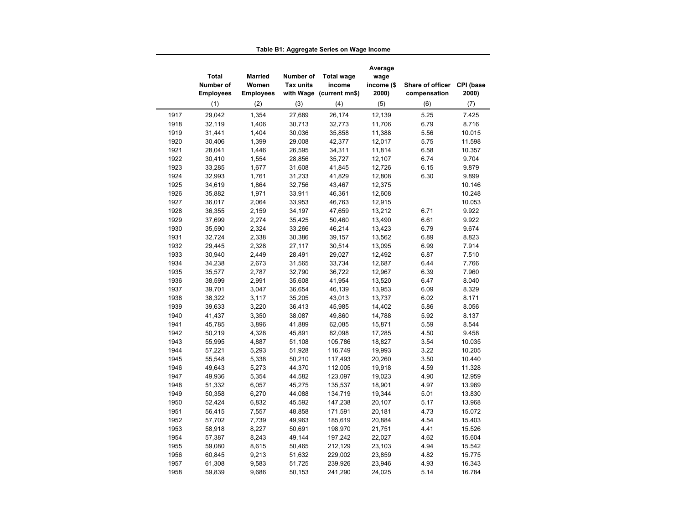|              | Total<br>Number of<br><b>Employees</b> | <b>Married</b><br>Women<br><b>Employees</b> | Number of<br><b>Tax units</b> | <b>Total wage</b><br>income<br>with Wage (current mn\$) | Average<br>wage<br>income (\$<br>2000) | Share of officer<br>compensation | CPI (base<br>2000) |
|--------------|----------------------------------------|---------------------------------------------|-------------------------------|---------------------------------------------------------|----------------------------------------|----------------------------------|--------------------|
|              | (1)                                    | (2)                                         | (3)                           | (4)                                                     | (5)                                    | (6)                              | (7)                |
| 1917         | 29,042                                 | 1,354                                       | 27,689                        | 26,174                                                  | 12,139                                 | 5.25                             | 7.425              |
| 1918         | 32,119                                 | 1,406                                       | 30,713                        | 32,773                                                  | 11,706                                 | 6.79                             | 8.716              |
| 1919         | 31,441                                 | 1,404                                       | 30,036                        | 35,858                                                  | 11,388                                 | 5.56                             | 10.015             |
| 1920         | 30,406                                 | 1,399                                       | 29,008                        | 42,377                                                  | 12,017                                 | 5.75                             | 11.598             |
| 1921         | 28,041                                 | 1,446                                       | 26,595                        | 34,311                                                  | 11,814                                 | 6.58                             | 10.357             |
| 1922         | 30,410                                 | 1,554                                       | 28,856                        | 35,727                                                  | 12,107                                 | 6.74                             | 9.704              |
| 1923         | 33,285                                 | 1,677                                       | 31,608                        | 41,845                                                  | 12,726                                 | 6.15                             | 9.879              |
| 1924         | 32,993                                 | 1,761                                       | 31,233                        | 41,829                                                  | 12,808                                 | 6.30                             | 9.899              |
| 1925         | 34,619                                 | 1,864                                       | 32,756                        | 43,467                                                  | 12,375                                 |                                  | 10.146             |
| 1926         | 35,882                                 | 1,971                                       | 33,911                        | 46,361                                                  | 12,608                                 |                                  | 10.248             |
| 1927         | 36,017                                 | 2,064                                       | 33,953                        | 46,763                                                  | 12,915                                 |                                  | 10.053             |
| 1928         | 36,355                                 | 2,159                                       | 34,197                        | 47,659                                                  | 13,212                                 | 6.71                             | 9.922              |
| 1929         | 37,699                                 | 2,274                                       | 35,425                        | 50,460                                                  | 13,490                                 | 6.61                             | 9.922              |
| 1930         | 35,590                                 | 2,324                                       | 33,266                        | 46,214                                                  | 13,423                                 | 6.79                             | 9.674              |
| 1931         | 32,724                                 | 2,338                                       | 30,386                        | 39,157                                                  | 13,562                                 | 6.89                             | 8.823              |
| 1932         | 29,445                                 | 2,328                                       | 27,117                        | 30,514                                                  | 13,095                                 | 6.99                             | 7.914              |
| 1933         | 30,940                                 | 2,449                                       | 28,491                        | 29,027                                                  | 12,492                                 | 6.87                             | 7.510              |
| 1934         | 34,238                                 | 2,673                                       | 31,565                        | 33,734                                                  | 12,687                                 | 6.44                             | 7.766              |
| 1935         | 35,577                                 | 2,787                                       | 32,790                        | 36,722                                                  | 12,967                                 | 6.39                             | 7.960              |
| 1936         | 38,599                                 | 2,991                                       | 35,608                        | 41,954                                                  | 13,520                                 | 6.47                             | 8.040              |
| 1937         | 39,701                                 | 3,047                                       | 36,654                        | 46,139                                                  | 13,953                                 | 6.09                             | 8.329              |
| 1938         | 38,322                                 | 3,117                                       | 35,205                        | 43,013                                                  | 13,737                                 | 6.02                             | 8.171              |
| 1939         | 39,633                                 | 3,220                                       | 36,413                        | 45,985                                                  | 14,402                                 | 5.86                             | 8.056              |
| 1940         | 41,437                                 | 3,350                                       | 38,087                        | 49,860                                                  | 14,788                                 | 5.92                             | 8.137              |
| 1941         | 45,785                                 | 3,896                                       | 41,889                        | 62,085                                                  | 15,871                                 | 5.59                             | 8.544              |
| 1942         | 50,219                                 | 4,328                                       | 45,891                        | 82,098                                                  | 17,285                                 | 4.50                             | 9.458              |
| 1943         | 55,995                                 | 4,887                                       | 51,108                        | 105,786                                                 | 18,827                                 | 3.54                             | 10.035             |
| 1944         | 57,221                                 | 5,293                                       | 51,928                        | 116,749                                                 | 19,993                                 | 3.22                             | 10.205             |
| 1945         | 55,548                                 | 5,338                                       | 50,210                        | 117,493                                                 | 20,260                                 | 3.50                             | 10.440             |
| 1946         | 49,643                                 | 5,273                                       | 44,370                        | 112,005                                                 | 19,918                                 | 4.59                             | 11.328             |
| 1947         | 49,936                                 | 5,354                                       | 44,582                        | 123,097                                                 | 19,023                                 | 4.90                             | 12.959             |
| 1948         | 51,332                                 | 6,057                                       | 45,275                        | 135,537                                                 | 18,901                                 | 4.97                             | 13.969             |
| 1949         | 50,358                                 | 6,270                                       | 44,088                        | 134,719                                                 | 19,344                                 | 5.01                             | 13.830             |
| 1950         | 52,424                                 | 6,832                                       | 45,592                        | 147,238                                                 | 20,107                                 | 5.17                             | 13.968             |
| 1951         | 56,415                                 | 7,557                                       | 48,858                        | 171,591                                                 | 20,181                                 | 4.73                             | 15.072             |
| 1952         | 57,702                                 | 7,739                                       | 49,963                        | 185,619                                                 | 20,884                                 | 4.54                             | 15.403             |
| 1953         | 58,918                                 | 8,227                                       | 50,691                        | 198,970                                                 | 21,751                                 | 4.41                             | 15.526             |
| 1954         | 57,387                                 | 8,243                                       | 49,144                        | 197,242                                                 | 22,027                                 | 4.62                             | 15.604             |
| 1955         | 59,080                                 | 8,615                                       | 50,465                        | 212,129                                                 | 23,103                                 | 4.94                             | 15.542             |
|              | 60,845                                 | 9,213                                       | 51,632                        | 229,002                                                 | 23,859                                 | 4.82                             | 15.775             |
|              |                                        |                                             |                               |                                                         |                                        |                                  |                    |
| 1956<br>1957 | 61,308                                 | 9,583                                       | 51,725                        | 239,926                                                 | 23,946                                 | 4.93                             | 16.343             |

**Table B1: Aggregate Series on Wage Income**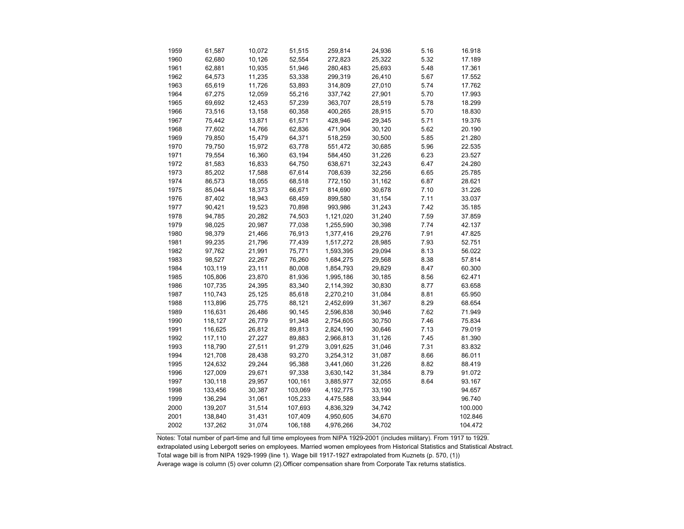| 1959 | 61,587  | 10,072 | 51,515  | 259,814   | 24,936 | 5.16 | 16.918  |
|------|---------|--------|---------|-----------|--------|------|---------|
| 1960 | 62,680  | 10,126 | 52,554  | 272,823   | 25,322 | 5.32 | 17.189  |
| 1961 | 62,881  | 10,935 | 51,946  | 280,483   | 25,693 | 5.48 | 17.361  |
| 1962 | 64,573  | 11,235 | 53,338  | 299,319   | 26,410 | 5.67 | 17.552  |
| 1963 | 65,619  | 11,726 | 53,893  | 314,809   | 27,010 | 5.74 | 17.762  |
| 1964 | 67,275  | 12,059 | 55,216  | 337,742   | 27,901 | 5.70 | 17.993  |
| 1965 | 69,692  | 12,453 | 57,239  | 363,707   | 28,519 | 5.78 | 18.299  |
| 1966 | 73,516  | 13,158 | 60,358  | 400,265   | 28,915 | 5.70 | 18.830  |
| 1967 | 75,442  | 13,871 | 61,571  | 428,946   | 29,345 | 5.71 | 19.376  |
| 1968 | 77,602  | 14,766 | 62,836  | 471,904   | 30,120 | 5.62 | 20.190  |
| 1969 | 79,850  | 15,479 | 64,371  | 518,259   | 30,500 | 5.85 | 21.280  |
| 1970 | 79,750  | 15,972 | 63,778  | 551,472   | 30,685 | 5.96 | 22.535  |
| 1971 | 79,554  | 16,360 | 63,194  | 584,450   | 31,226 | 6.23 | 23.527  |
| 1972 | 81,583  | 16,833 | 64,750  | 638,671   | 32,243 | 6.47 | 24.280  |
| 1973 | 85,202  | 17,588 | 67,614  | 708,639   | 32,256 | 6.65 | 25.785  |
| 1974 | 86,573  | 18,055 | 68,518  | 772,150   | 31,162 | 6.87 | 28.621  |
| 1975 | 85,044  | 18,373 | 66,671  | 814,690   | 30,678 | 7.10 | 31.226  |
| 1976 | 87,402  | 18,943 | 68,459  | 899,580   | 31,154 | 7.11 | 33.037  |
| 1977 | 90,421  | 19,523 | 70,898  | 993,986   | 31,243 | 7.42 | 35.185  |
| 1978 | 94,785  | 20,282 | 74,503  | 1,121,020 | 31,240 | 7.59 | 37.859  |
| 1979 | 98,025  | 20,987 | 77,038  | 1,255,590 | 30,398 | 7.74 | 42.137  |
| 1980 | 98,379  | 21,466 | 76,913  | 1,377,416 | 29,276 | 7.91 | 47.825  |
| 1981 | 99,235  | 21,796 | 77,439  | 1,517,272 | 28,985 | 7.93 | 52.751  |
| 1982 | 97,762  | 21,991 | 75,771  | 1,593,395 | 29,094 | 8.13 | 56.022  |
| 1983 | 98,527  | 22,267 | 76,260  | 1,684,275 | 29,568 | 8.38 | 57.814  |
| 1984 | 103,119 | 23,111 | 80,008  | 1,854,793 | 29,829 | 8.47 | 60.300  |
| 1985 | 105,806 | 23,870 | 81,936  | 1,995,186 | 30,185 | 8.56 | 62.471  |
| 1986 | 107,735 | 24,395 | 83,340  | 2,114,392 | 30,830 | 8.77 | 63.658  |
| 1987 | 110,743 | 25,125 | 85,618  | 2,270,210 | 31,084 | 8.81 | 65.950  |
| 1988 | 113,896 | 25,775 | 88,121  | 2,452,699 | 31,367 | 8.29 | 68.654  |
| 1989 | 116,631 | 26,486 | 90,145  | 2,596,838 | 30,946 | 7.62 | 71.949  |
| 1990 | 118,127 | 26,779 | 91,348  | 2,754,605 | 30,750 | 7.46 | 75.834  |
| 1991 | 116,625 | 26,812 | 89,813  | 2,824,190 | 30,646 | 7.13 | 79.019  |
| 1992 | 117,110 | 27,227 | 89,883  | 2,966,813 | 31,126 | 7.45 | 81.390  |
| 1993 | 118,790 | 27,511 | 91,279  | 3,091,625 | 31,046 | 7.31 | 83.832  |
| 1994 | 121,708 | 28,438 | 93,270  | 3,254,312 | 31,087 | 8.66 | 86.011  |
| 1995 | 124,632 | 29,244 | 95,388  | 3,441,060 | 31,226 | 8.82 | 88.419  |
| 1996 | 127,009 | 29,671 | 97,338  | 3,630,142 | 31,384 | 8.79 | 91.072  |
| 1997 | 130,118 | 29,957 | 100,161 | 3,885,977 | 32,055 | 8.64 | 93.167  |
| 1998 | 133,456 | 30,387 | 103,069 | 4,192,775 | 33,190 |      | 94.657  |
| 1999 | 136,294 | 31,061 | 105,233 | 4,475,588 | 33,944 |      | 96.740  |
| 2000 | 139,207 | 31,514 | 107,693 | 4,836,329 | 34,742 |      | 100.000 |
| 2001 | 138,840 | 31,431 | 107,409 | 4,950,605 | 34,670 |      | 102.846 |
| 2002 | 137,262 | 31,074 | 106,188 | 4,976,266 | 34,702 |      | 104.472 |
|      |         |        |         |           |        |      |         |

Notes: Total number of part-time and full time employees from NIPA 1929-2001 (includes military). From 1917 to 1929. extrapolated using Lebergott series on employees. Married women employees from Historical Statistics and Statistical Abstract. Total wage bill is from NIPA 1929-1999 (line 1). Wage bill 1917-1927 extrapolated from Kuznets (p. 570, (1)) Average wage is column (5) over column (2).Officer compensation share from Corporate Tax returns statistics.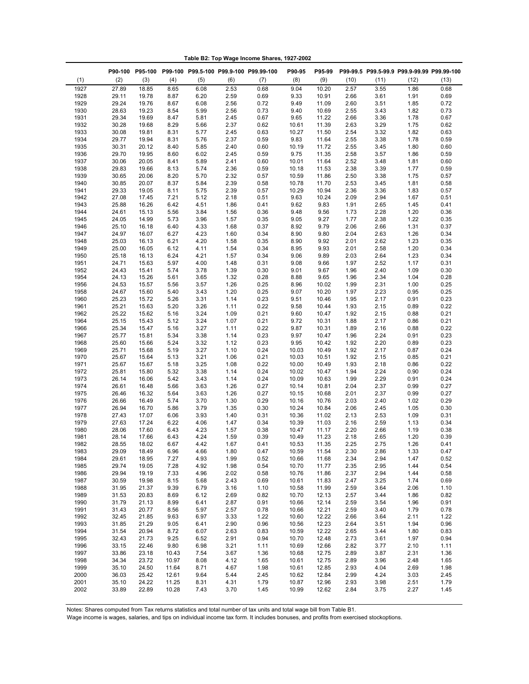|              |                |                |                |              |              | P90-100 P95-100 P99-100 P99.5-100 P99.9-100 P99.99-100 | P90-95         | P95-99         |              |              | P99-99.5 P99.5-99.9 P99.9-99.99 P99.99-100 |              |
|--------------|----------------|----------------|----------------|--------------|--------------|--------------------------------------------------------|----------------|----------------|--------------|--------------|--------------------------------------------|--------------|
| (1)          | (2)            | (3)            | (4)            | (5)          | (6)          | (7)                                                    | (8)            | (9)            | (10)         | (11)         | (12)                                       | (13)         |
| 1927         | 27.89          | 18.85          | 8.65           | 6.08         | 2.53         | 0.68                                                   | 9.04           | 10.20          | 2.57         | 3.55         | 1.86                                       | 0.68         |
| 1928<br>1929 | 29.11<br>29.24 | 19.78<br>19.76 | 8.87<br>8.67   | 6.20<br>6.08 | 2.59<br>2.56 | 0.69<br>0.72                                           | 9.33<br>9.49   | 10.91<br>11.09 | 2.66<br>2.60 | 3.61<br>3.51 | 1.91<br>1.85                               | 0.69<br>0.72 |
| 1930         | 28.63          | 19.23          | 8.54           | 5.99         | 2.56         | 0.73                                                   | 9.40           | 10.69          | 2.55         | 3.43         | 1.82                                       | 0.73         |
| 1931         | 29.34          | 19.69          | 8.47           | 5.81         | 2.45         | 0.67                                                   | 9.65           | 11.22          | 2.66         | 3.36         | 1.78                                       | 0.67         |
| 1932         | 30.28          | 19.68          | 8.29           | 5.66         | 2.37         | 0.62                                                   | 10.61          | 11.39          | 2.63         | 3.29         | 1.75                                       | 0.62         |
| 1933         | 30.08          | 19.81          | 8.31           | 5.77         | 2.45         | 0.63                                                   | 10.27          | 11.50          | 2.54         | 3.32         | 1.82                                       | 0.63         |
| 1934         | 29.77          | 19.94          | 8.31           | 5.76         | 2.37         | 0.59                                                   | 9.83           | 11.64          | 2.55         | 3.38         | 1.78                                       | 0.59         |
| 1935         | 30.31          | 20.12          | 8.40           | 5.85         | 2.40         | 0.60                                                   | 10.19          | 11.72          | 2.55         | 3.45         | 1.80                                       | 0.60         |
| 1936<br>1937 | 29.70<br>30.06 | 19.95<br>20.05 | 8.60<br>8.41   | 6.02<br>5.89 | 2.45<br>2.41 | 0.59<br>0.60                                           | 9.75<br>10.01  | 11.35<br>11.64 | 2.58<br>2.52 | 3.57<br>3.48 | 1.86<br>1.81                               | 0.59<br>0.60 |
| 1938         | 29.83          | 19.66          | 8.13           | 5.74         | 2.36         | 0.59                                                   | 10.18          | 11.53          | 2.38         | 3.39         | 1.77                                       | 0.59         |
| 1939         | 30.65          | 20.06          | 8.20           | 5.70         | 2.32         | 0.57                                                   | 10.59          | 11.86          | 2.50         | 3.38         | 1.75                                       | 0.57         |
| 1940         | 30.85          | 20.07          | 8.37           | 5.84         | 2.39         | 0.58                                                   | 10.78          | 11.70          | 2.53         | 3.45         | 1.81                                       | 0.58         |
| 1941         | 29.33          | 19.05          | 8.11           | 5.75         | 2.39         | 0.57                                                   | 10.29          | 10.94          | 2.36         | 3.36         | 1.83                                       | 0.57         |
| 1942         | 27.08          | 17.45          | 7.21           | 5.12         | 2.18         | 0.51                                                   | 9.63           | 10.24          | 2.09         | 2.94         | 1.67                                       | 0.51         |
| 1943         | 25.88          | 16.26          | 6.42           | 4.51         | 1.86         | 0.41                                                   | 9.62           | 9.83           | 1.91         | 2.65         | 1.45                                       | 0.41         |
| 1944<br>1945 | 24.61<br>24.05 | 15.13<br>14.99 | 5.56<br>5.73   | 3.84<br>3.96 | 1.56<br>1.57 | 0.36<br>0.35                                           | 9.48<br>9.05   | 9.56<br>9.27   | 1.73<br>1.77 | 2.28<br>2.38 | 1.20<br>1.22                               | 0.36<br>0.35 |
| 1946         | 25.10          | 16.18          | 6.40           | 4.33         | 1.68         | 0.37                                                   | 8.92           | 9.79           | 2.06         | 2.66         | 1.31                                       | 0.37         |
| 1947         | 24.97          | 16.07          | 6.27           | 4.23         | 1.60         | 0.34                                                   | 8.90           | 9.80           | 2.04         | 2.63         | 1.26                                       | 0.34         |
| 1948         | 25.03          | 16.13          | 6.21           | 4.20         | 1.58         | 0.35                                                   | 8.90           | 9.92           | 2.01         | 2.62         | 1.23                                       | 0.35         |
| 1949         | 25.00          | 16.05          | 6.12           | 4.11         | 1.54         | 0.34                                                   | 8.95           | 9.93           | 2.01         | 2.58         | 1.20                                       | 0.34         |
| 1950         | 25.18          | 16.13          | 6.24           | 4.21         | 1.57         | 0.34                                                   | 9.06           | 9.89           | 2.03         | 2.64         | 1.23                                       | 0.34         |
| 1951         | 24.71          | 15.63          | 5.97           | 4.00         | 1.48         | 0.31                                                   | 9.08           | 9.66           | 1.97         | 2.52         | 1.17                                       | 0.31         |
| 1952<br>1954 | 24.43<br>24.13 | 15.41<br>15.26 | 5.74<br>5.61   | 3.78<br>3.65 | 1.39<br>1.32 | 0.30<br>0.28                                           | 9.01<br>8.88   | 9.67<br>9.65   | 1.96<br>1.96 | 2.40<br>2.34 | 1.09<br>1.04                               | 0.30<br>0.28 |
| 1956         | 24.53          | 15.57          | 5.56           | 3.57         | 1.26         | 0.25                                                   | 8.96           | 10.02          | 1.99         | 2.31         | 1.00                                       | 0.25         |
| 1958         | 24.67          | 15.60          | 5.40           | 3.43         | 1.20         | 0.25                                                   | 9.07           | 10.20          | 1.97         | 2.23         | 0.95                                       | 0.25         |
| 1960         | 25.23          | 15.72          | 5.26           | 3.31         | 1.14         | 0.23                                                   | 9.51           | 10.46          | 1.95         | 2.17         | 0.91                                       | 0.23         |
| 1961         | 25.21          | 15.63          | 5.20           | 3.26         | 1.11         | 0.22                                                   | 9.58           | 10.44          | 1.93         | 2.15         | 0.89                                       | 0.22         |
| 1962         | 25.22          | 15.62          | 5.16           | 3.24         | 1.09         | 0.21                                                   | 9.60           | 10.47          | 1.92         | 2.15         | 0.88                                       | 0.21         |
| 1964         | 25.15          | 15.43          | 5.12           | 3.24         | 1.07         | 0.21                                                   | 9.72           | 10.31          | 1.88         | 2.17         | 0.86                                       | 0.21         |
| 1966<br>1967 | 25.34<br>25.77 | 15.47<br>15.81 | 5.16<br>5.34   | 3.27<br>3.38 | 1.11<br>1.14 | 0.22<br>0.23                                           | 9.87<br>9.97   | 10.31<br>10.47 | 1.89<br>1.96 | 2.16<br>2.24 | 0.88<br>0.91                               | 0.22<br>0.23 |
| 1968         | 25.60          | 15.66          | 5.24           | 3.32         | 1.12         | 0.23                                                   | 9.95           | 10.42          | 1.92         | 2.20         | 0.89                                       | 0.23         |
| 1969         | 25.71          | 15.68          | 5.19           | 3.27         | 1.10         | 0.24                                                   | 10.03          | 10.49          | 1.92         | 2.17         | 0.87                                       | 0.24         |
| 1970         | 25.67          | 15.64          | 5.13           | 3.21         | 1.06         | 0.21                                                   | 10.03          | 10.51          | 1.92         | 2.15         | 0.85                                       | 0.21         |
| 1971         | 25.67          | 15.67          | 5.18           | 3.25         | 1.08         | 0.22                                                   | 10.00          | 10.49          | 1.93         | 2.18         | 0.86                                       | 0.22         |
| 1972         | 25.81          | 15.80          | 5.32           | 3.38         | 1.14         | 0.24                                                   | 10.02          | 10.47          | 1.94         | 2.24         | $0.90\,$                                   | 0.24         |
| 1973         | 26.14          | 16.06          | 5.42           | 3.43         | 1.14         | 0.24                                                   | 10.09          | 10.63          | 1.99         | 2.29         | 0.91                                       | 0.24         |
| 1974<br>1975 | 26.61<br>26.46 | 16.48<br>16.32 | 5.66<br>5.64   | 3.63<br>3.63 | 1.26<br>1.26 | 0.27<br>0.27                                           | 10.14<br>10.15 | 10.81<br>10.68 | 2.04<br>2.01 | 2.37<br>2.37 | 0.99<br>0.99                               | 0.27<br>0.27 |
| 1976         | 26.66          | 16.49          | 5.74           | 3.70         | 1.30         | 0.29                                                   | 10.16          | 10.76          | 2.03         | 2.40         | 1.02                                       | 0.29         |
| 1977         | 26.94          | 16.70          | 5.86           | 3.79         | 1.35         | 0.30                                                   | 10.24          | 10.84          | 2.06         | 2.45         | 1.05                                       | 0.30         |
| 1978         | 27.43          | 17.07          | 6.06           | 3.93         | 1.40         | 0.31                                                   | 10.36          | 11.02          | 2.13         | 2.53         | 1.09                                       | 0.31         |
| 1979         | 27.63          | 17.24          | 6.22           | 4.06         | 1.47         | 0.34                                                   | 10.39          | 11.03          | 2.16         | 2.59         | 1.13                                       | 0.34         |
| 1980         | 28.06          | 17.60          | 6.43           | 4.23         | 1.57         | 0.38                                                   | 10.47          | 11.17          | 2.20         | 2.66         | 1.19                                       | 0.38         |
| 1981<br>1982 | 28.14<br>28.55 | 17.66<br>18.02 | 6.43<br>6.67   | 4.24<br>4.42 | 1.59<br>1.67 | 0.39<br>0.41                                           | 10.49<br>10.53 | 11.23<br>11.35 | 2.18<br>2.25 | 2.65<br>2.75 | 1.20<br>1.26                               | 0.39<br>0.41 |
| 1983         | 29.09          | 18.49          | 6.96           | 4.66         | 1.80         | 0.47                                                   | 10.59          | 11.54          | 2.30         | 2.86         | 1.33                                       | 0.47         |
| 1984         | 29.61          | 18.95          | 7.27           | 4.93         | 1.99         | 0.52                                                   | 10.66          | 11.68          | 2.34         | 2.94         | 1.47                                       | 0.52         |
| 1985         | 29.74          | 19.05          | 7.28           | 4.92         | 1.98         | 0.54                                                   | 10.70          | 11.77          | 2.35         | 2.95         | 1.44                                       | 0.54         |
| 1986         | 29.94          | 19.19          | 7.33           | 4.96         | 2.02         | 0.58                                                   | 10.76          | 11.86          | 2.37         | 2.94         | 1.44                                       | 0.58         |
| 1987         | 30.59          | 19.98          | 8.15           | 5.68         | 2.43         | 0.69                                                   | 10.61          | 11.83          | 2.47         | 3.25         | 1.74                                       | 0.69         |
| 1988         | 31.95          | 21.37          | 9.39           | 6.79         | 3.16         | 1.10                                                   | 10.58          | 11.99          | 2.59         | 3.64         | 2.06                                       | 1.10         |
| 1989<br>1990 | 31.53<br>31.79 | 20.83<br>21.13 | 8.69<br>8.99   | 6.12<br>6.41 | 2.69<br>2.87 | 0.82<br>0.91                                           | 10.70<br>10.66 | 12.13<br>12.14 | 2.57<br>2.59 | 3.44<br>3.54 | 1.86<br>1.96                               | 0.82<br>0.91 |
| 1991         | 31.43          | 20.77          | 8.56           | 5.97         | 2.57         | 0.78                                                   | 10.66          | 12.21          | 2.59         | 3.40         | 1.79                                       | 0.78         |
| 1992         | 32.45          | 21.85          | 9.63           | 6.97         | 3.33         | 1.22                                                   | 10.60          | 12.22          | 2.66         | 3.64         | 2.11                                       | 1.22         |
| 1993         | 31.85          | 21.29          | 9.05           | 6.41         | 2.90         | 0.96                                                   | 10.56          | 12.23          | 2.64         | 3.51         | 1.94                                       | 0.96         |
| 1994         | 31.54          | 20.94          | 8.72           | 6.07         | 2.63         | 0.83                                                   | 10.59          | 12.22          | 2.65         | 3.44         | 1.80                                       | 0.83         |
| 1995         | 32.43          | 21.73          | 9.25           | 6.52         | 2.91         | 0.94                                                   | 10.70          | 12.48          | 2.73         | 3.61         | 1.97                                       | 0.94         |
| 1996         | 33.15          | 22.46          | 9.80           | 6.98         | 3.21         | 1.11                                                   | 10.69          | 12.66          | 2.82         | 3.77         | 2.10                                       | 1.11         |
| 1997<br>1998 | 33.86<br>34.34 | 23.18<br>23.72 | 10.43<br>10.97 | 7.54<br>8.08 | 3.67<br>4.12 | 1.36<br>1.65                                           | 10.68<br>10.61 | 12.75<br>12.75 | 2.89<br>2.89 | 3.87<br>3.96 | 2.31<br>2.48                               | 1.36<br>1.65 |
| 1999         | 35.10          | 24.50          | 11.64          | 8.71         | 4.67         | 1.98                                                   | 10.61          | 12.85          | 2.93         | 4.04         | 2.69                                       | 1.98         |
| 2000         | 36.03          | 25.42          | 12.61          | 9.64         | 5.44         | 2.45                                                   | 10.62          | 12.84          | 2.99         | 4.24         | 3.03                                       | 2.45         |
| 2001         | 35.10          | 24.22          | 11.25          | 8.31         | 4.31         | 1.79                                                   | 10.87          | 12.96          | 2.93         | 3.98         | 2.51                                       | 1.79         |
| 2002         | 33.89          | 22.89          | 10.28          | 7.43         | 3.70         | 1.45                                                   | 10.99          | 12.62          | 2.84         | 3.75         | 2.27                                       | 1.45         |

**Table B2: Top Wage Income Shares, 1927-2002**

Notes: Shares computed from Tax returns statistics and total number of tax units and total wage bill from Table B1.

Wage income is wages, salaries, and tips on individual income tax form. It includes bonuses, and profits from exercised stockoptions.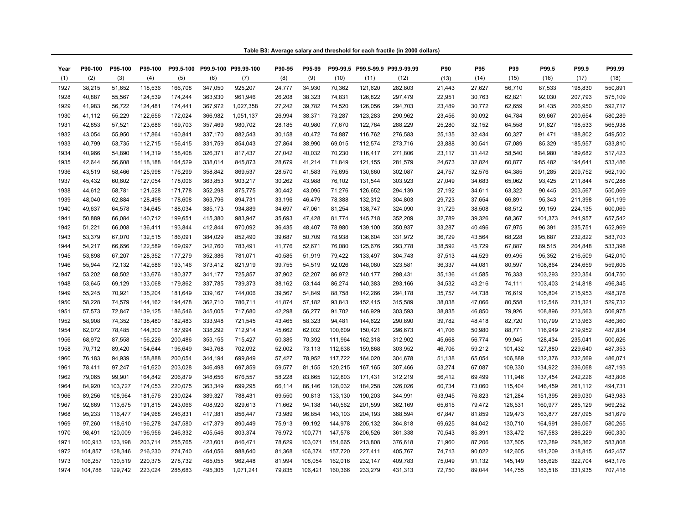|  | Table B3: Average salary and threshold for each fractile (in 2000 dollars) |  |
|--|----------------------------------------------------------------------------|--|
|--|----------------------------------------------------------------------------|--|

| Year | P90-100 | P95-100 | P99-100 |         |         | P99.5-100 P99.9-100 P99.99-100 | P90-95 | P95-99  |         |         | P99-99.5 P99.5-99.9 P99.9-99.99 | P90    | P95    | P99     | P99.5   | P99.9   | P99.99  |
|------|---------|---------|---------|---------|---------|--------------------------------|--------|---------|---------|---------|---------------------------------|--------|--------|---------|---------|---------|---------|
| (1)  | (2)     | (3)     | (4)     | (5)     | (6)     | (7)                            | (8)    | (9)     | (10)    | (11)    | (12)                            | (13)   | (14)   | (15)    | (16)    | (17)    | (18)    |
| 1927 | 38,215  | 51,652  | 118,536 | 166,708 | 347,050 | 925,207                        | 24,777 | 34,930  | 70,362  | 121,620 | 282,803                         | 21,443 | 27,627 | 56,710  | 87,533  | 198,830 | 550,891 |
| 1928 | 40,887  | 55,567  | 124,539 | 174,244 | 363,930 | 961,946                        | 26,208 | 38,323  | 74,831  | 126,822 | 297,479                         | 22,951 | 30,763 | 62,821  | 92,030  | 207,793 | 575,109 |
| 1929 | 41,983  | 56,722  | 124,481 | 174,441 | 367,972 | 1,027,358                      | 27,242 | 39,782  | 74,520  | 126,056 | 294,703                         | 23,489 | 30,772 | 62,659  | 91,435  | 206,950 | 592,717 |
| 1930 | 41,112  | 55,229  | 122,656 | 172,024 | 366,982 | 1,051,137                      | 26,994 | 38,371  | 73,287  | 123,283 | 290.962                         | 23,456 | 30,092 | 64,784  | 89,667  | 200,654 | 580,289 |
| 1931 | 42,853  | 57,521  | 123,686 | 169,703 | 357,469 | 980,702                        | 28,185 | 40,980  | 77,670  | 122,764 | 288,229                         | 25,280 | 32,152 | 64,558  | 91,827  | 198,533 | 565,938 |
| 1932 | 43,054  | 55,950  | 117,864 | 160,841 | 337,170 | 882,543                        | 30,158 | 40,472  | 74,887  | 116,762 | 276,583                         | 25,135 | 32,434 | 60,327  | 91,471  | 188,802 | 549,502 |
| 1933 | 40,799  | 53,735  | 112,715 | 156,415 | 331,759 | 854,043                        | 27,864 | 38,990  | 69,015  | 112,574 | 273,716                         | 23,888 | 30,541 | 57,089  | 85,329  | 185,957 | 533,810 |
| 1934 | 40,966  | 54,890  | 114,319 | 158,408 | 326,371 | 817,437                        | 27,042 | 40,032  | 70,230  | 116,417 | 271,806                         | 23,117 | 31,442 | 58,540  | 84,980  | 189,682 | 517,423 |
| 1935 | 42,644  | 56,608  | 118,188 | 164,529 | 338,014 | 845,873                        | 28,679 | 41,214  | 71,849  | 121,155 | 281,579                         | 24,673 | 32,824 | 60,877  | 85,482  | 194,641 | 533,486 |
| 1936 | 43,519  | 58,466  | 125,998 | 176,299 | 358,842 | 869,537                        | 28,570 | 41,583  | 75,695  | 130,660 | 302,087                         | 24,757 | 32,576 | 64,385  | 91,285  | 209,752 | 562,190 |
| 1937 | 45,432  | 60.602  | 127,054 | 178,006 | 363,853 | 903,217                        | 30,262 | 43,988  | 76,102  | 131,544 | 303.923                         | 27,049 | 34,683 | 65,062  | 93,425  | 211,844 | 570,288 |
| 1938 | 44,612  | 58,781  | 121,528 | 171,778 | 352,298 | 875,775                        | 30,442 | 43,095  | 71,276  | 126,652 | 294,139                         | 27,192 | 34,611 | 63,322  | 90,445  | 203,567 | 550,069 |
| 1939 | 48,040  | 62,884  | 128,498 | 178,608 | 363,796 | 894,731                        | 33,196 | 46,479  | 78,388  | 132,312 | 304,803                         | 29,723 | 37,654 | 66,891  | 95,343  | 211,398 | 561,199 |
| 1940 | 49,637  | 64,578  | 134,645 | 188,034 | 385,173 | 934,889                        | 34,697 | 47,061  | 81,254  | 138,747 | 324,090                         | 31,729 | 38,508 | 68,512  | 99,159  | 224,135 | 600,069 |
| 1941 | 50,889  | 66,084  | 140,712 | 199,651 | 415,380 | 983,947                        | 35,693 | 47,428  | 81,774  | 145,718 | 352,209                         | 32,789 | 39,326 | 68,367  | 101,373 | 241,957 | 657,542 |
| 1942 | 51,221  | 66,008  | 136,411 | 193,844 | 412,844 | 970,092                        | 36,435 | 48,407  | 78,980  | 139,100 | 350,937                         | 33,287 | 40,496 | 67,975  | 96,391  | 235,751 | 652,969 |
| 1943 | 53,379  | 67,070  | 132,515 | 186,091 | 384,029 | 852,490                        | 39,687 | 50,709  | 78,938  | 136,604 | 331,972                         | 36,729 | 43,564 | 68,228  | 95,687  | 232,822 | 583,703 |
| 1944 | 54,217  | 66,656  | 122,589 | 169,097 | 342,760 | 783,491                        | 41,776 | 52,671  | 76,080  | 125,676 | 293,778                         | 38,592 | 45,729 | 67,887  | 89,515  | 204,848 | 533,398 |
| 1945 | 53,898  | 67,207  | 128,352 | 177,279 | 352,386 | 781,071                        | 40,585 | 51,919  | 79,422  | 133,497 | 304,743                         | 37,513 | 44,529 | 69,495  | 95,352  | 216,509 | 542,010 |
| 1946 | 55,944  | 72,132  | 142,586 | 193,146 | 373,412 | 821,919                        | 39,755 | 54,519  | 92,026  | 148,080 | 323,581                         | 36,337 | 44,081 | 80,597  | 108,864 | 234,659 | 559,605 |
| 1947 | 53,202  | 68,502  | 133,676 | 180,377 | 341,177 | 725,857                        | 37.902 | 52,207  | 86,972  | 140,177 | 298,431                         | 35,136 | 41,585 | 76,333  | 103,293 | 220,354 | 504,750 |
| 1948 | 53,645  | 69,129  | 133,068 | 179,862 | 337,785 | 739,373                        | 38,162 | 53,144  | 86,274  | 140,383 | 293,166                         | 34,532 | 43,216 | 74,111  | 103,403 | 214,818 | 496,345 |
| 1949 | 55,245  | 70,921  | 135,204 | 181,649 | 339,167 | 744,006                        | 39,567 | 54,849  | 88,758  | 142,266 | 294,178                         | 35,757 | 44,738 | 76,619  | 105,804 | 215,953 | 498,378 |
| 1950 | 58,228  | 74,579  | 144,162 | 194,478 | 362,710 | 786.711                        | 41,874 | 57,182  | 93,843  | 152,415 | 315.589                         | 38,038 | 47,066 | 80,558  | 112,546 | 231,321 | 529,732 |
| 1951 | 57,573  | 72,847  | 139,125 | 186,546 | 345,005 | 717,680                        | 42,298 | 56,277  | 91,702  | 146,929 | 303,593                         | 38,835 | 46,850 | 79,926  | 108,896 | 223,563 | 506,975 |
| 1952 | 58,908  | 74,352  | 138,480 | 182,483 | 333,948 | 721,545                        | 43,465 | 58,323  | 94,481  | 144,622 | 290,890                         | 39,782 | 48,418 | 82,720  | 110,799 | 213,963 | 486,360 |
| 1954 | 62,072  | 78,485  | 144,300 | 187,994 | 338,292 | 712,914                        | 45,662 | 62,032  | 100,609 | 150,421 | 296,673                         | 41,706 | 50,980 | 88,771  | 116,949 | 219,952 | 487,834 |
| 1956 | 68,972  | 87,558  | 156,226 | 200,486 | 353,155 | 715,427                        | 50,385 | 70,392  | 111,964 | 162,318 | 312,902                         | 45,668 | 56,774 | 99,945  | 128,434 | 235,041 | 500,626 |
| 1958 | 70,712  | 89,420  | 154,644 | 196,649 | 343,768 | 702,092                        | 52.002 | 73,113  | 112,638 | 159,868 | 303.952                         | 46,706 | 59,212 | 101,432 | 127,880 | 229,640 | 487,353 |
| 1960 | 76,183  | 94,939  | 158,888 | 200,054 | 344,194 | 699,849                        | 57,427 | 78,952  | 117,722 | 164,020 | 304,678                         | 51,138 | 65,054 | 106,889 | 132,376 | 232,569 | 486,071 |
| 1961 | 78,411  | 97,247  | 161,620 | 203,028 | 346,498 | 697,859                        | 59,577 | 81,155  | 120,215 | 167,165 | 307,466                         | 53,274 | 67,087 | 109,330 | 134,922 | 236,068 | 487,193 |
| 1962 | 79,065  | 99,901  | 164,842 | 206,879 | 348,656 | 676,557                        | 58,228 | 83,665  | 122,803 | 171,431 | 312,219                         | 56,412 | 69,499 | 111,946 | 137,454 | 242,226 | 483,808 |
| 1964 | 84,920  | 103,727 | 174,053 | 220,075 | 363,349 | 699,295                        | 66,114 | 86,146  | 128,032 | 184,258 | 326,026                         | 60,734 | 73,060 | 115,404 | 146,459 | 261,112 | 494,731 |
| 1966 | 89,256  | 108.964 | 181,576 | 230,024 | 389,327 | 788,431                        | 69.550 | 90,813  | 133,130 | 190,203 | 344.991                         | 63,945 | 76,823 | 121,284 | 151,395 | 269,030 | 543,983 |
| 1967 | 92,669  | 113,675 | 191,815 | 243,066 | 408,920 | 829,613                        | 71,662 | 94,138  | 140,562 | 201,599 | 362,169                         | 65,615 | 79,472 | 126,531 | 160,977 | 285,129 | 569,252 |
| 1968 | 95,233  | 116,477 | 194,968 | 246,831 | 417,381 | 856,447                        | 73,989 | 96,854  | 143,103 | 204,193 | 368,594                         | 67,847 | 81,859 | 129,473 | 163,877 | 287,095 | 581,679 |
| 1969 | 97,260  | 118,610 | 196,278 | 247,580 | 417,379 | 890,449                        | 75,913 | 99,192  | 144,978 | 205,132 | 364,818                         | 69,625 | 84,042 | 130,710 | 164,991 | 286,067 | 580,265 |
| 1970 | 98,491  | 120,009 | 196,956 | 246,332 | 405,546 | 803,374                        | 76,972 | 100,771 | 147,578 | 206,526 | 361,338                         | 70,543 | 85,391 | 133,472 | 167,583 | 286,229 | 560,330 |
| 1971 | 100,913 | 123,198 | 203,714 | 255,765 | 423,601 | 846,471                        | 78.629 | 103,071 | 151,665 | 213,808 | 376,618                         | 71,960 | 87,206 | 137,505 | 173,289 | 298,362 | 583,808 |
| 1972 | 104,857 | 128,346 | 216,230 | 274,740 | 464,056 | 988,640                        | 81,368 | 106,374 | 157,720 | 227,411 | 405,767                         | 74,713 | 90,022 | 142,605 | 181,209 | 318,815 | 642,457 |
| 1973 | 106,257 | 130,519 | 220,375 | 278,732 | 465,055 | 962,448                        | 81,994 | 108,054 | 162,016 | 232,147 | 409,783                         | 75,049 | 91,132 | 145,149 | 185,626 | 322,704 | 643,176 |
| 1974 | 104,788 | 129,742 | 223,024 | 285,683 | 495,305 | 1,071,241                      | 79,835 | 106,421 | 160,366 | 233,279 | 431,313                         | 72.750 | 89,044 | 144,755 | 183,516 | 331,935 | 707,418 |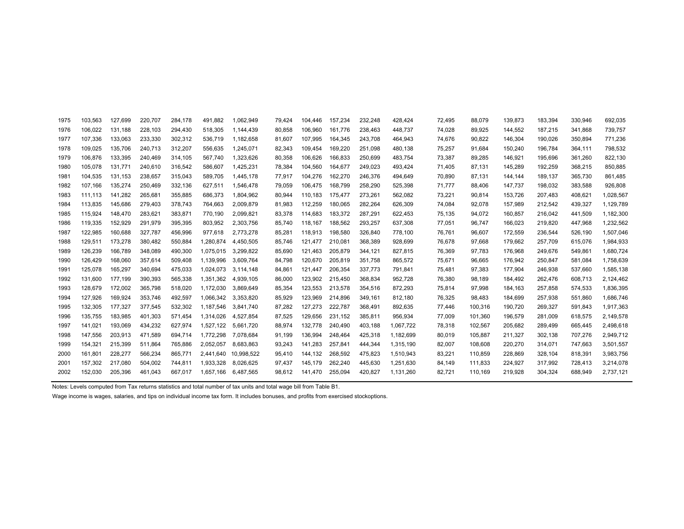| 1975 | 103,563 | 127,699 | 220,707 | 284,178 | 491,882   | 1,062,949  | 79,424 | 104,446 | 157,234 | 232,248 | 428,424   | 72,495 | 88,079  | 139,873 | 183,394 | 330,946 | 692,035   |
|------|---------|---------|---------|---------|-----------|------------|--------|---------|---------|---------|-----------|--------|---------|---------|---------|---------|-----------|
| 1976 | 106,022 | 131,188 | 228,103 | 294,430 | 518,305   | 1,144,439  | 80,858 | 106,960 | 161,776 | 238,463 | 448,737   | 74,028 | 89,925  | 144,552 | 187,215 | 341,868 | 739,757   |
| 1977 | 107,336 | 133.063 | 233,330 | 302,312 | 536,719   | 1,182,658  | 81,607 | 107,995 | 164,345 | 243,708 | 464,943   | 74,676 | 90,822  | 146,304 | 190.026 | 350,894 | 771,236   |
| 1978 | 109,025 | 135,706 | 240,713 | 312,207 | 556,635   | 1,245,071  | 82,343 | 109,454 | 169,220 | 251,098 | 480,138   | 75,257 | 91,684  | 150,240 | 196.784 | 364,111 | 798,532   |
| 1979 | 106,876 | 133,395 | 240,469 | 314,105 | 567,740   | 1,323,626  | 80,358 | 106,626 | 166,833 | 250,699 | 483,754   | 73,387 | 89,285  | 146,921 | 195,696 | 361,260 | 822,130   |
| 1980 | 105,078 | 131,771 | 240,610 | 316,542 | 586,607   | 1,425,231  | 78,384 | 104,560 | 164,677 | 249,023 | 493,424   | 71,405 | 87,131  | 145,289 | 192,259 | 368,215 | 850,885   |
| 1981 | 104,535 | 131,153 | 238,657 | 315,043 | 589,705   | 1,445,178  | 77,917 | 104,276 | 162,270 | 246,376 | 494,649   | 70,890 | 87,131  | 144,144 | 189,137 | 365,730 | 861,485   |
| 1982 | 107.166 | 135,274 | 250,469 | 332,136 | 627,511   | 1,546,478  | 79,059 | 106,475 | 168,799 | 258,290 | 525,398   | 71.777 | 88,406  | 147,737 | 198,032 | 383,588 | 926,808   |
| 1983 | 111,113 | 141,282 | 265,681 | 355,885 | 686,373   | 1,804,962  | 80,944 | 110,183 | 175,477 | 273,261 | 562,082   | 73,221 | 90,814  | 153,726 | 207,483 | 408,621 | 1,028,567 |
| 1984 | 113,835 | 145.686 | 279,403 | 378,743 | 764,663   | 2,009,879  | 81,983 | 112,259 | 180,065 | 282,264 | 626,309   | 74,084 | 92,078  | 157,989 | 212,542 | 439,327 | 1,129,789 |
| 1985 | 115.924 | 148,470 | 283,621 | 383,871 | 770,190   | 2,099,821  | 83,378 | 114.683 | 183,372 | 287,291 | 622.453   | 75,135 | 94,072  | 160,857 | 216,042 | 441,509 | 1,182,300 |
| 1986 | 119,335 | 152,929 | 291,979 | 395,395 | 803,952   | 2,303,756  | 85,740 | 118,167 | 188,562 | 293,257 | 637,308   | 77,051 | 96,747  | 166,023 | 219,820 | 447,968 | 1,232,562 |
| 1987 | 122,985 | 160,688 | 327,787 | 456,996 | 977,618   | 2,773,278  | 85,281 | 118,913 | 198,580 | 326,840 | 778,100   | 76,761 | 96,607  | 172,559 | 236,544 | 526,190 | 1,507,046 |
| 1988 | 129,511 | 173,278 | 380,482 | 550,884 | 1,280,874 | 4,450,505  | 85,746 | 121,477 | 210,081 | 368,389 | 928,699   | 76,678 | 97,668  | 179,662 | 257,709 | 615,076 | 1,984,933 |
| 1989 | 126,239 | 166,789 | 348,089 | 490,300 | 1,075,015 | 3,299,822  | 85,690 | 121,463 | 205,879 | 344,121 | 827,815   | 76,369 | 97,783  | 176,968 | 249,676 | 549,861 | 1,680,724 |
| 1990 | 126,429 | 168,060 | 357,614 | 509,408 | 1,139,996 | 3,609,764  | 84,798 | 120,670 | 205,819 | 351,758 | 865,572   | 75,671 | 96,665  | 176,942 | 250,847 | 581,084 | 1,758,639 |
| 1991 | 125,078 | 165,297 | 340,694 | 475,033 | 1,024,073 | 3,114,148  | 84,861 | 121,447 | 206,354 | 337,773 | 791,841   | 75,481 | 97,383  | 177,904 | 246,938 | 537,660 | 1,585,138 |
| 1992 | 131,600 | 177,199 | 390,393 | 565,338 | 1,351,362 | 4,939,105  | 86,000 | 123,902 | 215,450 | 368,834 | 952,728   | 76,380 | 98,189  | 184,492 | 262,476 | 608,713 | 2,124,462 |
| 1993 | 128,679 | 172,002 | 365,798 | 518,020 | 1,172,030 | 3,869,649  | 85,354 | 123,553 | 213,578 | 354,516 | 872,293   | 75,814 | 97,998  | 184,163 | 257,858 | 574,533 | 1,836,395 |
| 1994 | 127,926 | 169,924 | 353,746 | 492,597 | 1,066,342 | 3,353,820  | 85,929 | 123,969 | 214,896 | 349,161 | 812,180   | 76,325 | 98,483  | 184,699 | 257,938 | 551,860 | 1,686,746 |
| 1995 | 132,305 | 177,327 | 377,545 | 532,302 | 1,187,546 | 3,841,740  | 87,282 | 127,273 | 222,787 | 368,491 | 892,635   | 77,446 | 100,316 | 190,720 | 269,327 | 591,843 | 1,917,363 |
| 1996 | 135,755 | 183,985 | 401,303 | 571,454 | 1,314,026 | 4,527,854  | 87,525 | 129,656 | 231,152 | 385,811 | 956,934   | 77,009 | 101,360 | 196,579 | 281,009 | 618,575 | 2,149,578 |
| 1997 | 141,021 | 193,069 | 434,232 | 627,974 | 1,527,122 | 5,661,720  | 88,974 | 132,778 | 240,490 | 403,188 | 1.067.722 | 78,318 | 102,567 | 205,682 | 289.499 | 665,445 | 2,498,618 |
| 1998 | 147,556 | 203,913 | 471,589 | 694,714 | 1.772.298 | 7,078,684  | 91,199 | 136,994 | 248,464 | 425,318 | 1,182,699 | 80,019 | 105,887 | 211,327 | 302,138 | 707,276 | 2,949,712 |
| 1999 | 154,321 | 215,399 | 511,864 | 765,886 | 2,052,057 | 8,683,863  | 93,243 | 141,283 | 257,841 | 444,344 | 1,315,190 | 82,007 | 108,608 | 220,270 | 314,071 | 747,663 | 3,501,557 |
| 2000 | 161,801 | 228,277 | 566,234 | 865,771 | 2,441,640 | 10,998,522 | 95,410 | 144,132 | 268,592 | 475,823 | 1,510,943 | 83,221 | 110,859 | 228,869 | 328,104 | 818,391 | 3,983,756 |
| 2001 | 157,302 | 217,080 | 504,002 | 744,811 | 1,933,328 | 8,026,625  | 97,437 | 145,179 | 262,240 | 445,630 | 1,251,630 | 84,149 | 111,833 | 224,927 | 317,992 | 728,413 | 3,214,078 |
| 2002 | 152,030 | 205,396 | 461,043 | 667,017 | 1.657.166 | 6,487,565  | 98.612 | 141.470 | 255,094 | 420,827 | 1,131,260 | 82.721 | 110.169 | 219,928 | 304,324 | 688.949 | 2,737,121 |
|      |         |         |         |         |           |            |        |         |         |         |           |        |         |         |         |         |           |

Notes: Levels computed from Tax returns statistics and total number of tax units and total wage bill from Table B1.

Wage income is wages, salaries, and tips on individual income tax form. It includes bonuses, and profits from exercised stockoptions.